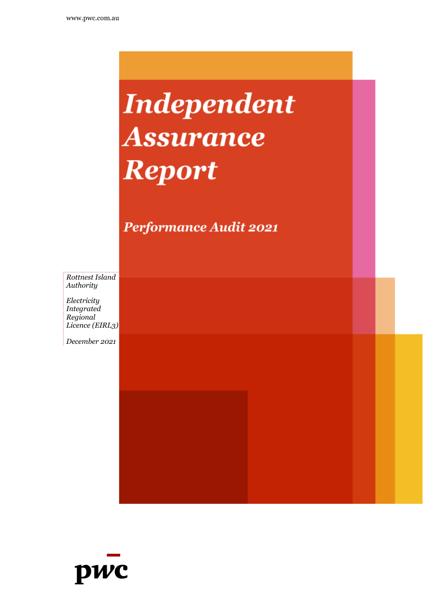# **Independent** *Assurance Assurance FReportF*

Performance Audit 2021

*Rottnest Island Authority*

*Electricity Integrated Regional Licence (EIRL3)*

*December 2021*

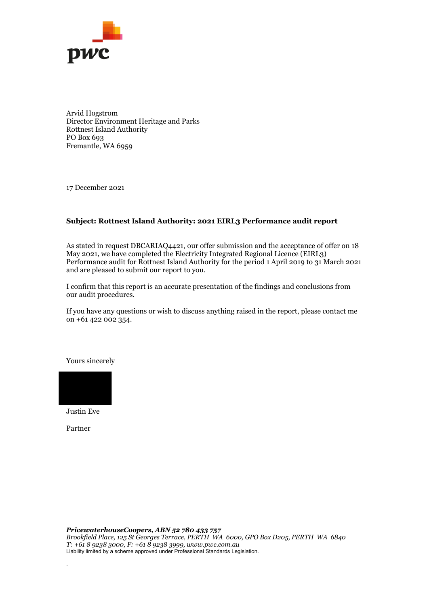

Arvid Hogstrom Director Environment Heritage and Parks Rottnest Island Authority PO Box 693 Fremantle, WA 6959

17 December 2021

#### **Subject: Rottnest Island Authority: 2021 EIRL3 Performance audit report**

As stated in request DBCARIAQ4421, our offer submission and the acceptance of offer on 18 May 2021, we have completed the Electricity Integrated Regional Licence (EIRL3) Performance audit for Rottnest Island Authority for the period 1 April 2019 to 31 March 2021 and are pleased to submit our report to you.

I confirm that this report is an accurate presentation of the findings and conclusions from our audit procedures.

If you have any questions or wish to discuss anything raised in the report, please contact me on +61 422 002 354.

Yours sincerely



Justin Eve

Partner

.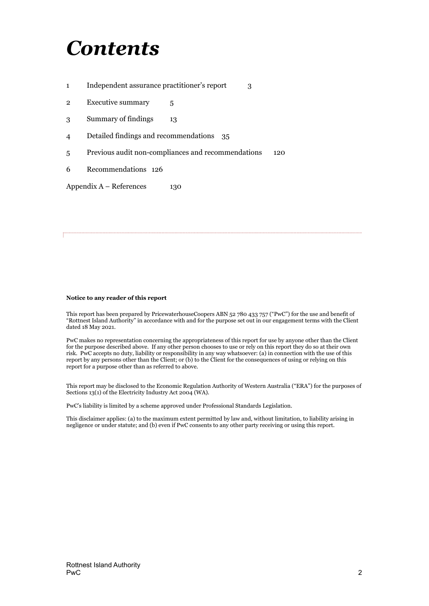## *Contents*

- 1 Independent assurance [practitioner's](#page-3-0) report 3
- 2 [Executive](#page-5-0) summary 5
- 3 [Summary](#page-13-0) of findings 13
- 4 Detailed findings and [recommendations](#page-35-0) 35
- 5 Previous audit non-compliances and [recommendations](#page-120-0) 120
- 6 Recommendations 126

 $Appendix A - References$  $Appendix A - References$  130

#### **Notice to any reader of this report**

This report has been prepared by PricewaterhouseCoopers ABN 52 780 433 757 ("PwC") for the use and benefit of "Rottnest Island Authority" in accordance with and for the purpose set out in our engagement terms with the Client dated 18 May 2021.

PwC makes no representation concerning the appropriateness of this report for use by anyone other than the Client for the purpose described above. If any other person chooses to use or rely on this report they do so at their own risk. PwC accepts no duty, liability or responsibility in any way whatsoever: (a) in connection with the use of this report by any persons other than the Client; or (b) to the Client for the consequences of using or relying on this report for a purpose other than as referred to above.

This report may be disclosed to the Economic Regulation Authority of Western Australia ("ERA") for the purposes of Sections 13(1) of the Electricity Industry Act 2004 (WA).

PwC's liability is limited by a scheme approved under Professional Standards Legislation.

This disclaimer applies: (a) to the maximum extent permitted by law and, without limitation, to liability arising in negligence or under statute; and (b) even if PwC consents to any other party receiving or using this report.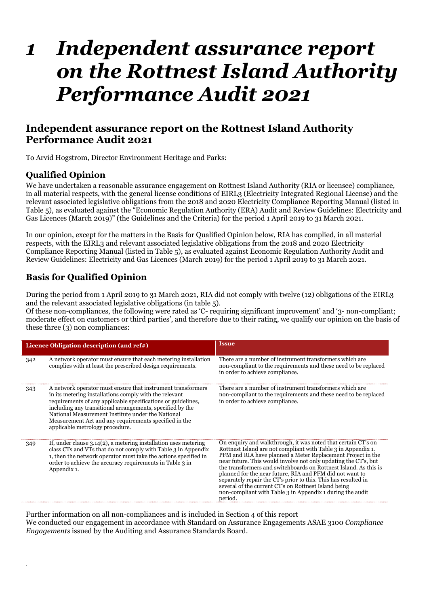## *1 Independent assurance report on the Rottnest Island Authority Performance Audit 2021*

## <span id="page-3-0"></span>**Independent assurance report on the Rottnest Island Authority Performance Audit 2021**

To Arvid Hogstrom, Director Environment Heritage and Parks:

## **Qualified Opinion**

.

We have undertaken a reasonable assurance engagement on Rottnest Island Authority (RIA or licensee) compliance, in all material respects, with the general license conditions of EIRL3 (Electricity Integrated Regional License) and the relevant associated legislative obligations from the 2018 and 2020 Electricity Compliance Reporting Manual (listed in Table 5), as evaluated against the "Economic Regulation Authority (ERA) Audit and Review Guidelines: Electricity and Gas Licences (March 2019)" (the Guidelines and the Criteria) for the period 1 April 2019 to 31 March 2021.

In our opinion, except for the matters in the Basis for Qualified Opinion below, RIA has complied, in all material respects, with the EIRL3 and relevant associated legislative obligations from the 2018 and 2020 Electricity Compliance Reporting Manual (listed in Table 5), as evaluated against Economic Regulation Authority Audit and Review Guidelines: Electricity and Gas Licences (March 2019) for the period 1 April 2019 to 31 March 2021.

## **Basis for Qualified Opinion**

During the period from 1 April 2019 to 31 March 2021, RIA did not comply with twelve (12) obligations of the EIRL3 and the relevant associated legislative obligations (in table 5).

Of these non-compliances, the following were rated as 'C- requiring significant improvement' and '3- non-compliant; moderate effect on customers or third parties', and therefore due to their rating, we qualify our opinion on the basis of these three (3) non compliances:

|     | Licence Obligation description (and ref#)                                                                                                                                                                                                                                                                                                                                                           | <b>Issue</b>                                                                                                                                                                                                                                                                                                                                                                                                                                                                                                                                                                                       |
|-----|-----------------------------------------------------------------------------------------------------------------------------------------------------------------------------------------------------------------------------------------------------------------------------------------------------------------------------------------------------------------------------------------------------|----------------------------------------------------------------------------------------------------------------------------------------------------------------------------------------------------------------------------------------------------------------------------------------------------------------------------------------------------------------------------------------------------------------------------------------------------------------------------------------------------------------------------------------------------------------------------------------------------|
| 342 | A network operator must ensure that each metering installation<br>complies with at least the prescribed design requirements.                                                                                                                                                                                                                                                                        | There are a number of instrument transformers which are<br>non-compliant to the requirements and these need to be replaced<br>in order to achieve compliance.                                                                                                                                                                                                                                                                                                                                                                                                                                      |
| 343 | A network operator must ensure that instrument transformers<br>in its metering installations comply with the relevant<br>requirements of any applicable specifications or guidelines,<br>including any transitional arrangements, specified by the<br>National Measurement Institute under the National<br>Measurement Act and any requirements specified in the<br>applicable metrology procedure. | There are a number of instrument transformers which are<br>non-compliant to the requirements and these need to be replaced<br>in order to achieve compliance.                                                                                                                                                                                                                                                                                                                                                                                                                                      |
| 349 | If, under clause $3.14(2)$ , a metering installation uses metering<br>class CTs and VTs that do not comply with Table 3 in Appendix<br>1, then the network operator must take the actions specified in<br>order to achieve the accuracy requirements in Table 3 in<br>Appendix 1.                                                                                                                   | On enquiry and walkthrough, it was noted that certain CT's on<br>Rottnest Island are not compliant with Table 3 in Appendix 1.<br>PFM and RIA have planned a Meter Replacement Project in the<br>near future. This would involve not only updating the CT's, but<br>the transformers and switchboards on Rottnest Island. As this is<br>planned for the near future, RIA and PFM did not want to<br>separately repair the CT's prior to this. This has resulted in<br>several of the current CT's on Rottnest Island being<br>non-compliant with Table 3 in Appendix 1 during the audit<br>period. |

Further information on all non-compliances and is included in Section 4 of this report We conducted our engagement in accordance with Standard on Assurance Engagements ASAE 3100 *Compliance Engagements* issued by the Auditing and Assurance Standards Board.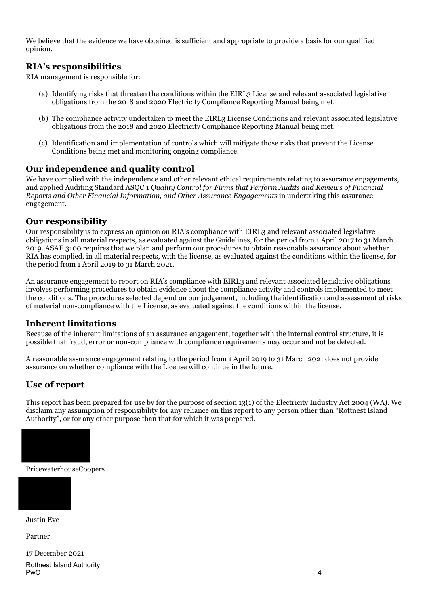We believe that the evidence we have obtained is sufficient and appropriate to provide a basis for our qualified opinion.

### **RIA's responsibilities**

RIA management is responsible for:

- (a) Identifying risks that threaten the conditions within the EIRL3 License and relevant associated legislative obligations from the 2018 and 2020 Electricity Compliance Reporting Manual being met.
- (b) The compliance activity undertaken to meet the EIRL3 License Conditions and relevant associated legislative obligations from the 2018 and 2020 Electricity Compliance Reporting Manual being met.
- (c) Identification and implementation of controls which will mitigate those risks that prevent the License Conditions being met and monitoring ongoing compliance.

### **Our independence and quality control**

We have complied with the independence and other relevant ethical requirements relating to assurance engagements, and applied Auditing Standard ASQC 1 *Quality Control for Firms that Perform Audits and Reviews of Financial Reports and Other Financial Information, and Other Assurance Engagements* in undertaking this assurance engagement.

### **Our responsibility**

Our responsibility is to express an opinion on RIA's compliance with EIRL3 and relevant associated legislative obligations in all material respects, as evaluated against the Guidelines, for the period from 1 April 2017 to 31 March 2019. ASAE 3100 requires that we plan and perform our procedures to obtain reasonable assurance about whether RIA has complied, in all material respects, with the license, as evaluated against the conditions within the license, for the period from 1 April 2019 to 31 March 2021.

An assurance engagement to report on RIA's compliance with EIRL3 and relevant associated legislative obligations involves performing procedures to obtain evidence about the compliance activity and controls implemented to meet the conditions. The procedures selected depend on our judgement, including the identification and assessment of risks of material non-compliance with the License, as evaluated against the conditions within the license.

#### **Inherent limitations**

Because of the inherent limitations of an assurance engagement, together with the internal control structure, it is possible that fraud, error or non-compliance with compliance requirements may occur and not be detected.

A reasonable assurance engagement relating to the period from 1 April 2019 to 31 March 2021 does not provide assurance on whether compliance with the License will continue in the future.

## **Use of report**

This report has been prepared for use by for the purpose of section 13(1) of the Electricity Industry Act 2004 (WA). We disclaim any assumption of responsibility for any reliance on this report to any person other than "Rottnest Island Authority", or for any other purpose than that for which it was prepared.



PricewaterhouseCoopers



Justin Eve

Partner

17 December 2021 Rottnest Island Authority PwC 4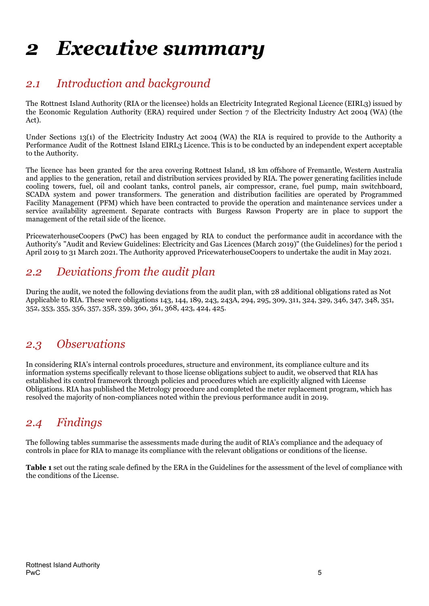## <span id="page-5-0"></span>*2 Executive summary*

## *2.1 Introduction and background*

The Rottnest Island Authority (RIA or the licensee) holds an Electricity Integrated Regional Licence (EIRL3) issued by the Economic Regulation Authority (ERA) required under Section 7 of the Electricity Industry Act 2004 (WA) (the Act).

Under Sections 13(1) of the Electricity Industry Act 2004 (WA) the RIA is required to provide to the Authority a Performance Audit of the Rottnest Island EIRL3 Licence. This is to be conducted by an independent expert acceptable to the Authority.

The licence has been granted for the area covering Rottnest Island, 18 km offshore of Fremantle, Western Australia and applies to the generation, retail and distribution services provided by RIA. The power generating facilities include cooling towers, fuel, oil and coolant tanks, control panels, air compressor, crane, fuel pump, main switchboard, SCADA system and power transformers. The generation and distribution facilities are operated by Programmed Facility Management (PFM) which have been contracted to provide the operation and maintenance services under a service availability agreement. Separate contracts with Burgess Rawson Property are in place to support the management of the retail side of the licence.

PricewaterhouseCoopers (PwC) has been engaged by RIA to conduct the performance audit in accordance with the Authority's "Audit and Review Guidelines: Electricity and Gas Licences (March 2019)" (the Guidelines) for the period 1 April 2019 to 31 March 2021. The Authority approved PricewaterhouseCoopers to undertake the audit in May 2021.

## *2.2 Deviations from the audit plan*

During the audit, we noted the following deviations from the audit plan, with 28 additional obligations rated as Not Applicable to RIA. These were obligations 143, 144, 189, 243, 243A, 294, 295, 309, 311, 324, 329, 346, 347, 348, 351, 352, 353, 355, 356, 357, 358, 359, 360, 361, 368, 423, 424, 425.

## *2.3 Observations*

In considering RIA's internal controls procedures, structure and environment, its compliance culture and its information systems specifically relevant to those license obligations subject to audit, we observed that RIA has established its control framework through policies and procedures which are explicitly aligned with License Obligations. RIA has published the Metrology procedure and completed the meter replacement program, which has resolved the majority of non-compliances noted within the previous performance audit in 2019.

## *2.4 Findings*

The following tables summarise the assessments made during the audit of RIA's compliance and the adequacy of controls in place for RIA to manage its compliance with the relevant obligations or conditions of the license.

**Table 1** set out the rating scale defined by the ERA in the Guidelines for the assessment of the level of compliance with the conditions of the License.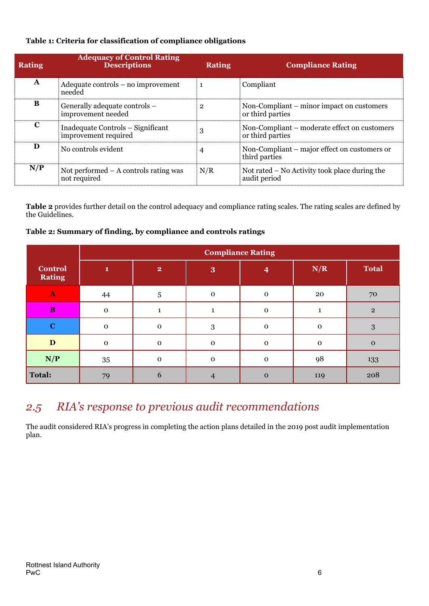#### **Table 1: Criteria for classification of compliance obligations**

| <b>Rating</b>         | <b>Adequacy of Control Rating</b><br><b>Descriptions</b>  | <b>Rating</b> | <b>Compliance Rating</b>                                         |
|-----------------------|-----------------------------------------------------------|---------------|------------------------------------------------------------------|
| A                     | Adequate controls – no improvement<br>needed              |               | Compliant                                                        |
| к                     | Generally adequate controls –<br>improvement needed       |               | Non-Compliant – minor impact on customers<br>or third parties    |
| $\mathbf{\mathbf{C}}$ | Inadequate Controls - Significant<br>improvement required |               | Non-Compliant – moderate effect on customers<br>or third parties |
| Ð                     | No controls evident                                       |               | Non-Compliant – major effect on customers or<br>third parties    |
| N/P                   | Not performed $-$ A controls rating was<br>not required   | N/R           | Not rated – No Activity took place during the<br>audit period    |

**Table 2** provides further detail on the control adequacy and compliance rating scales. The rating scales are defined by the Guidelines.

### **Table 2: Summary of finding, by compliance and controls ratings**

|                          |             |                         | <b>Compliance Rating</b> |             |             |                |
|--------------------------|-------------|-------------------------|--------------------------|-------------|-------------|----------------|
| Control<br><b>Rating</b> | 1           | $\overline{\mathbf{2}}$ | 3                        | 4           | N/R         | <b>Total</b>   |
| $\mathbf{A}$             | 44          | $\overline{5}$          | $\mathbf 0$              | $\mathbf 0$ | 20          | 70             |
| $\bf{B}$                 | ${\bf O}$   | $\mathbf{1}$            |                          | $\mathbf 0$ |             | $\overline{2}$ |
| $\bf C$                  | $\mathbf 0$ | $\mathbf 0$             | 3                        | $\mathbf 0$ | $\mathbf 0$ | 3              |
| $\mathbf D$              | $\mathbf 0$ | $\mathbf 0$             | $\mathbf 0$              | $\mathbf 0$ | $\mathbf 0$ | $\mathbf{o}$   |
| N/P                      | 35          | $\mathbf 0$             | $\mathbf 0$              | $\mathbf 0$ | 98          | 133            |
| <b>Total:</b>            | 79          | 6                       | 4                        | $\mathbf 0$ | 119         | 208            |

## *2.5 RIA's response to previous audit recommendations*

The audit considered RIA's progress in completing the action plans detailed in the 2019 post audit implementation plan.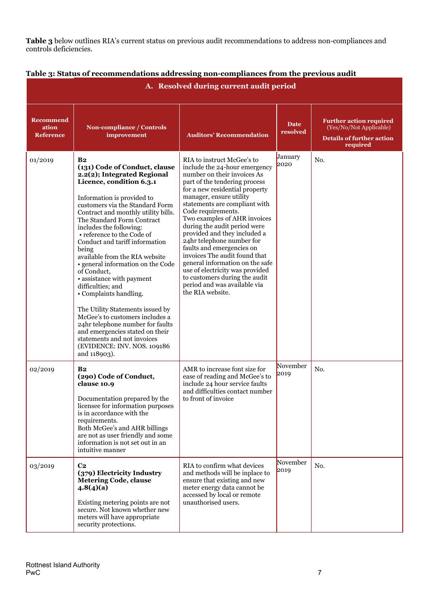**Table 3** below outlines RIA's current status on previous audit recommendations to address non-compliances and controls deficiencies.

| A. Resolved during current audit period       |                                                                                                                                                                                                                                                                                                                                                                                                                                                                                                                                                                                                                                                                                                                                                    |                                                                                                                                                                                                                                                                                                                                                                                                                                                                                                                                                                                                       |                         |                                                                                                           |  |  |  |  |  |  |
|-----------------------------------------------|----------------------------------------------------------------------------------------------------------------------------------------------------------------------------------------------------------------------------------------------------------------------------------------------------------------------------------------------------------------------------------------------------------------------------------------------------------------------------------------------------------------------------------------------------------------------------------------------------------------------------------------------------------------------------------------------------------------------------------------------------|-------------------------------------------------------------------------------------------------------------------------------------------------------------------------------------------------------------------------------------------------------------------------------------------------------------------------------------------------------------------------------------------------------------------------------------------------------------------------------------------------------------------------------------------------------------------------------------------------------|-------------------------|-----------------------------------------------------------------------------------------------------------|--|--|--|--|--|--|
| <b>Recommend</b><br>ation<br><b>Reference</b> | Non-compliance / Controls<br>improvement                                                                                                                                                                                                                                                                                                                                                                                                                                                                                                                                                                                                                                                                                                           | <b>Auditors' Recommendation</b>                                                                                                                                                                                                                                                                                                                                                                                                                                                                                                                                                                       | <b>Date</b><br>resolved | <b>Further action required</b><br>(Yes/No/Not Applicable)<br><b>Details of further action</b><br>required |  |  |  |  |  |  |
| 01/2019                                       | B <sub>2</sub><br>(131) Code of Conduct, clause<br>2.2(2); Integrated Regional<br>Licence, condition 6.3.1<br>Information is provided to<br>customers via the Standard Form<br>Contract and monthly utility bills.<br>The Standard Form Contract<br>includes the following:<br>• reference to the Code of<br>Conduct and tariff information<br>being<br>available from the RIA website<br>• general information on the Code<br>of Conduct,<br>• assistance with payment<br>difficulties; and<br>• Complaints handling.<br>The Utility Statements issued by<br>McGee's to customers includes a<br>24hr telephone number for faults<br>and emergencies stated on their<br>statements and not invoices<br>(EVIDENCE: INV. NOS. 109186<br>and 118903). | RIA to instruct McGee's to<br>include the 24-hour emergency<br>number on their invoices As<br>part of the tendering process<br>for a new residential property<br>manager, ensure utility<br>statements are compliant with<br>Code requirements.<br>Two examples of AHR invoices<br>during the audit period were<br>provided and they included a<br>24hr telephone number for<br>faults and emergencies on<br>invoices The audit found that<br>general information on the safe<br>use of electricity was provided<br>to customers during the audit<br>period and was available via<br>the RIA website. | January<br>2020         | No.                                                                                                       |  |  |  |  |  |  |
| 02/2019                                       | B <sub>2</sub><br>(290) Code of Conduct,<br>clause 10.9<br>Documentation prepared by the<br>licensee for information purposes<br>is in accordance with the<br>requirements.<br>Both McGee's and AHR billings<br>are not as user friendly and some<br>information is not set out in an<br>intuitive manner                                                                                                                                                                                                                                                                                                                                                                                                                                          | AMR to increase font size for<br>ease of reading and McGee's to<br>include 24 hour service faults<br>and difficulties contact number<br>to front of invoice                                                                                                                                                                                                                                                                                                                                                                                                                                           | November<br>2019        | No.                                                                                                       |  |  |  |  |  |  |
| 03/2019                                       | C <sub>2</sub><br>(379) Electricity Industry<br><b>Metering Code, clause</b><br>4.8(4)(a)<br>Existing metering points are not<br>secure. Not known whether new<br>meters will have appropriate<br>security protections.                                                                                                                                                                                                                                                                                                                                                                                                                                                                                                                            | RIA to confirm what devices<br>and methods will be inplace to<br>ensure that existing and new<br>meter energy data cannot be<br>accessed by local or remote<br>unauthorised users.                                                                                                                                                                                                                                                                                                                                                                                                                    | November<br>2019        | No.                                                                                                       |  |  |  |  |  |  |

## **Table 3: Status of recommendations addressing non-compliances from the previous audit**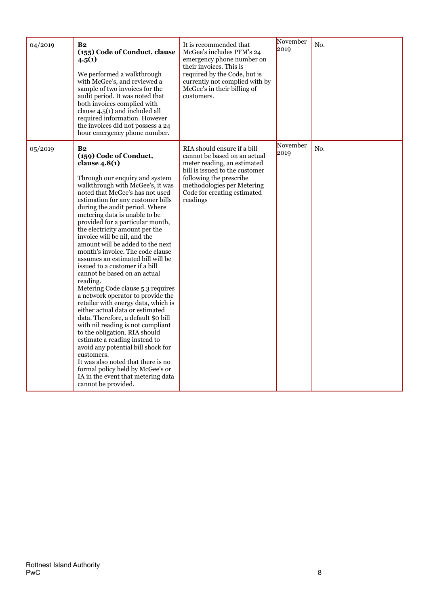| 04/2019 | B <sub>2</sub><br>(155) Code of Conduct, clause<br>4.5(1)<br>We performed a walkthrough<br>with McGee's, and reviewed a<br>sample of two invoices for the<br>audit period. It was noted that<br>both invoices complied with<br>clause 4.5(1) and included all<br>required information. However<br>the invoices did not possess a 24<br>hour emergency phone number.                                                                                                                                                                                                                                                                                                                                                                                                                                                                                                                                                                                                                                                                                                        | It is recommended that<br>McGee's includes PFM's 24<br>emergency phone number on<br>their invoices. This is<br>required by the Code, but is<br>currently not complied with by<br>McGee's in their billing of<br>customers.       | November<br>2019 | No. |
|---------|----------------------------------------------------------------------------------------------------------------------------------------------------------------------------------------------------------------------------------------------------------------------------------------------------------------------------------------------------------------------------------------------------------------------------------------------------------------------------------------------------------------------------------------------------------------------------------------------------------------------------------------------------------------------------------------------------------------------------------------------------------------------------------------------------------------------------------------------------------------------------------------------------------------------------------------------------------------------------------------------------------------------------------------------------------------------------|----------------------------------------------------------------------------------------------------------------------------------------------------------------------------------------------------------------------------------|------------------|-----|
| 05/2019 | B <sub>2</sub><br>(159) Code of Conduct,<br>clause $4.8(1)$<br>Through our enquiry and system<br>walkthrough with McGee's, it was<br>noted that McGee's has not used<br>estimation for any customer bills<br>during the audit period. Where<br>metering data is unable to be<br>provided for a particular month,<br>the electricity amount per the<br>invoice will be nil, and the<br>amount will be added to the next<br>month's invoice. The code clause<br>assumes an estimated bill will be<br>issued to a customer if a bill<br>cannot be based on an actual<br>reading.<br>Metering Code clause 5.3 requires<br>a network operator to provide the<br>retailer with energy data, which is<br>either actual data or estimated<br>data. Therefore, a default \$0 bill<br>with nil reading is not compliant<br>to the obligation. RIA should<br>estimate a reading instead to<br>avoid any potential bill shock for<br>customers.<br>It was also noted that there is no<br>formal policy held by McGee's or<br>IA in the event that metering data<br>cannot be provided. | RIA should ensure if a bill<br>cannot be based on an actual<br>meter reading, an estimated<br>bill is issued to the customer<br>following the prescribe<br>methodologies per Metering<br>Code for creating estimated<br>readings | November<br>2019 | No. |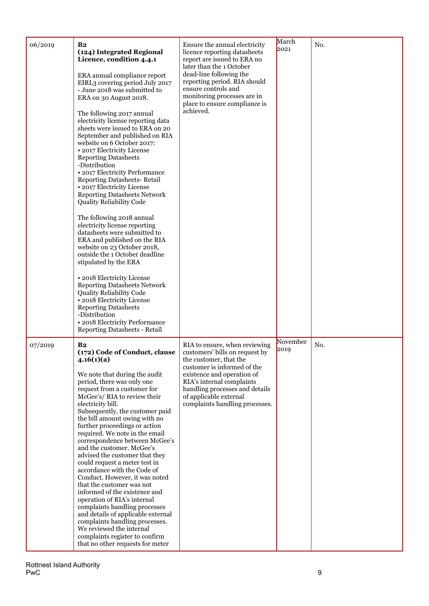| 06/2019 | <b>B2</b><br>(124) Integrated Regional<br>Licence, condition 4.4.1<br>ERA annual compliance report<br>EIRL3 covering period July 2017<br>- June 2018 was submitted to<br>ERA on 30 August 2018.<br>The following 2017 annual<br>electricity license reporting data<br>sheets were issued to ERA on 20<br>September and published on RIA<br>website on 6 October 2017:<br>· 2017 Electricity License<br><b>Reporting Datasheets</b><br>-Distribution<br>· 2017 Electricity Performance<br><b>Reporting Datasheets- Retail</b><br>· 2017 Electricity License<br><b>Reporting Datasheets Network</b><br><b>Quality Reliability Code</b><br>The following 2018 annual<br>electricity license reporting<br>datasheets were submitted to<br>ERA and published on the RIA<br>website on 23 October 2018,<br>outside the 1 October deadline<br>stipulated by the ERA<br>· 2018 Electricity License<br><b>Reporting Datasheets Network</b><br>Quality Reliability Code<br>· 2018 Electricity License<br><b>Reporting Datasheets</b><br>-Distribution<br>• 2018 Electricity Performance<br>Reporting Datasheets - Retail | Ensure the annual electricity<br>licence reporting datasheets<br>report are issued to ERA no<br>later than the 1 October<br>dead-line following the<br>reporting period. RIA should<br>ensure controls and<br>monitoring processes are in<br>place to ensure compliance is<br>achieved. | March<br>2021    | No. |
|---------|----------------------------------------------------------------------------------------------------------------------------------------------------------------------------------------------------------------------------------------------------------------------------------------------------------------------------------------------------------------------------------------------------------------------------------------------------------------------------------------------------------------------------------------------------------------------------------------------------------------------------------------------------------------------------------------------------------------------------------------------------------------------------------------------------------------------------------------------------------------------------------------------------------------------------------------------------------------------------------------------------------------------------------------------------------------------------------------------------------------|-----------------------------------------------------------------------------------------------------------------------------------------------------------------------------------------------------------------------------------------------------------------------------------------|------------------|-----|
| 07/2019 | B2<br>(172) Code of Conduct, clause<br>4.16(1)(a)<br>We note that during the audit<br>period, there was only one<br>request from a customer for<br>McGee's/RIA to review their<br>electricity bill.<br>Subsequently, the customer paid<br>the bill amount owing with no<br>further proceedings or action<br>required. We note in the email<br>correspondence between McGee's<br>and the customer. McGee's<br>advised the customer that they<br>could request a meter test in<br>accordance with the Code of<br>Conduct. However, it was noted<br>that the customer was not<br>informed of the existence and<br>operation of RIA's internal<br>complaints handling processes<br>and details of applicable external<br>complaints handling processes.<br>We reviewed the internal<br>complaints register to confirm<br>that no other requests for meter                                                                                                                                                                                                                                                          | RIA to ensure, when reviewing<br>customers' bills on request by<br>the customer, that the<br>customer is informed of the<br>existence and operation of<br>RIA's internal complaints<br>handling processes and details<br>of applicable external<br>complaints handling processes.       | November<br>2019 | No. |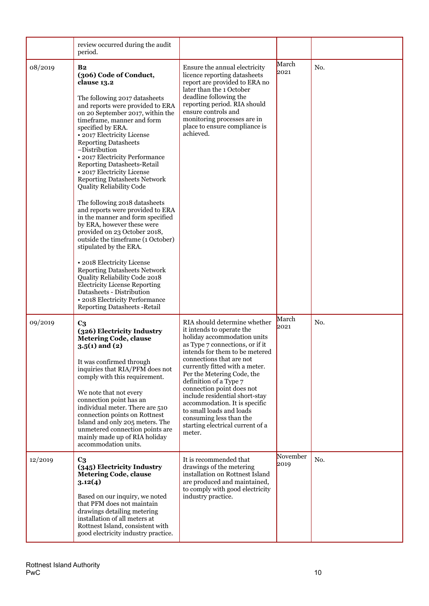|         | review occurred during the audit<br>period.                                                                                                                                                                                                                                                                                                                                                                                                                                                                                                                                                                                                                                                                                                                                                                                                                                                                                                                                  |                                                                                                                                                                                                                                                                                                                                                                                                                                                                                          |                  |     |
|---------|------------------------------------------------------------------------------------------------------------------------------------------------------------------------------------------------------------------------------------------------------------------------------------------------------------------------------------------------------------------------------------------------------------------------------------------------------------------------------------------------------------------------------------------------------------------------------------------------------------------------------------------------------------------------------------------------------------------------------------------------------------------------------------------------------------------------------------------------------------------------------------------------------------------------------------------------------------------------------|------------------------------------------------------------------------------------------------------------------------------------------------------------------------------------------------------------------------------------------------------------------------------------------------------------------------------------------------------------------------------------------------------------------------------------------------------------------------------------------|------------------|-----|
| 08/2019 | B <sub>2</sub><br>(306) Code of Conduct,<br>clause 13.2<br>The following 2017 datasheets<br>and reports were provided to ERA<br>on 20 September 2017, within the<br>timeframe, manner and form<br>specified by ERA.<br>· 2017 Electricity License<br><b>Reporting Datasheets</b><br>-Distribution<br>• 2017 Electricity Performance<br><b>Reporting Datasheets-Retail</b><br>· 2017 Electricity License<br><b>Reporting Datasheets Network</b><br><b>Quality Reliability Code</b><br>The following 2018 datasheets<br>and reports were provided to ERA<br>in the manner and form specified<br>by ERA, however these were<br>provided on 23 October 2018,<br>outside the timeframe (1 October)<br>stipulated by the ERA.<br>· 2018 Electricity License<br><b>Reporting Datasheets Network</b><br>Quality Reliability Code 2018<br><b>Electricity License Reporting</b><br>Datasheets - Distribution<br>• 2018 Electricity Performance<br><b>Reporting Datasheets - Retail</b> | Ensure the annual electricity<br>licence reporting datasheets<br>report are provided to ERA no<br>later than the 1 October<br>deadline following the<br>reporting period. RIA should<br>ensure controls and<br>monitoring processes are in<br>place to ensure compliance is<br>achieved.                                                                                                                                                                                                 | March<br>2021    | No. |
| 09/2019 | C <sub>3</sub><br>(326) Electricity Industry<br><b>Metering Code, clause</b><br>$3.5(1)$ and $(2)$<br>It was confirmed through<br>inquiries that RIA/PFM does not<br>comply with this requirement.<br>We note that not every<br>connection point has an<br>individual meter. There are 510<br>connection points on Rottnest<br>Island and only 205 meters. The<br>unmetered connection points are<br>mainly made up of RIA holiday<br>accommodation units.                                                                                                                                                                                                                                                                                                                                                                                                                                                                                                                   | RIA should determine whether<br>it intends to operate the<br>holiday accommodation units<br>as Type 7 connections, or if it<br>intends for them to be metered<br>connections that are not<br>currently fitted with a meter.<br>Per the Metering Code, the<br>definition of a Type 7<br>connection point does not<br>include residential short-stay<br>accommodation. It is specific<br>to small loads and loads<br>consuming less than the<br>starting electrical current of a<br>meter. | March<br>2021    | No. |
| 12/2019 | C <sub>3</sub><br>(345) Electricity Industry<br><b>Metering Code, clause</b><br>3.12(4)<br>Based on our inquiry, we noted<br>that PFM does not maintain<br>drawings detailing metering<br>installation of all meters at<br>Rottnest Island, consistent with<br>good electricity industry practice.                                                                                                                                                                                                                                                                                                                                                                                                                                                                                                                                                                                                                                                                           | It is recommended that<br>drawings of the metering<br>installation on Rottnest Island<br>are produced and maintained,<br>to comply with good electricity<br>industry practice.                                                                                                                                                                                                                                                                                                           | November<br>2019 | No. |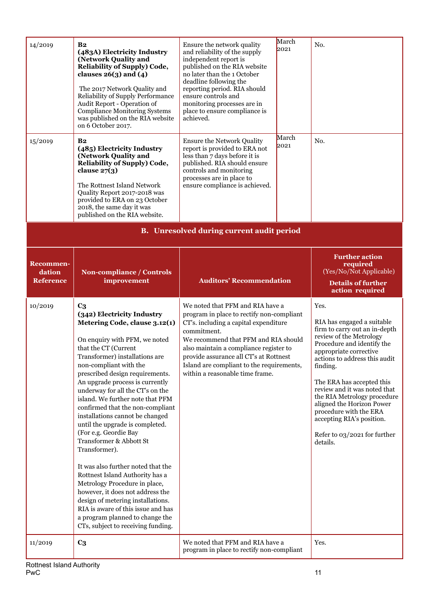| 14/2019                                          | B <sub>2</sub><br>(483A) Electricity Industry<br>(Network Quality and<br>Reliability of Supply) Code,<br>clauses $26(3)$ and $(4)$<br>The 2017 Network Quality and<br>Reliability of Supply Performance<br>Audit Report - Operation of<br><b>Compliance Monitoring Systems</b><br>was published on the RIA website<br>on 6 October 2017.                                                                                                                                                                                                                                                                                                                                                                                                                                                                        | Ensure the network quality<br>and reliability of the supply<br>independent report is<br>published on the RIA website<br>no later than the 1 October<br>deadline following the<br>reporting period. RIA should<br>ensure controls and<br>monitoring processes are in<br>place to ensure compliance is<br>achieved. | March<br>2021                                                                                                | No.                                                                                                                                                                                                                                                                                                                                                                                                                     |  |  |  |  |  |  |
|--------------------------------------------------|-----------------------------------------------------------------------------------------------------------------------------------------------------------------------------------------------------------------------------------------------------------------------------------------------------------------------------------------------------------------------------------------------------------------------------------------------------------------------------------------------------------------------------------------------------------------------------------------------------------------------------------------------------------------------------------------------------------------------------------------------------------------------------------------------------------------|-------------------------------------------------------------------------------------------------------------------------------------------------------------------------------------------------------------------------------------------------------------------------------------------------------------------|--------------------------------------------------------------------------------------------------------------|-------------------------------------------------------------------------------------------------------------------------------------------------------------------------------------------------------------------------------------------------------------------------------------------------------------------------------------------------------------------------------------------------------------------------|--|--|--|--|--|--|
| 15/2019                                          | B <sub>2</sub><br>(485) Electricity Industry<br>(Network Quality and<br><b>Reliability of Supply) Code,</b><br>clause $27(3)$<br>The Rottnest Island Network<br>Quality Report 2017-2018 was<br>provided to ERA on 23 October<br>2018, the same day it was<br>published on the RIA website.                                                                                                                                                                                                                                                                                                                                                                                                                                                                                                                     | <b>Ensure the Network Quality</b><br>report is provided to ERA not<br>less than 7 days before it is<br>published. RIA should ensure<br>controls and monitoring<br>processes are in place to<br>ensure compliance is achieved.                                                                                     | March<br>2021                                                                                                |                                                                                                                                                                                                                                                                                                                                                                                                                         |  |  |  |  |  |  |
| <b>B.</b> Unresolved during current audit period |                                                                                                                                                                                                                                                                                                                                                                                                                                                                                                                                                                                                                                                                                                                                                                                                                 |                                                                                                                                                                                                                                                                                                                   |                                                                                                              |                                                                                                                                                                                                                                                                                                                                                                                                                         |  |  |  |  |  |  |
| <b>Recommen-</b><br>dation<br><b>Reference</b>   | <b>Non-compliance / Controls</b><br>improvement                                                                                                                                                                                                                                                                                                                                                                                                                                                                                                                                                                                                                                                                                                                                                                 | <b>Auditors' Recommendation</b>                                                                                                                                                                                                                                                                                   | <b>Further action</b><br>required<br>(Yes/No/Not Applicable)<br><b>Details of further</b><br>action required |                                                                                                                                                                                                                                                                                                                                                                                                                         |  |  |  |  |  |  |
| 10/2019                                          | C <sub>3</sub>                                                                                                                                                                                                                                                                                                                                                                                                                                                                                                                                                                                                                                                                                                                                                                                                  | We noted that PFM and RIA have a                                                                                                                                                                                                                                                                                  | Yes.                                                                                                         |                                                                                                                                                                                                                                                                                                                                                                                                                         |  |  |  |  |  |  |
|                                                  | (342) Electricity Industry<br>Metering Code, clause 3.12(1)<br>On enquiry with PFM, we noted<br>that the CT (Current<br>Transformer) installations are<br>non-compliant with the<br>prescribed design requirements.<br>An upgrade process is currently<br>underway for all the CT's on the<br>island. We further note that PFM<br>confirmed that the non-compliant<br>installations cannot be changed<br>until the upgrade is completed.<br>(For e.g. Geordie Bay<br>Transformer & Abbott St<br>Transformer).<br>It was also further noted that the<br>Rottnest Island Authority has a<br>Metrology Procedure in place,<br>however, it does not address the<br>design of metering installations.<br>RIA is aware of this issue and has<br>a program planned to change the<br>CTs, subject to receiving funding. | program in place to rectify non-compliant<br>CT's. including a capital expenditure<br>commitment.<br>We recommend that PFM and RIA should<br>also maintain a compliance register to<br>provide assurance all CT's at Rottnest<br>Island are compliant to the requirements,<br>within a reasonable time frame.     |                                                                                                              | RIA has engaged a suitable<br>firm to carry out an in-depth<br>review of the Metrology<br>Procedure and identify the<br>appropriate corrective<br>actions to address this audit<br>finding.<br>The ERA has accepted this<br>review and it was noted that<br>the RIA Metrology procedure<br>aligned the Horizon Power<br>procedure with the ERA<br>accepting RIA's position.<br>Refer to 03/2021 for further<br>details. |  |  |  |  |  |  |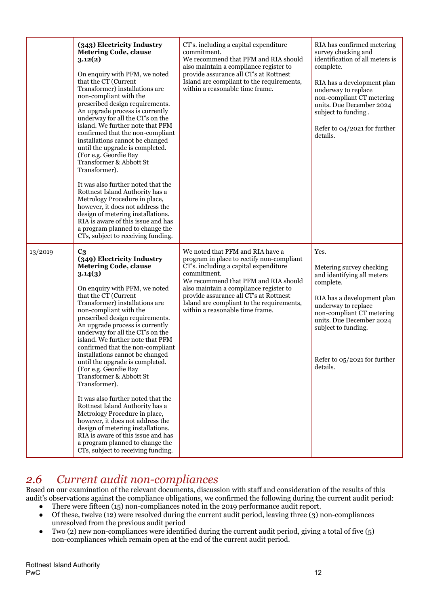|         | (343) Electricity Industry<br><b>Metering Code, clause</b><br>3.12(2)<br>On enquiry with PFM, we noted<br>that the CT (Current<br>Transformer) installations are<br>non-compliant with the<br>prescribed design requirements.<br>An upgrade process is currently<br>underway for all the CT's on the<br>island. We further note that PFM<br>confirmed that the non-compliant<br>installations cannot be changed<br>until the upgrade is completed.<br>(For e.g. Geordie Bay<br>Transformer & Abbott St<br>Transformer).<br>It was also further noted that the<br>Rottnest Island Authority has a<br>Metrology Procedure in place,<br>however, it does not address the<br>design of metering installations.<br>RIA is aware of this issue and has<br>a program planned to change the<br>CTs, subject to receiving funding.          | CT's. including a capital expenditure<br>commitment.<br>We recommend that PFM and RIA should<br>also maintain a compliance register to<br>provide assurance all CT's at Rottnest<br>Island are compliant to the requirements,<br>within a reasonable time frame.                                                                                  | RIA has confirmed metering<br>survey checking and<br>identification of all meters is<br>complete.<br>RIA has a development plan<br>underway to replace<br>non-compliant CT metering<br>units. Due December 2024<br>subject to funding.<br>Refer to 04/2021 for further<br>details. |
|---------|------------------------------------------------------------------------------------------------------------------------------------------------------------------------------------------------------------------------------------------------------------------------------------------------------------------------------------------------------------------------------------------------------------------------------------------------------------------------------------------------------------------------------------------------------------------------------------------------------------------------------------------------------------------------------------------------------------------------------------------------------------------------------------------------------------------------------------|---------------------------------------------------------------------------------------------------------------------------------------------------------------------------------------------------------------------------------------------------------------------------------------------------------------------------------------------------|------------------------------------------------------------------------------------------------------------------------------------------------------------------------------------------------------------------------------------------------------------------------------------|
| 13/2019 | $C_3$<br>(349) Electricity Industry<br><b>Metering Code, clause</b><br>3.14(3)<br>On enquiry with PFM, we noted<br>that the CT (Current<br>Transformer) installations are<br>non-compliant with the<br>prescribed design requirements.<br>An upgrade process is currently<br>underway for all the CT's on the<br>island. We further note that PFM<br>confirmed that the non-compliant<br>installations cannot be changed<br>until the upgrade is completed.<br>(For e.g. Geordie Bay<br>Transformer & Abbott St<br>Transformer).<br>It was also further noted that the<br>Rottnest Island Authority has a<br>Metrology Procedure in place,<br>however, it does not address the<br>design of metering installations.<br>RIA is aware of this issue and has<br>a program planned to change the<br>CTs, subject to receiving funding. | We noted that PFM and RIA have a<br>program in place to rectify non-compliant<br>CT's. including a capital expenditure<br>commitment.<br>We recommend that PFM and RIA should<br>also maintain a compliance register to<br>provide assurance all CT's at Rottnest<br>Island are compliant to the requirements,<br>within a reasonable time frame. | Yes.<br>Metering survey checking<br>and identifying all meters<br>complete.<br>RIA has a development plan<br>underway to replace<br>non-compliant CT metering<br>units. Due December 2024<br>subject to funding.<br>Refer to $05/2021$ for further<br>details.                     |

## *2.6 Current audit non-compliances*

Based on our examination of the relevant documents, discussion with staff and consideration of the results of this audit's observations against the compliance obligations, we confirmed the following during the current audit period:

- There were fifteen  $(15)$  non-compliances noted in the 2019 performance audit report.
- Of these, twelve (12) were resolved during the current audit period, leaving three (3) non-compliances unresolved from the previous audit period
- Two (2) new non-compliances were identified during the current audit period, giving a total of five  $(5)$ non-compliances which remain open at the end of the current audit period.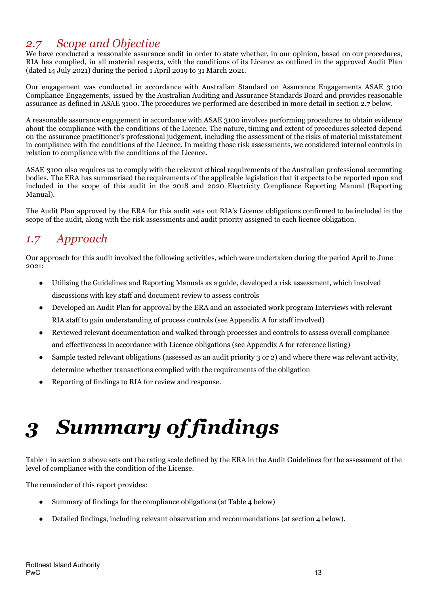## *2.7 Scope and Objective*

We have conducted a reasonable assurance audit in order to state whether, in our opinion, based on our procedures, RIA has complied, in all material respects, with the conditions of its Licence as outlined in the approved Audit Plan (dated 14 July 2021) during the period 1 April 2019 to 31 March 2021.

Our engagement was conducted in accordance with Australian Standard on Assurance Engagements ASAE 3100 Compliance Engagements, issued by the Australian Auditing and Assurance Standards Board and provides reasonable assurance as defined in ASAE 3100. The procedures we performed are described in more detail in section 2.7 below.

A reasonable assurance engagement in accordance with ASAE 3100 involves performing procedures to obtain evidence about the compliance with the conditions of the Licence. The nature, timing and extent of procedures selected depend on the assurance practitioner's professional judgement, including the assessment of the risks of material misstatement in compliance with the conditions of the Licence. In making those risk assessments, we considered internal controls in relation to compliance with the conditions of the Licence.

ASAE 3100 also requires us to comply with the relevant ethical requirements of the Australian professional accounting bodies. The ERA has summarised the requirements of the applicable legislation that it expects to be reported upon and included in the scope of this audit in the 2018 and 2020 Electricity Compliance Reporting Manual (Reporting Manual).

The Audit Plan approved by the ERA for this audit sets out RIA's Licence obligations confirmed to be included in the scope of the audit, along with the risk assessments and audit priority assigned to each licence obligation.

## *1.7 Approach*

Our approach for this audit involved the following activities, which were undertaken during the period April to June 2021:

- Utilising the Guidelines and Reporting Manuals as a guide, developed a risk assessment, which involved discussions with key staff and document review to assess controls
- Developed an Audit Plan for approval by the ERA and an associated work program Interviews with relevant RIA staff to gain understanding of process controls (see Appendix A for staff involved)
- Reviewed relevant documentation and walked through processes and controls to assess overall compliance and effectiveness in accordance with Licence obligations (see Appendix A for reference listing)
- Sample tested relevant obligations (assessed as an audit priority 3 or 2) and where there was relevant activity, determine whether transactions complied with the requirements of the obligation
- Reporting of findings to RIA for review and response.

# <span id="page-13-0"></span>*3 Summary of findings*

Table 1 in section 2 above sets out the rating scale defined by the ERA in the Audit Guidelines for the assessment of the level of compliance with the condition of the License.

The remainder of this report provides:

- Summary of findings for the compliance obligations (at Table 4 below)
- Detailed findings, including relevant observation and recommendations (at section 4 below).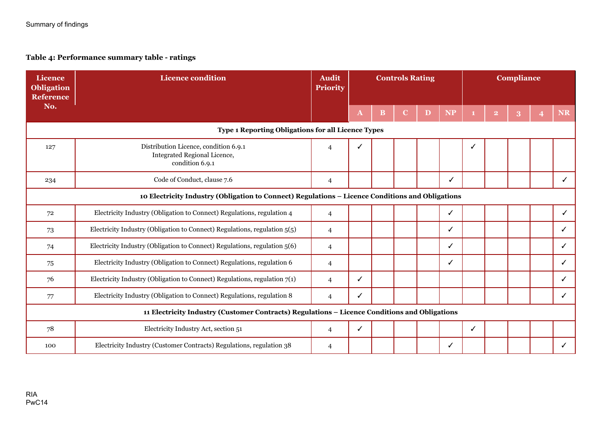### **Table 4: Performance summary table - ratings**

| <b>Licence</b><br><b>Obligation</b><br><b>Reference</b>                                          | <b>Licence condition</b>                                                                      | <b>Audit</b><br>Priority |   | <b>Controls Rating</b> |  |   | <b>Compliance</b> |   |  |  |  |           |
|--------------------------------------------------------------------------------------------------|-----------------------------------------------------------------------------------------------|--------------------------|---|------------------------|--|---|-------------------|---|--|--|--|-----------|
| No.                                                                                              |                                                                                               |                          | A | B                      |  | D | <b>NP</b>         |   |  |  |  | <b>NR</b> |
| <b>Type 1 Reporting Obligations for all Licence Types</b>                                        |                                                                                               |                          |   |                        |  |   |                   |   |  |  |  |           |
| 127                                                                                              | Distribution Licence, condition 6.9.1<br>Integrated Regional Licence,<br>condition 6.9.1      | $\overline{4}$           |   |                        |  |   |                   |   |  |  |  |           |
| 234                                                                                              | Code of Conduct, clause 7.6                                                                   | 4                        |   |                        |  |   | ✓                 |   |  |  |  | ✓         |
| 10 Electricity Industry (Obligation to Connect) Regulations - Licence Conditions and Obligations |                                                                                               |                          |   |                        |  |   |                   |   |  |  |  |           |
| 72                                                                                               | Electricity Industry (Obligation to Connect) Regulations, regulation 4                        | $\overline{4}$           |   |                        |  |   | $\checkmark$      |   |  |  |  | ✓         |
| 73                                                                                               | Electricity Industry (Obligation to Connect) Regulations, regulation 5(5)                     | $\overline{4}$           |   |                        |  |   | ✓                 |   |  |  |  | ✓         |
| 74                                                                                               | Electricity Industry (Obligation to Connect) Regulations, regulation 5(6)                     | $\overline{4}$           |   |                        |  |   | ✓                 |   |  |  |  | ✓         |
| 75                                                                                               | Electricity Industry (Obligation to Connect) Regulations, regulation 6                        | $\overline{4}$           |   |                        |  |   | ✓                 |   |  |  |  |           |
| 76                                                                                               | Electricity Industry (Obligation to Connect) Regulations, regulation $7(1)$                   | $\overline{4}$           | ✓ |                        |  |   |                   |   |  |  |  |           |
| 77                                                                                               | Electricity Industry (Obligation to Connect) Regulations, regulation 8                        | $\overline{4}$           | ✓ |                        |  |   |                   |   |  |  |  | ✓         |
|                                                                                                  | 11 Electricity Industry (Customer Contracts) Regulations - Licence Conditions and Obligations |                          |   |                        |  |   |                   |   |  |  |  |           |
| 78                                                                                               | Electricity Industry Act, section 51                                                          | 4                        | ✓ |                        |  |   |                   | ✓ |  |  |  |           |
| 100                                                                                              | Electricity Industry (Customer Contracts) Regulations, regulation 38                          | 4                        |   |                        |  |   | ✓                 |   |  |  |  |           |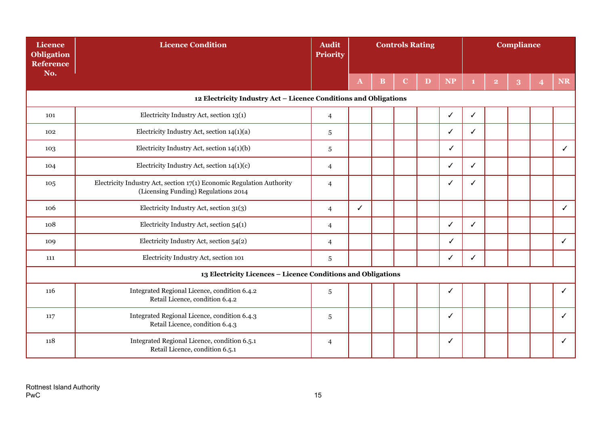| Licence<br><b>Obligation</b><br><b>Reference</b> | <b>Licence Condition</b>                                                                                      | <b>Audit</b><br><b>Priority</b> | <b>Controls Rating</b> |              |             |   | Compliance   |   |                         |   |                |              |
|--------------------------------------------------|---------------------------------------------------------------------------------------------------------------|---------------------------------|------------------------|--------------|-------------|---|--------------|---|-------------------------|---|----------------|--------------|
| No.                                              |                                                                                                               |                                 | $\mathbf{A}$           | $\, {\bf B}$ | $\mathbf C$ | D | NP           |   | $\overline{\mathbf{2}}$ | 3 | $\overline{4}$ | <b>NR</b>    |
|                                                  | 12 Electricity Industry Act - Licence Conditions and Obligations                                              |                                 |                        |              |             |   |              |   |                         |   |                |              |
| 101                                              | Electricity Industry Act, section 13(1)                                                                       | $\overline{4}$                  |                        |              |             |   | ✓            | ✓ |                         |   |                |              |
| 102                                              | Electricity Industry Act, section 14(1)(a)                                                                    | 5                               |                        |              |             |   | ✓            | ✓ |                         |   |                |              |
| 103                                              | Electricity Industry Act, section 14(1)(b)                                                                    | 5                               |                        |              |             |   | ✓            |   |                         |   |                | ✓            |
| 104                                              | Electricity Industry Act, section $14(1)(c)$                                                                  | 4                               |                        |              |             |   | ✓            | ✓ |                         |   |                |              |
| 105                                              | Electricity Industry Act, section 17(1) Economic Regulation Authority<br>(Licensing Funding) Regulations 2014 | $\overline{4}$                  |                        |              |             |   | √            |   |                         |   |                |              |
| 106                                              | Electricity Industry Act, section 31(3)                                                                       | $\overline{4}$                  | ✓                      |              |             |   |              |   |                         |   |                | $\checkmark$ |
| 108                                              | Electricity Industry Act, section 54(1)                                                                       | 4                               |                        |              |             |   | $\checkmark$ | ✓ |                         |   |                |              |
| 109                                              | Electricity Industry Act, section 54(2)                                                                       | $\overline{4}$                  |                        |              |             |   | ✓            |   |                         |   |                | $\checkmark$ |
| 111                                              | Electricity Industry Act, section 101                                                                         | $\sqrt{5}$                      |                        |              |             |   | ✓            | ✓ |                         |   |                |              |
|                                                  | 13 Electricity Licences - Licence Conditions and Obligations                                                  |                                 |                        |              |             |   |              |   |                         |   |                |              |
| 116                                              | Integrated Regional Licence, condition 6.4.2<br>Retail Licence, condition 6.4.2                               | $\,$ 5 $\,$                     |                        |              |             |   | ✓            |   |                         |   |                | $\checkmark$ |
| 117                                              | Integrated Regional Licence, condition 6.4.3<br>Retail Licence, condition 6.4.3                               | 5                               |                        |              |             |   | ✓            |   |                         |   |                | $\checkmark$ |
| 118                                              | Integrated Regional Licence, condition 6.5.1<br>Retail Licence, condition 6.5.1                               | 4                               |                        |              |             |   | ✓            |   |                         |   |                | $\checkmark$ |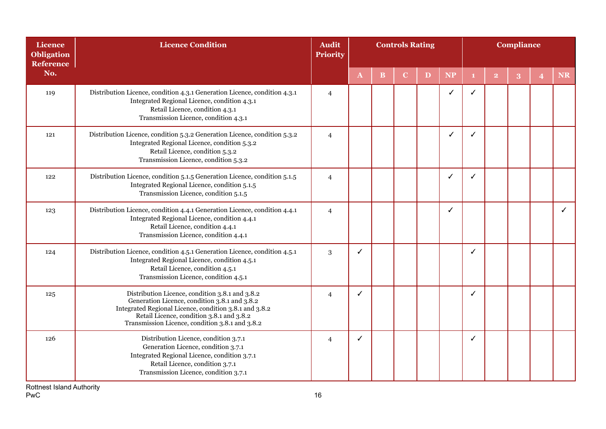| <b>Licence</b><br><b>Obligation</b><br><b>Reference</b> | <b>Licence Condition</b>                                                                                                                                                                                                                                   | <b>Audit</b><br>Priority | <b>Controls Rating</b> |          |             |   |           | <b>Compliance</b> |                         |   |                         |           |
|---------------------------------------------------------|------------------------------------------------------------------------------------------------------------------------------------------------------------------------------------------------------------------------------------------------------------|--------------------------|------------------------|----------|-------------|---|-----------|-------------------|-------------------------|---|-------------------------|-----------|
| No.                                                     |                                                                                                                                                                                                                                                            |                          | $\mathbf{A}$           | $\bf{B}$ | $\mathbf C$ | D | <b>NP</b> |                   | $\overline{\mathbf{2}}$ | 3 | $\overline{\mathbf{4}}$ | <b>NR</b> |
| 119                                                     | Distribution Licence, condition 4.3.1 Generation Licence, condition 4.3.1<br>Integrated Regional Licence, condition 4.3.1<br>Retail Licence, condition 4.3.1<br>Transmission Licence, condition 4.3.1                                                      | $\overline{\mathcal{L}}$ |                        |          |             |   | J         |                   |                         |   |                         |           |
| 121                                                     | Distribution Licence, condition 5.3.2 Generation Licence, condition 5.3.2<br>Integrated Regional Licence, condition 5.3.2<br>Retail Licence, condition 5.3.2<br>Transmission Licence, condition 5.3.2                                                      | $\overline{4}$           |                        |          |             |   | ✓         |                   |                         |   |                         |           |
| 122                                                     | Distribution Licence, condition 5.1.5 Generation Licence, condition 5.1.5<br>Integrated Regional Licence, condition 5.1.5<br>Transmission Licence, condition 5.1.5                                                                                         | $\overline{4}$           |                        |          |             |   | ✓         | ℐ                 |                         |   |                         |           |
| 123                                                     | Distribution Licence, condition 4.4.1 Generation Licence, condition 4.4.1<br>Integrated Regional Licence, condition 4.4.1<br>Retail Licence, condition 4.4.1<br>Transmission Licence, condition 4.4.1                                                      | $\overline{4}$           |                        |          |             |   | ✓         |                   |                         |   |                         | ✓         |
| 124                                                     | Distribution Licence, condition 4.5.1 Generation Licence, condition 4.5.1<br>Integrated Regional Licence, condition 4.5.1<br>Retail Licence, condition 4.5.1<br>Transmission Licence, condition 4.5.1                                                      | 3                        | ✓                      |          |             |   |           | ✓                 |                         |   |                         |           |
| 125                                                     | Distribution Licence, condition 3.8.1 and 3.8.2<br>Generation Licence, condition 3.8.1 and 3.8.2<br>Integrated Regional Licence, condition 3.8.1 and 3.8.2<br>Retail Licence, condition 3.8.1 and 3.8.2<br>Transmission Licence, condition 3.8.1 and 3.8.2 | $\overline{4}$           | ✓                      |          |             |   |           | ✓                 |                         |   |                         |           |
| 126                                                     | Distribution Licence, condition 3.7.1<br>Generation Licence, condition 3.7.1<br>Integrated Regional Licence, condition 3.7.1<br>Retail Licence, condition 3.7.1<br>Transmission Licence, condition 3.7.1                                                   | 4                        | ✓                      |          |             |   |           | ✓                 |                         |   |                         |           |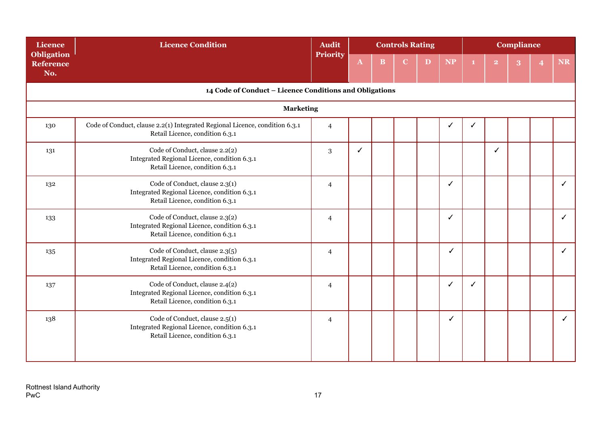| Licence                                      | <b>Licence Condition</b><br><b>Audit</b><br><b>Controls Rating</b><br>Priority                                    |                |              |   |   |   |              | <b>Compliance</b> |                |   |   |              |
|----------------------------------------------|-------------------------------------------------------------------------------------------------------------------|----------------|--------------|---|---|---|--------------|-------------------|----------------|---|---|--------------|
| <b>Obligation</b><br><b>Reference</b><br>No. |                                                                                                                   |                | $\mathbf{A}$ | B | C | D | <b>NP</b>    |                   | $\overline{2}$ | 3 | 4 | <b>NR</b>    |
|                                              | 14 Code of Conduct - Licence Conditions and Obligations                                                           |                |              |   |   |   |              |                   |                |   |   |              |
|                                              | <b>Marketing</b>                                                                                                  |                |              |   |   |   |              |                   |                |   |   |              |
| 130                                          | Code of Conduct, clause 2.2(1) Integrated Regional Licence, condition 6.3.1<br>Retail Licence, condition 6.3.1    | $\overline{4}$ |              |   |   |   | ✓            | ✓                 |                |   |   |              |
| 131                                          | Code of Conduct, clause 2.2(2)<br>Integrated Regional Licence, condition 6.3.1<br>Retail Licence, condition 6.3.1 | 3              | ✓            |   |   |   |              |                   | ✓              |   |   |              |
| 132                                          | Code of Conduct, clause 2.3(1)<br>Integrated Regional Licence, condition 6.3.1<br>Retail Licence, condition 6.3.1 | $\overline{4}$ |              |   |   |   | $\checkmark$ |                   |                |   |   | $\checkmark$ |
| 133                                          | Code of Conduct, clause 2.3(2)<br>Integrated Regional Licence, condition 6.3.1<br>Retail Licence, condition 6.3.1 | $\overline{4}$ |              |   |   |   | ✓            |                   |                |   |   | $\checkmark$ |
| 135                                          | Code of Conduct, clause 2.3(5)<br>Integrated Regional Licence, condition 6.3.1<br>Retail Licence, condition 6.3.1 | 4              |              |   |   |   | ✓            |                   |                |   |   | $\checkmark$ |
| 137                                          | Code of Conduct, clause 2.4(2)<br>Integrated Regional Licence, condition 6.3.1<br>Retail Licence, condition 6.3.1 | 4              |              |   |   |   | ✓            |                   |                |   |   |              |
| 138                                          | Code of Conduct, clause 2.5(1)<br>Integrated Regional Licence, condition 6.3.1<br>Retail Licence, condition 6.3.1 | $\overline{4}$ |              |   |   |   | ✓            |                   |                |   |   | $\checkmark$ |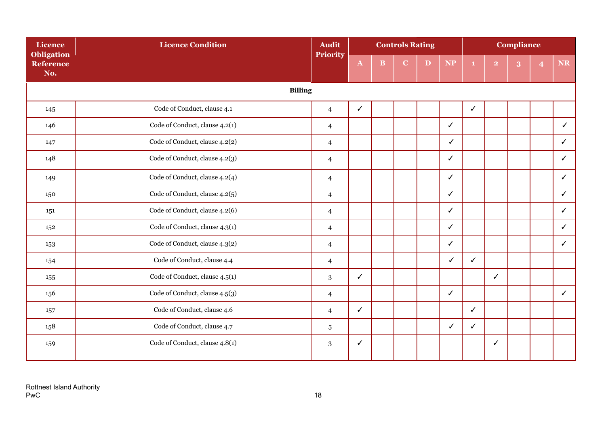| Licence                               | <b>Licence Condition</b>       | <b>Audit</b>             |              |          | <b>Controls Rating</b> |   |              |              |                | <b>Compliance</b> |              |
|---------------------------------------|--------------------------------|--------------------------|--------------|----------|------------------------|---|--------------|--------------|----------------|-------------------|--------------|
| <b>Obligation</b><br>Reference<br>No. |                                | <b>Priority</b>          | $\mathbf{A}$ | $\bf{B}$ | C                      | D | <b>NP</b>    |              | $\overline{2}$ |                   | NR           |
|                                       | <b>Billing</b>                 |                          |              |          |                        |   |              |              |                |                   |              |
| 145                                   | Code of Conduct, clause 4.1    | $\overline{4}$           | $\checkmark$ |          |                        |   |              | $\checkmark$ |                |                   |              |
| 146                                   | Code of Conduct, clause 4.2(1) | $\overline{4}$           |              |          |                        |   | ✓            |              |                |                   | $\checkmark$ |
| 147                                   | Code of Conduct, clause 4.2(2) | $\overline{4}$           |              |          |                        |   | $\checkmark$ |              |                |                   | $\checkmark$ |
| 148                                   | Code of Conduct, clause 4.2(3) | $\overline{\mathcal{L}}$ |              |          |                        |   | ✓            |              |                |                   | ✓            |
| 149                                   | Code of Conduct, clause 4.2(4) | $\overline{4}$           |              |          |                        |   | ✓            |              |                |                   | ✓            |
| 150                                   | Code of Conduct, clause 4.2(5) | $\overline{4}$           |              |          |                        |   | $\checkmark$ |              |                |                   | ✓            |
| 151                                   | Code of Conduct, clause 4.2(6) | $\overline{4}$           |              |          |                        |   | $\checkmark$ |              |                |                   | ✓            |
| 152                                   | Code of Conduct, clause 4.3(1) | 4                        |              |          |                        |   | $\checkmark$ |              |                |                   | ✓            |
| 153                                   | Code of Conduct, clause 4.3(2) | $\overline{4}$           |              |          |                        |   | $\checkmark$ |              |                |                   | $\checkmark$ |
| 154                                   | Code of Conduct, clause 4.4    | $\overline{4}$           |              |          |                        |   | $\checkmark$ | $\checkmark$ |                |                   |              |
| 155                                   | Code of Conduct, clause 4.5(1) | 3                        | $\checkmark$ |          |                        |   |              |              | $\checkmark$   |                   |              |
| 156                                   | Code of Conduct, clause 4.5(3) | $\overline{4}$           |              |          |                        |   | $\checkmark$ |              |                |                   | ✓            |
| 157                                   | Code of Conduct, clause 4.6    | $\overline{4}$           | $\checkmark$ |          |                        |   |              | $\checkmark$ |                |                   |              |
| 158                                   | Code of Conduct, clause 4.7    | 5                        |              |          |                        |   | $\checkmark$ | $\checkmark$ |                |                   |              |
| 159                                   | Code of Conduct, clause 4.8(1) | 3                        | ✓            |          |                        |   |              |              | ✓              |                   |              |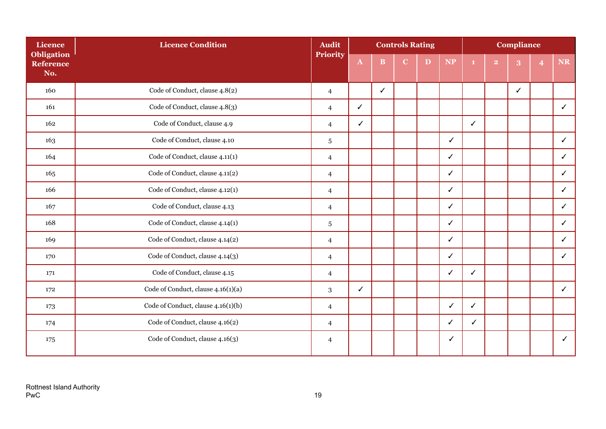| <b>Licence</b>                        | <b>Licence Condition</b>           | <b>Audit</b>   |              |              | <b>Controls Rating</b> |   |              |              |                | <b>Compliance</b> |                |              |
|---------------------------------------|------------------------------------|----------------|--------------|--------------|------------------------|---|--------------|--------------|----------------|-------------------|----------------|--------------|
| <b>Obligation</b><br>Reference<br>No. |                                    | Priority       | $\mathbf{A}$ | $\bf{B}$     | $\overline{C}$         | D | <b>NP</b>    |              | $\overline{2}$ | 3                 | $\overline{4}$ | NR           |
| 160                                   | Code of Conduct, clause 4.8(2)     | $\overline{4}$ |              | $\checkmark$ |                        |   |              |              |                | $\checkmark$      |                |              |
| 161                                   | Code of Conduct, clause 4.8(3)     | $\overline{4}$ | ✓            |              |                        |   |              |              |                |                   |                | ✓            |
| 162                                   | Code of Conduct, clause 4.9        | $\overline{4}$ | $\checkmark$ |              |                        |   |              | $\checkmark$ |                |                   |                |              |
| 163                                   | Code of Conduct, clause 4.10       | 5              |              |              |                        |   | ✓            |              |                |                   |                | ✓            |
| 164                                   | Code of Conduct, clause 4.11(1)    | $\overline{4}$ |              |              |                        |   | ✓            |              |                |                   |                | ✓            |
| 165                                   | Code of Conduct, clause 4.11(2)    | $\overline{4}$ |              |              |                        |   | $\checkmark$ |              |                |                   |                | ✓            |
| 166                                   | Code of Conduct, clause 4.12(1)    | $\overline{4}$ |              |              |                        |   | $\checkmark$ |              |                |                   |                | $\checkmark$ |
| 167                                   | Code of Conduct, clause 4.13       | $\overline{4}$ |              |              |                        |   | $\checkmark$ |              |                |                   |                | $\checkmark$ |
| 168                                   | Code of Conduct, clause 4.14(1)    | $\sqrt{5}$     |              |              |                        |   | $\checkmark$ |              |                |                   |                | ✓            |
| 169                                   | Code of Conduct, clause 4.14(2)    | $\overline{4}$ |              |              |                        |   | $\checkmark$ |              |                |                   |                | ✓            |
| 170                                   | Code of Conduct, clause 4.14(3)    | $\overline{4}$ |              |              |                        |   | $\checkmark$ |              |                |                   |                | ✓            |
| 171                                   | Code of Conduct, clause 4.15       | $\overline{4}$ |              |              |                        |   | ✓            | ✓            |                |                   |                |              |
| 172                                   | Code of Conduct, clause 4.16(1)(a) | 3              | $\checkmark$ |              |                        |   |              |              |                |                   |                | ✓            |
| 173                                   | Code of Conduct, clause 4.16(1)(b) | $\overline{4}$ |              |              |                        |   | ✓            | $\checkmark$ |                |                   |                |              |
| 174                                   | Code of Conduct, clause 4.16(2)    | $\overline{4}$ |              |              |                        |   | $\checkmark$ | ✓            |                |                   |                |              |
| 175                                   | Code of Conduct, clause 4.16(3)    | $\overline{4}$ |              |              |                        |   | ✓            |              |                |                   |                | ✓            |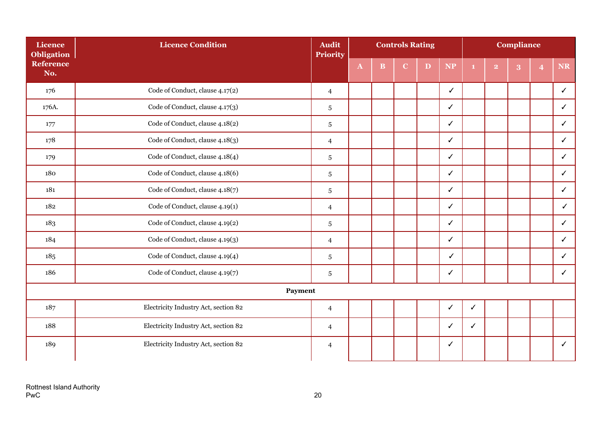| Licence<br><b>Obligation</b> | <b>Licence Condition</b>             | <b>Audit</b><br><b>Priority</b> |              |   | <b>Controls Rating</b> |   |              |              |                | <b>Compliance</b> |   |              |
|------------------------------|--------------------------------------|---------------------------------|--------------|---|------------------------|---|--------------|--------------|----------------|-------------------|---|--------------|
| <b>Reference</b><br>No.      |                                      |                                 | $\mathbf{A}$ | B | C                      | D | <b>NP</b>    |              | $\overline{2}$ | 3                 | 4 | NR           |
| 176                          | Code of Conduct, clause 4.17(2)      | $\overline{4}$                  |              |   |                        |   | $\checkmark$ |              |                |                   |   | $\checkmark$ |
| 176A.                        | Code of Conduct, clause 4.17(3)      | 5                               |              |   |                        |   | ✓            |              |                |                   |   | $\checkmark$ |
| 177                          | Code of Conduct, clause 4.18(2)      | $\sqrt{5}$                      |              |   |                        |   | $\checkmark$ |              |                |                   |   | $\checkmark$ |
| 178                          | Code of Conduct, clause 4.18(3)      | $\overline{4}$                  |              |   |                        |   | $\checkmark$ |              |                |                   |   | $\checkmark$ |
| 179                          | Code of Conduct, clause 4.18(4)      | $\sqrt{5}$                      |              |   |                        |   | ✓            |              |                |                   |   | $\checkmark$ |
| 180                          | Code of Conduct, clause 4.18(6)      | $\sqrt{5}$                      |              |   |                        |   | ✓            |              |                |                   |   | $\checkmark$ |
| 181                          | Code of Conduct, clause 4.18(7)      | 5                               |              |   |                        |   | ✓            |              |                |                   |   | ✓            |
| 182                          | Code of Conduct, clause 4.19(1)      | 4                               |              |   |                        |   | ✓            |              |                |                   |   | $\checkmark$ |
| 183                          | Code of Conduct, clause 4.19(2)      | 5                               |              |   |                        |   | ✓            |              |                |                   |   | ✓            |
| 184                          | Code of Conduct, clause 4.19(3)      | $\overline{4}$                  |              |   |                        |   | ✓            |              |                |                   |   | ✓            |
| 185                          | Code of Conduct, clause 4.19(4)      | $\sqrt{5}$                      |              |   |                        |   | $\checkmark$ |              |                |                   |   | $\checkmark$ |
| 186                          | Code of Conduct, clause 4.19(7)      | $\sqrt{5}$                      |              |   |                        |   | $\checkmark$ |              |                |                   |   | ✓            |
|                              | Payment                              |                                 |              |   |                        |   |              |              |                |                   |   |              |
| 187                          | Electricity Industry Act, section 82 | $\overline{4}$                  |              |   |                        |   | ✓            | $\checkmark$ |                |                   |   |              |
| 188                          | Electricity Industry Act, section 82 | $\overline{4}$                  |              |   |                        |   | ✓            | ✓            |                |                   |   |              |
| 189                          | Electricity Industry Act, section 82 | $\overline{4}$                  |              |   |                        |   | ✓            |              |                |                   |   | $\checkmark$ |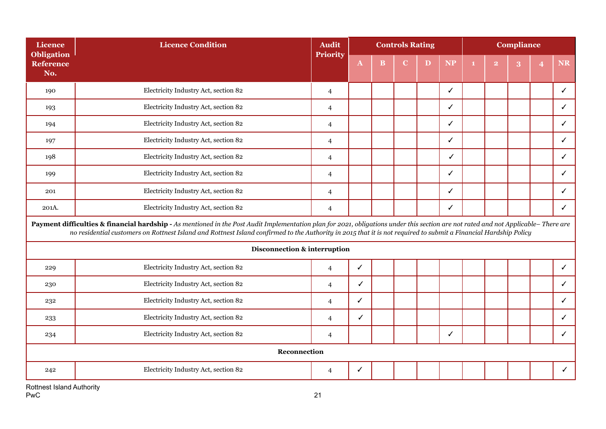| <b>Licence</b>                               | <b>Licence Condition</b>                                                                                                                                                                                                                                                                                                                               | <b>Audit</b>   | <b>Controls Rating</b><br>Priority |   |             |   |              |  |                | <b>Compliance</b> |   |              |
|----------------------------------------------|--------------------------------------------------------------------------------------------------------------------------------------------------------------------------------------------------------------------------------------------------------------------------------------------------------------------------------------------------------|----------------|------------------------------------|---|-------------|---|--------------|--|----------------|-------------------|---|--------------|
| <b>Obligation</b><br><b>Reference</b><br>No. |                                                                                                                                                                                                                                                                                                                                                        |                | ${\bf A}$                          | B | $\mathbf C$ | D | <b>NP</b>    |  | $\overline{2}$ | 3                 | 4 | <b>NR</b>    |
| 190                                          | Electricity Industry Act, section 82                                                                                                                                                                                                                                                                                                                   | $\overline{4}$ |                                    |   |             |   | $\checkmark$ |  |                |                   |   | $\checkmark$ |
| 193                                          | Electricity Industry Act, section 82                                                                                                                                                                                                                                                                                                                   | $\overline{4}$ |                                    |   |             |   | ✓            |  |                |                   |   | ✓            |
| 194                                          | Electricity Industry Act, section 82                                                                                                                                                                                                                                                                                                                   | $\overline{4}$ |                                    |   |             |   | ✓            |  |                |                   |   | $\checkmark$ |
| 197                                          | Electricity Industry Act, section 82                                                                                                                                                                                                                                                                                                                   | $\overline{4}$ |                                    |   |             |   | ✓            |  |                |                   |   | $\checkmark$ |
| 198                                          | Electricity Industry Act, section 82                                                                                                                                                                                                                                                                                                                   | $\overline{4}$ |                                    |   |             |   | ✓            |  |                |                   |   | $\checkmark$ |
| 199                                          | Electricity Industry Act, section 82                                                                                                                                                                                                                                                                                                                   | $\overline{4}$ |                                    |   |             |   | ✓            |  |                |                   |   | $\checkmark$ |
| 201                                          | Electricity Industry Act, section 82                                                                                                                                                                                                                                                                                                                   | $\overline{4}$ |                                    |   |             |   | ✓            |  |                |                   |   | ✓            |
| 201A.                                        | Electricity Industry Act, section 82                                                                                                                                                                                                                                                                                                                   | $\overline{4}$ |                                    |   |             |   | $\checkmark$ |  |                |                   |   | $\checkmark$ |
|                                              | Payment difficulties & financial hardship - As mentioned in the Post Audit Implementation plan for 2021, obligations under this section are not rated and not Applicable-There are<br>no residential customers on Rottnest Island and Rottnest Island confirmed to the Authority in 2015 that it is not required to submit a Financial Hardship Policy |                |                                    |   |             |   |              |  |                |                   |   |              |
|                                              | Disconnection & interruption                                                                                                                                                                                                                                                                                                                           |                |                                    |   |             |   |              |  |                |                   |   |              |
| 229                                          | Electricity Industry Act, section 82                                                                                                                                                                                                                                                                                                                   | $\overline{4}$ | ✓                                  |   |             |   |              |  |                |                   |   | $\checkmark$ |
| 230                                          | Electricity Industry Act, section 82                                                                                                                                                                                                                                                                                                                   | $\overline{4}$ | ✓                                  |   |             |   |              |  |                |                   |   | $\checkmark$ |
| 232                                          | Electricity Industry Act, section 82                                                                                                                                                                                                                                                                                                                   | $\overline{4}$ | $\checkmark$                       |   |             |   |              |  |                |                   |   | $\checkmark$ |
| 233                                          | Electricity Industry Act, section 82                                                                                                                                                                                                                                                                                                                   | $\overline{4}$ | ✓                                  |   |             |   |              |  |                |                   |   | ✓            |
| 234                                          | Electricity Industry Act, section 82                                                                                                                                                                                                                                                                                                                   | $\overline{4}$ |                                    |   |             |   | ✓            |  |                |                   |   | ✓            |
|                                              | Reconnection                                                                                                                                                                                                                                                                                                                                           |                |                                    |   |             |   |              |  |                |                   |   |              |
| 242                                          | Electricity Industry Act, section 82                                                                                                                                                                                                                                                                                                                   | 4              | ✓                                  |   |             |   |              |  |                |                   |   | $\checkmark$ |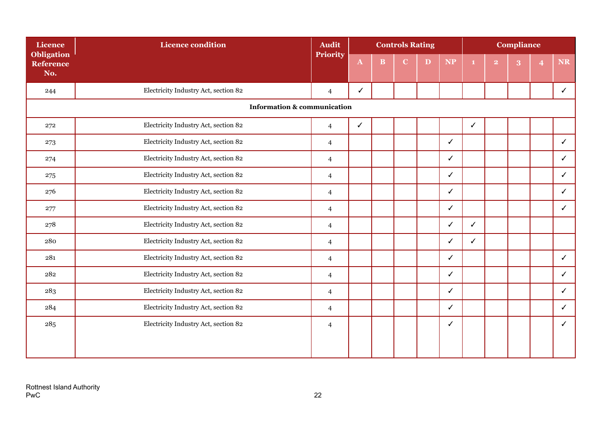| <b>Licence</b>                               | <b>Licence condition</b>               | <b>Audit</b>   |              |              | <b>Controls Rating</b> |   |              |              |                | <b>Compliance</b> |              |
|----------------------------------------------|----------------------------------------|----------------|--------------|--------------|------------------------|---|--------------|--------------|----------------|-------------------|--------------|
| <b>Obligation</b><br><b>Reference</b><br>No. |                                        | Priority       | $\mathbf{A}$ | $\mathbf{B}$ | $\overline{C}$         | D | <b>NP</b>    |              | $\overline{2}$ | 3                 | <b>NR</b>    |
| 244                                          | Electricity Industry Act, section 82   | $\overline{4}$ | ✓            |              |                        |   |              |              |                |                   | ✓            |
|                                              | <b>Information &amp; communication</b> |                |              |              |                        |   |              |              |                |                   |              |
| 272                                          | Electricity Industry Act, section 82   | $\overline{4}$ | $\checkmark$ |              |                        |   |              | $\checkmark$ |                |                   |              |
| 273                                          | Electricity Industry Act, section 82   | $\overline{4}$ |              |              |                        |   | $\checkmark$ |              |                |                   | $\checkmark$ |
| 274                                          | Electricity Industry Act, section 82   | $\overline{4}$ |              |              |                        |   | $\checkmark$ |              |                |                   | ✓            |
| 275                                          | Electricity Industry Act, section 82   | $\overline{4}$ |              |              |                        |   | $\checkmark$ |              |                |                   | ✓            |
| 276                                          | Electricity Industry Act, section 82   | $\overline{4}$ |              |              |                        |   | ✓            |              |                |                   | ✓            |
| 277                                          | Electricity Industry Act, section 82   | $\overline{4}$ |              |              |                        |   | $\checkmark$ |              |                |                   | $\checkmark$ |
| 278                                          | Electricity Industry Act, section 82   | $\overline{4}$ |              |              |                        |   | $\checkmark$ | $\checkmark$ |                |                   |              |
| 280                                          | Electricity Industry Act, section 82   | $\overline{4}$ |              |              |                        |   | $\checkmark$ | ✓            |                |                   |              |
| 281                                          | Electricity Industry Act, section 82   | $\overline{4}$ |              |              |                        |   | $\checkmark$ |              |                |                   | $\checkmark$ |
| 282                                          | Electricity Industry Act, section 82   | $\overline{4}$ |              |              |                        |   | ✓            |              |                |                   | ✓            |
| 283                                          | Electricity Industry Act, section 82   | $\overline{4}$ |              |              |                        |   | ✓            |              |                |                   | ✓            |
| 284                                          | Electricity Industry Act, section 82   | $\overline{4}$ |              |              |                        |   | $\checkmark$ |              |                |                   | ✓            |
| 285                                          | Electricity Industry Act, section 82   | $\overline{4}$ |              |              |                        |   | ✓            |              |                |                   | ✓            |
|                                              |                                        |                |              |              |                        |   |              |              |                |                   |              |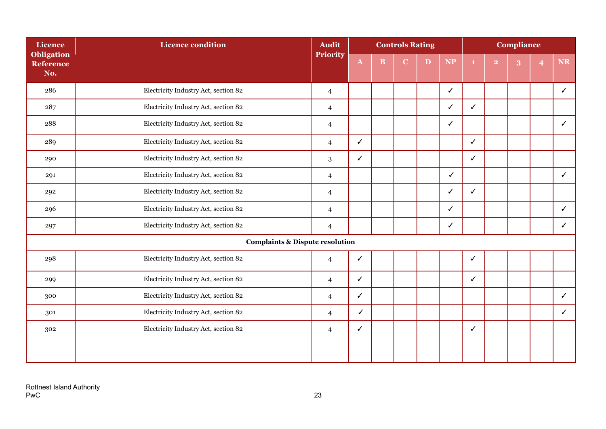| <b>Licence</b>                               | Licence condition                          | <b>Audit</b>    |              |   | <b>Controls Rating</b> |   |              |                |                         | <b>Compliance</b> |              |
|----------------------------------------------|--------------------------------------------|-----------------|--------------|---|------------------------|---|--------------|----------------|-------------------------|-------------------|--------------|
| <b>Obligation</b><br><b>Reference</b><br>No. |                                            | <b>Priority</b> | $\mathbf{A}$ | B | C                      | D | <b>NP</b>    | $\blacksquare$ | $\overline{\mathbf{2}}$ | 3                 | <b>NR</b>    |
| 286                                          | Electricity Industry Act, section 82       | $\overline{4}$  |              |   |                        |   | $\checkmark$ |                |                         |                   | $\checkmark$ |
| 287                                          | Electricity Industry Act, section 82       | $\overline{4}$  |              |   |                        |   | ✓            | $\checkmark$   |                         |                   |              |
| 288                                          | Electricity Industry Act, section 82       | $\overline{4}$  |              |   |                        |   | ✓            |                |                         |                   | ✓            |
| 289                                          | Electricity Industry Act, section 82       | $\overline{4}$  | ✓            |   |                        |   |              | $\checkmark$   |                         |                   |              |
| 290                                          | Electricity Industry Act, section 82       | $\sqrt{3}$      | ✓            |   |                        |   |              | $\checkmark$   |                         |                   |              |
| 291                                          | Electricity Industry Act, section 82       | $\overline{4}$  |              |   |                        |   | $\checkmark$ |                |                         |                   | $\checkmark$ |
| 292                                          | Electricity Industry Act, section 82       | $\overline{4}$  |              |   |                        |   | ✓            | $\checkmark$   |                         |                   |              |
| 296                                          | Electricity Industry Act, section 82       | $\overline{4}$  |              |   |                        |   | ✓            |                |                         |                   | ✓            |
| 297                                          | Electricity Industry Act, section 82       | $\overline{4}$  |              |   |                        |   | ✓            |                |                         |                   | ✓            |
|                                              | <b>Complaints &amp; Dispute resolution</b> |                 |              |   |                        |   |              |                |                         |                   |              |
| 298                                          | Electricity Industry Act, section 82       | $\overline{4}$  | ✓            |   |                        |   |              | ✓              |                         |                   |              |
| 299                                          | Electricity Industry Act, section 82       | $\overline{4}$  | $\checkmark$ |   |                        |   |              | $\checkmark$   |                         |                   |              |
| 300                                          | Electricity Industry Act, section 82       | $\overline{4}$  | $\checkmark$ |   |                        |   |              |                |                         |                   | ✓            |
| 301                                          | Electricity Industry Act, section 82       | $\overline{4}$  | ✓            |   |                        |   |              |                |                         |                   | ✓            |
| 302                                          | Electricity Industry Act, section 82       | $\overline{4}$  | ✓            |   |                        |   |              | ✓              |                         |                   |              |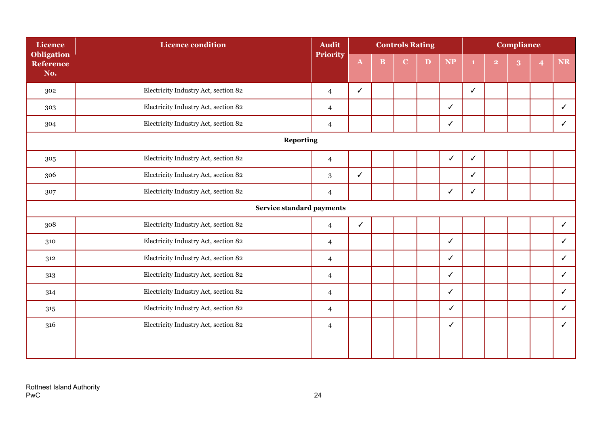| <b>Licence</b>                        | <b>Licence condition</b>             | <b>Audit</b>   |              |              | <b>Controls Rating</b> |   |              |   |                | <b>Compliance</b> |                |              |
|---------------------------------------|--------------------------------------|----------------|--------------|--------------|------------------------|---|--------------|---|----------------|-------------------|----------------|--------------|
| <b>Obligation</b><br>Reference<br>No. |                                      | Priority       | $\mathbf{A}$ | $\, {\bf B}$ | C                      | D | <b>NP</b>    |   | $\overline{2}$ | $\bf{3}$          | $\overline{4}$ | NR           |
| 302                                   | Electricity Industry Act, section 82 | $\overline{4}$ | ✓            |              |                        |   |              | ✓ |                |                   |                |              |
| 303                                   | Electricity Industry Act, section 82 | $\overline{4}$ |              |              |                        |   | ✓            |   |                |                   |                | ✓            |
| 304                                   | Electricity Industry Act, section 82 | $\overline{4}$ |              |              |                        |   | ✓            |   |                |                   |                | ✓            |
|                                       | <b>Reporting</b>                     |                |              |              |                        |   |              |   |                |                   |                |              |
| 305                                   | Electricity Industry Act, section 82 | $\overline{4}$ |              |              |                        |   | ✓            | ✓ |                |                   |                |              |
| 306                                   | Electricity Industry Act, section 82 | 3              | ✓            |              |                        |   |              | ✓ |                |                   |                |              |
| 307                                   | Electricity Industry Act, section 82 | $\overline{4}$ |              |              |                        |   | ✓            | ✓ |                |                   |                |              |
|                                       | Service standard payments            |                |              |              |                        |   |              |   |                |                   |                |              |
| 308                                   | Electricity Industry Act, section 82 | $\overline{4}$ | $\checkmark$ |              |                        |   |              |   |                |                   |                | $\checkmark$ |
| 310                                   | Electricity Industry Act, section 82 | $\overline{4}$ |              |              |                        |   | $\checkmark$ |   |                |                   |                | $\checkmark$ |
| 312                                   | Electricity Industry Act, section 82 | $\overline{4}$ |              |              |                        |   | ✓            |   |                |                   |                | ✓            |
| 313                                   | Electricity Industry Act, section 82 | $\overline{4}$ |              |              |                        |   | $\checkmark$ |   |                |                   |                | ✓            |
| 314                                   | Electricity Industry Act, section 82 | $\overline{4}$ |              |              |                        |   | ✓            |   |                |                   |                | ✓            |
| 315                                   | Electricity Industry Act, section 82 | $\overline{4}$ |              |              |                        |   | ✓            |   |                |                   |                | ✓            |
| 316                                   | Electricity Industry Act, section 82 | $\overline{4}$ |              |              |                        |   | ✓            |   |                |                   |                | ✓            |
|                                       |                                      |                |              |              |                        |   |              |   |                |                   |                |              |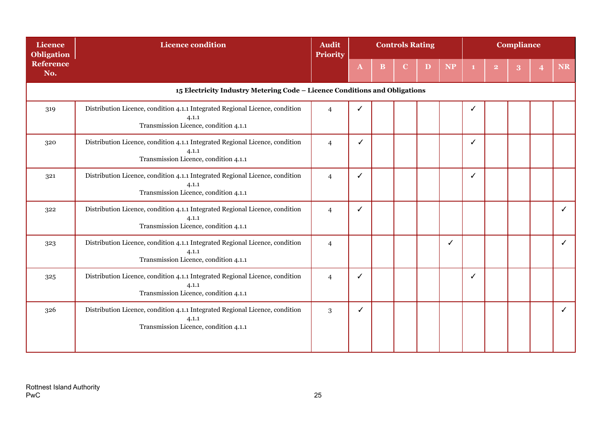| <b>Licence</b><br><b>Obligation</b> | <b>Licence condition</b>                                                                                                       | <b>Audit</b><br><b>Priority</b> | <b>Controls Rating</b><br>B<br>D |  |  |  |           |   |                | <b>Compliance</b> |    |
|-------------------------------------|--------------------------------------------------------------------------------------------------------------------------------|---------------------------------|----------------------------------|--|--|--|-----------|---|----------------|-------------------|----|
| <b>Reference</b><br>No.             |                                                                                                                                |                                 | $\mathbf{A}$                     |  |  |  | <b>NP</b> |   | $\overline{2}$ |                   | NR |
|                                     | 15 Electricity Industry Metering Code - Licence Conditions and Obligations                                                     |                                 |                                  |  |  |  |           |   |                |                   |    |
| 319                                 | Distribution Licence, condition 4.1.1 Integrated Regional Licence, condition<br>4.1.1<br>Transmission Licence, condition 4.1.1 | $\overline{4}$                  |                                  |  |  |  |           |   |                |                   |    |
| 320                                 | Distribution Licence, condition 4.1.1 Integrated Regional Licence, condition<br>4.1.1<br>Transmission Licence, condition 4.1.1 | $\overline{4}$                  | ✓                                |  |  |  |           | ✓ |                |                   |    |
| 321                                 | Distribution Licence, condition 4.1.1 Integrated Regional Licence, condition<br>4.1.1<br>Transmission Licence, condition 4.1.1 | $\overline{4}$                  | ✓                                |  |  |  |           | ℐ |                |                   |    |
| 322                                 | Distribution Licence, condition 4.1.1 Integrated Regional Licence, condition<br>4.1.1<br>Transmission Licence, condition 4.1.1 | $\overline{4}$                  | ✓                                |  |  |  |           |   |                |                   | ✓  |
| 323                                 | Distribution Licence, condition 4.1.1 Integrated Regional Licence, condition<br>4.1.1<br>Transmission Licence, condition 4.1.1 | $\overline{4}$                  |                                  |  |  |  | ✓         |   |                |                   | ✓  |
| 325                                 | Distribution Licence, condition 4.1.1 Integrated Regional Licence, condition<br>4.1.1<br>Transmission Licence, condition 4.1.1 | $\overline{4}$                  | ✓                                |  |  |  |           | ✓ |                |                   |    |
| 326                                 | Distribution Licence, condition 4.1.1 Integrated Regional Licence, condition<br>4.1.1<br>Transmission Licence, condition 4.1.1 | 3                               | ✓                                |  |  |  |           |   |                |                   | ✓  |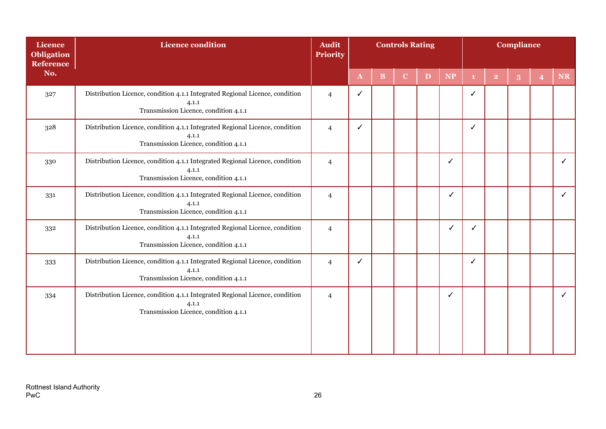| <b>Licence</b><br><b>Obligation</b><br>Reference | <b>Licence condition</b>                                                                                                       | <b>Audit</b><br><b>Priority</b> |              |   | <b>Controls Rating</b> |   |           |    |                         | <b>Compliance</b> |                |    |
|--------------------------------------------------|--------------------------------------------------------------------------------------------------------------------------------|---------------------------------|--------------|---|------------------------|---|-----------|----|-------------------------|-------------------|----------------|----|
| No.                                              |                                                                                                                                |                                 | $\mathbf{A}$ | B | $\mathbf C$            | D | <b>NP</b> | 1. | $\overline{\mathbf{2}}$ | 3                 | $\overline{4}$ | NR |
| 327                                              | Distribution Licence, condition 4.1.1 Integrated Regional Licence, condition<br>4.1.1<br>Transmission Licence, condition 4.1.1 | $\overline{4}$                  | ✓            |   |                        |   |           | ✓  |                         |                   |                |    |
| 328                                              | Distribution Licence, condition 4.1.1 Integrated Regional Licence, condition<br>4.1.1<br>Transmission Licence, condition 4.1.1 | $\overline{4}$                  | ✓            |   |                        |   |           | ✓  |                         |                   |                |    |
| 330                                              | Distribution Licence, condition 4.1.1 Integrated Regional Licence, condition<br>4.1.1<br>Transmission Licence, condition 4.1.1 | $\overline{4}$                  |              |   |                        |   | ✓         |    |                         |                   |                | ✓  |
| 331                                              | Distribution Licence, condition 4.1.1 Integrated Regional Licence, condition<br>4.1.1<br>Transmission Licence, condition 4.1.1 | $\overline{4}$                  |              |   |                        |   | ✓         |    |                         |                   |                |    |
| 332                                              | Distribution Licence, condition 4.1.1 Integrated Regional Licence, condition<br>4.1.1<br>Transmission Licence, condition 4.1.1 | $\overline{4}$                  |              |   |                        |   | ✓         |    |                         |                   |                |    |
| 333                                              | Distribution Licence, condition 4.1.1 Integrated Regional Licence, condition<br>4.1.1<br>Transmission Licence, condition 4.1.1 | $\overline{4}$                  | ✓            |   |                        |   |           | ✓  |                         |                   |                |    |
| 334                                              | Distribution Licence, condition 4.1.1 Integrated Regional Licence, condition<br>4.1.1<br>Transmission Licence, condition 4.1.1 | $\overline{4}$                  |              |   |                        |   | ✓         |    |                         |                   |                | ✓  |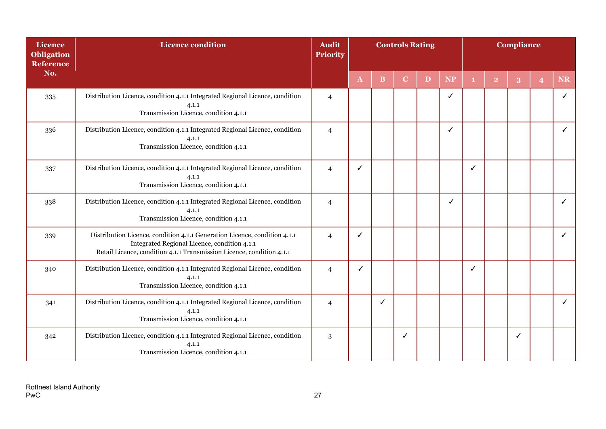| Licence<br><b>Obligation</b><br><b>Reference</b> | <b>Licence condition</b>                                                                                                                                                                           | <b>Audit</b><br><b>Priority</b> |              |              | <b>Controls Rating</b> |   |           |   |                | <b>Compliance</b> |                |           |
|--------------------------------------------------|----------------------------------------------------------------------------------------------------------------------------------------------------------------------------------------------------|---------------------------------|--------------|--------------|------------------------|---|-----------|---|----------------|-------------------|----------------|-----------|
| No.                                              |                                                                                                                                                                                                    |                                 | $\mathbf{A}$ | <sub>B</sub> | $\mathbf C$            | D | <b>NP</b> |   | $\overline{2}$ | 3                 | $\overline{4}$ | <b>NR</b> |
| 335                                              | Distribution Licence, condition 4.1.1 Integrated Regional Licence, condition<br>4.1.1<br>Transmission Licence, condition 4.1.1                                                                     | $\overline{4}$                  |              |              |                        |   | ✓         |   |                |                   |                |           |
| 336                                              | Distribution Licence, condition 4.1.1 Integrated Regional Licence, condition<br>4.1.1<br>Transmission Licence, condition 4.1.1                                                                     | $\overline{4}$                  |              |              |                        |   | ✓         |   |                |                   |                | ✓         |
| 337                                              | Distribution Licence, condition 4.1.1 Integrated Regional Licence, condition<br>4.1.1<br>Transmission Licence, condition 4.1.1                                                                     | $\overline{4}$                  | ✓            |              |                        |   |           | ✓ |                |                   |                |           |
| 338                                              | Distribution Licence, condition 4.1.1 Integrated Regional Licence, condition<br>4.1.1<br>Transmission Licence, condition 4.1.1                                                                     | $\overline{4}$                  |              |              |                        |   | ✓         |   |                |                   |                |           |
| 339                                              | Distribution Licence, condition 4.1.1 Generation Licence, condition 4.1.1<br>Integrated Regional Licence, condition 4.1.1<br>Retail Licence, condition 4.1.1 Transmission Licence, condition 4.1.1 | $\overline{4}$                  | ✓            |              |                        |   |           |   |                |                   |                |           |
| 340                                              | Distribution Licence, condition 4.1.1 Integrated Regional Licence, condition<br>4.1.1<br>Transmission Licence, condition 4.1.1                                                                     | $\overline{4}$                  | ✓            |              |                        |   |           | ✓ |                |                   |                |           |
| 341                                              | Distribution Licence, condition 4.1.1 Integrated Regional Licence, condition<br>4.1.1<br>Transmission Licence, condition 4.1.1                                                                     | $\overline{4}$                  |              | $\checkmark$ |                        |   |           |   |                |                   |                | ✓         |
| 342                                              | Distribution Licence, condition 4.1.1 Integrated Regional Licence, condition<br>4.1.1<br>Transmission Licence, condition 4.1.1                                                                     | 3                               |              |              | ✓                      |   |           |   |                | ✓                 |                |           |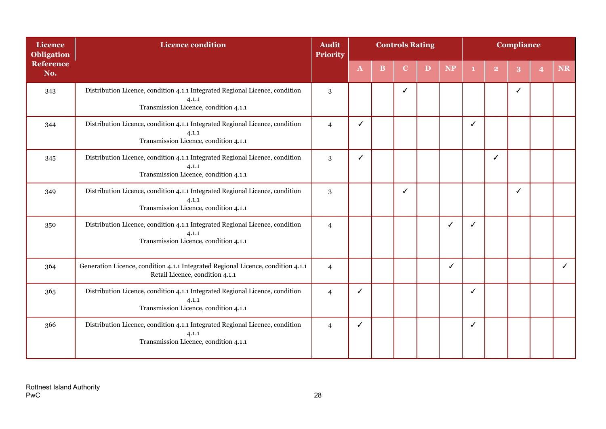| <b>Licence</b><br><b>Obligation</b> | <b>Licence condition</b>                                                                                                       | <b>Audit</b><br><b>Priority</b> | <b>Controls Rating</b><br>$\mathbf B$<br>$\mathbf{D}$<br>$\mathbf{A}$<br>$\mathbf C$ |  |   |  |              |   |                | <b>Compliance</b> |                |    |
|-------------------------------------|--------------------------------------------------------------------------------------------------------------------------------|---------------------------------|--------------------------------------------------------------------------------------|--|---|--|--------------|---|----------------|-------------------|----------------|----|
| <b>Reference</b><br>No.             |                                                                                                                                |                                 |                                                                                      |  |   |  | <b>NP</b>    |   | $\overline{2}$ | 3                 | $\overline{4}$ | NR |
| 343                                 | Distribution Licence, condition 4.1.1 Integrated Regional Licence, condition<br>4.1.1<br>Transmission Licence, condition 4.1.1 | 3                               |                                                                                      |  | ✓ |  |              |   |                | ✓                 |                |    |
| 344                                 | Distribution Licence, condition 4.1.1 Integrated Regional Licence, condition<br>4.1.1<br>Transmission Licence, condition 4.1.1 | $\overline{4}$                  | ✓                                                                                    |  |   |  |              | J |                |                   |                |    |
| 345                                 | Distribution Licence, condition 4.1.1 Integrated Regional Licence, condition<br>4.1.1<br>Transmission Licence, condition 4.1.1 | 3                               | $\checkmark$                                                                         |  |   |  |              |   |                |                   |                |    |
| 349                                 | Distribution Licence, condition 4.1.1 Integrated Regional Licence, condition<br>4.1.1<br>Transmission Licence, condition 4.1.1 | 3                               |                                                                                      |  | ✓ |  |              |   |                | ✓                 |                |    |
| 350                                 | Distribution Licence, condition 4.1.1 Integrated Regional Licence, condition<br>4.1.1<br>Transmission Licence, condition 4.1.1 | $\overline{4}$                  |                                                                                      |  |   |  | $\checkmark$ | ✓ |                |                   |                |    |
| 364                                 | Generation Licence, condition 4.1.1 Integrated Regional Licence, condition 4.1.1<br>Retail Licence, condition 4.1.1            | $\overline{4}$                  |                                                                                      |  |   |  | ✓            |   |                |                   |                |    |
| 365                                 | Distribution Licence, condition 4.1.1 Integrated Regional Licence, condition<br>4.1.1<br>Transmission Licence, condition 4.1.1 | $\overline{4}$                  | ✓                                                                                    |  |   |  |              | ✓ |                |                   |                |    |
| 366                                 | Distribution Licence, condition 4.1.1 Integrated Regional Licence, condition<br>4.1.1<br>Transmission Licence, condition 4.1.1 | $\overline{4}$                  | ✓                                                                                    |  |   |  |              | ✓ |                |                   |                |    |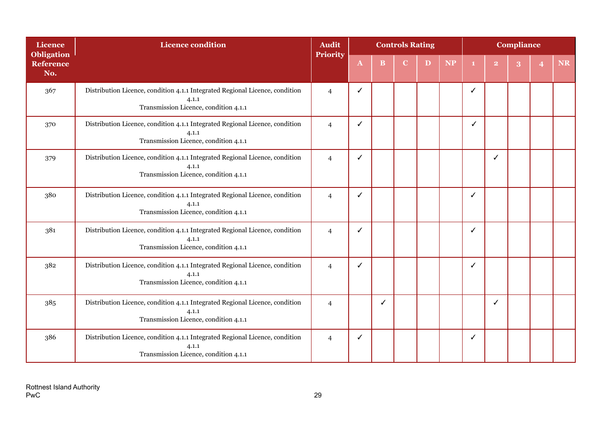| <b>Licence</b>                               | <b>Licence condition</b>                                                                                                       | <b>Audit</b>    | <b>Controls Rating</b> |              |             |   |           | <b>Compliance</b> |              |  |  |    |  |
|----------------------------------------------|--------------------------------------------------------------------------------------------------------------------------------|-----------------|------------------------|--------------|-------------|---|-----------|-------------------|--------------|--|--|----|--|
| <b>Obligation</b><br><b>Reference</b><br>No. |                                                                                                                                | <b>Priority</b> | $\mathbf{A}$           | <sub>B</sub> | $\mathbf C$ | D | <b>NP</b> |                   | $\mathbf{2}$ |  |  | NR |  |
| 367                                          | Distribution Licence, condition 4.1.1 Integrated Regional Licence, condition<br>4.1.1<br>Transmission Licence, condition 4.1.1 | $\overline{4}$  | ✓                      |              |             |   |           | J                 |              |  |  |    |  |
| 370                                          | Distribution Licence, condition 4.1.1 Integrated Regional Licence, condition<br>4.1.1<br>Transmission Licence, condition 4.1.1 | $\overline{4}$  | ✓                      |              |             |   |           |                   |              |  |  |    |  |
| 379                                          | Distribution Licence, condition 4.1.1 Integrated Regional Licence, condition<br>4.1.1<br>Transmission Licence, condition 4.1.1 |                 | ✓                      |              |             |   |           |                   | ✓            |  |  |    |  |
| 380                                          | Distribution Licence, condition 4.1.1 Integrated Regional Licence, condition<br>4.1.1<br>Transmission Licence, condition 4.1.1 |                 | ✓                      |              |             |   |           | J                 |              |  |  |    |  |
| 381                                          | Distribution Licence, condition 4.1.1 Integrated Regional Licence, condition<br>4.1.1<br>Transmission Licence, condition 4.1.1 |                 | ✓                      |              |             |   |           | √                 |              |  |  |    |  |
| 382                                          | Distribution Licence, condition 4.1.1 Integrated Regional Licence, condition<br>4.1.1<br>Transmission Licence, condition 4.1.1 |                 | ✓                      |              |             |   |           |                   |              |  |  |    |  |
| 385                                          | Distribution Licence, condition 4.1.1 Integrated Regional Licence, condition<br>4.1.1<br>Transmission Licence, condition 4.1.1 |                 |                        | ✓            |             |   |           |                   | ✓            |  |  |    |  |
| 386                                          | Distribution Licence, condition 4.1.1 Integrated Regional Licence, condition<br>4.1.1<br>Transmission Licence, condition 4.1.1 | $\overline{4}$  | ✓                      |              |             |   |           |                   |              |  |  |    |  |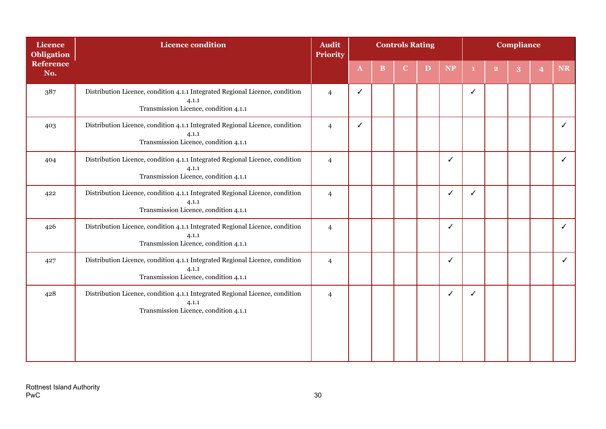| <b>Licence</b><br><b>Obligation</b> | <b>Licence condition</b>                                                                                                       | <b>Audit</b><br><b>Priority</b> | <b>Controls Rating</b> |          |             |              |              | <b>Compliance</b> |                |   |                |    |  |
|-------------------------------------|--------------------------------------------------------------------------------------------------------------------------------|---------------------------------|------------------------|----------|-------------|--------------|--------------|-------------------|----------------|---|----------------|----|--|
| <b>Reference</b><br>No.             |                                                                                                                                |                                 | $\mathbf{A}$           | $\bf{B}$ | $\mathbf C$ | $\mathbf{D}$ | <b>NP</b>    | -1.               | $\overline{2}$ | 3 | $\overline{4}$ | NR |  |
| 387                                 | Distribution Licence, condition 4.1.1 Integrated Regional Licence, condition<br>4.1.1<br>Transmission Licence, condition 4.1.1 | $\overline{4}$                  | ✓                      |          |             |              |              | ✓                 |                |   |                |    |  |
| 403                                 | Distribution Licence, condition 4.1.1 Integrated Regional Licence, condition<br>4.1.1<br>Transmission Licence, condition 4.1.1 | $\overline{4}$                  | ✓                      |          |             |              |              |                   |                |   |                | ✓  |  |
| 404                                 | Distribution Licence, condition 4.1.1 Integrated Regional Licence, condition<br>4.1.1<br>Transmission Licence, condition 4.1.1 | $\overline{4}$                  |                        |          |             |              | $\checkmark$ |                   |                |   |                | ✓  |  |
| 422                                 | Distribution Licence, condition 4.1.1 Integrated Regional Licence, condition<br>4.1.1<br>Transmission Licence, condition 4.1.1 |                                 |                        |          |             |              | ✓            | ✓                 |                |   |                |    |  |
| 426                                 | Distribution Licence, condition 4.1.1 Integrated Regional Licence, condition<br>4.1.1<br>Transmission Licence, condition 4.1.1 |                                 |                        |          |             |              | $\checkmark$ |                   |                |   |                | ✓  |  |
| 427                                 | Distribution Licence, condition 4.1.1 Integrated Regional Licence, condition<br>4.1.1<br>Transmission Licence, condition 4.1.1 | $\overline{4}$                  |                        |          |             |              | ✓            |                   |                |   |                | ✓  |  |
| 428                                 | Distribution Licence, condition 4.1.1 Integrated Regional Licence, condition<br>4.1.1<br>Transmission Licence, condition 4.1.1 | $\overline{4}$                  |                        |          |             |              | ✓            | ✓                 |                |   |                |    |  |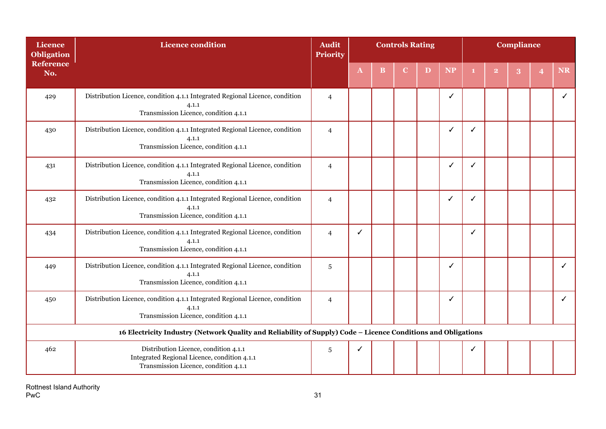| <b>Licence</b><br><b>Obligation</b> | <b>Licence condition</b>                                                                                                       | <b>Audit</b><br><b>Priority</b> | <b>Controls Rating</b> |          |   |   |           |   |                |   | Compliance            |    |  |  |  |  |
|-------------------------------------|--------------------------------------------------------------------------------------------------------------------------------|---------------------------------|------------------------|----------|---|---|-----------|---|----------------|---|-----------------------|----|--|--|--|--|
| <b>Reference</b><br>No.             |                                                                                                                                |                                 | $\mathbf{A}$           | $\bf{B}$ | C | D | <b>NP</b> |   | $\overline{2}$ | 3 | $\boldsymbol{\Delta}$ | NR |  |  |  |  |
| 429                                 | Distribution Licence, condition 4.1.1 Integrated Regional Licence, condition<br>4.1.1<br>Transmission Licence, condition 4.1.1 | $\overline{4}$                  |                        |          |   |   | ✓         |   |                |   |                       |    |  |  |  |  |
| 430                                 | Distribution Licence, condition 4.1.1 Integrated Regional Licence, condition<br>4.1.1<br>Transmission Licence, condition 4.1.1 | $\overline{4}$                  |                        |          |   |   | ✔         |   |                |   |                       |    |  |  |  |  |
| 431                                 | Distribution Licence, condition 4.1.1 Integrated Regional Licence, condition<br>4.1.1<br>Transmission Licence, condition 4.1.1 | $\overline{4}$                  |                        |          |   |   | J         |   |                |   |                       |    |  |  |  |  |
| 432                                 | Distribution Licence, condition 4.1.1 Integrated Regional Licence, condition<br>4.1.1<br>Transmission Licence, condition 4.1.1 |                                 |                        |          |   |   | ✓         | ✓ |                |   |                       |    |  |  |  |  |
| 434                                 | Distribution Licence, condition 4.1.1 Integrated Regional Licence, condition<br>4.1.1<br>Transmission Licence, condition 4.1.1 |                                 | ✓                      |          |   |   |           |   |                |   |                       |    |  |  |  |  |
| 449                                 | Distribution Licence, condition 4.1.1 Integrated Regional Licence, condition<br>4.1.1<br>Transmission Licence, condition 4.1.1 |                                 |                        |          |   |   | ✓         |   |                |   |                       | ✓  |  |  |  |  |
| 450                                 | Distribution Licence, condition 4.1.1 Integrated Regional Licence, condition<br>4.1.1<br>Transmission Licence, condition 4.1.1 | $\overline{4}$                  |                        |          |   |   | ✓         |   |                |   |                       | ✓  |  |  |  |  |
|                                     | 16 Electricity Industry (Network Quality and Reliability of Supply) Code - Licence Conditions and Obligations                  |                                 |                        |          |   |   |           |   |                |   |                       |    |  |  |  |  |
| 462                                 | Distribution Licence, condition 4.1.1<br>Integrated Regional Licence, condition 4.1.1<br>Transmission Licence, condition 4.1.1 | 5                               | ✓                      |          |   |   |           |   |                |   |                       |    |  |  |  |  |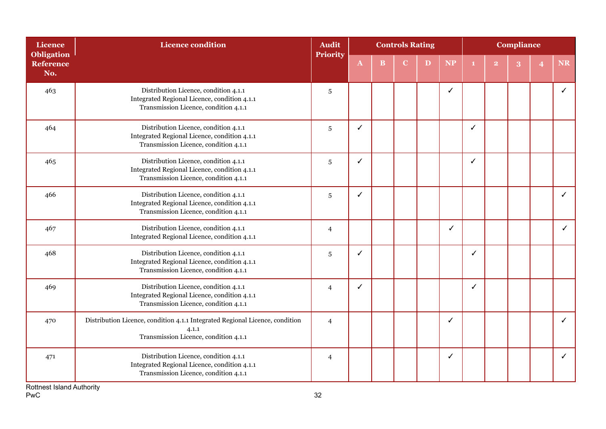| Licence<br><b>Obligation</b> | <b>Licence condition</b>                                                                                                       | <b>Audit</b><br>Priority |              |          | <b>Controls Rating</b> |   |              | <b>Compliance</b> |                |   |  |           |
|------------------------------|--------------------------------------------------------------------------------------------------------------------------------|--------------------------|--------------|----------|------------------------|---|--------------|-------------------|----------------|---|--|-----------|
| <b>Reference</b><br>No.      |                                                                                                                                |                          | $\mathbf{A}$ | $\bf{B}$ | C                      | D | <b>NP</b>    |                   | $\overline{2}$ | 3 |  | <b>NR</b> |
| 463                          | Distribution Licence, condition 4.1.1<br>Integrated Regional Licence, condition 4.1.1<br>Transmission Licence, condition 4.1.1 | $\sqrt{5}$               |              |          |                        |   | $\checkmark$ |                   |                |   |  | ✓         |
| 464                          | Distribution Licence, condition 4.1.1<br>Integrated Regional Licence, condition 4.1.1<br>Transmission Licence, condition 4.1.1 | $\sqrt{5}$               | ✓            |          |                        |   |              | ✓                 |                |   |  |           |
| 465                          | Distribution Licence, condition 4.1.1<br>Integrated Regional Licence, condition 4.1.1<br>Transmission Licence, condition 4.1.1 | $\sqrt{5}$               | ℐ            |          |                        |   |              | ✓                 |                |   |  |           |
| 466                          | Distribution Licence, condition 4.1.1<br>Integrated Regional Licence, condition 4.1.1<br>Transmission Licence, condition 4.1.1 |                          | ✓            |          |                        |   |              |                   |                |   |  | ✓         |
| 467                          | Distribution Licence, condition 4.1.1<br>Integrated Regional Licence, condition 4.1.1                                          |                          |              |          |                        |   | $\checkmark$ |                   |                |   |  | ✓         |
| 468                          | Distribution Licence, condition 4.1.1<br>Integrated Regional Licence, condition 4.1.1<br>Transmission Licence, condition 4.1.1 |                          | ✓            |          |                        |   |              | ✓                 |                |   |  |           |
| 469                          | Distribution Licence, condition 4.1.1<br>Integrated Regional Licence, condition 4.1.1<br>Transmission Licence, condition 4.1.1 |                          | ./           |          |                        |   |              |                   |                |   |  |           |
| 470                          | Distribution Licence, condition 4.1.1 Integrated Regional Licence, condition<br>4.1.1<br>Transmission Licence, condition 4.1.1 |                          |              |          |                        |   | ✓            |                   |                |   |  | ✓         |
| 471                          | Distribution Licence, condition 4.1.1<br>Integrated Regional Licence, condition 4.1.1<br>Transmission Licence, condition 4.1.1 | $\overline{4}$           |              |          |                        |   | √            |                   |                |   |  |           |

Rottnest Island Authority  $PwC$  32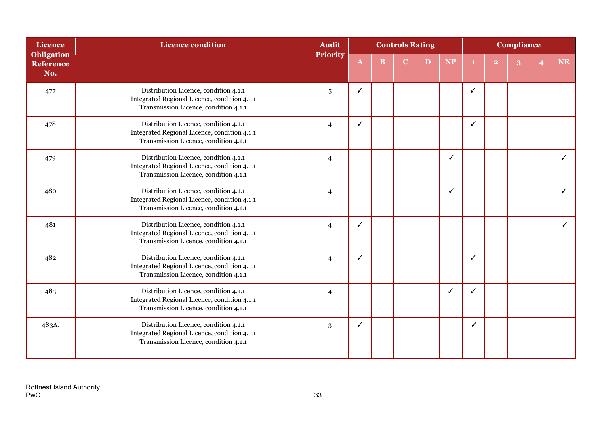| <b>Licence</b>                               | <b>Licence condition</b>                                                                                                       | <b>Audit</b>   |              |   | <b>Controls Rating</b> |   |           | <b>Compliance</b> |              |  |   |    |  |
|----------------------------------------------|--------------------------------------------------------------------------------------------------------------------------------|----------------|--------------|---|------------------------|---|-----------|-------------------|--------------|--|---|----|--|
| <b>Obligation</b><br><b>Reference</b><br>No. |                                                                                                                                | Priority       | $\mathbf{A}$ | B | C                      | D | <b>NP</b> |                   | $\mathbf{2}$ |  | 4 | NR |  |
| 477                                          | Distribution Licence, condition 4.1.1<br>Integrated Regional Licence, condition 4.1.1<br>Transmission Licence, condition 4.1.1 | $\sqrt{5}$     | ✓            |   |                        |   |           | J                 |              |  |   |    |  |
| 478                                          | Distribution Licence, condition 4.1.1<br>Integrated Regional Licence, condition 4.1.1<br>Transmission Licence, condition 4.1.1 | $\overline{4}$ | J            |   |                        |   |           | ✓                 |              |  |   |    |  |
| 479                                          | Distribution Licence, condition 4.1.1<br>Integrated Regional Licence, condition 4.1.1<br>Transmission Licence, condition 4.1.1 | $\overline{4}$ |              |   |                        |   | ✓         |                   |              |  |   |    |  |
| 480                                          | Distribution Licence, condition 4.1.1<br>Integrated Regional Licence, condition 4.1.1<br>Transmission Licence, condition 4.1.1 |                |              |   |                        |   | ✓         |                   |              |  |   |    |  |
| 481                                          | Distribution Licence, condition 4.1.1<br>Integrated Regional Licence, condition 4.1.1<br>Transmission Licence, condition 4.1.1 |                | ✓            |   |                        |   |           |                   |              |  |   | ✓  |  |
| 482                                          | Distribution Licence, condition 4.1.1<br>Integrated Regional Licence, condition 4.1.1<br>Transmission Licence, condition 4.1.1 |                | ✓            |   |                        |   |           | √                 |              |  |   |    |  |
| 483                                          | Distribution Licence, condition 4.1.1<br>Integrated Regional Licence, condition 4.1.1<br>Transmission Licence, condition 4.1.1 |                |              |   |                        |   | ✓         |                   |              |  |   |    |  |
| 483A.                                        | Distribution Licence, condition 4.1.1<br>Integrated Regional Licence, condition 4.1.1<br>Transmission Licence, condition 4.1.1 |                | ✓            |   |                        |   |           |                   |              |  |   |    |  |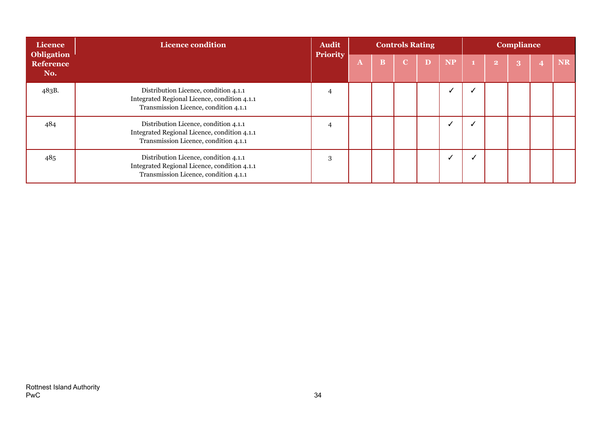| Licence                                      | <b>Licence condition</b>                                                                                                       | <b>Audit</b>    | <b>Controls Rating</b> |                         |             |   |           | <b>Compliance</b> |                |   |   |           |
|----------------------------------------------|--------------------------------------------------------------------------------------------------------------------------------|-----------------|------------------------|-------------------------|-------------|---|-----------|-------------------|----------------|---|---|-----------|
| <b>Obligation</b><br><b>Reference</b><br>No. |                                                                                                                                | <b>Priority</b> | $\mathbf{A}$           | $\overline{\mathbf{B}}$ | $\mathbf C$ | D | <b>NP</b> |                   | $\overline{2}$ | 3 | 4 | <b>NR</b> |
| 483B.                                        | Distribution Licence, condition 4.1.1<br>Integrated Regional Licence, condition 4.1.1<br>Transmission Licence, condition 4.1.1 | 4               |                        |                         |             |   |           |                   |                |   |   |           |
| 484                                          | Distribution Licence, condition 4.1.1<br>Integrated Regional Licence, condition 4.1.1<br>Transmission Licence, condition 4.1.1 | 4               |                        |                         |             |   |           |                   |                |   |   |           |
| 485                                          | Distribution Licence, condition 4.1.1<br>Integrated Regional Licence, condition 4.1.1<br>Transmission Licence, condition 4.1.1 | 3               |                        |                         |             |   |           |                   |                |   |   |           |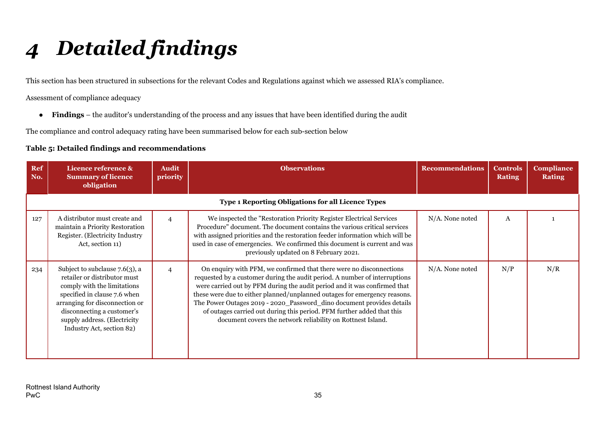# *4 Detailed findings*

This section has been structured in subsections for the relevant Codes and Regulations against which we assessed RIA's compliance.

Assessment of compliance adequacy

● **Findings** – the auditor's understanding of the process and any issues that have been identified during the audit

The compliance and control adequacy rating have been summarised below for each sub-section below

#### **Table 5: Detailed findings and recommendations**

<span id="page-35-0"></span>

| Ref<br>No. | Licence reference &<br><b>Summary of licence</b><br>obligation                                                                                                                                                                                                | <b>Audit</b><br>priority | <b>Observations</b>                                                                                                                                                                                                                                                                                                                                                                                                                                                                                                           | <b>Recommendations</b> | <b>Controls</b><br><b>Rating</b> | <b>Compliance</b><br><b>Rating</b> |  |  |  |  |  |  |
|------------|---------------------------------------------------------------------------------------------------------------------------------------------------------------------------------------------------------------------------------------------------------------|--------------------------|-------------------------------------------------------------------------------------------------------------------------------------------------------------------------------------------------------------------------------------------------------------------------------------------------------------------------------------------------------------------------------------------------------------------------------------------------------------------------------------------------------------------------------|------------------------|----------------------------------|------------------------------------|--|--|--|--|--|--|
|            | Type 1 Reporting Obligations for all Licence Types                                                                                                                                                                                                            |                          |                                                                                                                                                                                                                                                                                                                                                                                                                                                                                                                               |                        |                                  |                                    |  |  |  |  |  |  |
| 127        | A distributor must create and<br>maintain a Priority Restoration<br>Register. (Electricity Industry<br>Act, section 11)                                                                                                                                       | $\overline{4}$           | We inspected the "Restoration Priority Register Electrical Services<br>Procedure" document. The document contains the various critical services<br>with assigned priorities and the restoration feeder information which will be<br>used in case of emergencies. We confirmed this document is current and was<br>previously updated on 8 February 2021.                                                                                                                                                                      | N/A. None noted        | A                                |                                    |  |  |  |  |  |  |
| 234        | Subject to subclause $7.6(3)$ , a<br>retailer or distributor must<br>comply with the limitations<br>specified in clause 7.6 when<br>arranging for disconnection or<br>disconnecting a customer's<br>supply address. (Electricity<br>Industry Act, section 82) | $\overline{4}$           | On enquiry with PFM, we confirmed that there were no disconnections<br>requested by a customer during the audit period. A number of interruptions<br>were carried out by PFM during the audit period and it was confirmed that<br>these were due to either planned/unplanned outages for emergency reasons.<br>The Power Outages 2019 - 2020_Password_dino document provides details<br>of outages carried out during this period. PFM further added that this<br>document covers the network reliability on Rottnest Island. | $N/A$ . None noted     | N/P                              | N/R                                |  |  |  |  |  |  |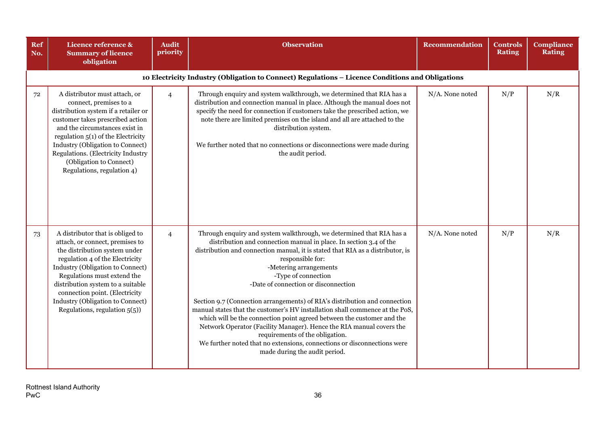| Ref<br>No. | Licence reference &<br><b>Summary of licence</b><br>obligation                                                                                                                                                                                                                                                                                            | <b>Audit</b><br>priority | <b>Observation</b>                                                                                                                                                                                                                                                                                                                                                                                                                                                                                                                                                                                                                                                                                                                                                                                       | <b>Recommendation</b> | <b>Controls</b><br><b>Rating</b> | <b>Compliance</b><br><b>Rating</b> |
|------------|-----------------------------------------------------------------------------------------------------------------------------------------------------------------------------------------------------------------------------------------------------------------------------------------------------------------------------------------------------------|--------------------------|----------------------------------------------------------------------------------------------------------------------------------------------------------------------------------------------------------------------------------------------------------------------------------------------------------------------------------------------------------------------------------------------------------------------------------------------------------------------------------------------------------------------------------------------------------------------------------------------------------------------------------------------------------------------------------------------------------------------------------------------------------------------------------------------------------|-----------------------|----------------------------------|------------------------------------|
|            |                                                                                                                                                                                                                                                                                                                                                           |                          | 10 Electricity Industry (Obligation to Connect) Regulations - Licence Conditions and Obligations                                                                                                                                                                                                                                                                                                                                                                                                                                                                                                                                                                                                                                                                                                         |                       |                                  |                                    |
| 72         | A distributor must attach, or<br>connect, premises to a<br>distribution system if a retailer or<br>customer takes prescribed action<br>and the circumstances exist in<br>regulation $5(1)$ of the Electricity<br>Industry (Obligation to Connect)<br>Regulations. (Electricity Industry<br>(Obligation to Connect)<br>Regulations, regulation 4)          | $\overline{4}$           | Through enquiry and system walkthrough, we determined that RIA has a<br>distribution and connection manual in place. Although the manual does not<br>specify the need for connection if customers take the prescribed action, we<br>note there are limited premises on the island and all are attached to the<br>distribution system.<br>We further noted that no connections or disconnections were made during<br>the audit period.                                                                                                                                                                                                                                                                                                                                                                    | N/A. None noted       | N/P                              | N/R                                |
| 73         | A distributor that is obliged to<br>attach, or connect, premises to<br>the distribution system under<br>regulation 4 of the Electricity<br>Industry (Obligation to Connect)<br>Regulations must extend the<br>distribution system to a suitable<br>connection point. (Electricity<br>Industry (Obligation to Connect)<br>Regulations, regulation $5(5)$ ) | $\overline{4}$           | Through enquiry and system walkthrough, we determined that RIA has a<br>distribution and connection manual in place. In section 3.4 of the<br>distribution and connection manual, it is stated that RIA as a distributor, is<br>responsible for:<br>-Metering arrangements<br>-Type of connection<br>-Date of connection or disconnection<br>Section 9.7 (Connection arrangements) of RIA's distribution and connection<br>manual states that the customer's HV installation shall commence at the PoS,<br>which will be the connection point agreed between the customer and the<br>Network Operator (Facility Manager). Hence the RIA manual covers the<br>requirements of the obligation.<br>We further noted that no extensions, connections or disconnections were<br>made during the audit period. | N/A. None noted       | N/P                              | N/R                                |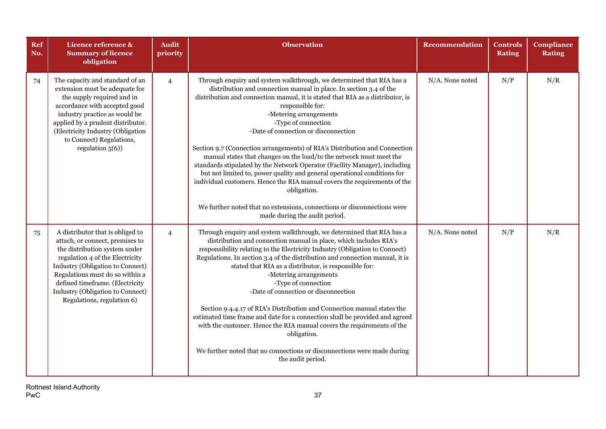| Ref<br>No. | Licence reference &<br><b>Summary of licence</b><br>obligation                                                                                                                                                                                                                                                      | <b>Audit</b><br>priority | <b>Observation</b>                                                                                                                                                                                                                                                                                                                                                                                                                                                                                                                                                                                                                                                                                                                                                                                                                                               | <b>Recommendation</b> | <b>Controls</b><br><b>Rating</b> | <b>Compliance</b><br><b>Rating</b> |
|------------|---------------------------------------------------------------------------------------------------------------------------------------------------------------------------------------------------------------------------------------------------------------------------------------------------------------------|--------------------------|------------------------------------------------------------------------------------------------------------------------------------------------------------------------------------------------------------------------------------------------------------------------------------------------------------------------------------------------------------------------------------------------------------------------------------------------------------------------------------------------------------------------------------------------------------------------------------------------------------------------------------------------------------------------------------------------------------------------------------------------------------------------------------------------------------------------------------------------------------------|-----------------------|----------------------------------|------------------------------------|
| 74         | The capacity and standard of an<br>extension must be adequate for<br>the supply required and in<br>accordance with accepted good<br>industry practice as would be<br>applied by a prudent distributor.<br>(Electricity Industry (Obligation<br>to Connect) Regulations,<br>regulation $5(6)$ )                      | $\overline{4}$           | Through enquiry and system walkthrough, we determined that RIA has a<br>distribution and connection manual in place. In section 3.4 of the<br>distribution and connection manual, it is stated that RIA as a distributor, is<br>responsible for:<br>-Metering arrangements<br>-Type of connection<br>-Date of connection or disconnection<br>Section 9.7 (Connection arrangements) of RIA's Distribution and Connection<br>manual states that changes on the load/to the network must meet the<br>standards stipulated by the Network Operator (Facility Manager), including<br>but not limited to, power quality and general operational conditions for<br>individual customers. Hence the RIA manual covers the requirements of the<br>obligation.<br>We further noted that no extensions, connections or disconnections were<br>made during the audit period. | N/A. None noted       | N/P                              | N/R                                |
| 75         | A distributor that is obliged to<br>attach, or connect, premises to<br>the distribution system under<br>regulation 4 of the Electricity<br>Industry (Obligation to Connect)<br>Regulations must do so within a<br>defined timeframe. (Electricity<br>Industry (Obligation to Connect)<br>Regulations, regulation 6) | $\overline{4}$           | Through enquiry and system walkthrough, we determined that RIA has a<br>distribution and connection manual in place, which includes RIA's<br>responsibility relating to the Electricity Industry (Obligation to Connect)<br>Regulations. In section 3.4 of the distribution and connection manual, it is<br>stated that RIA as a distributor, is responsible for:<br>-Metering arrangements<br>-Type of connection<br>-Date of connection or disconnection<br>Section 9.4.4.17 of RIA's Distribution and Connection manual states the<br>estimated time frame and date for a connection shall be provided and agreed<br>with the customer. Hence the RIA manual covers the requirements of the<br>obligation.<br>We further noted that no connections or disconnections were made during<br>the audit period.                                                    | N/A. None noted       | N/P                              | N/R                                |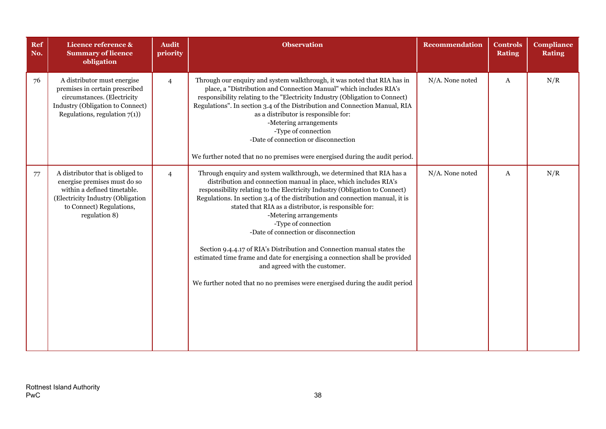| Ref<br>No. | Licence reference &<br><b>Summary of licence</b><br>obligation                                                                                                                    | <b>Audit</b><br>priority | <b>Observation</b>                                                                                                                                                                                                                                                                                                                                                                                                                                                                                                                                                                                                                                                                                                                   | <b>Recommendation</b> | <b>Controls</b><br><b>Rating</b> | <b>Compliance</b><br><b>Rating</b> |
|------------|-----------------------------------------------------------------------------------------------------------------------------------------------------------------------------------|--------------------------|--------------------------------------------------------------------------------------------------------------------------------------------------------------------------------------------------------------------------------------------------------------------------------------------------------------------------------------------------------------------------------------------------------------------------------------------------------------------------------------------------------------------------------------------------------------------------------------------------------------------------------------------------------------------------------------------------------------------------------------|-----------------------|----------------------------------|------------------------------------|
| 76         | A distributor must energise<br>premises in certain prescribed<br>circumstances. (Electricity<br>Industry (Obligation to Connect)<br>Regulations, regulation $7(1)$ )              | $\overline{4}$           | Through our enquiry and system walkthrough, it was noted that RIA has in<br>place, a "Distribution and Connection Manual" which includes RIA's<br>responsibility relating to the "Electricity Industry (Obligation to Connect)<br>Regulations". In section 3.4 of the Distribution and Connection Manual, RIA<br>as a distributor is responsible for:<br>-Metering arrangements<br>-Type of connection<br>-Date of connection or disconnection<br>We further noted that no no premises were energised during the audit period.                                                                                                                                                                                                       | N/A. None noted       | A                                | N/R                                |
| 77         | A distributor that is obliged to<br>energise premises must do so<br>within a defined timetable.<br>(Electricity Industry (Obligation<br>to Connect) Regulations,<br>regulation 8) | $\overline{4}$           | Through enquiry and system walkthrough, we determined that RIA has a<br>distribution and connection manual in place, which includes RIA's<br>responsibility relating to the Electricity Industry (Obligation to Connect)<br>Regulations. In section 3.4 of the distribution and connection manual, it is<br>stated that RIA as a distributor, is responsible for:<br>-Metering arrangements<br>-Type of connection<br>-Date of connection or disconnection<br>Section 9.4.4.17 of RIA's Distribution and Connection manual states the<br>estimated time frame and date for energising a connection shall be provided<br>and agreed with the customer.<br>We further noted that no no premises were energised during the audit period | N/A. None noted       | A                                | N/R                                |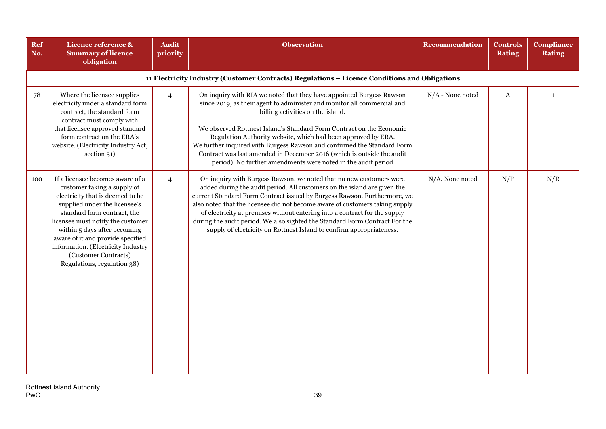| Ref<br>No. | Licence reference &<br><b>Summary of licence</b><br>obligation                                                                                                                                                                                                                                                                                                             | <b>Audit</b><br>priority | <b>Observation</b>                                                                                                                                                                                                                                                                                                                                                                                                                                                                                                                                  | <b>Recommendation</b> | <b>Controls</b><br><b>Rating</b> | Compliance<br><b>Rating</b> |
|------------|----------------------------------------------------------------------------------------------------------------------------------------------------------------------------------------------------------------------------------------------------------------------------------------------------------------------------------------------------------------------------|--------------------------|-----------------------------------------------------------------------------------------------------------------------------------------------------------------------------------------------------------------------------------------------------------------------------------------------------------------------------------------------------------------------------------------------------------------------------------------------------------------------------------------------------------------------------------------------------|-----------------------|----------------------------------|-----------------------------|
|            |                                                                                                                                                                                                                                                                                                                                                                            |                          | 11 Electricity Industry (Customer Contracts) Regulations - Licence Conditions and Obligations                                                                                                                                                                                                                                                                                                                                                                                                                                                       |                       |                                  |                             |
| 78         | Where the licensee supplies<br>electricity under a standard form<br>contract, the standard form<br>contract must comply with<br>that licensee approved standard<br>form contract on the ERA's<br>website. (Electricity Industry Act,<br>section 51)                                                                                                                        | $\overline{4}$           | On inquiry with RIA we noted that they have appointed Burgess Rawson<br>since 2019, as their agent to administer and monitor all commercial and<br>billing activities on the island.<br>We observed Rottnest Island's Standard Form Contract on the Economic<br>Regulation Authority website, which had been approved by ERA.<br>We further inquired with Burgess Rawson and confirmed the Standard Form<br>Contract was last amended in December 2016 (which is outside the audit<br>period). No further amendments were noted in the audit period | $N/A$ - None noted    | $\mathbf{A}$                     | $\mathbf{1}$                |
| 100        | If a licensee becomes aware of a<br>customer taking a supply of<br>electricity that is deemed to be<br>supplied under the licensee's<br>standard form contract, the<br>licensee must notify the customer<br>within 5 days after becoming<br>aware of it and provide specified<br>information. (Electricity Industry<br>(Customer Contracts)<br>Regulations, regulation 38) | $\overline{4}$           | On inquiry with Burgess Rawson, we noted that no new customers were<br>added during the audit period. All customers on the island are given the<br>current Standard Form Contract issued by Burgess Rawson. Furthermore, we<br>also noted that the licensee did not become aware of customers taking supply<br>of electricity at premises without entering into a contract for the supply<br>during the audit period. We also sighted the Standard Form Contract For the<br>supply of electricity on Rottnest Island to confirm appropriateness.    | N/A. None noted       | N/P                              | N/R                         |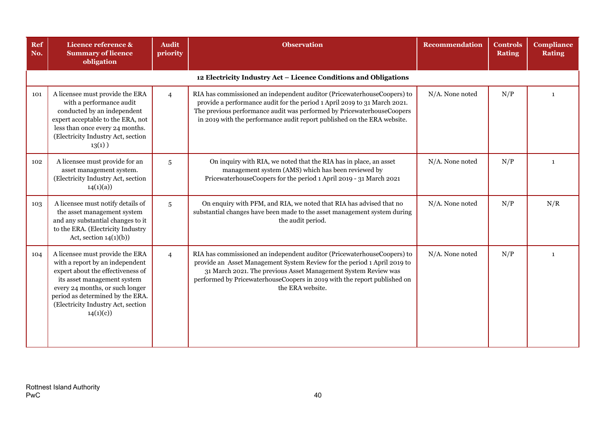| Ref<br>No. | Licence reference &<br><b>Summary of licence</b><br>obligation                                                                                                                                                                                                  | <b>Audit</b><br>priority | <b>Observation</b>                                                                                                                                                                                                                                                                                                    | Recommendation  | <b>Controls</b><br><b>Rating</b> | <b>Compliance</b><br><b>Rating</b> |  |  |  |  |
|------------|-----------------------------------------------------------------------------------------------------------------------------------------------------------------------------------------------------------------------------------------------------------------|--------------------------|-----------------------------------------------------------------------------------------------------------------------------------------------------------------------------------------------------------------------------------------------------------------------------------------------------------------------|-----------------|----------------------------------|------------------------------------|--|--|--|--|
|            | 12 Electricity Industry Act - Licence Conditions and Obligations                                                                                                                                                                                                |                          |                                                                                                                                                                                                                                                                                                                       |                 |                                  |                                    |  |  |  |  |
| 101        | A licensee must provide the ERA<br>with a performance audit<br>conducted by an independent<br>expert acceptable to the ERA, not<br>less than once every 24 months.<br>(Electricity Industry Act, section<br>$13(1)$ )                                           | $\overline{4}$           | RIA has commissioned an independent auditor (PricewaterhouseCoopers) to<br>provide a performance audit for the period 1 April 2019 to 31 March 2021.<br>The previous performance audit was performed by PricewaterhouseCoopers<br>in 2019 with the performance audit report published on the ERA website.             | N/A. None noted | N/P                              | 1                                  |  |  |  |  |
| 102        | A licensee must provide for an<br>asset management system.<br>(Electricity Industry Act, section<br>14(1)(a)                                                                                                                                                    | 5                        | On inquiry with RIA, we noted that the RIA has in place, an asset<br>management system (AMS) which has been reviewed by<br>PricewaterhouseCoopers for the period 1 April 2019 - 31 March 2021                                                                                                                         | N/A. None noted | N/P                              | $\mathbf{1}$                       |  |  |  |  |
| 103        | A licensee must notify details of<br>the asset management system<br>and any substantial changes to it<br>to the ERA. (Electricity Industry<br>Act, section $14(1)(b)$                                                                                           | 5                        | On enquiry with PFM, and RIA, we noted that RIA has advised that no<br>substantial changes have been made to the asset management system during<br>the audit period.                                                                                                                                                  | N/A. None noted | N/P                              | N/R                                |  |  |  |  |
| 104        | A licensee must provide the ERA<br>with a report by an independent<br>expert about the effectiveness of<br>its asset management system<br>every 24 months, or such longer<br>period as determined by the ERA.<br>(Electricity Industry Act, section<br>14(1)(c) | $\overline{4}$           | RIA has commissioned an independent auditor (PricewaterhouseCoopers) to<br>provide an Asset Management System Review for the period 1 April 2019 to<br>31 March 2021. The previous Asset Management System Review was<br>performed by PricewaterhouseCoopers in 2019 with the report published on<br>the ERA website. | N/A. None noted | N/P                              | $\mathbf{1}$                       |  |  |  |  |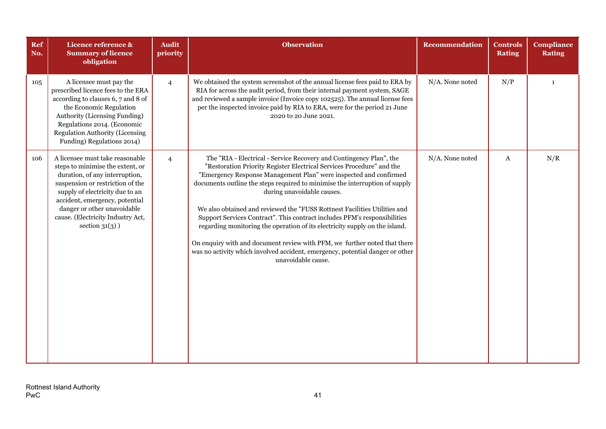| Ref<br>No. | Licence reference &<br><b>Summary of licence</b><br>obligation                                                                                                                                                                                                                                          | <b>Audit</b><br>priority | <b>Observation</b>                                                                                                                                                                                                                                                                                                                                                                                                                                                                                                                                                                                                                                                                                                                                          | <b>Recommendation</b> | <b>Controls</b><br><b>Rating</b> | <b>Compliance</b><br><b>Rating</b> |
|------------|---------------------------------------------------------------------------------------------------------------------------------------------------------------------------------------------------------------------------------------------------------------------------------------------------------|--------------------------|-------------------------------------------------------------------------------------------------------------------------------------------------------------------------------------------------------------------------------------------------------------------------------------------------------------------------------------------------------------------------------------------------------------------------------------------------------------------------------------------------------------------------------------------------------------------------------------------------------------------------------------------------------------------------------------------------------------------------------------------------------------|-----------------------|----------------------------------|------------------------------------|
| 105        | A licensee must pay the<br>prescribed licence fees to the ERA<br>according to clauses 6, 7 and 8 of<br>the Economic Regulation<br>Authority (Licensing Funding)<br>Regulations 2014. (Economic<br>Regulation Authority (Licensing<br>Funding) Regulations 2014)                                         | $\overline{4}$           | We obtained the system screenshot of the annual license fees paid to ERA by<br>RIA for across the audit period, from their internal payment system, SAGE<br>and reviewed a sample invoice (Invoice copy 102525). The annual license fees<br>per the inspected invoice paid by RIA to ERA, were for the period 21 June<br>2020 to 20 June 2021.                                                                                                                                                                                                                                                                                                                                                                                                              | N/A. None noted       | N/P                              | $\mathbf{1}$                       |
| 106        | A licensee must take reasonable<br>steps to minimise the extent, or<br>duration, of any interruption,<br>suspension or restriction of the<br>supply of electricity due to an<br>accident, emergency, potential<br>danger or other unavoidable<br>cause. (Electricity Industry Act,<br>section $31(3)$ ) | $\overline{4}$           | The "RIA - Electrical - Service Recovery and Contingency Plan", the<br>"Restoration Priority Register Electrical Services Procedure" and the<br>"Emergency Response Management Plan" were inspected and confirmed<br>documents outline the steps required to minimise the interruption of supply<br>during unavoidable causes.<br>We also obtained and reviewed the "FUSS Rottnest Facilities Utilities and<br>Support Services Contract". This contract includes PFM's responsibilities<br>regarding monitoring the operation of its electricity supply on the island.<br>On enquiry with and document review with PFM, we further noted that there<br>was no activity which involved accident, emergency, potential danger or other<br>unavoidable cause. | N/A. None noted       | A                                | N/R                                |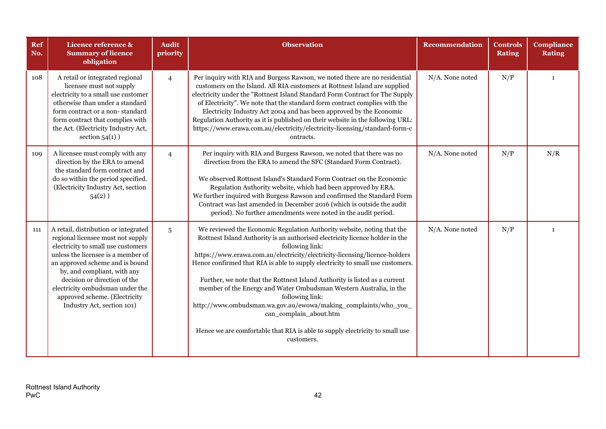| Ref<br>No. | Licence reference &<br><b>Summary of licence</b><br>obligation                                                                                                                                                                                                                                                                                            | <b>Audit</b><br>priority | <b>Observation</b>                                                                                                                                                                                                                                                                                                                                                                                                                                                                                                                                                                                                                                                                                          | Recommendation  | <b>Controls</b><br><b>Rating</b> | <b>Compliance</b><br><b>Rating</b> |
|------------|-----------------------------------------------------------------------------------------------------------------------------------------------------------------------------------------------------------------------------------------------------------------------------------------------------------------------------------------------------------|--------------------------|-------------------------------------------------------------------------------------------------------------------------------------------------------------------------------------------------------------------------------------------------------------------------------------------------------------------------------------------------------------------------------------------------------------------------------------------------------------------------------------------------------------------------------------------------------------------------------------------------------------------------------------------------------------------------------------------------------------|-----------------|----------------------------------|------------------------------------|
| 108        | A retail or integrated regional<br>licensee must not supply<br>electricity to a small use customer<br>otherwise than under a standard<br>form contract or a non-standard<br>form contract that complies with<br>the Act. (Electricity Industry Act,<br>section $54(1)$ )                                                                                  | $\overline{4}$           | Per inquiry with RIA and Burgess Rawson, we noted there are no residential<br>customers on the Island. All RIA customers at Rottnest Island are supplied<br>electricity under the "Rottnest Island Standard Form Contract for The Supply<br>of Electricity". We note that the standard form contract complies with the<br>Electricity Industry Act 2004 and has been approved by the Economic<br>Regulation Authority as it is published on their website in the following URL:<br>https://www.erawa.com.au/electricity/electricity-licensing/standard-form-c<br>ontracts.                                                                                                                                  | N/A. None noted | N/P                              | $\mathbf{1}$                       |
| 109        | A licensee must comply with any<br>direction by the ERA to amend<br>the standard form contract and<br>do so within the period specified.<br>(Electricity Industry Act, section<br>$54(2)$ )                                                                                                                                                               | $\overline{4}$           | Per inquiry with RIA and Burgess Rawson, we noted that there was no<br>direction from the ERA to amend the SFC (Standard Form Contract).<br>We observed Rottnest Island's Standard Form Contract on the Economic<br>Regulation Authority website, which had been approved by ERA.<br>We further inquired with Burgess Rawson and confirmed the Standard Form<br>Contract was last amended in December 2016 (which is outside the audit<br>period). No further amendments were noted in the audit period.                                                                                                                                                                                                    | N/A. None noted | N/P                              | N/R                                |
| 111        | A retail, distribution or integrated<br>regional licensee must not supply<br>electricity to small use customers<br>unless the licensee is a member of<br>an approved scheme and is bound<br>by, and compliant, with any<br>decision or direction of the<br>electricity ombudsman under the<br>approved scheme. (Electricity<br>Industry Act, section 101) | 5                        | We reviewed the Economic Regulation Authority website, noting that the<br>Rottnest Island Authority is an authorised electricity licence holder in the<br>following link:<br>https://www.erawa.com.au/electricity/electricity-licensing/licence-holders<br>Hence confirmed that RIA is able to supply electricity to small use customers.<br>Further, we note that the Rottnest Island Authority is listed as a current<br>member of the Energy and Water Ombudsman Western Australia, in the<br>following link:<br>http://www.ombudsman.wa.gov.au/ewowa/making_complaints/who_you_<br>can_complain_about.htm<br>Hence we are comfortable that RIA is able to supply electricity to small use<br>customers. | N/A. None noted | N/P                              | $\mathbf{1}$                       |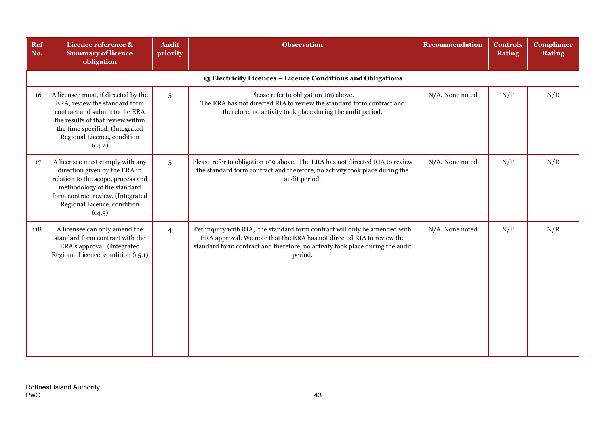| Ref<br>No. | Licence reference &<br><b>Summary of licence</b><br>obligation                                                                                                                                                          | <b>Audit</b><br>priority | <b>Observation</b>                                                                                                                                                                                                                              | Recommendation  | <b>Controls</b><br><b>Rating</b> | <b>Compliance</b><br><b>Rating</b> |  |  |  |  |  |
|------------|-------------------------------------------------------------------------------------------------------------------------------------------------------------------------------------------------------------------------|--------------------------|-------------------------------------------------------------------------------------------------------------------------------------------------------------------------------------------------------------------------------------------------|-----------------|----------------------------------|------------------------------------|--|--|--|--|--|
|            | 13 Electricity Licences - Licence Conditions and Obligations                                                                                                                                                            |                          |                                                                                                                                                                                                                                                 |                 |                                  |                                    |  |  |  |  |  |
| 116        | A licensee must, if directed by the<br>ERA, review the standard form<br>contract and submit to the ERA<br>the results of that review within<br>the time specified. (Integrated<br>Regional Licence, condition<br>6.4.2) | $5\overline{)}$          | Please refer to obligation 109 above.<br>The ERA has not directed RIA to review the standard form contract and<br>therefore, no activity took place during the audit period.                                                                    | N/A. None noted | N/P                              | N/R                                |  |  |  |  |  |
| 117        | A licensee must comply with any<br>direction given by the ERA in<br>relation to the scope, process and<br>methodology of the standard<br>form contract review. (Integrated<br>Regional Licence, condition<br>6.4.3)     | $5\phantom{.0}$          | Please refer to obligation 109 above. The ERA has not directed RIA to review<br>the standard form contract and therefore, no activity took place during the<br>audit period.                                                                    | N/A. None noted | N/P                              | N/R                                |  |  |  |  |  |
| 118        | A licensee can only amend the<br>standard form contract with the<br>ERA's approval. (Integrated<br>Regional Licence, condition 6.5.1)                                                                                   | $\overline{4}$           | Per inquiry with RIA, the standard form contract will only be amended with<br>ERA approval. We note that the ERA has not directed RIA to review the<br>standard form contract and therefore, no activity took place during the audit<br>period. | N/A. None noted | N/P                              | N/R                                |  |  |  |  |  |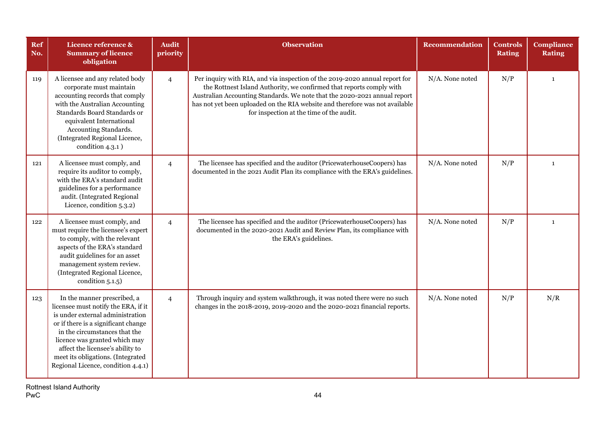| Ref<br>No. | Licence reference &<br><b>Summary of licence</b><br>obligation                                                                                                                                                                                                                                                                 | <b>Audit</b><br>priority | <b>Observation</b>                                                                                                                                                                                                                                                                                                                                           | <b>Recommendation</b> | <b>Controls</b><br><b>Rating</b> | <b>Compliance</b><br><b>Rating</b> |
|------------|--------------------------------------------------------------------------------------------------------------------------------------------------------------------------------------------------------------------------------------------------------------------------------------------------------------------------------|--------------------------|--------------------------------------------------------------------------------------------------------------------------------------------------------------------------------------------------------------------------------------------------------------------------------------------------------------------------------------------------------------|-----------------------|----------------------------------|------------------------------------|
| 119        | A licensee and any related body<br>corporate must maintain<br>accounting records that comply<br>with the Australian Accounting<br>Standards Board Standards or<br>equivalent International<br>Accounting Standards.<br>(Integrated Regional Licence,<br>condition $4.3.1$ )                                                    | $\overline{4}$           | Per inquiry with RIA, and via inspection of the 2019-2020 annual report for<br>the Rottnest Island Authority, we confirmed that reports comply with<br>Australian Accounting Standards. We note that the 2020-2021 annual report<br>has not yet been uploaded on the RIA website and therefore was not available<br>for inspection at the time of the audit. | N/A. None noted       | N/P                              | $\mathbf{1}$                       |
| 121        | A licensee must comply, and<br>require its auditor to comply,<br>with the ERA's standard audit<br>guidelines for a performance<br>audit. (Integrated Regional<br>Licence, condition 5.3.2)                                                                                                                                     | $\overline{4}$           | The licensee has specified and the auditor (PricewaterhouseCoopers) has<br>documented in the 2021 Audit Plan its compliance with the ERA's guidelines.                                                                                                                                                                                                       | N/A. None noted       | N/P                              | $\mathbf{1}$                       |
| 122        | A licensee must comply, and<br>must require the licensee's expert<br>to comply, with the relevant<br>aspects of the ERA's standard<br>audit guidelines for an asset<br>management system review.<br>(Integrated Regional Licence,<br>condition 5.1.5)                                                                          | $\overline{4}$           | The licensee has specified and the auditor (PricewaterhouseCoopers) has<br>documented in the 2020-2021 Audit and Review Plan, its compliance with<br>the ERA's guidelines.                                                                                                                                                                                   | N/A. None noted       | N/P                              | $\mathbf{1}$                       |
| 123        | In the manner prescribed, a<br>licensee must notify the ERA, if it<br>is under external administration<br>or if there is a significant change<br>in the circumstances that the<br>licence was granted which may<br>affect the licensee's ability to<br>meet its obligations. (Integrated<br>Regional Licence, condition 4.4.1) | $\overline{4}$           | Through inquiry and system walkthrough, it was noted there were no such<br>changes in the 2018-2019, 2019-2020 and the 2020-2021 financial reports.                                                                                                                                                                                                          | N/A. None noted       | N/P                              | N/R                                |

Rottnest Island Authority PwC and the contract of the contract of the contract of the contract of the contract of the contract of the contract of the contract of the contract of the contract of the contract of the contract of the contract of the co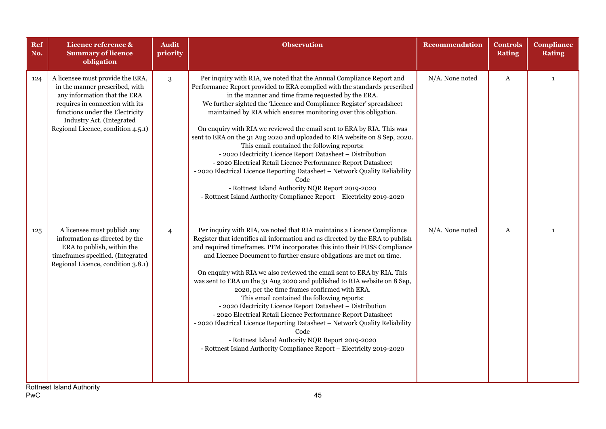| Ref<br>No. | Licence reference &<br><b>Summary of licence</b><br>obligation                                                                                                                                                                              | <b>Audit</b><br>priority | <b>Observation</b>                                                                                                                                                                                                                                                                                                                                                                                                                                                                                                                                                                                                                                                                                                                                                                                                                                                                                                      | Recommendation  | <b>Controls</b><br><b>Rating</b> | <b>Compliance</b><br><b>Rating</b> |
|------------|---------------------------------------------------------------------------------------------------------------------------------------------------------------------------------------------------------------------------------------------|--------------------------|-------------------------------------------------------------------------------------------------------------------------------------------------------------------------------------------------------------------------------------------------------------------------------------------------------------------------------------------------------------------------------------------------------------------------------------------------------------------------------------------------------------------------------------------------------------------------------------------------------------------------------------------------------------------------------------------------------------------------------------------------------------------------------------------------------------------------------------------------------------------------------------------------------------------------|-----------------|----------------------------------|------------------------------------|
| 124        | A licensee must provide the ERA,<br>in the manner prescribed, with<br>any information that the ERA<br>requires in connection with its<br>functions under the Electricity<br>Industry Act. (Integrated<br>Regional Licence, condition 4.5.1) | 3                        | Per inquiry with RIA, we noted that the Annual Compliance Report and<br>Performance Report provided to ERA complied with the standards prescribed<br>in the manner and time frame requested by the ERA.<br>We further sighted the 'Licence and Compliance Register' spreadsheet<br>maintained by RIA which ensures monitoring over this obligation.<br>On enquiry with RIA we reviewed the email sent to ERA by RIA. This was<br>sent to ERA on the 31 Aug 2020 and uploaded to RIA website on 8 Sep, 2020.<br>This email contained the following reports:<br>- 2020 Electricity Licence Report Datasheet - Distribution<br>- 2020 Electrical Retail Licence Performance Report Datasheet<br>- 2020 Electrical Licence Reporting Datasheet - Network Quality Reliability<br>Code<br>- Rottnest Island Authority NQR Report 2019-2020<br>- Rottnest Island Authority Compliance Report - Electricity 2019-2020           | N/A. None noted | $\boldsymbol{A}$                 | $\mathbf{1}$                       |
| 125        | A licensee must publish any<br>information as directed by the<br>ERA to publish, within the<br>timeframes specified. (Integrated<br>Regional Licence, condition 3.8.1)                                                                      | $\overline{4}$           | Per inquiry with RIA, we noted that RIA maintains a Licence Compliance<br>Register that identifies all information and as directed by the ERA to publish<br>and required timeframes. PFM incorporates this into their FUSS Compliance<br>and Licence Document to further ensure obligations are met on time.<br>On enquiry with RIA we also reviewed the email sent to ERA by RIA. This<br>was sent to ERA on the 31 Aug 2020 and published to RIA website on 8 Sep,<br>2020, per the time frames confirmed with ERA.<br>This email contained the following reports:<br>- 2020 Electricity Licence Report Datasheet - Distribution<br>- 2020 Electrical Retail Licence Performance Report Datasheet<br>- 2020 Electrical Licence Reporting Datasheet - Network Quality Reliability<br>Code<br>- Rottnest Island Authority NQR Report 2019-2020<br>- Rottnest Island Authority Compliance Report - Electricity 2019-2020 | N/A. None noted | $\mathbf{A}$                     | $\mathbf{1}$                       |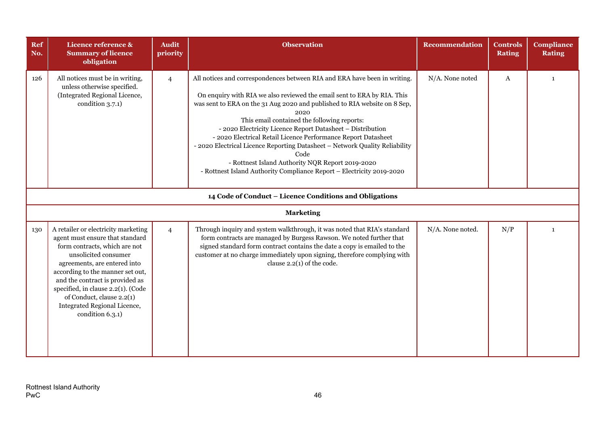| Ref<br>No. | Licence reference &<br><b>Summary of licence</b><br>obligation                                                                                                                                                                                                                                                                                                | <b>Audit</b><br>priority | <b>Observation</b>                                                                                                                                                                                                                                                                                                                                                                                                                                                                                                                                                                                                                          | <b>Recommendation</b> | <b>Controls</b><br><b>Rating</b> | <b>Compliance</b><br><b>Rating</b> |  |  |  |  |
|------------|---------------------------------------------------------------------------------------------------------------------------------------------------------------------------------------------------------------------------------------------------------------------------------------------------------------------------------------------------------------|--------------------------|---------------------------------------------------------------------------------------------------------------------------------------------------------------------------------------------------------------------------------------------------------------------------------------------------------------------------------------------------------------------------------------------------------------------------------------------------------------------------------------------------------------------------------------------------------------------------------------------------------------------------------------------|-----------------------|----------------------------------|------------------------------------|--|--|--|--|
| 126        | All notices must be in writing,<br>unless otherwise specified.<br>(Integrated Regional Licence,<br>condition 3.7.1)                                                                                                                                                                                                                                           | $\overline{4}$           | All notices and correspondences between RIA and ERA have been in writing.<br>On enquiry with RIA we also reviewed the email sent to ERA by RIA. This<br>was sent to ERA on the 31 Aug 2020 and published to RIA website on 8 Sep,<br>2020<br>This email contained the following reports:<br>- 2020 Electricity Licence Report Datasheet - Distribution<br>- 2020 Electrical Retail Licence Performance Report Datasheet<br>- 2020 Electrical Licence Reporting Datasheet - Network Quality Reliability<br>Code<br>- Rottnest Island Authority NQR Report 2019-2020<br>- Rottnest Island Authority Compliance Report - Electricity 2019-2020 | N/A. None noted       | A                                | $\mathbf{1}$                       |  |  |  |  |
|            | 14 Code of Conduct - Licence Conditions and Obligations                                                                                                                                                                                                                                                                                                       |                          |                                                                                                                                                                                                                                                                                                                                                                                                                                                                                                                                                                                                                                             |                       |                                  |                                    |  |  |  |  |
|            |                                                                                                                                                                                                                                                                                                                                                               |                          | <b>Marketing</b>                                                                                                                                                                                                                                                                                                                                                                                                                                                                                                                                                                                                                            |                       |                                  |                                    |  |  |  |  |
| 130        | A retailer or electricity marketing<br>agent must ensure that standard<br>form contracts, which are not<br>unsolicited consumer<br>agreements, are entered into<br>according to the manner set out,<br>and the contract is provided as<br>specified, in clause 2.2(1). (Code<br>of Conduct, clause 2.2(1)<br>Integrated Regional Licence,<br>condition 6.3.1) | $\overline{4}$           | Through inquiry and system walkthrough, it was noted that RIA's standard<br>form contracts are managed by Burgess Rawson. We noted further that<br>signed standard form contract contains the date a copy is emailed to the<br>customer at no charge immediately upon signing, therefore complying with<br>clause $2.2(1)$ of the code.                                                                                                                                                                                                                                                                                                     | N/A. None noted.      | N/P                              | $\mathbf{1}$                       |  |  |  |  |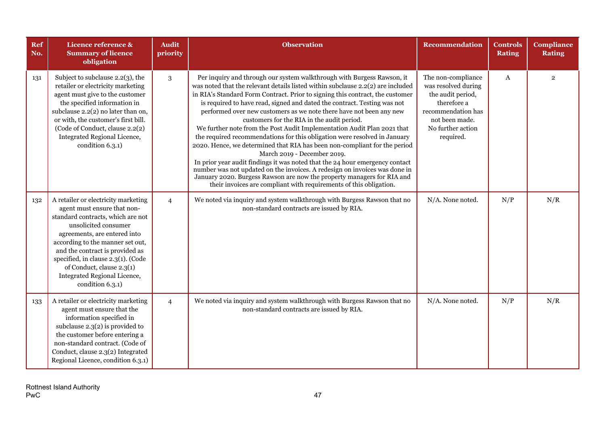| Ref<br>No. | Licence reference &<br><b>Summary of licence</b><br>obligation                                                                                                                                                                                                                                                                                                | <b>Audit</b><br>priority | <b>Observation</b>                                                                                                                                                                                                                                                                                                                                                                                                                                                                                                                                                                                                                                                                                                                                                                                                                                                                                                                                                                                                            | <b>Recommendation</b>                                                                                                                                   | <b>Controls</b><br><b>Rating</b> | <b>Compliance</b><br><b>Rating</b> |
|------------|---------------------------------------------------------------------------------------------------------------------------------------------------------------------------------------------------------------------------------------------------------------------------------------------------------------------------------------------------------------|--------------------------|-------------------------------------------------------------------------------------------------------------------------------------------------------------------------------------------------------------------------------------------------------------------------------------------------------------------------------------------------------------------------------------------------------------------------------------------------------------------------------------------------------------------------------------------------------------------------------------------------------------------------------------------------------------------------------------------------------------------------------------------------------------------------------------------------------------------------------------------------------------------------------------------------------------------------------------------------------------------------------------------------------------------------------|---------------------------------------------------------------------------------------------------------------------------------------------------------|----------------------------------|------------------------------------|
| 131        | Subject to subclause 2.2(3), the<br>retailer or electricity marketing<br>agent must give to the customer<br>the specified information in<br>subclause 2.2(2) no later than on,<br>or with, the customer's first bill.<br>(Code of Conduct, clause 2.2(2)<br>Integrated Regional Licence,<br>condition 6.3.1)                                                  | 3                        | Per inquiry and through our system walkthrough with Burgess Rawson, it<br>was noted that the relevant details listed within subclause 2.2(2) are included<br>in RIA's Standard Form Contract. Prior to signing this contract, the customer<br>is required to have read, signed and dated the contract. Testing was not<br>performed over new customers as we note there have not been any new<br>customers for the RIA in the audit period.<br>We further note from the Post Audit Implementation Audit Plan 2021 that<br>the required recommendations for this obligation were resolved in January<br>2020. Hence, we determined that RIA has been non-compliant for the period<br>March 2019 - December 2019.<br>In prior year audit findings it was noted that the 24 hour emergency contact<br>number was not updated on the invoices. A redesign on invoices was done in<br>January 2020. Burgess Rawson are now the property managers for RIA and<br>their invoices are compliant with requirements of this obligation. | The non-compliance<br>was resolved during<br>the audit period,<br>therefore a<br>recommendation has<br>not been made.<br>No further action<br>required. | $\mathbf{A}$                     | $\overline{2}$                     |
| 132        | A retailer or electricity marketing<br>agent must ensure that non-<br>standard contracts, which are not<br>unsolicited consumer<br>agreements, are entered into<br>according to the manner set out,<br>and the contract is provided as<br>specified, in clause 2.3(1). (Code<br>of Conduct, clause 2.3(1)<br>Integrated Regional Licence,<br>condition 6.3.1) | $\overline{4}$           | We noted via inquiry and system walkthrough with Burgess Rawson that no<br>non-standard contracts are issued by RIA.                                                                                                                                                                                                                                                                                                                                                                                                                                                                                                                                                                                                                                                                                                                                                                                                                                                                                                          | N/A. None noted.                                                                                                                                        | N/P                              | N/R                                |
| 133        | A retailer or electricity marketing<br>agent must ensure that the<br>information specified in<br>subclause $2.3(2)$ is provided to<br>the customer before entering a<br>non-standard contract. (Code of<br>Conduct, clause 2.3(2) Integrated<br>Regional Licence, condition 6.3.1)                                                                            | $\overline{4}$           | We noted via inquiry and system walkthrough with Burgess Rawson that no<br>non-standard contracts are issued by RIA.                                                                                                                                                                                                                                                                                                                                                                                                                                                                                                                                                                                                                                                                                                                                                                                                                                                                                                          | N/A. None noted.                                                                                                                                        | N/P                              | N/R                                |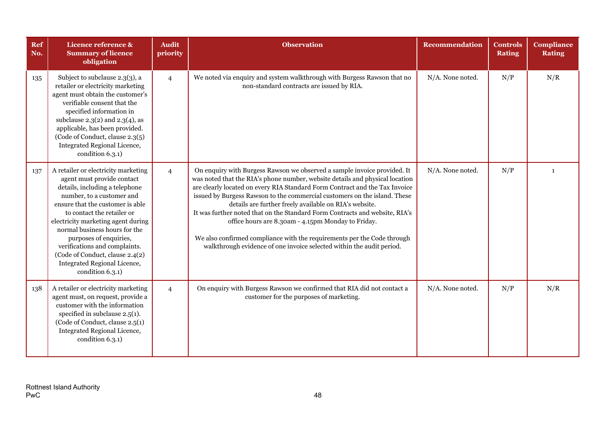| <b>Ref</b><br>No. | Licence reference &<br><b>Summary of licence</b><br>obligation                                                                                                                                                                                                                                                                                                                                                              | <b>Audit</b><br>priority | <b>Observation</b>                                                                                                                                                                                                                                                                                                                                                                                                                                                                                                                                                                                                                                                      | <b>Recommendation</b> | <b>Controls</b><br><b>Rating</b> | <b>Compliance</b><br><b>Rating</b> |
|-------------------|-----------------------------------------------------------------------------------------------------------------------------------------------------------------------------------------------------------------------------------------------------------------------------------------------------------------------------------------------------------------------------------------------------------------------------|--------------------------|-------------------------------------------------------------------------------------------------------------------------------------------------------------------------------------------------------------------------------------------------------------------------------------------------------------------------------------------------------------------------------------------------------------------------------------------------------------------------------------------------------------------------------------------------------------------------------------------------------------------------------------------------------------------------|-----------------------|----------------------------------|------------------------------------|
| 135               | Subject to subclause 2.3(3), a<br>retailer or electricity marketing<br>agent must obtain the customer's<br>verifiable consent that the<br>specified information in<br>subclause $2.3(2)$ and $2.3(4)$ , as<br>applicable, has been provided.<br>(Code of Conduct, clause 2.3(5)<br>Integrated Regional Licence,<br>condition 6.3.1)                                                                                         | $\overline{4}$           | We noted via enquiry and system walkthrough with Burgess Rawson that no<br>non-standard contracts are issued by RIA.                                                                                                                                                                                                                                                                                                                                                                                                                                                                                                                                                    | N/A. None noted.      | N/P                              | N/R                                |
| 137               | A retailer or electricity marketing<br>agent must provide contact<br>details, including a telephone<br>number, to a customer and<br>ensure that the customer is able<br>to contact the retailer or<br>electricity marketing agent during<br>normal business hours for the<br>purposes of enquiries,<br>verifications and complaints.<br>(Code of Conduct, clause 2.4(2)<br>Integrated Regional Licence,<br>condition 6.3.1) | $\overline{4}$           | On enquiry with Burgess Rawson we observed a sample invoice provided. It<br>was noted that the RIA's phone number, website details and physical location<br>are clearly located on every RIA Standard Form Contract and the Tax Invoice<br>issued by Burgess Rawson to the commercial customers on the island. These<br>details are further freely available on RIA's website.<br>It was further noted that on the Standard Form Contracts and website, RIA's<br>office hours are 8.30am - 4.15pm Monday to Friday.<br>We also confirmed compliance with the requirements per the Code through<br>walkthrough evidence of one invoice selected within the audit period. | N/A. None noted.      | N/P                              | $\mathbf{1}$                       |
| 138               | A retailer or electricity marketing<br>agent must, on request, provide a<br>customer with the information<br>specified in subclause $2.5(1)$ .<br>(Code of Conduct, clause 2.5(1)<br>Integrated Regional Licence,<br>condition 6.3.1)                                                                                                                                                                                       | $\overline{4}$           | On enquiry with Burgess Rawson we confirmed that RIA did not contact a<br>customer for the purposes of marketing.                                                                                                                                                                                                                                                                                                                                                                                                                                                                                                                                                       | N/A. None noted.      | N/P                              | N/R                                |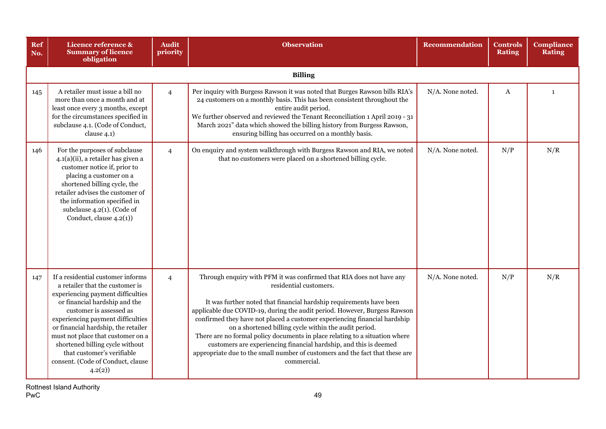| <b>Ref</b><br>No. | Licence reference &<br><b>Summary of licence</b><br>obligation                                                                                                                                                                                                                                                                                                                                         | <b>Audit</b><br>priority | <b>Observation</b>                                                                                                                                                                                                                                                                                                                                                                                                                                                                                                                                                                                                                          | <b>Recommendation</b> | <b>Controls</b><br><b>Rating</b> | <b>Compliance</b><br>Rating |
|-------------------|--------------------------------------------------------------------------------------------------------------------------------------------------------------------------------------------------------------------------------------------------------------------------------------------------------------------------------------------------------------------------------------------------------|--------------------------|---------------------------------------------------------------------------------------------------------------------------------------------------------------------------------------------------------------------------------------------------------------------------------------------------------------------------------------------------------------------------------------------------------------------------------------------------------------------------------------------------------------------------------------------------------------------------------------------------------------------------------------------|-----------------------|----------------------------------|-----------------------------|
|                   |                                                                                                                                                                                                                                                                                                                                                                                                        |                          | <b>Billing</b>                                                                                                                                                                                                                                                                                                                                                                                                                                                                                                                                                                                                                              |                       |                                  |                             |
| 145               | A retailer must issue a bill no<br>more than once a month and at<br>least once every 3 months, except<br>for the circumstances specified in<br>subclause 4.1. (Code of Conduct,<br>clause 4.1)                                                                                                                                                                                                         | $\overline{4}$           | Per inquiry with Burgess Rawson it was noted that Burges Rawson bills RIA's<br>24 customers on a monthly basis. This has been consistent throughout the<br>entire audit period.<br>We further observed and reviewed the Tenant Reconciliation 1 April 2019 - 31<br>March 2021" data which showed the billing history from Burgess Rawson,<br>ensuring billing has occurred on a monthly basis.                                                                                                                                                                                                                                              | N/A. None noted.      | A                                | $\mathbf{1}$                |
| 146               | For the purposes of subclause<br>4.1(a)(ii), a retailer has given a<br>customer notice if, prior to<br>placing a customer on a<br>shortened billing cycle, the<br>retailer advises the customer of<br>the information specified in<br>subclause $4.2(1)$ . (Code of<br>Conduct, clause 4.2(1))                                                                                                         | $\overline{4}$           | On enquiry and system walkthrough with Burgess Rawson and RIA, we noted<br>that no customers were placed on a shortened billing cycle.                                                                                                                                                                                                                                                                                                                                                                                                                                                                                                      | N/A. None noted.      | N/P                              | N/R                         |
| 147               | If a residential customer informs<br>a retailer that the customer is<br>experiencing payment difficulties<br>or financial hardship and the<br>customer is assessed as<br>experiencing payment difficulties<br>or financial hardship, the retailer<br>must not place that customer on a<br>shortened billing cycle without<br>that customer's verifiable<br>consent. (Code of Conduct, clause<br>4.2(2) | $\overline{4}$           | Through enquiry with PFM it was confirmed that RIA does not have any<br>residential customers.<br>It was further noted that financial hardship requirements have been<br>applicable due COVID-19, during the audit period. However, Burgess Rawson<br>confirmed they have not placed a customer experiencing financial hardship<br>on a shortened billing cycle within the audit period.<br>There are no formal policy documents in place relating to a situation where<br>customers are experiencing financial hardship, and this is deemed<br>appropriate due to the small number of customers and the fact that these are<br>commercial. | N/A. None noted.      | N/P                              | N/R                         |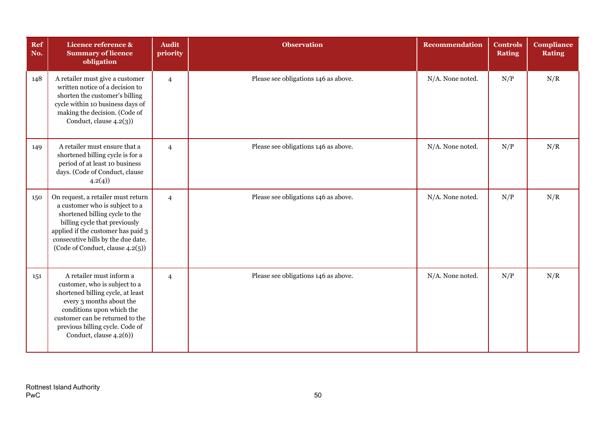| Ref<br>No. | Licence reference &<br><b>Summary of licence</b><br>obligation                                                                                                                                                                                           | <b>Audit</b><br>priority | <b>Observation</b>                   | <b>Recommendation</b> | <b>Controls</b><br><b>Rating</b> | <b>Compliance</b><br><b>Rating</b> |
|------------|----------------------------------------------------------------------------------------------------------------------------------------------------------------------------------------------------------------------------------------------------------|--------------------------|--------------------------------------|-----------------------|----------------------------------|------------------------------------|
| 148        | A retailer must give a customer<br>written notice of a decision to<br>shorten the customer's billing<br>cycle within 10 business days of<br>making the decision. (Code of<br>Conduct, clause $4.2(3)$ )                                                  | $\overline{4}$           | Please see obligations 146 as above. | N/A. None noted.      | N/P                              | N/R                                |
| 149        | A retailer must ensure that a<br>shortened billing cycle is for a<br>period of at least 10 business<br>days. (Code of Conduct, clause<br>4.2(4)                                                                                                          | $\overline{4}$           | Please see obligations 146 as above. | N/A. None noted.      | N/P                              | N/R                                |
| 150        | On request, a retailer must return<br>a customer who is subject to a<br>shortened billing cycle to the<br>billing cycle that previously<br>applied if the customer has paid 3<br>consecutive bills by the due date.<br>(Code of Conduct, clause 4.2(5))  | $\overline{4}$           | Please see obligations 146 as above. | N/A. None noted.      | N/P                              | N/R                                |
| 151        | A retailer must inform a<br>customer, who is subject to a<br>shortened billing cycle, at least<br>every 3 months about the<br>conditions upon which the<br>customer can be returned to the<br>previous billing cycle. Code of<br>Conduct, clause 4.2(6)) | $\overline{4}$           | Please see obligations 146 as above. | N/A. None noted.      | N/P                              | N/R                                |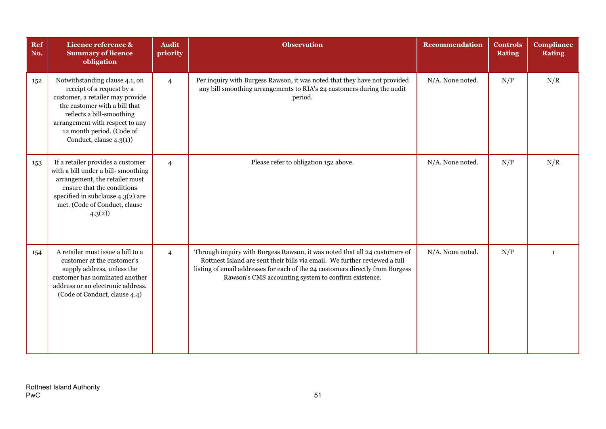| Ref<br>No. | Licence reference &<br><b>Summary of licence</b><br>obligation                                                                                                                                                                                           | <b>Audit</b><br>priority | <b>Observation</b>                                                                                                                                                                                                                                                                                | <b>Recommendation</b> | <b>Controls</b><br><b>Rating</b> | <b>Compliance</b><br><b>Rating</b> |
|------------|----------------------------------------------------------------------------------------------------------------------------------------------------------------------------------------------------------------------------------------------------------|--------------------------|---------------------------------------------------------------------------------------------------------------------------------------------------------------------------------------------------------------------------------------------------------------------------------------------------|-----------------------|----------------------------------|------------------------------------|
| 152        | Notwithstanding clause 4.1, on<br>receipt of a request by a<br>customer, a retailer may provide<br>the customer with a bill that<br>reflects a bill-smoothing<br>arrangement with respect to any<br>12 month period. (Code of<br>Conduct, clause 4.3(1)) | $\overline{4}$           | Per inquiry with Burgess Rawson, it was noted that they have not provided<br>any bill smoothing arrangements to RIA's 24 customers during the audit<br>period.                                                                                                                                    | N/A. None noted.      | N/P                              | N/R                                |
| 153        | If a retailer provides a customer<br>with a bill under a bill-smoothing<br>arrangement, the retailer must<br>ensure that the conditions<br>specified in subclause 4.3(2) are<br>met. (Code of Conduct, clause<br>4.3(2)                                  | $\overline{4}$           | Please refer to obligation 152 above.                                                                                                                                                                                                                                                             | N/A. None noted.      | N/P                              | N/R                                |
| 154        | A retailer must issue a bill to a<br>customer at the customer's<br>supply address, unless the<br>customer has nominated another<br>address or an electronic address.<br>(Code of Conduct, clause 4.4)                                                    | $\overline{4}$           | Through inquiry with Burgess Rawson, it was noted that all 24 customers of<br>Rottnest Island are sent their bills via email. We further reviewed a full<br>listing of email addresses for each of the 24 customers directly from Burgess<br>Rawson's CMS accounting system to confirm existence. | N/A. None noted.      | N/P                              | 1                                  |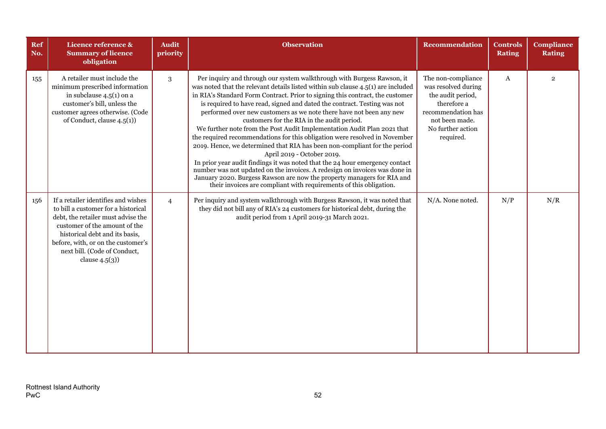| Ref<br>No. | Licence reference &<br><b>Summary of licence</b><br>obligation                                                                                                                                                                                                                 | <b>Audit</b><br>priority | <b>Observation</b>                                                                                                                                                                                                                                                                                                                                                                                                                                                                                                                                                                                                                                                                                                                                                                                                                                                                                                                                                                                                             | <b>Recommendation</b>                                                                                                                                   | <b>Controls</b><br><b>Rating</b> | <b>Compliance</b><br><b>Rating</b> |
|------------|--------------------------------------------------------------------------------------------------------------------------------------------------------------------------------------------------------------------------------------------------------------------------------|--------------------------|--------------------------------------------------------------------------------------------------------------------------------------------------------------------------------------------------------------------------------------------------------------------------------------------------------------------------------------------------------------------------------------------------------------------------------------------------------------------------------------------------------------------------------------------------------------------------------------------------------------------------------------------------------------------------------------------------------------------------------------------------------------------------------------------------------------------------------------------------------------------------------------------------------------------------------------------------------------------------------------------------------------------------------|---------------------------------------------------------------------------------------------------------------------------------------------------------|----------------------------------|------------------------------------|
| 155        | A retailer must include the<br>minimum prescribed information<br>in subclause $4.5(1)$ on a<br>customer's bill, unless the<br>customer agrees otherwise. (Code<br>of Conduct, clause $4.5(1)$ )                                                                                | 3                        | Per inquiry and through our system walkthrough with Burgess Rawson, it<br>was noted that the relevant details listed within sub clause 4.5(1) are included<br>in RIA's Standard Form Contract. Prior to signing this contract, the customer<br>is required to have read, signed and dated the contract. Testing was not<br>performed over new customers as we note there have not been any new<br>customers for the RIA in the audit period.<br>We further note from the Post Audit Implementation Audit Plan 2021 that<br>the required recommendations for this obligation were resolved in November<br>2019. Hence, we determined that RIA has been non-compliant for the period<br>April 2019 - October 2019.<br>In prior year audit findings it was noted that the 24 hour emergency contact<br>number was not updated on the invoices. A redesign on invoices was done in<br>January 2020. Burgess Rawson are now the property managers for RIA and<br>their invoices are compliant with requirements of this obligation. | The non-compliance<br>was resolved during<br>the audit period,<br>therefore a<br>recommendation has<br>not been made.<br>No further action<br>required. | $\bf{A}$                         | $\overline{2}$                     |
| 156        | If a retailer identifies and wishes<br>to bill a customer for a historical<br>debt, the retailer must advise the<br>customer of the amount of the<br>historical debt and its basis,<br>before, with, or on the customer's<br>next bill. (Code of Conduct,<br>clause $4.5(3)$ ) | $\overline{4}$           | Per inquiry and system walkthrough with Burgess Rawson, it was noted that<br>they did not bill any of RIA's 24 customers for historical debt, during the<br>audit period from 1 April 2019-31 March 2021.                                                                                                                                                                                                                                                                                                                                                                                                                                                                                                                                                                                                                                                                                                                                                                                                                      | N/A. None noted.                                                                                                                                        | N/P                              | N/R                                |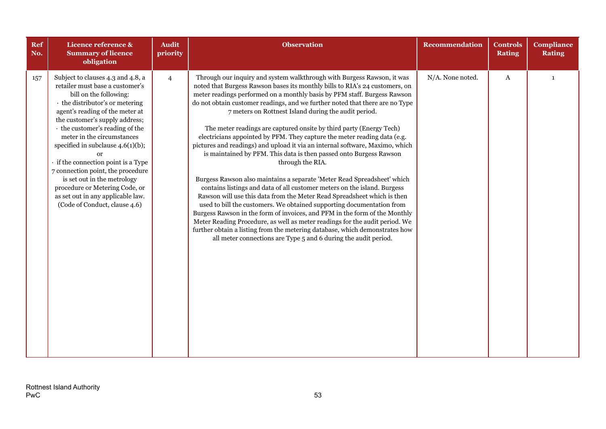| Ref<br>No. | Licence reference &<br><b>Summary of licence</b><br>obligation                                                                                                                                                                                                                                                                                                                                                                                                                                                                   | <b>Audit</b><br>priority | <b>Observation</b>                                                                                                                                                                                                                                                                                                                                                                                                                                                                                                                                                                                                                                                                                                                                                                                                                                                                                                                                                                                                                                                                                                                                                                                                                                                                                                               | <b>Recommendation</b> | <b>Controls</b><br><b>Rating</b> | <b>Compliance</b><br><b>Rating</b> |
|------------|----------------------------------------------------------------------------------------------------------------------------------------------------------------------------------------------------------------------------------------------------------------------------------------------------------------------------------------------------------------------------------------------------------------------------------------------------------------------------------------------------------------------------------|--------------------------|----------------------------------------------------------------------------------------------------------------------------------------------------------------------------------------------------------------------------------------------------------------------------------------------------------------------------------------------------------------------------------------------------------------------------------------------------------------------------------------------------------------------------------------------------------------------------------------------------------------------------------------------------------------------------------------------------------------------------------------------------------------------------------------------------------------------------------------------------------------------------------------------------------------------------------------------------------------------------------------------------------------------------------------------------------------------------------------------------------------------------------------------------------------------------------------------------------------------------------------------------------------------------------------------------------------------------------|-----------------------|----------------------------------|------------------------------------|
| 157        | Subject to clauses 4.3 and 4.8, a<br>retailer must base a customer's<br>bill on the following:<br>· the distributor's or metering<br>agent's reading of the meter at<br>the customer's supply address;<br>the customer's reading of the<br>meter in the circumstances<br>specified in subclause $4.6(1)(b)$ ;<br>· if the connection point is a Type<br>7 connection point, the procedure<br>is set out in the metrology<br>procedure or Metering Code, or<br>as set out in any applicable law.<br>(Code of Conduct, clause 4.6) | $\overline{4}$           | Through our inquiry and system walkthrough with Burgess Rawson, it was<br>noted that Burgess Rawson bases its monthly bills to RIA's 24 customers, on<br>meter readings performed on a monthly basis by PFM staff. Burgess Rawson<br>do not obtain customer readings, and we further noted that there are no Type<br>7 meters on Rottnest Island during the audit period.<br>The meter readings are captured onsite by third party (Energy Tech)<br>electricians appointed by PFM. They capture the meter reading data (e.g.<br>pictures and readings) and upload it via an internal software, Maximo, which<br>is maintained by PFM. This data is then passed onto Burgess Rawson<br>through the RIA.<br>Burgess Rawson also maintains a separate 'Meter Read Spreadsheet' which<br>contains listings and data of all customer meters on the island. Burgess<br>Rawson will use this data from the Meter Read Spreadsheet which is then<br>used to bill the customers. We obtained supporting documentation from<br>Burgess Rawson in the form of invoices, and PFM in the form of the Monthly<br>Meter Reading Procedure, as well as meter readings for the audit period. We<br>further obtain a listing from the metering database, which demonstrates how<br>all meter connections are Type 5 and 6 during the audit period. | N/A. None noted.      | $\mathbf{A}$                     | $\mathbf{1}$                       |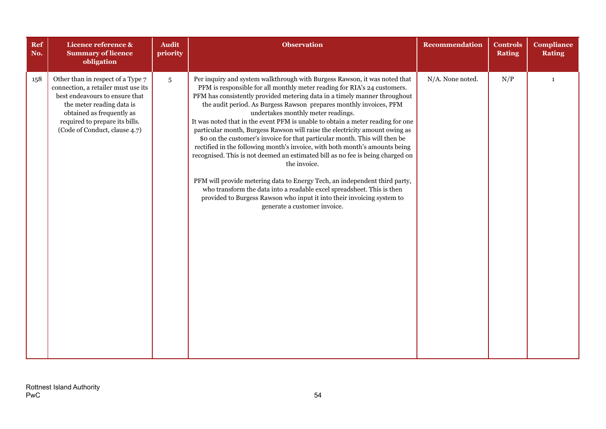| Ref<br>No. | Licence reference &<br><b>Summary of licence</b><br>obligation                                                                                                                                                                          | <b>Audit</b><br>priority | <b>Observation</b>                                                                                                                                                                                                                                                                                                                                                                                                                                                                                                                                                                                                                                                                                                                                                                                                                                                                                                                                                                                                                               | <b>Recommendation</b> | <b>Controls</b><br><b>Rating</b> | <b>Compliance</b><br><b>Rating</b> |
|------------|-----------------------------------------------------------------------------------------------------------------------------------------------------------------------------------------------------------------------------------------|--------------------------|--------------------------------------------------------------------------------------------------------------------------------------------------------------------------------------------------------------------------------------------------------------------------------------------------------------------------------------------------------------------------------------------------------------------------------------------------------------------------------------------------------------------------------------------------------------------------------------------------------------------------------------------------------------------------------------------------------------------------------------------------------------------------------------------------------------------------------------------------------------------------------------------------------------------------------------------------------------------------------------------------------------------------------------------------|-----------------------|----------------------------------|------------------------------------|
| 158        | Other than in respect of a Type 7<br>connection, a retailer must use its<br>best endeavours to ensure that<br>the meter reading data is<br>obtained as frequently as<br>required to prepare its bills.<br>(Code of Conduct, clause 4.7) | $\overline{5}$           | Per inquiry and system walkthrough with Burgess Rawson, it was noted that<br>PFM is responsible for all monthly meter reading for RIA's 24 customers.<br>PFM has consistently provided metering data in a timely manner throughout<br>the audit period. As Burgess Rawson prepares monthly invoices, PFM<br>undertakes monthly meter readings.<br>It was noted that in the event PFM is unable to obtain a meter reading for one<br>particular month, Burgess Rawson will raise the electricity amount owing as<br>\$0 on the customer's invoice for that particular month. This will then be<br>rectified in the following month's invoice, with both month's amounts being<br>recognised. This is not deemed an estimated bill as no fee is being charged on<br>the invoice.<br>PFM will provide metering data to Energy Tech, an independent third party,<br>who transform the data into a readable excel spreadsheet. This is then<br>provided to Burgess Rawson who input it into their invoicing system to<br>generate a customer invoice. | N/A. None noted.      | N/P                              | $\mathbf{1}$                       |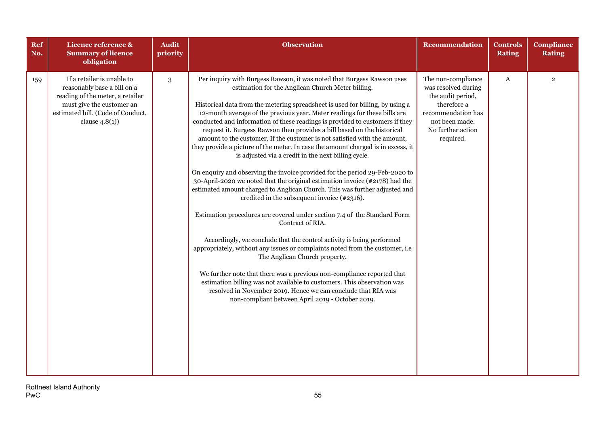| <b>Ref</b><br>No. | Licence reference &<br><b>Summary of licence</b><br>obligation                                                                                                                       | <b>Audit</b><br>priority | <b>Observation</b>                                                                                                                                                                                                                                                                                                                                                                                                                                                                                                                                                                                                                                                                                                                                                                                                                                                                                                                                                                                                                                                                                                                                                                                                                                                                                                                                                                                                                                                                                                                            | <b>Recommendation</b>                                                                                                                                   | <b>Controls</b><br><b>Rating</b> | <b>Compliance</b><br><b>Rating</b> |
|-------------------|--------------------------------------------------------------------------------------------------------------------------------------------------------------------------------------|--------------------------|-----------------------------------------------------------------------------------------------------------------------------------------------------------------------------------------------------------------------------------------------------------------------------------------------------------------------------------------------------------------------------------------------------------------------------------------------------------------------------------------------------------------------------------------------------------------------------------------------------------------------------------------------------------------------------------------------------------------------------------------------------------------------------------------------------------------------------------------------------------------------------------------------------------------------------------------------------------------------------------------------------------------------------------------------------------------------------------------------------------------------------------------------------------------------------------------------------------------------------------------------------------------------------------------------------------------------------------------------------------------------------------------------------------------------------------------------------------------------------------------------------------------------------------------------|---------------------------------------------------------------------------------------------------------------------------------------------------------|----------------------------------|------------------------------------|
| 159               | If a retailer is unable to<br>reasonably base a bill on a<br>reading of the meter, a retailer<br>must give the customer an<br>estimated bill. (Code of Conduct,<br>clause $4.8(1)$ ) | $\sqrt{3}$               | Per inquiry with Burgess Rawson, it was noted that Burgess Rawson uses<br>estimation for the Anglican Church Meter billing.<br>Historical data from the metering spreadsheet is used for billing, by using a<br>12-month average of the previous year. Meter readings for these bills are<br>conducted and information of these readings is provided to customers if they<br>request it. Burgess Rawson then provides a bill based on the historical<br>amount to the customer. If the customer is not satisfied with the amount,<br>they provide a picture of the meter. In case the amount charged is in excess, it<br>is adjusted via a credit in the next billing cycle.<br>On enquiry and observing the invoice provided for the period 29-Feb-2020 to<br>30-April-2020 we noted that the original estimation invoice $(*2178)$ had the<br>estimated amount charged to Anglican Church. This was further adjusted and<br>credited in the subsequent invoice (#2316).<br>Estimation procedures are covered under section 7.4 of the Standard Form<br>Contract of RIA.<br>Accordingly, we conclude that the control activity is being performed<br>appropriately, without any issues or complaints noted from the customer, i.e<br>The Anglican Church property.<br>We further note that there was a previous non-compliance reported that<br>estimation billing was not available to customers. This observation was<br>resolved in November 2019. Hence we can conclude that RIA was<br>non-compliant between April 2019 - October 2019. | The non-compliance<br>was resolved during<br>the audit period,<br>therefore a<br>recommendation has<br>not been made.<br>No further action<br>required. | A                                | $\overline{2}$                     |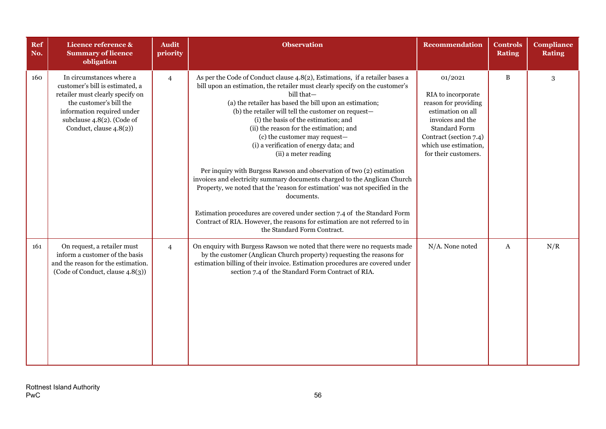| Ref<br>No. | Licence reference &<br><b>Summary of licence</b><br>obligation                                                                                                                                                    | <b>Audit</b><br>priority | <b>Observation</b>                                                                                                                                                                                                                                                                                                                                                                                                                                                                                                                                                                                                                                                                                                                                                                                                                                                                                                               | <b>Recommendation</b>                                                                                                                                                                             | <b>Controls</b><br><b>Rating</b> | <b>Compliance</b><br><b>Rating</b> |
|------------|-------------------------------------------------------------------------------------------------------------------------------------------------------------------------------------------------------------------|--------------------------|----------------------------------------------------------------------------------------------------------------------------------------------------------------------------------------------------------------------------------------------------------------------------------------------------------------------------------------------------------------------------------------------------------------------------------------------------------------------------------------------------------------------------------------------------------------------------------------------------------------------------------------------------------------------------------------------------------------------------------------------------------------------------------------------------------------------------------------------------------------------------------------------------------------------------------|---------------------------------------------------------------------------------------------------------------------------------------------------------------------------------------------------|----------------------------------|------------------------------------|
| 160        | In circumstances where a<br>customer's bill is estimated, a<br>retailer must clearly specify on<br>the customer's bill the<br>information required under<br>subclause 4.8(2). (Code of<br>Conduct, clause 4.8(2)) | $\overline{4}$           | As per the Code of Conduct clause 4.8(2), Estimations, if a retailer bases a<br>bill upon an estimation, the retailer must clearly specify on the customer's<br>bill that-<br>(a) the retailer has based the bill upon an estimation;<br>(b) the retailer will tell the customer on request-<br>(i) the basis of the estimation; and<br>(ii) the reason for the estimation; and<br>(c) the customer may request-<br>(i) a verification of energy data; and<br>(ii) a meter reading<br>Per inquiry with Burgess Rawson and observation of two (2) estimation<br>invoices and electricity summary documents charged to the Anglican Church<br>Property, we noted that the 'reason for estimation' was not specified in the<br>documents.<br>Estimation procedures are covered under section 7.4 of the Standard Form<br>Contract of RIA. However, the reasons for estimation are not referred to in<br>the Standard Form Contract. | 01/2021<br>RIA to incorporate<br>reason for providing<br>estimation on all<br>invoices and the<br><b>Standard Form</b><br>Contract (section 7.4)<br>which use estimation,<br>for their customers. | B                                | 3                                  |
| 161        | On request, a retailer must<br>inform a customer of the basis<br>and the reason for the estimation.<br>(Code of Conduct, clause 4.8(3))                                                                           | $\overline{4}$           | On enquiry with Burgess Rawson we noted that there were no requests made<br>by the customer (Anglican Church property) requesting the reasons for<br>estimation billing of their invoice. Estimation procedures are covered under<br>section 7.4 of the Standard Form Contract of RIA.                                                                                                                                                                                                                                                                                                                                                                                                                                                                                                                                                                                                                                           | N/A. None noted                                                                                                                                                                                   | A                                | N/R                                |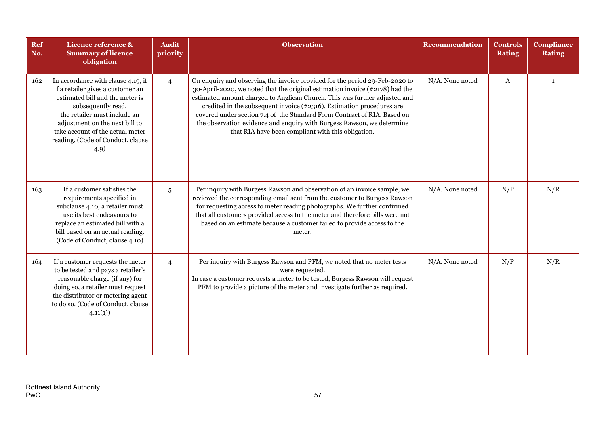| Ref<br>No. | Licence reference &<br><b>Summary of licence</b><br>obligation                                                                                                                                                                                                                     | <b>Audit</b><br>priority | <b>Observation</b>                                                                                                                                                                                                                                                                                                                                                                                                                                                                                                                | Recommendation  | <b>Controls</b><br><b>Rating</b> | <b>Compliance</b><br><b>Rating</b> |
|------------|------------------------------------------------------------------------------------------------------------------------------------------------------------------------------------------------------------------------------------------------------------------------------------|--------------------------|-----------------------------------------------------------------------------------------------------------------------------------------------------------------------------------------------------------------------------------------------------------------------------------------------------------------------------------------------------------------------------------------------------------------------------------------------------------------------------------------------------------------------------------|-----------------|----------------------------------|------------------------------------|
| 162        | In accordance with clause 4.19, if<br>f a retailer gives a customer an<br>estimated bill and the meter is<br>subsequently read,<br>the retailer must include an<br>adjustment on the next bill to<br>take account of the actual meter<br>reading. (Code of Conduct, clause<br>4.9) | $\overline{4}$           | On enquiry and observing the invoice provided for the period 29-Feb-2020 to<br>30-April-2020, we noted that the original estimation invoice (#2178) had the<br>estimated amount charged to Anglican Church. This was further adjusted and<br>credited in the subsequent invoice $(*2316)$ . Estimation procedures are<br>covered under section 7.4 of the Standard Form Contract of RIA. Based on<br>the observation evidence and enquiry with Burgess Rawson, we determine<br>that RIA have been compliant with this obligation. | N/A. None noted | $\boldsymbol{A}$                 | $\mathbf{1}$                       |
| 163        | If a customer satisfies the<br>requirements specified in<br>subclause 4.10, a retailer must<br>use its best endeavours to<br>replace an estimated bill with a<br>bill based on an actual reading.<br>(Code of Conduct, clause 4.10)                                                | 5                        | Per inquiry with Burgess Rawson and observation of an invoice sample, we<br>reviewed the corresponding email sent from the customer to Burgess Rawson<br>for requesting access to meter reading photographs. We further confirmed<br>that all customers provided access to the meter and therefore bills were not<br>based on an estimate because a customer failed to provide access to the<br>meter.                                                                                                                            | N/A. None noted | N/P                              | N/R                                |
| 164        | If a customer requests the meter<br>to be tested and pays a retailer's<br>reasonable charge (if any) for<br>doing so, a retailer must request<br>the distributor or metering agent<br>to do so. (Code of Conduct, clause<br>4.11(1)                                                | $\overline{4}$           | Per inquiry with Burgess Rawson and PFM, we noted that no meter tests<br>were requested.<br>In case a customer requests a meter to be tested, Burgess Rawson will request<br>PFM to provide a picture of the meter and investigate further as required.                                                                                                                                                                                                                                                                           | N/A. None noted | N/P                              | N/R                                |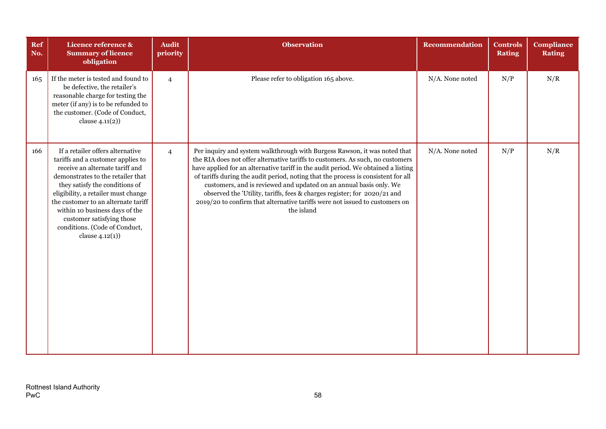| Ref<br>No. | Licence reference &<br><b>Summary of licence</b><br>obligation                                                                                                                                                                                                                                                                                                                      | <b>Audit</b><br>priority | <b>Observation</b>                                                                                                                                                                                                                                                                                                                                                                                                                                                                                                                                                                   | <b>Recommendation</b> | <b>Controls</b><br><b>Rating</b> | <b>Compliance</b><br><b>Rating</b> |
|------------|-------------------------------------------------------------------------------------------------------------------------------------------------------------------------------------------------------------------------------------------------------------------------------------------------------------------------------------------------------------------------------------|--------------------------|--------------------------------------------------------------------------------------------------------------------------------------------------------------------------------------------------------------------------------------------------------------------------------------------------------------------------------------------------------------------------------------------------------------------------------------------------------------------------------------------------------------------------------------------------------------------------------------|-----------------------|----------------------------------|------------------------------------|
| 165        | If the meter is tested and found to<br>be defective, the retailer's<br>reasonable charge for testing the<br>meter (if any) is to be refunded to<br>the customer. (Code of Conduct,<br>clause $4.11(2)$ )                                                                                                                                                                            | $\overline{4}$           | Please refer to obligation 165 above.                                                                                                                                                                                                                                                                                                                                                                                                                                                                                                                                                | N/A. None noted       | N/P                              | N/R                                |
| 166        | If a retailer offers alternative<br>tariffs and a customer applies to<br>receive an alternate tariff and<br>demonstrates to the retailer that<br>they satisfy the conditions of<br>eligibility, a retailer must change<br>the customer to an alternate tariff<br>within 10 business days of the<br>customer satisfying those<br>conditions. (Code of Conduct,<br>clause $4.12(1)$ ) | $\overline{4}$           | Per inquiry and system walkthrough with Burgess Rawson, it was noted that<br>the RIA does not offer alternative tariffs to customers. As such, no customers<br>have applied for an alternative tariff in the audit period. We obtained a listing<br>of tariffs during the audit period, noting that the process is consistent for all<br>customers, and is reviewed and updated on an annual basis only. We<br>observed the 'Utility, tariffs, fees & charges register; for 2020/21 and<br>2019/20 to confirm that alternative tariffs were not issued to customers on<br>the island | N/A. None noted       | N/P                              | N/R                                |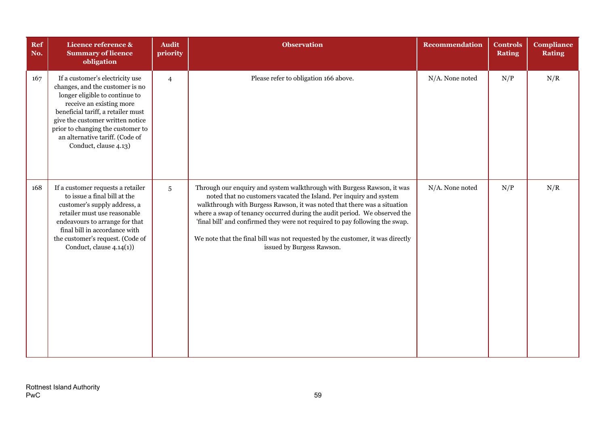| Ref<br>No. | Licence reference &<br><b>Summary of licence</b><br>obligation                                                                                                                                                                                                                                              | <b>Audit</b><br>priority | <b>Observation</b>                                                                                                                                                                                                                                                                                                                                                                                                                                                                                   | <b>Recommendation</b> | <b>Controls</b><br><b>Rating</b> | <b>Compliance</b><br><b>Rating</b> |
|------------|-------------------------------------------------------------------------------------------------------------------------------------------------------------------------------------------------------------------------------------------------------------------------------------------------------------|--------------------------|------------------------------------------------------------------------------------------------------------------------------------------------------------------------------------------------------------------------------------------------------------------------------------------------------------------------------------------------------------------------------------------------------------------------------------------------------------------------------------------------------|-----------------------|----------------------------------|------------------------------------|
| 167        | If a customer's electricity use<br>changes, and the customer is no<br>longer eligible to continue to<br>receive an existing more<br>beneficial tariff, a retailer must<br>give the customer written notice<br>prior to changing the customer to<br>an alternative tariff. (Code of<br>Conduct, clause 4.13) | $\overline{4}$           | Please refer to obligation 166 above.                                                                                                                                                                                                                                                                                                                                                                                                                                                                | N/A. None noted       | N/P                              | N/R                                |
| 168        | If a customer requests a retailer<br>to issue a final bill at the<br>customer's supply address, a<br>retailer must use reasonable<br>endeavours to arrange for that<br>final bill in accordance with<br>the customer's request. (Code of<br>Conduct, clause $4.14(1)$ )                                     | 5                        | Through our enquiry and system walkthrough with Burgess Rawson, it was<br>noted that no customers vacated the Island. Per inquiry and system<br>walkthrough with Burgess Rawson, it was noted that there was a situation<br>where a swap of tenancy occurred during the audit period. We observed the<br>'final bill' and confirmed they were not required to pay following the swap.<br>We note that the final bill was not requested by the customer, it was directly<br>issued by Burgess Rawson. | N/A. None noted       | N/P                              | N/R                                |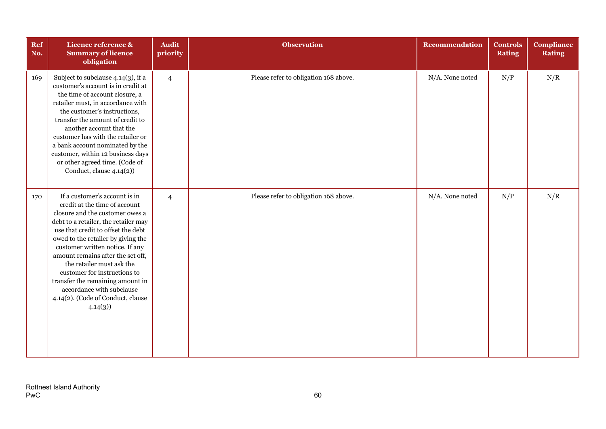| Ref<br>No. | Licence reference &<br><b>Summary of licence</b><br>obligation                                                                                                                                                                                                                                                                                                                                                                                                              | <b>Audit</b><br>priority | <b>Observation</b>                    | Recommendation  | <b>Controls</b><br><b>Rating</b> | <b>Compliance</b><br><b>Rating</b> |
|------------|-----------------------------------------------------------------------------------------------------------------------------------------------------------------------------------------------------------------------------------------------------------------------------------------------------------------------------------------------------------------------------------------------------------------------------------------------------------------------------|--------------------------|---------------------------------------|-----------------|----------------------------------|------------------------------------|
| 169        | Subject to subclause 4.14(3), if a<br>customer's account is in credit at<br>the time of account closure, a<br>retailer must, in accordance with<br>the customer's instructions,<br>transfer the amount of credit to<br>another account that the<br>customer has with the retailer or<br>a bank account nominated by the<br>customer, within 12 business days<br>or other agreed time. (Code of<br>Conduct, clause 4.14(2))                                                  | $\overline{4}$           | Please refer to obligation 168 above. | N/A. None noted | N/P                              | N/R                                |
| 170        | If a customer's account is in<br>credit at the time of account<br>closure and the customer owes a<br>debt to a retailer, the retailer may<br>use that credit to offset the debt<br>owed to the retailer by giving the<br>customer written notice. If any<br>amount remains after the set off,<br>the retailer must ask the<br>customer for instructions to<br>transfer the remaining amount in<br>accordance with subclause<br>4.14(2). (Code of Conduct, clause<br>4.14(3) | $\overline{4}$           | Please refer to obligation 168 above. | N/A. None noted | N/P                              | N/R                                |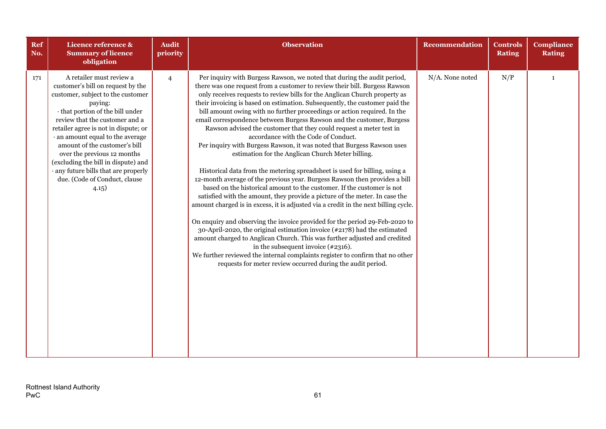| <b>Ref</b><br>No. | Licence reference &<br><b>Summary of licence</b><br>obligation                                                                                                                                                                                                                                                                                                                                                                                           | <b>Audit</b><br>priority | <b>Observation</b>                                                                                                                                                                                                                                                                                                                                                                                                                                                                                                                                                                                                                                                                                                                                                                                                                                                                                                                                                                                                                                                                                                                                                                                                                                                                                                                                                                                                                                                                                                                                                 | <b>Recommendation</b> | <b>Controls</b><br><b>Rating</b> | <b>Compliance</b><br><b>Rating</b> |
|-------------------|----------------------------------------------------------------------------------------------------------------------------------------------------------------------------------------------------------------------------------------------------------------------------------------------------------------------------------------------------------------------------------------------------------------------------------------------------------|--------------------------|--------------------------------------------------------------------------------------------------------------------------------------------------------------------------------------------------------------------------------------------------------------------------------------------------------------------------------------------------------------------------------------------------------------------------------------------------------------------------------------------------------------------------------------------------------------------------------------------------------------------------------------------------------------------------------------------------------------------------------------------------------------------------------------------------------------------------------------------------------------------------------------------------------------------------------------------------------------------------------------------------------------------------------------------------------------------------------------------------------------------------------------------------------------------------------------------------------------------------------------------------------------------------------------------------------------------------------------------------------------------------------------------------------------------------------------------------------------------------------------------------------------------------------------------------------------------|-----------------------|----------------------------------|------------------------------------|
| 171               | A retailer must review a<br>customer's bill on request by the<br>customer, subject to the customer<br>paying:<br>· that portion of the bill under<br>review that the customer and a<br>retailer agree is not in dispute; or<br>· an amount equal to the average<br>amount of the customer's bill<br>over the previous 12 months<br>(excluding the bill in dispute) and<br>· any future bills that are properly<br>due. (Code of Conduct, clause<br>4.15) | $\overline{4}$           | Per inquiry with Burgess Rawson, we noted that during the audit period,<br>there was one request from a customer to review their bill. Burgess Rawson<br>only receives requests to review bills for the Anglican Church property as<br>their invoicing is based on estimation. Subsequently, the customer paid the<br>bill amount owing with no further proceedings or action required. In the<br>email correspondence between Burgess Rawson and the customer, Burgess<br>Rawson advised the customer that they could request a meter test in<br>accordance with the Code of Conduct.<br>Per inquiry with Burgess Rawson, it was noted that Burgess Rawson uses<br>estimation for the Anglican Church Meter billing.<br>Historical data from the metering spreadsheet is used for billing, using a<br>12-month average of the previous year. Burgess Rawson then provides a bill<br>based on the historical amount to the customer. If the customer is not<br>satisfied with the amount, they provide a picture of the meter. In case the<br>amount charged is in excess, it is adjusted via a credit in the next billing cycle.<br>On enquiry and observing the invoice provided for the period 29-Feb-2020 to<br>30-April-2020, the original estimation invoice (#2178) had the estimated<br>amount charged to Anglican Church. This was further adjusted and credited<br>in the subsequent invoice $(*2316)$ .<br>We further reviewed the internal complaints register to confirm that no other<br>requests for meter review occurred during the audit period. | N/A. None noted       | N/P                              | $\mathbf{1}$                       |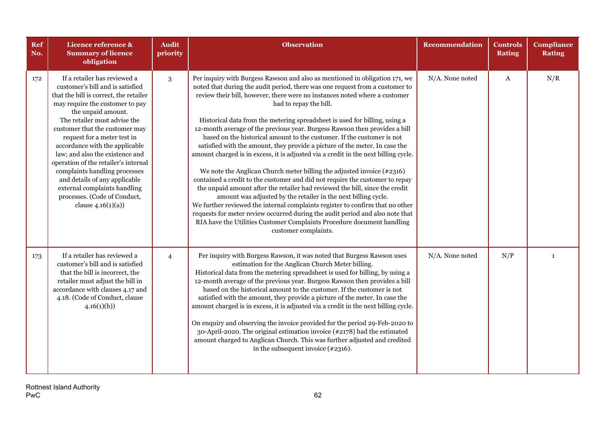| <b>Ref</b><br>No. | Licence reference &<br><b>Summary of licence</b><br>obligation                                                                                                                                                                                                                                                                                                                                                                                                                                                                               | <b>Audit</b><br>priority | <b>Observation</b>                                                                                                                                                                                                                                                                                                                                                                                                                                                                                                                                                                                                                                                                                                                                                                                                                                                                                                                                                                                                                                                                                                                                                                                                                                                | Recommendation  | <b>Controls</b><br><b>Rating</b> | <b>Compliance</b><br><b>Rating</b> |
|-------------------|----------------------------------------------------------------------------------------------------------------------------------------------------------------------------------------------------------------------------------------------------------------------------------------------------------------------------------------------------------------------------------------------------------------------------------------------------------------------------------------------------------------------------------------------|--------------------------|-------------------------------------------------------------------------------------------------------------------------------------------------------------------------------------------------------------------------------------------------------------------------------------------------------------------------------------------------------------------------------------------------------------------------------------------------------------------------------------------------------------------------------------------------------------------------------------------------------------------------------------------------------------------------------------------------------------------------------------------------------------------------------------------------------------------------------------------------------------------------------------------------------------------------------------------------------------------------------------------------------------------------------------------------------------------------------------------------------------------------------------------------------------------------------------------------------------------------------------------------------------------|-----------------|----------------------------------|------------------------------------|
| 172               | If a retailer has reviewed a<br>customer's bill and is satisfied<br>that the bill is correct, the retailer<br>may require the customer to pay<br>the unpaid amount.<br>The retailer must advise the<br>customer that the customer may<br>request for a meter test in<br>accordance with the applicable<br>law; and also the existence and<br>operation of the retailer's internal<br>complaints handling processes<br>and details of any applicable<br>external complaints handling<br>processes. (Code of Conduct,<br>clause $4.16(1)(a)$ ) | 3                        | Per inquiry with Burgess Rawson and also as mentioned in obligation 171, we<br>noted that during the audit period, there was one request from a customer to<br>review their bill, however, there were no instances noted where a customer<br>had to repay the bill.<br>Historical data from the metering spreadsheet is used for billing, using a<br>12-month average of the previous year. Burgess Rawson then provides a bill<br>based on the historical amount to the customer. If the customer is not<br>satisfied with the amount, they provide a picture of the meter. In case the<br>amount charged is in excess, it is adjusted via a credit in the next billing cycle.<br>We note the Anglican Church meter billing the adjusted invoice $(*2316)$<br>contained a credit to the customer and did not require the customer to repay<br>the unpaid amount after the retailer had reviewed the bill, since the credit<br>amount was adjusted by the retailer in the next billing cycle.<br>We further reviewed the internal complaints register to confirm that no other<br>requests for meter review occurred during the audit period and also note that<br>RIA have the Utilities Customer Complaints Procedure document handling<br>customer complaints. | N/A. None noted | A                                | N/R                                |
| 173               | If a retailer has reviewed a<br>customer's bill and is satisfied<br>that the bill is incorrect, the<br>retailer must adjust the bill in<br>accordance with clauses 4.17 and<br>4.18. (Code of Conduct, clause<br>4.16(1)(b)                                                                                                                                                                                                                                                                                                                  | $\overline{4}$           | Per inquiry with Burgess Rawson, it was noted that Burgess Rawson uses<br>estimation for the Anglican Church Meter billing.<br>Historical data from the metering spreadsheet is used for billing, by using a<br>12-month average of the previous year. Burgess Rawson then provides a bill<br>based on the historical amount to the customer. If the customer is not<br>satisfied with the amount, they provide a picture of the meter. In case the<br>amount charged is in excess, it is adjusted via a credit in the next billing cycle.<br>On enquiry and observing the invoice provided for the period 29-Feb-2020 to<br>30-April-2020. The original estimation invoice $(\#2178)$ had the estimated<br>amount charged to Anglican Church. This was further adjusted and credited<br>in the subsequent invoice $(*2316)$ .                                                                                                                                                                                                                                                                                                                                                                                                                                    | N/A. None noted | N/P                              | $\mathbf{1}$                       |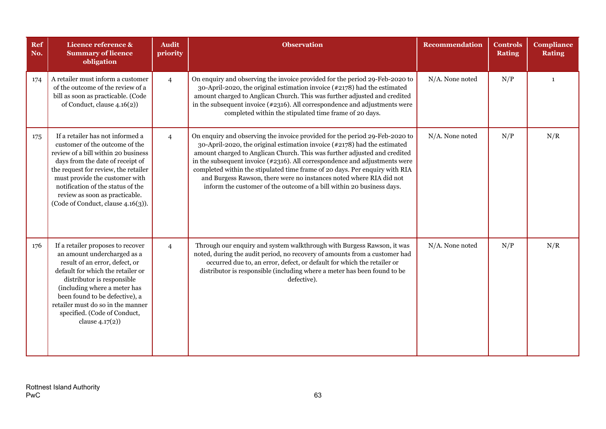| <b>Ref</b><br>No. | Licence reference &<br><b>Summary of licence</b><br>obligation                                                                                                                                                                                                                                                                       | <b>Audit</b><br>priority | <b>Observation</b>                                                                                                                                                                                                                                                                                                                                                                                                                                                                                                                                | Recommendation  | <b>Controls</b><br><b>Rating</b> | <b>Compliance</b><br><b>Rating</b> |
|-------------------|--------------------------------------------------------------------------------------------------------------------------------------------------------------------------------------------------------------------------------------------------------------------------------------------------------------------------------------|--------------------------|---------------------------------------------------------------------------------------------------------------------------------------------------------------------------------------------------------------------------------------------------------------------------------------------------------------------------------------------------------------------------------------------------------------------------------------------------------------------------------------------------------------------------------------------------|-----------------|----------------------------------|------------------------------------|
| 174               | A retailer must inform a customer<br>of the outcome of the review of a<br>bill as soon as practicable. (Code<br>of Conduct, clause 4.16(2))                                                                                                                                                                                          | $\overline{4}$           | On enquiry and observing the invoice provided for the period 29-Feb-2020 to<br>30-April-2020, the original estimation invoice $(\#2178)$ had the estimated<br>amount charged to Anglican Church. This was further adjusted and credited<br>in the subsequent invoice (#2316). All correspondence and adjustments were<br>completed within the stipulated time frame of 20 days.                                                                                                                                                                   | N/A. None noted | N/P                              | $\mathbf{1}$                       |
| 175               | If a retailer has not informed a<br>customer of the outcome of the<br>review of a bill within 20 business<br>days from the date of receipt of<br>the request for review, the retailer<br>must provide the customer with<br>notification of the status of the<br>review as soon as practicable.<br>(Code of Conduct, clause 4.16(3)). | $\overline{4}$           | On enquiry and observing the invoice provided for the period 29-Feb-2020 to<br>30-April-2020, the original estimation invoice (#2178) had the estimated<br>amount charged to Anglican Church. This was further adjusted and credited<br>in the subsequent invoice (#2316). All correspondence and adjustments were<br>completed within the stipulated time frame of 20 days. Per enquiry with RIA<br>and Burgess Rawson, there were no instances noted where RIA did not<br>inform the customer of the outcome of a bill within 20 business days. | N/A. None noted | N/P                              | N/R                                |
| 176               | If a retailer proposes to recover<br>an amount undercharged as a<br>result of an error, defect, or<br>default for which the retailer or<br>distributor is responsible<br>(including where a meter has<br>been found to be defective), a<br>retailer must do so in the manner<br>specified. (Code of Conduct,<br>clause $4.17(2)$ )   | $\overline{4}$           | Through our enquiry and system walkthrough with Burgess Rawson, it was<br>noted, during the audit period, no recovery of amounts from a customer had<br>occurred due to, an error, defect, or default for which the retailer or<br>distributor is responsible (including where a meter has been found to be<br>defective).                                                                                                                                                                                                                        | N/A. None noted | N/P                              | N/R                                |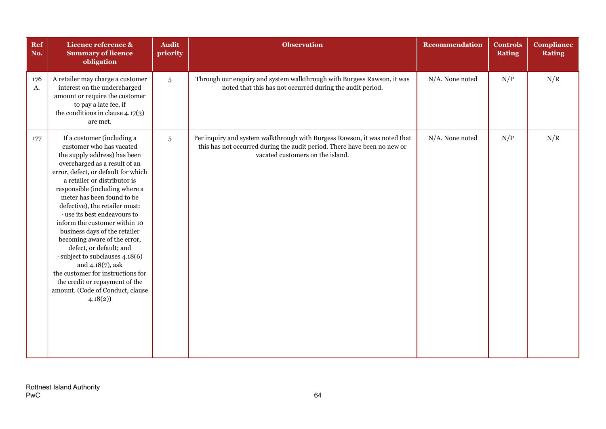| Ref<br>No. | Licence reference &<br><b>Summary of licence</b><br>obligation                                                                                                                                                                                                                                                                                                                                                                                                                                                                                                                                                                              | <b>Audit</b><br>priority | <b>Observation</b>                                                                                                                                                                        | <b>Recommendation</b> | <b>Controls</b><br><b>Rating</b> | <b>Compliance</b><br><b>Rating</b> |
|------------|---------------------------------------------------------------------------------------------------------------------------------------------------------------------------------------------------------------------------------------------------------------------------------------------------------------------------------------------------------------------------------------------------------------------------------------------------------------------------------------------------------------------------------------------------------------------------------------------------------------------------------------------|--------------------------|-------------------------------------------------------------------------------------------------------------------------------------------------------------------------------------------|-----------------------|----------------------------------|------------------------------------|
| 176<br>A.  | A retailer may charge a customer<br>interest on the undercharged<br>amount or require the customer<br>to pay a late fee, if<br>the conditions in clause $4.17(3)$<br>are met.                                                                                                                                                                                                                                                                                                                                                                                                                                                               | 5                        | Through our enquiry and system walkthrough with Burgess Rawson, it was<br>noted that this has not occurred during the audit period.                                                       | N/A. None noted       | N/P                              | N/R                                |
| 177        | If a customer (including a<br>customer who has vacated<br>the supply address) has been<br>overcharged as a result of an<br>error, defect, or default for which<br>a retailer or distributor is<br>responsible (including where a<br>meter has been found to be<br>defective), the retailer must:<br>use its best endeavours to<br>inform the customer within 10<br>business days of the retailer<br>becoming aware of the error,<br>defect, or default; and<br>· subject to subclauses 4.18(6)<br>and $4.18(7)$ , ask<br>the customer for instructions for<br>the credit or repayment of the<br>amount. (Code of Conduct, clause<br>4.18(2) | 5                        | Per inquiry and system walkthrough with Burgess Rawson, it was noted that<br>this has not occurred during the audit period. There have been no new or<br>vacated customers on the island. | N/A. None noted       | N/P                              | N/R                                |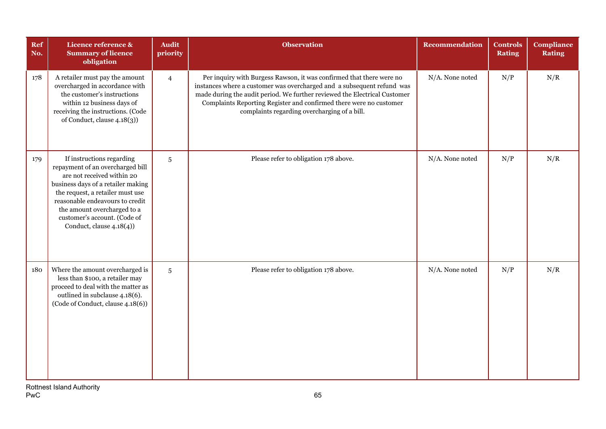| Ref<br>No. | Licence reference &<br><b>Summary of licence</b><br>obligation                                                                                                                                                                                                                                      | <b>Audit</b><br>priority | <b>Observation</b>                                                                                                                                                                                                                                                                                                                                | <b>Recommendation</b> | <b>Controls</b><br><b>Rating</b> | <b>Compliance</b><br><b>Rating</b> |
|------------|-----------------------------------------------------------------------------------------------------------------------------------------------------------------------------------------------------------------------------------------------------------------------------------------------------|--------------------------|---------------------------------------------------------------------------------------------------------------------------------------------------------------------------------------------------------------------------------------------------------------------------------------------------------------------------------------------------|-----------------------|----------------------------------|------------------------------------|
| 178        | A retailer must pay the amount<br>overcharged in accordance with<br>the customer's instructions<br>within 12 business days of<br>receiving the instructions. (Code<br>of Conduct, clause 4.18(3))                                                                                                   | $\overline{4}$           | Per inquiry with Burgess Rawson, it was confirmed that there were no<br>instances where a customer was overcharged and a subsequent refund was<br>made during the audit period. We further reviewed the Electrical Customer<br>Complaints Reporting Register and confirmed there were no customer<br>complaints regarding overcharging of a bill. | N/A. None noted       | N/P                              | N/R                                |
| 179        | If instructions regarding<br>repayment of an overcharged bill<br>are not received within 20<br>business days of a retailer making<br>the request, a retailer must use<br>reasonable endeavours to credit<br>the amount overcharged to a<br>customer's account. (Code of<br>Conduct, clause 4.18(4)) | $\overline{5}$           | Please refer to obligation 178 above.                                                                                                                                                                                                                                                                                                             | N/A. None noted       | N/P                              | N/R                                |
| 180        | Where the amount overcharged is<br>less than \$100, a retailer may<br>proceed to deal with the matter as<br>outlined in subclause 4.18(6).<br>(Code of Conduct, clause 4.18(6))                                                                                                                     | 5                        | Please refer to obligation 178 above.                                                                                                                                                                                                                                                                                                             | N/A. None noted       | N/P                              | N/R                                |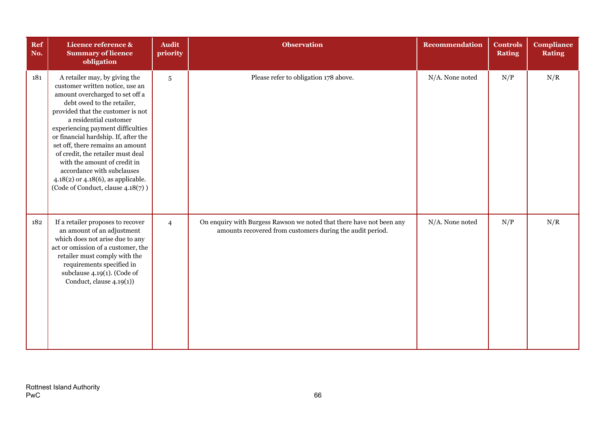| Ref<br>No. | Licence reference &<br><b>Summary of licence</b><br>obligation                                                                                                                                                                                                                                                                                                                                                                                                                                  | <b>Audit</b><br>priority | <b>Observation</b>                                                                                                                | <b>Recommendation</b> | <b>Controls</b><br><b>Rating</b> | <b>Compliance</b><br><b>Rating</b> |
|------------|-------------------------------------------------------------------------------------------------------------------------------------------------------------------------------------------------------------------------------------------------------------------------------------------------------------------------------------------------------------------------------------------------------------------------------------------------------------------------------------------------|--------------------------|-----------------------------------------------------------------------------------------------------------------------------------|-----------------------|----------------------------------|------------------------------------|
| 181        | A retailer may, by giving the<br>customer written notice, use an<br>amount overcharged to set off a<br>debt owed to the retailer,<br>provided that the customer is not<br>a residential customer<br>experiencing payment difficulties<br>or financial hardship. If, after the<br>set off, there remains an amount<br>of credit, the retailer must deal<br>with the amount of credit in<br>accordance with subclauses<br>4.18(2) or 4.18(6), as applicable.<br>(Code of Conduct, clause 4.18(7)) | $\sqrt{5}$               | Please refer to obligation 178 above.                                                                                             | N/A. None noted       | N/P                              | N/R                                |
| 182        | If a retailer proposes to recover<br>an amount of an adjustment<br>which does not arise due to any<br>act or omission of a customer, the<br>retailer must comply with the<br>requirements specified in<br>subclause $4.19(1)$ . (Code of<br>Conduct, clause $4.19(1)$ )                                                                                                                                                                                                                         | $\overline{4}$           | On enquiry with Burgess Rawson we noted that there have not been any<br>amounts recovered from customers during the audit period. | N/A. None noted       | N/P                              | N/R                                |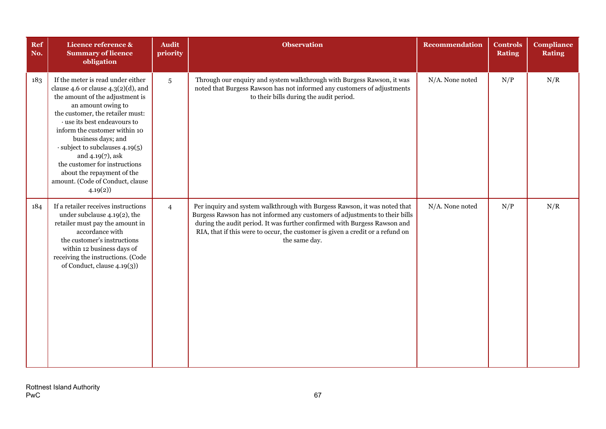| Ref<br>No. | Licence reference &<br><b>Summary of licence</b><br>obligation                                                                                                                                                                                                                                                                                                                                                                                | <b>Audit</b><br>priority | <b>Observation</b>                                                                                                                                                                                                                                                                                                                       | Recommendation  | <b>Controls</b><br><b>Rating</b> | <b>Compliance</b><br><b>Rating</b> |
|------------|-----------------------------------------------------------------------------------------------------------------------------------------------------------------------------------------------------------------------------------------------------------------------------------------------------------------------------------------------------------------------------------------------------------------------------------------------|--------------------------|------------------------------------------------------------------------------------------------------------------------------------------------------------------------------------------------------------------------------------------------------------------------------------------------------------------------------------------|-----------------|----------------------------------|------------------------------------|
| 183        | If the meter is read under either<br>clause 4.6 or clause $4.3(2)(d)$ , and<br>the amount of the adjustment is<br>an amount owing to<br>the customer, the retailer must:<br>· use its best endeavours to<br>inform the customer within 10<br>business days; and<br>$\cdot$ subject to subclauses 4.19(5)<br>and $4.19(7)$ , ask<br>the customer for instructions<br>about the repayment of the<br>amount. (Code of Conduct, clause<br>4.19(2) | $5\overline{)}$          | Through our enquiry and system walkthrough with Burgess Rawson, it was<br>noted that Burgess Rawson has not informed any customers of adjustments<br>to their bills during the audit period.                                                                                                                                             | N/A. None noted | N/P                              | N/R                                |
| 184        | If a retailer receives instructions<br>under subclause 4.19(2), the<br>retailer must pay the amount in<br>accordance with<br>the customer's instructions<br>within 12 business days of<br>receiving the instructions. (Code<br>of Conduct, clause 4.19(3))                                                                                                                                                                                    | $\overline{4}$           | Per inquiry and system walkthrough with Burgess Rawson, it was noted that<br>Burgess Rawson has not informed any customers of adjustments to their bills<br>during the audit period. It was further confirmed with Burgess Rawson and<br>RIA, that if this were to occur, the customer is given a credit or a refund on<br>the same day. | N/A. None noted | N/P                              | N/R                                |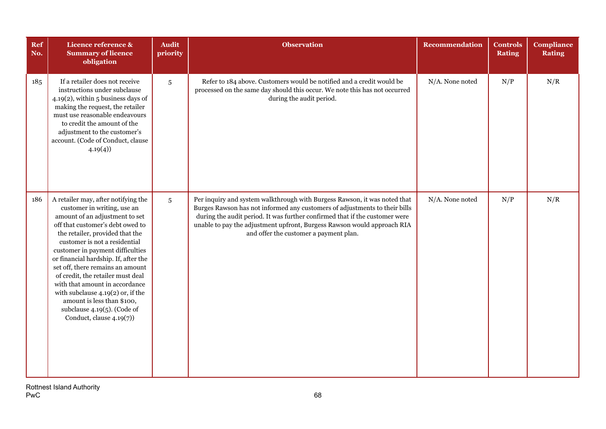| <b>Ref</b><br>No. | Licence reference &<br><b>Summary of licence</b><br>obligation                                                                                                                                                                                                                                                                                                                                                                                                                                                                            | <b>Audit</b><br>priority | <b>Observation</b>                                                                                                                                                                                                                                                                                                                                          | Recommendation  | <b>Controls</b><br><b>Rating</b> | <b>Compliance</b><br><b>Rating</b> |
|-------------------|-------------------------------------------------------------------------------------------------------------------------------------------------------------------------------------------------------------------------------------------------------------------------------------------------------------------------------------------------------------------------------------------------------------------------------------------------------------------------------------------------------------------------------------------|--------------------------|-------------------------------------------------------------------------------------------------------------------------------------------------------------------------------------------------------------------------------------------------------------------------------------------------------------------------------------------------------------|-----------------|----------------------------------|------------------------------------|
| 185               | If a retailer does not receive<br>instructions under subclause<br>$4.19(2)$ , within 5 business days of<br>making the request, the retailer<br>must use reasonable endeavours<br>to credit the amount of the<br>adjustment to the customer's<br>account. (Code of Conduct, clause<br>4.19(4)                                                                                                                                                                                                                                              | $5\phantom{.0}$          | Refer to 184 above. Customers would be notified and a credit would be<br>processed on the same day should this occur. We note this has not occurred<br>during the audit period.                                                                                                                                                                             | N/A. None noted | N/P                              | N/R                                |
| 186               | A retailer may, after notifying the<br>customer in writing, use an<br>amount of an adjustment to set<br>off that customer's debt owed to<br>the retailer, provided that the<br>customer is not a residential<br>customer in payment difficulties<br>or financial hardship. If, after the<br>set off, there remains an amount<br>of credit, the retailer must deal<br>with that amount in accordance<br>with subclause $4.19(2)$ or, if the<br>amount is less than \$100,<br>subclause $4.19(5)$ . (Code of<br>Conduct, clause $4.19(7)$ ) | $5\phantom{.0}$          | Per inquiry and system walkthrough with Burgess Rawson, it was noted that<br>Burges Rawson has not informed any customers of adjustments to their bills<br>during the audit period. It was further confirmed that if the customer were<br>unable to pay the adjustment upfront, Burgess Rawson would approach RIA<br>and offer the customer a payment plan. | N/A. None noted | N/P                              | N/R                                |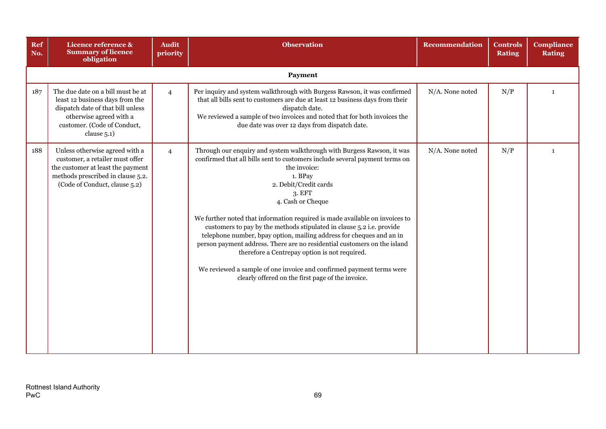| Ref<br>No. | Licence reference &<br><b>Summary of licence</b><br>obligation                                                                                                                     | <b>Audit</b><br>priority | <b>Observation</b>                                                                                                                                                                                                                                                                                                                                                                                                                                                                                                                                                                                                                                                                                                                 | Recommendation  | <b>Controls</b><br><b>Rating</b> | <b>Compliance</b><br><b>Rating</b> |  |  |  |  |
|------------|------------------------------------------------------------------------------------------------------------------------------------------------------------------------------------|--------------------------|------------------------------------------------------------------------------------------------------------------------------------------------------------------------------------------------------------------------------------------------------------------------------------------------------------------------------------------------------------------------------------------------------------------------------------------------------------------------------------------------------------------------------------------------------------------------------------------------------------------------------------------------------------------------------------------------------------------------------------|-----------------|----------------------------------|------------------------------------|--|--|--|--|
|            | Payment                                                                                                                                                                            |                          |                                                                                                                                                                                                                                                                                                                                                                                                                                                                                                                                                                                                                                                                                                                                    |                 |                                  |                                    |  |  |  |  |
| 187        | The due date on a bill must be at<br>least 12 business days from the<br>dispatch date of that bill unless<br>otherwise agreed with a<br>customer. (Code of Conduct,<br>clause 5.1) | $\overline{4}$           | Per inquiry and system walkthrough with Burgess Rawson, it was confirmed<br>that all bills sent to customers are due at least 12 business days from their<br>dispatch date.<br>We reviewed a sample of two invoices and noted that for both invoices the<br>due date was over 12 days from dispatch date.                                                                                                                                                                                                                                                                                                                                                                                                                          | N/A. None noted | N/P                              | $\mathbf{1}$                       |  |  |  |  |
| 188        | Unless otherwise agreed with a<br>customer, a retailer must offer<br>the customer at least the payment<br>methods prescribed in clause 5.2.<br>(Code of Conduct, clause 5.2)       | $\overline{4}$           | Through our enquiry and system walkthrough with Burgess Rawson, it was<br>confirmed that all bills sent to customers include several payment terms on<br>the invoice:<br>1. BPay<br>2. Debit/Credit cards<br>3. EFT<br>4. Cash or Cheque<br>We further noted that information required is made available on invoices to<br>customers to pay by the methods stipulated in clause 5.2 i.e. provide<br>telephone number, bpay option, mailing address for cheques and an in<br>person payment address. There are no residential customers on the island<br>therefore a Centrepay option is not required.<br>We reviewed a sample of one invoice and confirmed payment terms were<br>clearly offered on the first page of the invoice. | N/A. None noted | N/P                              | $\mathbf{1}$                       |  |  |  |  |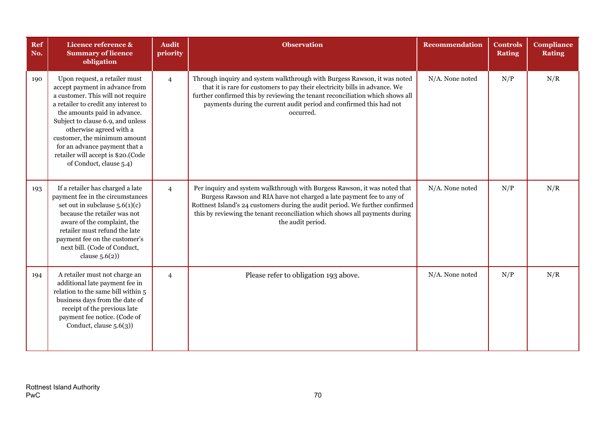| Ref<br>No. | Licence reference &<br><b>Summary of licence</b><br>obligation                                                                                                                                                                                                                                                                                                                 | <b>Audit</b><br>priority | <b>Observation</b>                                                                                                                                                                                                                                                                                                                    | <b>Recommendation</b> | <b>Controls</b><br><b>Rating</b> | <b>Compliance</b><br><b>Rating</b> |
|------------|--------------------------------------------------------------------------------------------------------------------------------------------------------------------------------------------------------------------------------------------------------------------------------------------------------------------------------------------------------------------------------|--------------------------|---------------------------------------------------------------------------------------------------------------------------------------------------------------------------------------------------------------------------------------------------------------------------------------------------------------------------------------|-----------------------|----------------------------------|------------------------------------|
| 190        | Upon request, a retailer must<br>accept payment in advance from<br>a customer. This will not require<br>a retailer to credit any interest to<br>the amounts paid in advance.<br>Subject to clause 6.9, and unless<br>otherwise agreed with a<br>customer, the minimum amount<br>for an advance payment that a<br>retailer will accept is \$20.(Code<br>of Conduct, clause 5.4) | $\overline{4}$           | Through inquiry and system walkthrough with Burgess Rawson, it was noted<br>that it is rare for customers to pay their electricity bills in advance. We<br>further confirmed this by reviewing the tenant reconciliation which shows all<br>payments during the current audit period and confirmed this had not<br>occurred.          | N/A. None noted       | N/P                              | N/R                                |
| 193        | If a retailer has charged a late<br>payment fee in the circumstances<br>set out in subclause $5.6(1)(c)$<br>because the retailer was not<br>aware of the complaint, the<br>retailer must refund the late<br>payment fee on the customer's<br>next bill. (Code of Conduct,<br>clause $5.6(2)$                                                                                   | $\overline{4}$           | Per inquiry and system walkthrough with Burgess Rawson, it was noted that<br>Burgess Rawson and RIA have not charged a late payment fee to any of<br>Rottnest Island's 24 customers during the audit period. We further confirmed<br>this by reviewing the tenant reconciliation which shows all payments during<br>the audit period. | N/A. None noted       | N/P                              | N/R                                |
| 194        | A retailer must not charge an<br>additional late payment fee in<br>relation to the same bill within 5<br>business days from the date of<br>receipt of the previous late<br>payment fee notice. (Code of<br>Conduct, clause 5.6(3))                                                                                                                                             | $\overline{4}$           | Please refer to obligation 193 above.                                                                                                                                                                                                                                                                                                 | N/A. None noted       | N/P                              | N/R                                |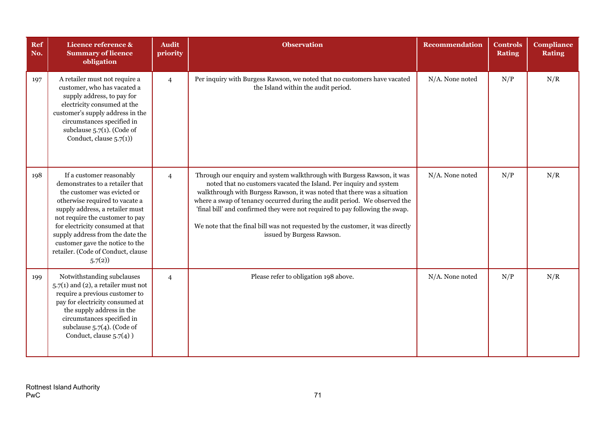| Ref<br>No. | Licence reference &<br><b>Summary of licence</b><br>obligation                                                                                                                                                                                                                                                                                                | <b>Audit</b><br>priority | <b>Observation</b>                                                                                                                                                                                                                                                                                                                                                                                                                                                                                   | <b>Recommendation</b> | <b>Controls</b><br><b>Rating</b> | <b>Compliance</b><br><b>Rating</b> |
|------------|---------------------------------------------------------------------------------------------------------------------------------------------------------------------------------------------------------------------------------------------------------------------------------------------------------------------------------------------------------------|--------------------------|------------------------------------------------------------------------------------------------------------------------------------------------------------------------------------------------------------------------------------------------------------------------------------------------------------------------------------------------------------------------------------------------------------------------------------------------------------------------------------------------------|-----------------------|----------------------------------|------------------------------------|
| 197        | A retailer must not require a<br>customer, who has vacated a<br>supply address, to pay for<br>electricity consumed at the<br>customer's supply address in the<br>circumstances specified in<br>subclause $5.7(1)$ . (Code of<br>Conduct, clause $5.7(1)$ )                                                                                                    | $\overline{4}$           | Per inquiry with Burgess Rawson, we noted that no customers have vacated<br>the Island within the audit period.                                                                                                                                                                                                                                                                                                                                                                                      | N/A. None noted       | N/P                              | N/R                                |
| 198        | If a customer reasonably<br>demonstrates to a retailer that<br>the customer was evicted or<br>otherwise required to vacate a<br>supply address, a retailer must<br>not require the customer to pay<br>for electricity consumed at that<br>supply address from the date the<br>customer gave the notice to the<br>retailer. (Code of Conduct, clause<br>5.7(2) | $\overline{4}$           | Through our enquiry and system walkthrough with Burgess Rawson, it was<br>noted that no customers vacated the Island. Per inquiry and system<br>walkthrough with Burgess Rawson, it was noted that there was a situation<br>where a swap of tenancy occurred during the audit period. We observed the<br>'final bill' and confirmed they were not required to pay following the swap.<br>We note that the final bill was not requested by the customer, it was directly<br>issued by Burgess Rawson. | N/A. None noted       | N/P                              | N/R                                |
| 199        | Notwithstanding subclauses<br>$5.7(1)$ and (2), a retailer must not<br>require a previous customer to<br>pay for electricity consumed at<br>the supply address in the<br>circumstances specified in<br>subclause $5.7(4)$ . (Code of<br>Conduct, clause $5.7(4)$ )                                                                                            | $\overline{4}$           | Please refer to obligation 198 above.                                                                                                                                                                                                                                                                                                                                                                                                                                                                | N/A. None noted       | N/P                              | N/R                                |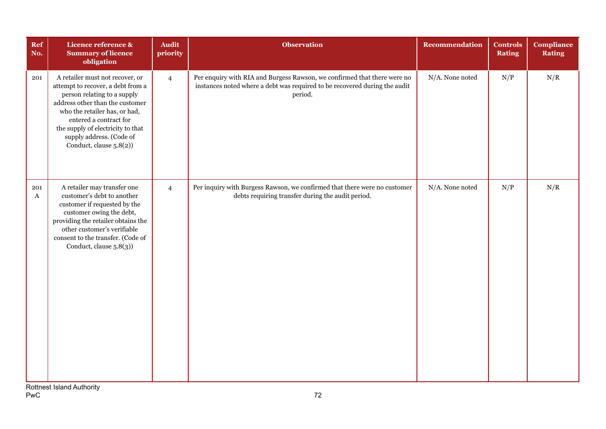| Ref<br>No.      | Licence reference &<br><b>Summary of licence</b><br>obligation                                                                                                                                                                                                                                | <b>Audit</b><br>priority | <b>Observation</b>                                                                                                                                                | <b>Recommendation</b> | <b>Controls</b><br><b>Rating</b> | <b>Compliance</b><br><b>Rating</b> |
|-----------------|-----------------------------------------------------------------------------------------------------------------------------------------------------------------------------------------------------------------------------------------------------------------------------------------------|--------------------------|-------------------------------------------------------------------------------------------------------------------------------------------------------------------|-----------------------|----------------------------------|------------------------------------|
| 201             | A retailer must not recover, or<br>attempt to recover, a debt from a<br>person relating to a supply<br>address other than the customer<br>who the retailer has, or had,<br>entered a contract for<br>the supply of electricity to that<br>supply address. (Code of<br>Conduct, clause 5.8(2)) | $\overline{4}$           | Per enquiry with RIA and Burgess Rawson, we confirmed that there were no<br>instances noted where a debt was required to be recovered during the audit<br>period. | N/A. None noted       | N/P                              | N/R                                |
| 201<br>$\bf{A}$ | A retailer may transfer one<br>customer's debt to another<br>customer if requested by the<br>customer owing the debt,<br>providing the retailer obtains the<br>other customer's verifiable<br>consent to the transfer. (Code of<br>Conduct, clause 5.8(3))                                    | $\overline{4}$           | Per inquiry with Burgess Rawson, we confirmed that there were no customer<br>debts requiring transfer during the audit period.                                    | N/A. None noted       | N/P                              | N/R                                |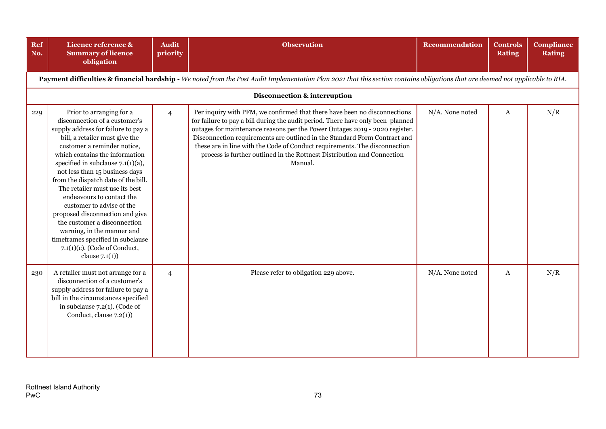| Ref<br>No. | Licence reference &<br><b>Summary of licence</b><br>obligation                                                                                                                                                                                                                                                                                                                                                                                                                                                                                                                                            | <b>Audit</b><br>priority | <b>Observation</b>                                                                                                                                                                                                                                                                                                                                                                                                                                                                           | <b>Recommendation</b> | <b>Controls</b><br><b>Rating</b> | <b>Compliance</b><br><b>Rating</b> |  |  |  |  |  |
|------------|-----------------------------------------------------------------------------------------------------------------------------------------------------------------------------------------------------------------------------------------------------------------------------------------------------------------------------------------------------------------------------------------------------------------------------------------------------------------------------------------------------------------------------------------------------------------------------------------------------------|--------------------------|----------------------------------------------------------------------------------------------------------------------------------------------------------------------------------------------------------------------------------------------------------------------------------------------------------------------------------------------------------------------------------------------------------------------------------------------------------------------------------------------|-----------------------|----------------------------------|------------------------------------|--|--|--|--|--|
|            | Payment difficulties & financial hardship - We noted from the Post Audit Implementation Plan 2021 that this section contains obligations that are deemed not applicable to RIA.                                                                                                                                                                                                                                                                                                                                                                                                                           |                          |                                                                                                                                                                                                                                                                                                                                                                                                                                                                                              |                       |                                  |                                    |  |  |  |  |  |
|            | Disconnection & interruption                                                                                                                                                                                                                                                                                                                                                                                                                                                                                                                                                                              |                          |                                                                                                                                                                                                                                                                                                                                                                                                                                                                                              |                       |                                  |                                    |  |  |  |  |  |
| 229        | Prior to arranging for a<br>disconnection of a customer's<br>supply address for failure to pay a<br>bill, a retailer must give the<br>customer a reminder notice,<br>which contains the information<br>specified in subclause $7.1(1)(a)$ ,<br>not less than 15 business days<br>from the dispatch date of the bill.<br>The retailer must use its best<br>endeavours to contact the<br>customer to advise of the<br>proposed disconnection and give<br>the customer a disconnection<br>warning, in the manner and<br>timeframes specified in subclause<br>7.1(1)(c). (Code of Conduct,<br>clause $7.1(1)$ | $\overline{4}$           | Per inquiry with PFM, we confirmed that there have been no disconnections<br>for failure to pay a bill during the audit period. There have only been planned<br>outages for maintenance reasons per the Power Outages 2019 - 2020 register.<br>Disconnection requirements are outlined in the Standard Form Contract and<br>these are in line with the Code of Conduct requirements. The disconnection<br>process is further outlined in the Rottnest Distribution and Connection<br>Manual. | N/A. None noted       | Α                                | N/R                                |  |  |  |  |  |
| 230        | A retailer must not arrange for a<br>disconnection of a customer's<br>supply address for failure to pay a<br>bill in the circumstances specified<br>in subclause $7.2(1)$ . (Code of<br>Conduct, clause $7.2(1)$ )                                                                                                                                                                                                                                                                                                                                                                                        | $\overline{4}$           | Please refer to obligation 229 above.                                                                                                                                                                                                                                                                                                                                                                                                                                                        | $N/A$ . None noted    | A                                | N/R                                |  |  |  |  |  |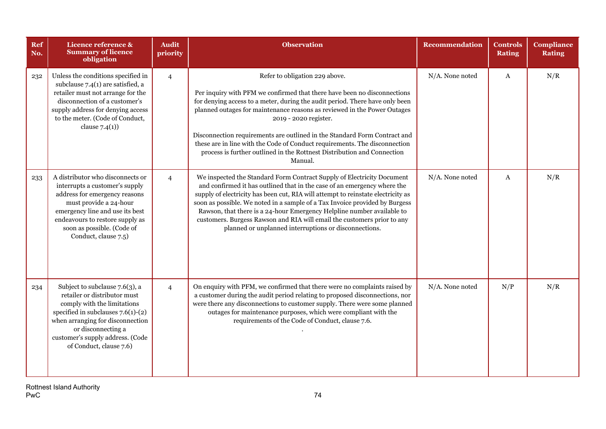| <b>Ref</b><br>No. | Licence reference &<br><b>Summary of licence</b><br>obligation                                                                                                                                                                                                 | <b>Audit</b><br>priority | <b>Observation</b>                                                                                                                                                                                                                                                                                                                                                                                                                                                                                                                               | Recommendation  | <b>Controls</b><br><b>Rating</b> | <b>Compliance</b><br><b>Rating</b> |
|-------------------|----------------------------------------------------------------------------------------------------------------------------------------------------------------------------------------------------------------------------------------------------------------|--------------------------|--------------------------------------------------------------------------------------------------------------------------------------------------------------------------------------------------------------------------------------------------------------------------------------------------------------------------------------------------------------------------------------------------------------------------------------------------------------------------------------------------------------------------------------------------|-----------------|----------------------------------|------------------------------------|
| 232               | Unless the conditions specified in<br>subclause $7.4(1)$ are satisfied, a<br>retailer must not arrange for the<br>disconnection of a customer's<br>supply address for denying access<br>to the meter. (Code of Conduct,<br>clause $7.4(1)$ )                   | $\overline{4}$           | Refer to obligation 229 above.<br>Per inquiry with PFM we confirmed that there have been no disconnections<br>for denying access to a meter, during the audit period. There have only been<br>planned outages for maintenance reasons as reviewed in the Power Outages<br>2019 - 2020 register.<br>Disconnection requirements are outlined in the Standard Form Contract and<br>these are in line with the Code of Conduct requirements. The disconnection<br>process is further outlined in the Rottnest Distribution and Connection<br>Manual. | N/A. None noted | $\mathbf{A}$                     | N/R                                |
| 233               | A distributor who disconnects or<br>interrupts a customer's supply<br>address for emergency reasons<br>must provide a 24-hour<br>emergency line and use its best<br>endeavours to restore supply as<br>soon as possible. (Code of<br>Conduct, clause 7.5)      | $\overline{4}$           | We inspected the Standard Form Contract Supply of Electricity Document<br>and confirmed it has outlined that in the case of an emergency where the<br>supply of electricity has been cut, RIA will attempt to reinstate electricity as<br>soon as possible. We noted in a sample of a Tax Invoice provided by Burgess<br>Rawson, that there is a 24-hour Emergency Helpline number available to<br>customers. Burgess Rawson and RIA will email the customers prior to any<br>planned or unplanned interruptions or disconnections.              | N/A. None noted | $\mathbf{A}$                     | N/R                                |
| 234               | Subject to subclause 7.6(3), a<br>retailer or distributor must<br>comply with the limitations<br>specified in subclauses $7.6(1)-(2)$<br>when arranging for disconnection<br>or disconnecting a<br>customer's supply address. (Code<br>of Conduct, clause 7.6) | $\overline{4}$           | On enquiry with PFM, we confirmed that there were no complaints raised by<br>a customer during the audit period relating to proposed disconnections, nor<br>were there any disconnections to customer supply. There were some planned<br>outages for maintenance purposes, which were compliant with the<br>requirements of the Code of Conduct, clause 7.6.                                                                                                                                                                                     | N/A. None noted | N/P                              | N/R                                |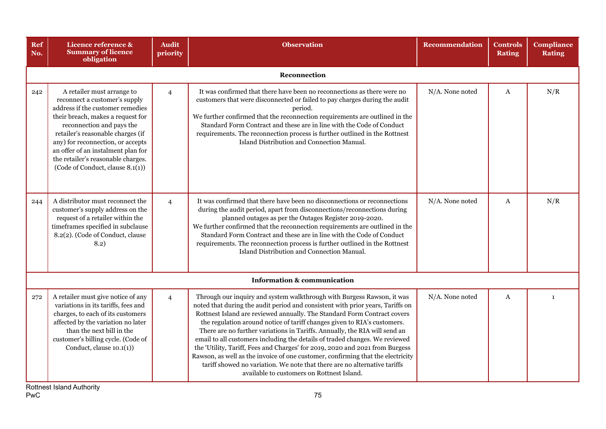| <b>Ref</b><br>No. | Licence reference &<br><b>Summary of licence</b><br>obligation                                                                                                                                                                                                                                                                                              | <b>Audit</b><br>priority | <b>Observation</b>                                                                                                                                                                                                                                                                                                                                                                                                                                                                                                                                                                                                                                                                                                                                                          | <b>Recommendation</b> | <b>Controls</b><br><b>Rating</b> | <b>Compliance</b><br><b>Rating</b> |  |  |  |  |  |
|-------------------|-------------------------------------------------------------------------------------------------------------------------------------------------------------------------------------------------------------------------------------------------------------------------------------------------------------------------------------------------------------|--------------------------|-----------------------------------------------------------------------------------------------------------------------------------------------------------------------------------------------------------------------------------------------------------------------------------------------------------------------------------------------------------------------------------------------------------------------------------------------------------------------------------------------------------------------------------------------------------------------------------------------------------------------------------------------------------------------------------------------------------------------------------------------------------------------------|-----------------------|----------------------------------|------------------------------------|--|--|--|--|--|
|                   | Reconnection                                                                                                                                                                                                                                                                                                                                                |                          |                                                                                                                                                                                                                                                                                                                                                                                                                                                                                                                                                                                                                                                                                                                                                                             |                       |                                  |                                    |  |  |  |  |  |
| 242               | A retailer must arrange to<br>reconnect a customer's supply<br>address if the customer remedies<br>their breach, makes a request for<br>reconnection and pays the<br>retailer's reasonable charges (if<br>any) for reconnection, or accepts<br>an offer of an instalment plan for<br>the retailer's reasonable charges.<br>(Code of Conduct, clause 8.1(1)) | $\overline{4}$           | It was confirmed that there have been no reconnections as there were no<br>customers that were disconnected or failed to pay charges during the audit<br>period.<br>We further confirmed that the reconnection requirements are outlined in the<br>Standard Form Contract and these are in line with the Code of Conduct<br>requirements. The reconnection process is further outlined in the Rottnest<br>Island Distribution and Connection Manual.                                                                                                                                                                                                                                                                                                                        | N/A. None noted       | A                                | N/R                                |  |  |  |  |  |
| 244               | A distributor must reconnect the<br>customer's supply address on the<br>request of a retailer within the<br>timeframes specified in subclause<br>8.2(2). (Code of Conduct, clause<br>8.2)                                                                                                                                                                   | $\overline{4}$           | It was confirmed that there have been no disconnections or reconnections<br>during the audit period, apart from disconnections/reconnections during<br>planned outages as per the Outages Register 2019-2020.<br>We further confirmed that the reconnection requirements are outlined in the<br>Standard Form Contract and these are in line with the Code of Conduct<br>requirements. The reconnection process is further outlined in the Rottnest<br>Island Distribution and Connection Manual.                                                                                                                                                                                                                                                                           | N/A. None noted       | A                                | N/R                                |  |  |  |  |  |
|                   |                                                                                                                                                                                                                                                                                                                                                             |                          | <b>Information &amp; communication</b>                                                                                                                                                                                                                                                                                                                                                                                                                                                                                                                                                                                                                                                                                                                                      |                       |                                  |                                    |  |  |  |  |  |
| 272               | A retailer must give notice of any<br>variations in its tariffs, fees and<br>charges, to each of its customers<br>affected by the variation no later<br>than the next bill in the<br>customer's billing cycle. (Code of<br>Conduct, clause $10.1(1)$                                                                                                        | $\overline{4}$           | Through our inquiry and system walkthrough with Burgess Rawson, it was<br>noted that during the audit period and consistent with prior years, Tariffs on<br>Rottnest Island are reviewed annually. The Standard Form Contract covers<br>the regulation around notice of tariff changes given to RIA's customers.<br>There are no further variations in Tariffs. Annually, the RIA will send an<br>email to all customers including the details of traded changes. We reviewed<br>the 'Utility, Tariff, Fees and Charges' for 2019, 2020 and 2021 from Burgess<br>Rawson, as well as the invoice of one customer, confirming that the electricity<br>tariff showed no variation. We note that there are no alternative tariffs<br>available to customers on Rottnest Island. | N/A. None noted       | A                                | $\mathbf{1}$                       |  |  |  |  |  |

Rottnest Island Authority PwC 75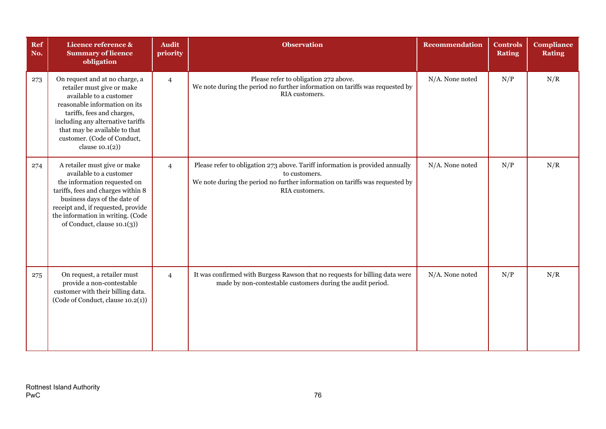| Ref<br>No. | Licence reference &<br><b>Summary of licence</b><br>obligation                                                                                                                                                                                                                    | <b>Audit</b><br>priority | <b>Observation</b>                                                                                                                                                                               | <b>Recommendation</b> | <b>Controls</b><br><b>Rating</b> | <b>Compliance</b><br><b>Rating</b> |
|------------|-----------------------------------------------------------------------------------------------------------------------------------------------------------------------------------------------------------------------------------------------------------------------------------|--------------------------|--------------------------------------------------------------------------------------------------------------------------------------------------------------------------------------------------|-----------------------|----------------------------------|------------------------------------|
| 273        | On request and at no charge, a<br>retailer must give or make<br>available to a customer<br>reasonable information on its<br>tariffs, fees and charges,<br>including any alternative tariffs<br>that may be available to that<br>customer. (Code of Conduct,<br>clause $10.1(2)$ ) | $\overline{4}$           | Please refer to obligation 272 above.<br>We note during the period no further information on tariffs was requested by<br>RIA customers.                                                          | N/A. None noted       | N/P                              | N/R                                |
| 274        | A retailer must give or make<br>available to a customer<br>the information requested on<br>tariffs, fees and charges within 8<br>business days of the date of<br>receipt and, if requested, provide<br>the information in writing. (Code<br>of Conduct, clause 10.1(3))           | $\overline{4}$           | Please refer to obligation 273 above. Tariff information is provided annually<br>to customers.<br>We note during the period no further information on tariffs was requested by<br>RIA customers. | N/A. None noted       | N/P                              | N/R                                |
| 275        | On request, a retailer must<br>provide a non-contestable<br>customer with their billing data.<br>(Code of Conduct, clause 10.2(1))                                                                                                                                                | $\overline{4}$           | It was confirmed with Burgess Rawson that no requests for billing data were<br>made by non-contestable customers during the audit period.                                                        | N/A. None noted       | N/P                              | N/R                                |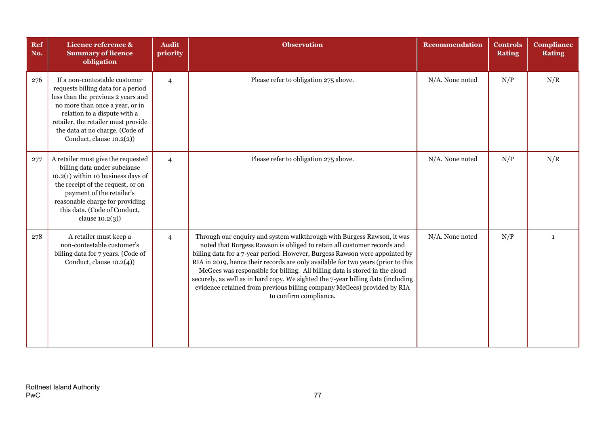| Ref<br>No. | Licence reference &<br><b>Summary of licence</b><br>obligation                                                                                                                                                                                                                     | <b>Audit</b><br>priority | <b>Observation</b>                                                                                                                                                                                                                                                                                                                                                                                                                                                                                                                                                                           | Recommendation     | <b>Controls</b><br><b>Rating</b> | <b>Compliance</b><br><b>Rating</b> |
|------------|------------------------------------------------------------------------------------------------------------------------------------------------------------------------------------------------------------------------------------------------------------------------------------|--------------------------|----------------------------------------------------------------------------------------------------------------------------------------------------------------------------------------------------------------------------------------------------------------------------------------------------------------------------------------------------------------------------------------------------------------------------------------------------------------------------------------------------------------------------------------------------------------------------------------------|--------------------|----------------------------------|------------------------------------|
| 276        | If a non-contestable customer<br>requests billing data for a period<br>less than the previous 2 years and<br>no more than once a year, or in<br>relation to a dispute with a<br>retailer, the retailer must provide<br>the data at no charge. (Code of<br>Conduct, clause 10.2(2)) | $\overline{4}$           | Please refer to obligation 275 above.                                                                                                                                                                                                                                                                                                                                                                                                                                                                                                                                                        | $N/A$ . None noted | N/P                              | N/R                                |
| 277        | A retailer must give the requested<br>billing data under subclause<br>$10.2(1)$ within 10 business days of<br>the receipt of the request, or on<br>payment of the retailer's<br>reasonable charge for providing<br>this data. (Code of Conduct,<br>clause $10.2(3)$ )              | $\overline{4}$           | Please refer to obligation 275 above.                                                                                                                                                                                                                                                                                                                                                                                                                                                                                                                                                        | N/A. None noted    | N/P                              | N/R                                |
| 278        | A retailer must keep a<br>non-contestable customer's<br>billing data for 7 years. (Code of<br>Conduct, clause $10.2(4)$ )                                                                                                                                                          | $\overline{4}$           | Through our enquiry and system walkthrough with Burgess Rawson, it was<br>noted that Burgess Rawson is obliged to retain all customer records and<br>billing data for a 7-year period. However, Burgess Rawson were appointed by<br>RIA in 2019, hence their records are only available for two years (prior to this<br>McGees was responsible for billing. All billing data is stored in the cloud<br>securely, as well as in hard copy. We sighted the 7-year billing data (including<br>evidence retained from previous billing company McGees) provided by RIA<br>to confirm compliance. | N/A. None noted    | N/P                              | $\mathbf{1}$                       |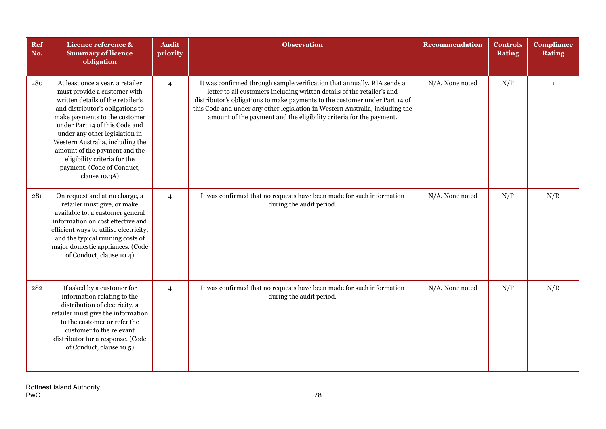| Ref<br>No. | Licence reference &<br><b>Summary of licence</b><br>obligation                                                                                                                                                                                                                                                                                                                                     | <b>Audit</b><br>priority | <b>Observation</b>                                                                                                                                                                                                                                                                                                                                                                        | Recommendation  | <b>Controls</b><br><b>Rating</b> | <b>Compliance</b><br><b>Rating</b> |
|------------|----------------------------------------------------------------------------------------------------------------------------------------------------------------------------------------------------------------------------------------------------------------------------------------------------------------------------------------------------------------------------------------------------|--------------------------|-------------------------------------------------------------------------------------------------------------------------------------------------------------------------------------------------------------------------------------------------------------------------------------------------------------------------------------------------------------------------------------------|-----------------|----------------------------------|------------------------------------|
| 280        | At least once a year, a retailer<br>must provide a customer with<br>written details of the retailer's<br>and distributor's obligations to<br>make payments to the customer<br>under Part 14 of this Code and<br>under any other legislation in<br>Western Australia, including the<br>amount of the payment and the<br>eligibility criteria for the<br>payment. (Code of Conduct,<br>clause 10.3A) | $\overline{4}$           | It was confirmed through sample verification that annually, RIA sends a<br>letter to all customers including written details of the retailer's and<br>distributor's obligations to make payments to the customer under Part 14 of<br>this Code and under any other legislation in Western Australia, including the<br>amount of the payment and the eligibility criteria for the payment. | N/A. None noted | N/P                              | $\mathbf{1}$                       |
| 281        | On request and at no charge, a<br>retailer must give, or make<br>available to, a customer general<br>information on cost effective and<br>efficient ways to utilise electricity;<br>and the typical running costs of<br>major domestic appliances. (Code<br>of Conduct, clause 10.4)                                                                                                               | $\overline{4}$           | It was confirmed that no requests have been made for such information<br>during the audit period.                                                                                                                                                                                                                                                                                         | N/A. None noted | N/P                              | N/R                                |
| 282        | If asked by a customer for<br>information relating to the<br>distribution of electricity, a<br>retailer must give the information<br>to the customer or refer the<br>customer to the relevant<br>distributor for a response. (Code<br>of Conduct, clause 10.5)                                                                                                                                     | $\overline{4}$           | It was confirmed that no requests have been made for such information<br>during the audit period.                                                                                                                                                                                                                                                                                         | N/A. None noted | N/P                              | N/R                                |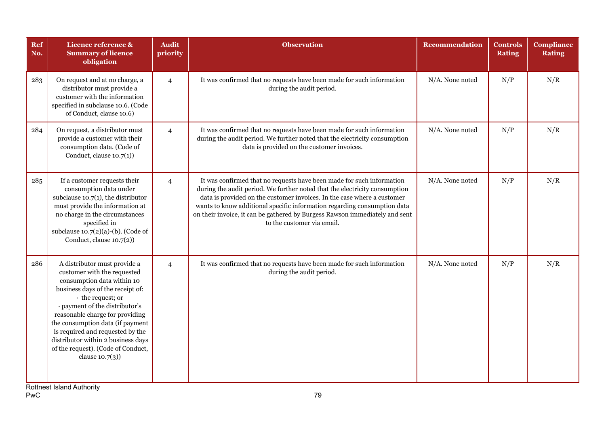| Ref<br>No. | Licence reference &<br><b>Summary of licence</b><br>obligation                                                                                                                                                                                                                                                                                                                                  | <b>Audit</b><br>priority | <b>Observation</b>                                                                                                                                                                                                                                                                                                                                                                                                      | <b>Recommendation</b> | Controls<br><b>Rating</b> | <b>Compliance</b><br><b>Rating</b> |
|------------|-------------------------------------------------------------------------------------------------------------------------------------------------------------------------------------------------------------------------------------------------------------------------------------------------------------------------------------------------------------------------------------------------|--------------------------|-------------------------------------------------------------------------------------------------------------------------------------------------------------------------------------------------------------------------------------------------------------------------------------------------------------------------------------------------------------------------------------------------------------------------|-----------------------|---------------------------|------------------------------------|
| 283        | On request and at no charge, a<br>distributor must provide a<br>customer with the information<br>specified in subclause 10.6. (Code<br>of Conduct, clause 10.6)                                                                                                                                                                                                                                 | $\overline{4}$           | It was confirmed that no requests have been made for such information<br>during the audit period.                                                                                                                                                                                                                                                                                                                       | $N/A$ . None noted    | N/P                       | N/R                                |
| 284        | On request, a distributor must<br>provide a customer with their<br>consumption data. (Code of<br>Conduct, clause $10.7(1)$ )                                                                                                                                                                                                                                                                    | $\overline{4}$           | It was confirmed that no requests have been made for such information<br>during the audit period. We further noted that the electricity consumption<br>data is provided on the customer invoices.                                                                                                                                                                                                                       | N/A. None noted       | N/P                       | N/R                                |
| 285        | If a customer requests their<br>consumption data under<br>subclause $10.7(1)$ , the distributor<br>must provide the information at<br>no charge in the circumstances<br>specified in<br>subclause $10.7(2)(a)-(b)$ . (Code of<br>Conduct, clause $10.7(2)$ )                                                                                                                                    | $\overline{4}$           | It was confirmed that no requests have been made for such information<br>during the audit period. We further noted that the electricity consumption<br>data is provided on the customer invoices. In the case where a customer<br>wants to know additional specific information regarding consumption data<br>on their invoice, it can be gathered by Burgess Rawson immediately and sent<br>to the customer via email. | N/A. None noted       | N/P                       | N/R                                |
| 286        | A distributor must provide a<br>customer with the requested<br>consumption data within 10<br>business days of the receipt of:<br>• the request; or<br>· payment of the distributor's<br>reasonable charge for providing<br>the consumption data (if payment<br>is required and requested by the<br>distributor within 2 business days<br>of the request). (Code of Conduct,<br>clause $10.7(3)$ | $\overline{4}$           | It was confirmed that no requests have been made for such information<br>during the audit period.                                                                                                                                                                                                                                                                                                                       | N/A. None noted       | N/P                       | N/R                                |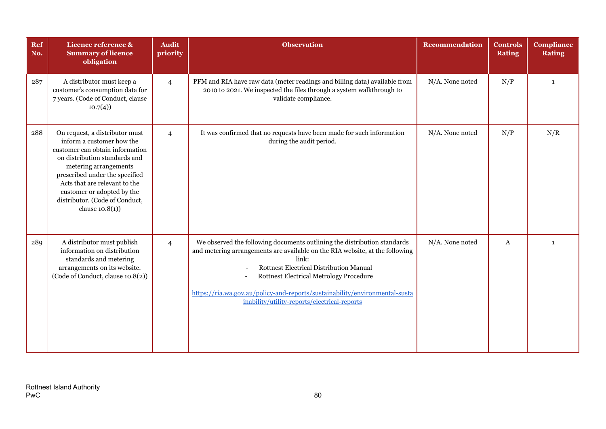| Ref<br>No. | Licence reference &<br><b>Summary of licence</b><br>obligation                                                                                                                                                                                                                                                    | <b>Audit</b><br>priority | <b>Observation</b>                                                                                                                                                                                                                                                                                                                                                                            | <b>Recommendation</b> | <b>Controls</b><br><b>Rating</b> | <b>Compliance</b><br><b>Rating</b> |
|------------|-------------------------------------------------------------------------------------------------------------------------------------------------------------------------------------------------------------------------------------------------------------------------------------------------------------------|--------------------------|-----------------------------------------------------------------------------------------------------------------------------------------------------------------------------------------------------------------------------------------------------------------------------------------------------------------------------------------------------------------------------------------------|-----------------------|----------------------------------|------------------------------------|
| 287        | A distributor must keep a<br>customer's consumption data for<br>7 years. (Code of Conduct, clause<br>10.7(4)                                                                                                                                                                                                      | $\overline{4}$           | PFM and RIA have raw data (meter readings and billing data) available from<br>2010 to 2021. We inspected the files through a system walkthrough to<br>validate compliance.                                                                                                                                                                                                                    | N/A. None noted       | N/P                              | $\mathbf{1}$                       |
| 288        | On request, a distributor must<br>inform a customer how the<br>customer can obtain information<br>on distribution standards and<br>metering arrangements<br>prescribed under the specified<br>Acts that are relevant to the<br>customer or adopted by the<br>distributor. (Code of Conduct,<br>clause $10.8(1)$ ) | $\overline{4}$           | It was confirmed that no requests have been made for such information<br>during the audit period.                                                                                                                                                                                                                                                                                             | N/A. None noted       | N/P                              | N/R                                |
| 289        | A distributor must publish<br>information on distribution<br>standards and metering<br>arrangements on its website.<br>(Code of Conduct, clause 10.8(2))                                                                                                                                                          | $\overline{4}$           | We observed the following documents outlining the distribution standards<br>and metering arrangements are available on the RIA website, at the following<br>link:<br>Rottnest Electrical Distribution Manual<br><b>Rottnest Electrical Metrology Procedure</b><br>https://ria.wa.gov.au/policy-and-reports/sustainability/environmental-susta<br>inability/utility-reports/electrical-reports | N/A. None noted       | A                                | $\mathbf{1}$                       |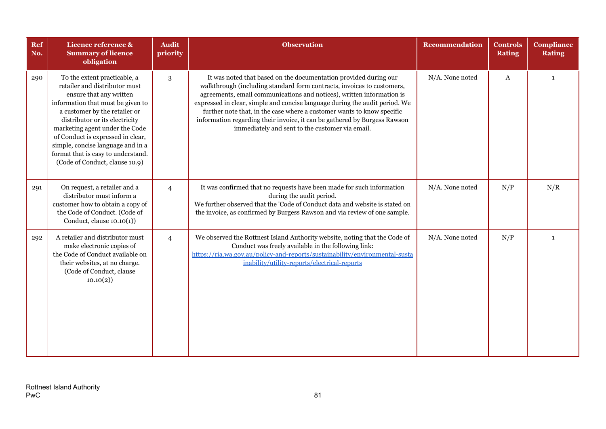| Ref<br>No. | Licence reference &<br><b>Summary of licence</b><br>obligation                                                                                                                                                                                                                                                                                                                       | <b>Audit</b><br>priority | <b>Observation</b>                                                                                                                                                                                                                                                                                                                                                                                                                                                                                           | <b>Recommendation</b> | <b>Controls</b><br><b>Rating</b> | <b>Compliance</b><br><b>Rating</b> |
|------------|--------------------------------------------------------------------------------------------------------------------------------------------------------------------------------------------------------------------------------------------------------------------------------------------------------------------------------------------------------------------------------------|--------------------------|--------------------------------------------------------------------------------------------------------------------------------------------------------------------------------------------------------------------------------------------------------------------------------------------------------------------------------------------------------------------------------------------------------------------------------------------------------------------------------------------------------------|-----------------------|----------------------------------|------------------------------------|
| 290        | To the extent practicable, a<br>retailer and distributor must<br>ensure that any written<br>information that must be given to<br>a customer by the retailer or<br>distributor or its electricity<br>marketing agent under the Code<br>of Conduct is expressed in clear,<br>simple, concise language and in a<br>format that is easy to understand.<br>(Code of Conduct, clause 10.9) | 3                        | It was noted that based on the documentation provided during our<br>walkthrough (including standard form contracts, invoices to customers,<br>agreements, email communications and notices), written information is<br>expressed in clear, simple and concise language during the audit period. We<br>further note that, in the case where a customer wants to know specific<br>information regarding their invoice, it can be gathered by Burgess Rawson<br>immediately and sent to the customer via email. | N/A. None noted       | A                                | $\mathbf{1}$                       |
| 291        | On request, a retailer and a<br>distributor must inform a<br>customer how to obtain a copy of<br>the Code of Conduct. (Code of<br>Conduct, clause $10.10(1)$                                                                                                                                                                                                                         | $\overline{4}$           | It was confirmed that no requests have been made for such information<br>during the audit period.<br>We further observed that the 'Code of Conduct data and website is stated on<br>the invoice, as confirmed by Burgess Rawson and via review of one sample.                                                                                                                                                                                                                                                | N/A. None noted       | N/P                              | N/R                                |
| 292        | A retailer and distributor must<br>make electronic copies of<br>the Code of Conduct available on<br>their websites, at no charge.<br>(Code of Conduct, clause<br>10.10(2)                                                                                                                                                                                                            | $\overline{4}$           | We observed the Rottnest Island Authority website, noting that the Code of<br>Conduct was freely available in the following link:<br>https://ria.wa.gov.au/policy-and-reports/sustainability/environmental-susta<br>inability/utility-reports/electrical-reports                                                                                                                                                                                                                                             | N/A. None noted       | N/P                              | $\mathbf{1}$                       |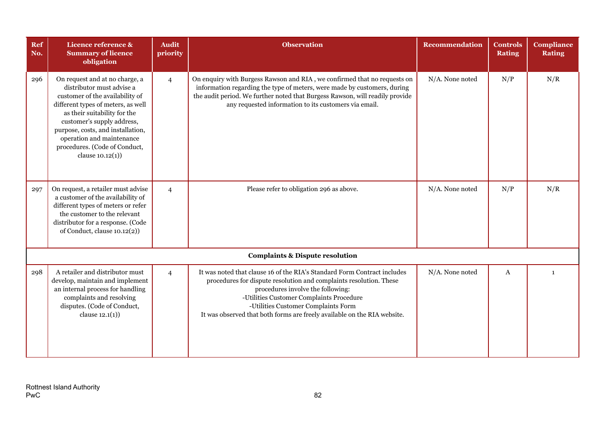| Ref<br>No. | Licence reference &<br><b>Summary of licence</b><br>obligation                                                                                                                                                                                                                                                             | <b>Audit</b><br>priority | <b>Observation</b>                                                                                                                                                                                                                                                                                                                                 | <b>Recommendation</b> | <b>Controls</b><br><b>Rating</b> | <b>Compliance</b><br><b>Rating</b> |
|------------|----------------------------------------------------------------------------------------------------------------------------------------------------------------------------------------------------------------------------------------------------------------------------------------------------------------------------|--------------------------|----------------------------------------------------------------------------------------------------------------------------------------------------------------------------------------------------------------------------------------------------------------------------------------------------------------------------------------------------|-----------------------|----------------------------------|------------------------------------|
| 296        | On request and at no charge, a<br>distributor must advise a<br>customer of the availability of<br>different types of meters, as well<br>as their suitability for the<br>customer's supply address,<br>purpose, costs, and installation,<br>operation and maintenance<br>procedures. (Code of Conduct,<br>clause $10.12(1)$ | $\overline{4}$           | On enquiry with Burgess Rawson and RIA, we confirmed that no requests on<br>information regarding the type of meters, were made by customers, during<br>the audit period. We further noted that Burgess Rawson, will readily provide<br>any requested information to its customers via email.                                                      | N/A. None noted       | N/P                              | N/R                                |
| 297        | On request, a retailer must advise<br>a customer of the availability of<br>different types of meters or refer<br>the customer to the relevant<br>distributor for a response. (Code<br>of Conduct, clause 10.12(2))                                                                                                         | $\overline{4}$           | Please refer to obligation 296 as above.                                                                                                                                                                                                                                                                                                           | N/A. None noted       | N/P                              | N/R                                |
|            |                                                                                                                                                                                                                                                                                                                            |                          | <b>Complaints &amp; Dispute resolution</b>                                                                                                                                                                                                                                                                                                         |                       |                                  |                                    |
| 298        | A retailer and distributor must<br>develop, maintain and implement<br>an internal process for handling<br>complaints and resolving<br>disputes. (Code of Conduct,<br>clause $12.1(1)$                                                                                                                                      | $\overline{4}$           | It was noted that clause 16 of the RIA's Standard Form Contract includes<br>procedures for dispute resolution and complaints resolution. These<br>procedures involve the following:<br>-Utilities Customer Complaints Procedure<br>-Utilities Customer Complaints Form<br>It was observed that both forms are freely available on the RIA website. | N/A. None noted       | A                                | $\mathbf{1}$                       |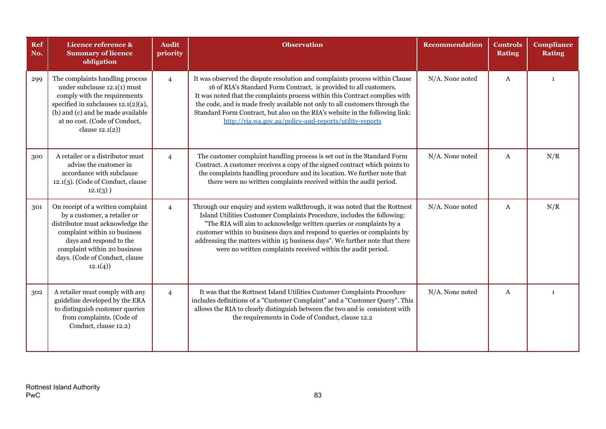| <b>Ref</b><br>No. | Licence reference &<br><b>Summary of licence</b><br>obligation                                                                                                                                                                                | <b>Audit</b><br>priority | <b>Observation</b>                                                                                                                                                                                                                                                                                                                                                                                                                                         | <b>Recommendation</b> | <b>Controls</b><br><b>Rating</b> | <b>Compliance</b><br><b>Rating</b> |
|-------------------|-----------------------------------------------------------------------------------------------------------------------------------------------------------------------------------------------------------------------------------------------|--------------------------|------------------------------------------------------------------------------------------------------------------------------------------------------------------------------------------------------------------------------------------------------------------------------------------------------------------------------------------------------------------------------------------------------------------------------------------------------------|-----------------------|----------------------------------|------------------------------------|
| 299               | The complaints handling process<br>under subclause 12.1(1) must<br>comply with the requirements<br>specified in subclauses $12.1(2)(a)$ ,<br>(b) and (c) and be made available<br>at no cost. (Code of Conduct,<br>clause $12.1(2)$ )         | $\overline{4}$           | It was observed the dispute resolution and complaints process within Clause<br>16 of RIA's Standard Form Contract, is provided to all customers.<br>It was noted that the complaints process within this Contract complies with<br>the code, and is made freely available not only to all customers through the<br>Standard Form Contract, but also on the RIA's website in the following link:<br>http://ria.wa.gov.au/policy-and-reports/utility-reports | N/A. None noted       | $\mathbf{A}$                     | 1                                  |
| 300               | A retailer or a distributor must<br>advise the customer in<br>accordance with subclause<br>12.1(3). (Code of Conduct, clause<br>$12.1(3)$ )                                                                                                   | $\overline{4}$           | The customer complaint handling process is set out in the Standard Form<br>Contract. A customer receives a copy of the signed contract which points to<br>the complaints handling procedure and its location. We further note that<br>there were no written complaints received within the audit period.                                                                                                                                                   | N/A. None noted       | A                                | N/R                                |
| 301               | On receipt of a written complaint<br>by a customer, a retailer or<br>distributor must acknowledge the<br>complaint within 10 business<br>days and respond to the<br>complaint within 20 business<br>days. (Code of Conduct, clause<br>12.1(4) | $\overline{4}$           | Through our enquiry and system walkthrough, it was noted that the Rottnest<br>Island Utilities Customer Complaints Procedure, includes the following:<br>"The RIA will aim to acknowledge written queries or complaints by a<br>customer within 10 business days and respond to queries or complaints by<br>addressing the matters within 15 business days". We further note that there<br>were no written complaints received within the audit period.    | N/A. None noted       | A                                | N/R                                |
| 302               | A retailer must comply with any<br>guideline developed by the ERA<br>to distinguish customer queries<br>from complaints. (Code of<br>Conduct, clause 12.2)                                                                                    | $\overline{4}$           | It was that the Rottnest Island Utilities Customer Complaints Procedure<br>includes definitions of a "Customer Complaint" and a "Customer Query". This<br>allows the RIA to clearly distinguish between the two and is consistent with<br>the requirements in Code of Conduct, clause 12.2                                                                                                                                                                 | N/A. None noted       | $\mathbf{A}$                     | $\mathbf{1}$                       |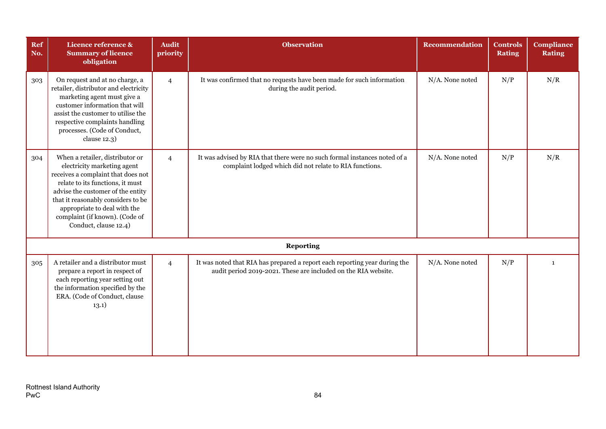| Ref<br>No. | Licence reference &<br><b>Summary of licence</b><br>obligation                                                                                                                                                                                                                                                 | <b>Audit</b><br>priority | <b>Observation</b>                                                                                                                           | <b>Recommendation</b> | <b>Controls</b><br><b>Rating</b> | <b>Compliance</b><br><b>Rating</b> |
|------------|----------------------------------------------------------------------------------------------------------------------------------------------------------------------------------------------------------------------------------------------------------------------------------------------------------------|--------------------------|----------------------------------------------------------------------------------------------------------------------------------------------|-----------------------|----------------------------------|------------------------------------|
| 303        | On request and at no charge, a<br>retailer, distributor and electricity<br>marketing agent must give a<br>customer information that will<br>assist the customer to utilise the<br>respective complaints handling<br>processes. (Code of Conduct,<br>clause 12.3)                                               | $\overline{4}$           | It was confirmed that no requests have been made for such information<br>during the audit period.                                            | N/A. None noted       | N/P                              | N/R                                |
| 304        | When a retailer, distributor or<br>electricity marketing agent<br>receives a complaint that does not<br>relate to its functions, it must<br>advise the customer of the entity<br>that it reasonably considers to be<br>appropriate to deal with the<br>complaint (if known). (Code of<br>Conduct, clause 12.4) | $\overline{4}$           | It was advised by RIA that there were no such formal instances noted of a<br>complaint lodged which did not relate to RIA functions.         | N/A. None noted       | N/P                              | N/R                                |
|            |                                                                                                                                                                                                                                                                                                                |                          | <b>Reporting</b>                                                                                                                             |                       |                                  |                                    |
| 305        | A retailer and a distributor must<br>prepare a report in respect of<br>each reporting year setting out<br>the information specified by the<br>ERA. (Code of Conduct, clause<br>13.1)                                                                                                                           | $\overline{4}$           | It was noted that RIA has prepared a report each reporting year during the<br>audit period 2019-2021. These are included on the RIA website. | N/A. None noted       | N/P                              | $\mathbf{1}$                       |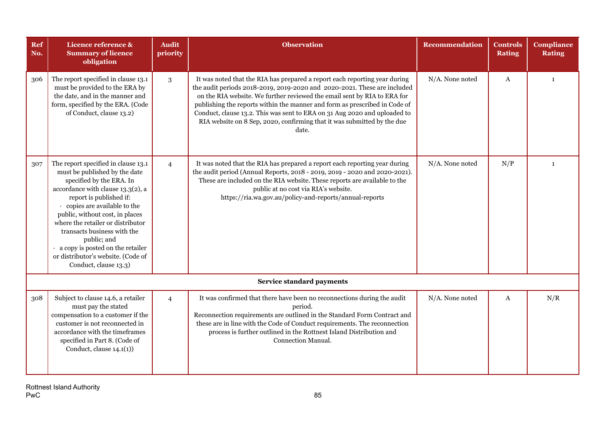| Ref<br>No. | Licence reference &<br><b>Summary of licence</b><br>obligation                                                                                                                                                                                                                                                                                                                                                           | <b>Audit</b><br>priority | <b>Observation</b>                                                                                                                                                                                                                                                                                                                                                                                                                                                                | <b>Recommendation</b> | <b>Controls</b><br><b>Rating</b> | <b>Compliance</b><br><b>Rating</b> |
|------------|--------------------------------------------------------------------------------------------------------------------------------------------------------------------------------------------------------------------------------------------------------------------------------------------------------------------------------------------------------------------------------------------------------------------------|--------------------------|-----------------------------------------------------------------------------------------------------------------------------------------------------------------------------------------------------------------------------------------------------------------------------------------------------------------------------------------------------------------------------------------------------------------------------------------------------------------------------------|-----------------------|----------------------------------|------------------------------------|
| 306        | The report specified in clause 13.1<br>must be provided to the ERA by<br>the date, and in the manner and<br>form, specified by the ERA. (Code<br>of Conduct, clause 13.2)                                                                                                                                                                                                                                                | 3                        | It was noted that the RIA has prepared a report each reporting year during<br>the audit periods 2018-2019, 2019-2020 and 2020-2021. These are included<br>on the RIA website. We further reviewed the email sent by RIA to ERA for<br>publishing the reports within the manner and form as prescribed in Code of<br>Conduct, clause 13.2. This was sent to ERA on 31 Aug 2020 and uploaded to<br>RIA website on 8 Sep, 2020, confirming that it was submitted by the due<br>date. | N/A. None noted       | A                                | $\mathbf{1}$                       |
| 307        | The report specified in clause 13.1<br>must be published by the date<br>specified by the ERA. In<br>accordance with clause 13.3(2), a<br>report is published if:<br>copies are available to the<br>public, without cost, in places<br>where the retailer or distributor<br>transacts business with the<br>public; and<br>a copy is posted on the retailer<br>or distributor's website. (Code of<br>Conduct, clause 13.3) | $\overline{4}$           | It was noted that the RIA has prepared a report each reporting year during<br>the audit period (Annual Reports, 2018 - 2019, 2019 - 2020 and 2020-2021).<br>These are included on the RIA website. These reports are available to the<br>public at no cost via RIA's website.<br>https://ria.wa.gov.au/policy-and-reports/annual-reports                                                                                                                                          | N/A. None noted       | N/P                              | $\mathbf{1}$                       |
|            |                                                                                                                                                                                                                                                                                                                                                                                                                          |                          | Service standard payments                                                                                                                                                                                                                                                                                                                                                                                                                                                         |                       |                                  |                                    |
| 308        | Subject to clause 14.6, a retailer<br>must pay the stated<br>compensation to a customer if the<br>customer is not reconnected in<br>accordance with the timeframes<br>specified in Part 8. (Code of<br>Conduct, clause $14.1(1)$                                                                                                                                                                                         | $\overline{4}$           | It was confirmed that there have been no reconnections during the audit<br>period.<br>Reconnection requirements are outlined in the Standard Form Contract and<br>these are in line with the Code of Conduct requirements. The reconnection<br>process is further outlined in the Rottnest Island Distribution and<br>Connection Manual.                                                                                                                                          | N/A. None noted       | A                                | N/R                                |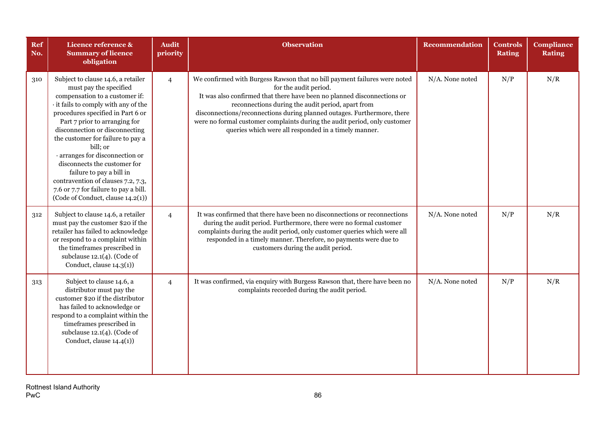| Ref<br>No. | Licence reference &<br><b>Summary of licence</b><br>obligation                                                                                                                                                                                                                                                                                                                                                                                                                                                   | <b>Audit</b><br>priority | <b>Observation</b>                                                                                                                                                                                                                                                                                                                                                                                                                                 | Recommendation  | <b>Controls</b><br><b>Rating</b> | <b>Compliance</b><br><b>Rating</b> |
|------------|------------------------------------------------------------------------------------------------------------------------------------------------------------------------------------------------------------------------------------------------------------------------------------------------------------------------------------------------------------------------------------------------------------------------------------------------------------------------------------------------------------------|--------------------------|----------------------------------------------------------------------------------------------------------------------------------------------------------------------------------------------------------------------------------------------------------------------------------------------------------------------------------------------------------------------------------------------------------------------------------------------------|-----------------|----------------------------------|------------------------------------|
| 310        | Subject to clause 14.6, a retailer<br>must pay the specified<br>compensation to a customer if:<br>it fails to comply with any of the<br>procedures specified in Part 6 or<br>Part 7 prior to arranging for<br>disconnection or disconnecting<br>the customer for failure to pay a<br>bill; or<br>· arranges for disconnection or<br>disconnects the customer for<br>failure to pay a bill in<br>contravention of clauses 7.2, 7.3,<br>7.6 or 7.7 for failure to pay a bill.<br>(Code of Conduct, clause 14.2(1)) | $\overline{4}$           | We confirmed with Burgess Rawson that no bill payment failures were noted<br>for the audit period.<br>It was also confirmed that there have been no planned disconnections or<br>reconnections during the audit period, apart from<br>disconnections/reconnections during planned outages. Furthermore, there<br>were no formal customer complaints during the audit period, only customer<br>queries which were all responded in a timely manner. | N/A. None noted | N/P                              | N/R                                |
| 312        | Subject to clause 14.6, a retailer<br>must pay the customer \$20 if the<br>retailer has failed to acknowledge<br>or respond to a complaint within<br>the timeframes prescribed in<br>subclause $12.1(4)$ . (Code of<br>Conduct, clause $14.3(1)$ )                                                                                                                                                                                                                                                               | $\overline{4}$           | It was confirmed that there have been no disconnections or reconnections<br>during the audit period. Furthermore, there were no formal customer<br>complaints during the audit period, only customer queries which were all<br>responded in a timely manner. Therefore, no payments were due to<br>customers during the audit period.                                                                                                              | N/A. None noted | N/P                              | N/R                                |
| 313        | Subject to clause 14.6, a<br>distributor must pay the<br>customer \$20 if the distributor<br>has failed to acknowledge or<br>respond to a complaint within the<br>timeframes prescribed in<br>subclause $12.1(4)$ . (Code of<br>Conduct, clause 14.4(1))                                                                                                                                                                                                                                                         | $\overline{4}$           | It was confirmed, via enquiry with Burgess Rawson that, there have been no<br>complaints recorded during the audit period.                                                                                                                                                                                                                                                                                                                         | N/A. None noted | N/P                              | N/R                                |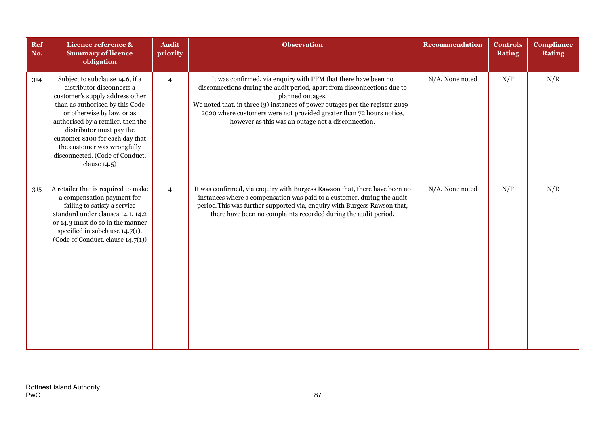| <b>Ref</b><br>No. | Licence reference &<br><b>Summary of licence</b><br>obligation                                                                                                                                                                                                                                                                                              | <b>Audit</b><br>priority | <b>Observation</b>                                                                                                                                                                                                                                                                                                                                                             | <b>Recommendation</b> | <b>Controls</b><br><b>Rating</b> | <b>Compliance</b><br><b>Rating</b> |
|-------------------|-------------------------------------------------------------------------------------------------------------------------------------------------------------------------------------------------------------------------------------------------------------------------------------------------------------------------------------------------------------|--------------------------|--------------------------------------------------------------------------------------------------------------------------------------------------------------------------------------------------------------------------------------------------------------------------------------------------------------------------------------------------------------------------------|-----------------------|----------------------------------|------------------------------------|
| 314               | Subject to subclause 14.6, if a<br>distributor disconnects a<br>customer's supply address other<br>than as authorised by this Code<br>or otherwise by law, or as<br>authorised by a retailer, then the<br>distributor must pay the<br>customer \$100 for each day that<br>the customer was wrongfully<br>disconnected. (Code of Conduct,<br>clause $14.5$ ) | $\overline{4}$           | It was confirmed, via enquiry with PFM that there have been no<br>disconnections during the audit period, apart from disconnections due to<br>planned outages.<br>We noted that, in three (3) instances of power outages per the register 2019 -<br>2020 where customers were not provided greater than 72 hours notice,<br>however as this was an outage not a disconnection. | N/A. None noted       | N/P                              | N/R                                |
| 315               | A retailer that is required to make<br>a compensation payment for<br>failing to satisfy a service<br>standard under clauses 14.1, 14.2<br>or 14.3 must do so in the manner<br>specified in subclause $14.7(1)$ .<br>(Code of Conduct, clause 14.7(1))                                                                                                       | $\overline{4}$           | It was confirmed, via enquiry with Burgess Rawson that, there have been no<br>instances where a compensation was paid to a customer, during the audit<br>period. This was further supported via, enquiry with Burgess Rawson that,<br>there have been no complaints recorded during the audit period.                                                                          | N/A. None noted       | N/P                              | N/R                                |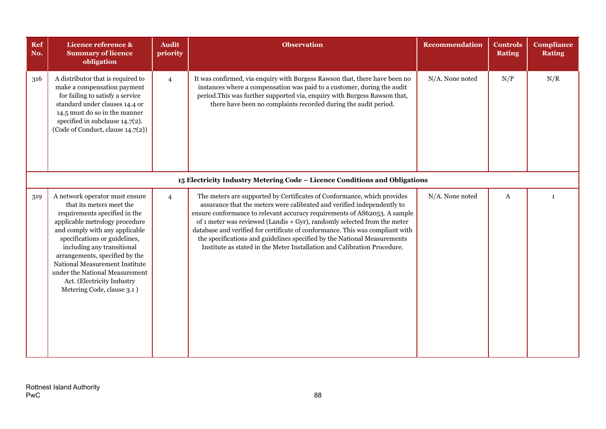| Ref<br>No. | Licence reference &<br><b>Summary of licence</b><br>obligation                                                                                                                                                                                                                                                                                                                                   | <b>Audit</b><br>priority | <b>Observation</b>                                                                                                                                                                                                                                                                                                                                                                                                                                                                                                                                     | <b>Recommendation</b> | <b>Controls</b><br><b>Rating</b> | <b>Compliance</b><br><b>Rating</b> |
|------------|--------------------------------------------------------------------------------------------------------------------------------------------------------------------------------------------------------------------------------------------------------------------------------------------------------------------------------------------------------------------------------------------------|--------------------------|--------------------------------------------------------------------------------------------------------------------------------------------------------------------------------------------------------------------------------------------------------------------------------------------------------------------------------------------------------------------------------------------------------------------------------------------------------------------------------------------------------------------------------------------------------|-----------------------|----------------------------------|------------------------------------|
| 316        | A distributor that is required to<br>make a compensation payment<br>for failing to satisfy a service<br>standard under clauses 14.4 or<br>14.5 must do so in the manner<br>specified in subclause $14.7(2)$ .<br>(Code of Conduct, clause 14.7(2))                                                                                                                                               | $\overline{4}$           | It was confirmed, via enquiry with Burgess Rawson that, there have been no<br>instances where a compensation was paid to a customer, during the audit<br>period. This was further supported via, enquiry with Burgess Rawson that,<br>there have been no complaints recorded during the audit period.                                                                                                                                                                                                                                                  | N/A. None noted       | N/P                              | N/R                                |
|            |                                                                                                                                                                                                                                                                                                                                                                                                  |                          | 15 Electricity Industry Metering Code - Licence Conditions and Obligations                                                                                                                                                                                                                                                                                                                                                                                                                                                                             |                       |                                  |                                    |
| 319        | A network operator must ensure<br>that its meters meet the<br>requirements specified in the<br>applicable metrology procedure<br>and comply with any applicable<br>specifications or guidelines,<br>including any transitional<br>arrangements, specified by the<br>National Measurement Institute<br>under the National Measurement<br>Act. (Electricity Industry<br>Metering Code, clause 3.1) | $\overline{4}$           | The meters are supported by Certificates of Conformance, which provides<br>assurance that the meters were calibrated and verified independently to<br>ensure conformance to relevant accuracy requirements of AS62053. A sample<br>of 1 meter was reviewed (Landis $+$ Gyr), randomly selected from the meter<br>database and verified for certificate of conformance. This was compliant with<br>the specifications and guidelines specified by the National Measurements<br>Institute as stated in the Meter Installation and Calibration Procedure. | N/A. None noted       | A                                | 1                                  |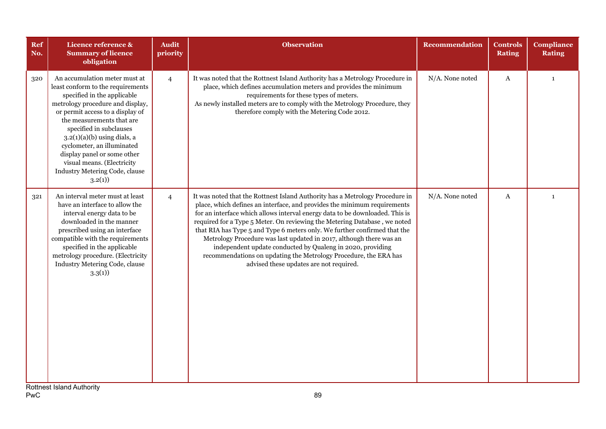| Ref<br>No. | Licence reference &<br><b>Summary of licence</b><br>obligation                                                                                                                                                                                                                                                                                                                                            | <b>Audit</b><br>priority | <b>Observation</b>                                                                                                                                                                                                                                                                                                                                                                                                                                                                                                                                                                                                                                     | <b>Recommendation</b> | <b>Controls</b><br><b>Rating</b> | <b>Compliance</b><br><b>Rating</b> |
|------------|-----------------------------------------------------------------------------------------------------------------------------------------------------------------------------------------------------------------------------------------------------------------------------------------------------------------------------------------------------------------------------------------------------------|--------------------------|--------------------------------------------------------------------------------------------------------------------------------------------------------------------------------------------------------------------------------------------------------------------------------------------------------------------------------------------------------------------------------------------------------------------------------------------------------------------------------------------------------------------------------------------------------------------------------------------------------------------------------------------------------|-----------------------|----------------------------------|------------------------------------|
| 320        | An accumulation meter must at<br>least conform to the requirements<br>specified in the applicable<br>metrology procedure and display,<br>or permit access to a display of<br>the measurements that are<br>specified in subclauses<br>$3.2(1)(a)(b)$ using dials, a<br>cyclometer, an illuminated<br>display panel or some other<br>visual means. (Electricity<br>Industry Metering Code, clause<br>3.2(1) | $\overline{4}$           | It was noted that the Rottnest Island Authority has a Metrology Procedure in<br>place, which defines accumulation meters and provides the minimum<br>requirements for these types of meters.<br>As newly installed meters are to comply with the Metrology Procedure, they<br>therefore comply with the Metering Code 2012.                                                                                                                                                                                                                                                                                                                            | N/A. None noted       | $\mathbf{A}$                     | $\mathbf{1}$                       |
| 321        | An interval meter must at least<br>have an interface to allow the<br>interval energy data to be<br>downloaded in the manner<br>prescribed using an interface<br>compatible with the requirements<br>specified in the applicable<br>metrology procedure. (Electricity<br>Industry Metering Code, clause<br>3.3(1)                                                                                          | $\overline{4}$           | It was noted that the Rottnest Island Authority has a Metrology Procedure in<br>place, which defines an interface, and provides the minimum requirements<br>for an interface which allows interval energy data to be downloaded. This is<br>required for a Type 5 Meter. On reviewing the Metering Database, we noted<br>that RIA has Type 5 and Type 6 meters only. We further confirmed that the<br>Metrology Procedure was last updated in 2017, although there was an<br>independent update conducted by Qualeng in 2020, providing<br>recommendations on updating the Metrology Procedure, the ERA has<br>advised these updates are not required. | N/A. None noted       | $\boldsymbol{A}$                 | $\mathbf{1}$                       |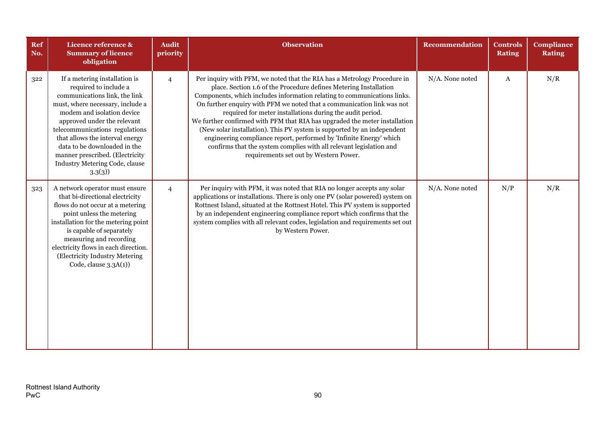| Ref<br>No. | Licence reference &<br><b>Summary of licence</b><br>obligation                                                                                                                                                                                                                                                                                                               | <b>Audit</b><br>priority | <b>Observation</b>                                                                                                                                                                                                                                                                                                                                                                                                                                                                                                                                                                                                                                                                                                | <b>Recommendation</b> | <b>Controls</b><br><b>Rating</b> | <b>Compliance</b><br><b>Rating</b> |
|------------|------------------------------------------------------------------------------------------------------------------------------------------------------------------------------------------------------------------------------------------------------------------------------------------------------------------------------------------------------------------------------|--------------------------|-------------------------------------------------------------------------------------------------------------------------------------------------------------------------------------------------------------------------------------------------------------------------------------------------------------------------------------------------------------------------------------------------------------------------------------------------------------------------------------------------------------------------------------------------------------------------------------------------------------------------------------------------------------------------------------------------------------------|-----------------------|----------------------------------|------------------------------------|
| 322        | If a metering installation is<br>required to include a<br>communications link, the link<br>must, where necessary, include a<br>modem and isolation device<br>approved under the relevant<br>telecommunications regulations<br>that allows the interval energy<br>data to be downloaded in the<br>manner prescribed. (Electricity<br>Industry Metering Code, clause<br>3.3(3) | $\overline{4}$           | Per inquiry with PFM, we noted that the RIA has a Metrology Procedure in<br>place. Section 1.6 of the Procedure defines Metering Installation<br>Components, which includes information relating to communications links.<br>On further enquiry with PFM we noted that a communication link was not<br>required for meter installations during the audit period.<br>We further confirmed with PFM that RIA has upgraded the meter installation<br>(New solar installation). This PV system is supported by an independent<br>engineering compliance report, performed by 'Infinite Energy' which<br>confirms that the system complies with all relevant legislation and<br>requirements set out by Western Power. | N/A. None noted       | A                                | N/R                                |
| 323        | A network operator must ensure<br>that bi-directional electricity<br>flows do not occur at a metering<br>point unless the metering<br>installation for the metering point<br>is capable of separately<br>measuring and recording<br>electricity flows in each direction.<br>(Electricity Industry Metering<br>Code, clause 3.3A(1))                                          | $\overline{4}$           | Per inquiry with PFM, it was noted that RIA no longer accepts any solar<br>applications or installations. There is only one PV (solar powered) system on<br>Rottnest Island, situated at the Rottnest Hotel. This PV system is supported<br>by an independent engineering compliance report which confirms that the<br>system complies with all relevant codes, legislation and requirements set out<br>by Western Power.                                                                                                                                                                                                                                                                                         | N/A. None noted       | N/P                              | N/R                                |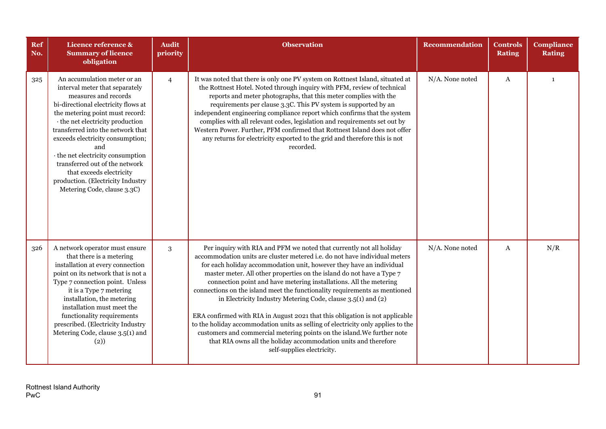| Ref<br>No. | Licence reference &<br><b>Summary of licence</b><br>obligation                                                                                                                                                                                                                                                                                                                                                                                             | <b>Audit</b><br>priority | <b>Observation</b>                                                                                                                                                                                                                                                                                                                                                                                                                                                                                                                                                                                                                                                                                                                                                                                                                                                      | <b>Recommendation</b> | <b>Controls</b><br><b>Rating</b> | <b>Compliance</b><br><b>Rating</b> |
|------------|------------------------------------------------------------------------------------------------------------------------------------------------------------------------------------------------------------------------------------------------------------------------------------------------------------------------------------------------------------------------------------------------------------------------------------------------------------|--------------------------|-------------------------------------------------------------------------------------------------------------------------------------------------------------------------------------------------------------------------------------------------------------------------------------------------------------------------------------------------------------------------------------------------------------------------------------------------------------------------------------------------------------------------------------------------------------------------------------------------------------------------------------------------------------------------------------------------------------------------------------------------------------------------------------------------------------------------------------------------------------------------|-----------------------|----------------------------------|------------------------------------|
| 325        | An accumulation meter or an<br>interval meter that separately<br>measures and records<br>bi-directional electricity flows at<br>the metering point must record:<br>· the net electricity production<br>transferred into the network that<br>exceeds electricity consumption;<br>and<br>· the net electricity consumption<br>transferred out of the network<br>that exceeds electricity<br>production. (Electricity Industry<br>Metering Code, clause 3.3C) | $\overline{4}$           | It was noted that there is only one PV system on Rottnest Island, situated at<br>the Rottnest Hotel. Noted through inquiry with PFM, review of technical<br>reports and meter photographs, that this meter complies with the<br>requirements per clause 3.3C. This PV system is supported by an<br>independent engineering compliance report which confirms that the system<br>complies with all relevant codes, legislation and requirements set out by<br>Western Power. Further, PFM confirmed that Rottnest Island does not offer<br>any returns for electricity exported to the grid and therefore this is not<br>recorded.                                                                                                                                                                                                                                        | N/A. None noted       | $\boldsymbol{A}$                 | $\mathbf{1}$                       |
| 326        | A network operator must ensure<br>that there is a metering<br>installation at every connection<br>point on its network that is not a<br>Type 7 connection point. Unless<br>it is a Type 7 metering<br>installation, the metering<br>installation must meet the<br>functionality requirements<br>prescribed. (Electricity Industry<br>Metering Code, clause 3.5(1) and<br>(2))                                                                              | 3                        | Per inquiry with RIA and PFM we noted that currently not all holiday<br>accommodation units are cluster metered i.e. do not have individual meters<br>for each holiday accommodation unit, however they have an individual<br>master meter. All other properties on the island do not have a Type 7<br>connection point and have metering installations. All the metering<br>connections on the island meet the functionality requirements as mentioned<br>in Electricity Industry Metering Code, clause 3.5(1) and (2)<br>ERA confirmed with RIA in August 2021 that this obligation is not applicable<br>to the holiday accommodation units as selling of electricity only applies to the<br>customers and commercial metering points on the island. We further note<br>that RIA owns all the holiday accommodation units and therefore<br>self-supplies electricity. | N/A. None noted       | A                                | N/R                                |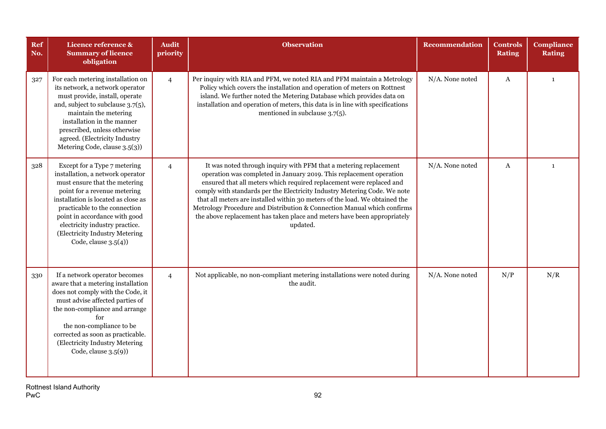| Ref<br>No. | Licence reference &<br><b>Summary of licence</b><br>obligation                                                                                                                                                                                                                                                                            | <b>Audit</b><br>priority | <b>Observation</b>                                                                                                                                                                                                                                                                                                                                                                                                                                                                                                                              | <b>Recommendation</b> | Controls<br><b>Rating</b> | <b>Compliance</b><br><b>Rating</b> |
|------------|-------------------------------------------------------------------------------------------------------------------------------------------------------------------------------------------------------------------------------------------------------------------------------------------------------------------------------------------|--------------------------|-------------------------------------------------------------------------------------------------------------------------------------------------------------------------------------------------------------------------------------------------------------------------------------------------------------------------------------------------------------------------------------------------------------------------------------------------------------------------------------------------------------------------------------------------|-----------------------|---------------------------|------------------------------------|
| 327        | For each metering installation on<br>its network, a network operator<br>must provide, install, operate<br>and, subject to subclause 3.7(5),<br>maintain the metering<br>installation in the manner<br>prescribed, unless otherwise<br>agreed. (Electricity Industry<br>Metering Code, clause 3.5(3))                                      | $\overline{4}$           | Per inquiry with RIA and PFM, we noted RIA and PFM maintain a Metrology<br>Policy which covers the installation and operation of meters on Rottnest<br>island. We further noted the Metering Database which provides data on<br>installation and operation of meters, this data is in line with specifications<br>mentioned in subclause $3.7(5)$ .                                                                                                                                                                                             | N/A. None noted       | A                         | $\mathbf{1}$                       |
| 328        | Except for a Type 7 metering<br>installation, a network operator<br>must ensure that the metering<br>point for a revenue metering<br>installation is located as close as<br>practicable to the connection<br>point in accordance with good<br>electricity industry practice.<br>(Electricity Industry Metering<br>Code, clause $3.5(4)$ ) | $\overline{4}$           | It was noted through inquiry with PFM that a metering replacement<br>operation was completed in January 2019. This replacement operation<br>ensured that all meters which required replacement were replaced and<br>comply with standards per the Electricity Industry Metering Code. We note<br>that all meters are installed within 30 meters of the load. We obtained the<br>Metrology Procedure and Distribution & Connection Manual which confirms<br>the above replacement has taken place and meters have been appropriately<br>updated. | N/A. None noted       | A                         | $\mathbf{1}$                       |
| 330        | If a network operator becomes<br>aware that a metering installation<br>does not comply with the Code, it<br>must advise affected parties of<br>the non-compliance and arrange<br>for<br>the non-compliance to be<br>corrected as soon as practicable.<br>(Electricity Industry Metering<br>Code, clause $3.5(9)$ )                        | $\overline{4}$           | Not applicable, no non-compliant metering installations were noted during<br>the audit.                                                                                                                                                                                                                                                                                                                                                                                                                                                         | N/A. None noted       | N/P                       | N/R                                |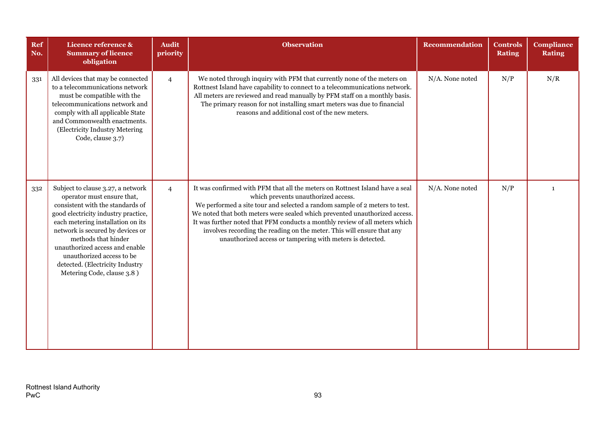| Ref<br>No. | Licence reference &<br><b>Summary of licence</b><br>obligation                                                                                                                                                                                                                                                                                                             | <b>Audit</b><br>priority | <b>Observation</b>                                                                                                                                                                                                                                                                                                                                                                                                                                                                                    | <b>Recommendation</b> | <b>Controls</b><br><b>Rating</b> | <b>Compliance</b><br><b>Rating</b> |
|------------|----------------------------------------------------------------------------------------------------------------------------------------------------------------------------------------------------------------------------------------------------------------------------------------------------------------------------------------------------------------------------|--------------------------|-------------------------------------------------------------------------------------------------------------------------------------------------------------------------------------------------------------------------------------------------------------------------------------------------------------------------------------------------------------------------------------------------------------------------------------------------------------------------------------------------------|-----------------------|----------------------------------|------------------------------------|
| 331        | All devices that may be connected<br>to a telecommunications network<br>must be compatible with the<br>telecommunications network and<br>comply with all applicable State<br>and Commonwealth enactments.<br>(Electricity Industry Metering<br>Code, clause 3.7)                                                                                                           | $\overline{4}$           | We noted through inquiry with PFM that currently none of the meters on<br>Rottnest Island have capability to connect to a telecommunications network.<br>All meters are reviewed and read manually by PFM staff on a monthly basis.<br>The primary reason for not installing smart meters was due to financial<br>reasons and additional cost of the new meters.                                                                                                                                      | N/A. None noted       | N/P                              | N/R                                |
| 332        | Subject to clause 3.27, a network<br>operator must ensure that,<br>consistent with the standards of<br>good electricity industry practice,<br>each metering installation on its<br>network is secured by devices or<br>methods that hinder<br>unauthorized access and enable<br>unauthorized access to be<br>detected. (Electricity Industry<br>Metering Code, clause 3.8) | $\overline{4}$           | It was confirmed with PFM that all the meters on Rottnest Island have a seal<br>which prevents unauthorized access.<br>We performed a site tour and selected a random sample of 2 meters to test.<br>We noted that both meters were sealed which prevented unauthorized access.<br>It was further noted that PFM conducts a monthly review of all meters which<br>involves recording the reading on the meter. This will ensure that any<br>unauthorized access or tampering with meters is detected. | N/A. None noted       | N/P                              | $\mathbf{1}$                       |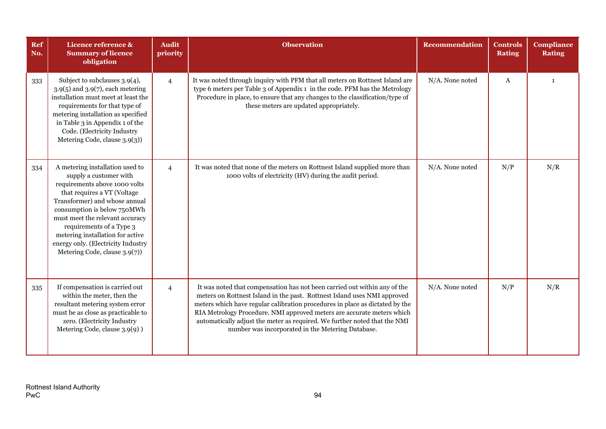| Ref<br>No. | Licence reference &<br><b>Summary of licence</b><br>obligation                                                                                                                                                                                                                                                                                                      | <b>Audit</b><br>priority | <b>Observation</b>                                                                                                                                                                                                                                                                                                                                                                                                                                | <b>Recommendation</b> | <b>Controls</b><br><b>Rating</b> | <b>Compliance</b><br><b>Rating</b> |
|------------|---------------------------------------------------------------------------------------------------------------------------------------------------------------------------------------------------------------------------------------------------------------------------------------------------------------------------------------------------------------------|--------------------------|---------------------------------------------------------------------------------------------------------------------------------------------------------------------------------------------------------------------------------------------------------------------------------------------------------------------------------------------------------------------------------------------------------------------------------------------------|-----------------------|----------------------------------|------------------------------------|
| 333        | Subject to subclauses 3.9(4),<br>$3.9(5)$ and $3.9(7)$ , each metering<br>installation must meet at least the<br>requirements for that type of<br>metering installation as specified<br>in Table 3 in Appendix 1 of the<br>Code. (Electricity Industry<br>Metering Code, clause 3.9(3))                                                                             | $\overline{4}$           | It was noted through inquiry with PFM that all meters on Rottnest Island are<br>type 6 meters per Table 3 of Appendix 1 in the code. PFM has the Metrology<br>Procedure in place, to ensure that any changes to the classification/type of<br>these meters are updated appropriately.                                                                                                                                                             | N/A. None noted       | A                                | $\mathbf{1}$                       |
| 334        | A metering installation used to<br>supply a customer with<br>requirements above 1000 volts<br>that requires a VT (Voltage<br>Transformer) and whose annual<br>consumption is below 750MWh<br>must meet the relevant accuracy<br>requirements of a Type 3<br>metering installation for active<br>energy only. (Electricity Industry<br>Metering Code, clause 3.9(7)) | $\overline{4}$           | It was noted that none of the meters on Rottnest Island supplied more than<br>1000 volts of electricity (HV) during the audit period.                                                                                                                                                                                                                                                                                                             | N/A. None noted       | N/P                              | N/R                                |
| 335        | If compensation is carried out<br>within the meter, then the<br>resultant metering system error<br>must be as close as practicable to<br>zero. (Electricity Industry<br>Metering Code, clause 3.9(9) )                                                                                                                                                              | $\overline{4}$           | It was noted that compensation has not been carried out within any of the<br>meters on Rottnest Island in the past. Rottnest Island uses NMI approved<br>meters which have regular calibration procedures in place as dictated by the<br>RIA Metrology Procedure. NMI approved meters are accurate meters which<br>automatically adjust the meter as required. We further noted that the NMI<br>number was incorporated in the Metering Database. | N/A. None noted       | N/P                              | N/R                                |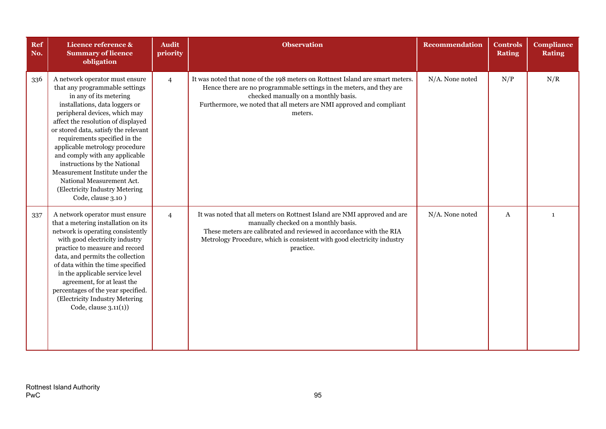| Ref<br>No. | Licence reference &<br><b>Summary of licence</b><br>obligation                                                                                                                                                                                                                                                                                                                                                                                                                                           | <b>Audit</b><br>priority | <b>Observation</b>                                                                                                                                                                                                                                                               | Recommendation  | <b>Controls</b><br><b>Rating</b> | <b>Compliance</b><br><b>Rating</b> |
|------------|----------------------------------------------------------------------------------------------------------------------------------------------------------------------------------------------------------------------------------------------------------------------------------------------------------------------------------------------------------------------------------------------------------------------------------------------------------------------------------------------------------|--------------------------|----------------------------------------------------------------------------------------------------------------------------------------------------------------------------------------------------------------------------------------------------------------------------------|-----------------|----------------------------------|------------------------------------|
| 336        | A network operator must ensure<br>that any programmable settings<br>in any of its metering<br>installations, data loggers or<br>peripheral devices, which may<br>affect the resolution of displayed<br>or stored data, satisfy the relevant<br>requirements specified in the<br>applicable metrology procedure<br>and comply with any applicable<br>instructions by the National<br>Measurement Institute under the<br>National Measurement Act.<br>(Electricity Industry Metering<br>Code, clause 3.10) | $\overline{4}$           | It was noted that none of the 198 meters on Rottnest Island are smart meters.<br>Hence there are no programmable settings in the meters, and they are<br>checked manually on a monthly basis.<br>Furthermore, we noted that all meters are NMI approved and compliant<br>meters. | N/A. None noted | N/P                              | N/R                                |
| 337        | A network operator must ensure<br>that a metering installation on its<br>network is operating consistently<br>with good electricity industry<br>practice to measure and record<br>data, and permits the collection<br>of data within the time specified<br>in the applicable service level<br>agreement, for at least the<br>percentages of the year specified.<br>(Electricity Industry Metering<br>Code, clause $3.11(1)$ )                                                                            | $\overline{4}$           | It was noted that all meters on Rottnest Island are NMI approved and are<br>manually checked on a monthly basis.<br>These meters are calibrated and reviewed in accordance with the RIA<br>Metrology Procedure, which is consistent with good electricity industry<br>practice.  | N/A. None noted | A                                | $\mathbf{1}$                       |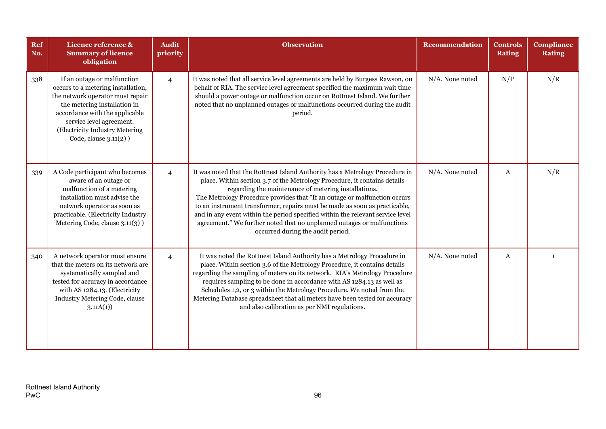| Ref<br>No. | Licence reference &<br><b>Summary of licence</b><br>obligation                                                                                                                                                                                                  | <b>Audit</b><br>priority | <b>Observation</b>                                                                                                                                                                                                                                                                                                                                                                                                                                                                                                                                                            | <b>Recommendation</b> | <b>Controls</b><br><b>Rating</b> | <b>Compliance</b><br><b>Rating</b> |
|------------|-----------------------------------------------------------------------------------------------------------------------------------------------------------------------------------------------------------------------------------------------------------------|--------------------------|-------------------------------------------------------------------------------------------------------------------------------------------------------------------------------------------------------------------------------------------------------------------------------------------------------------------------------------------------------------------------------------------------------------------------------------------------------------------------------------------------------------------------------------------------------------------------------|-----------------------|----------------------------------|------------------------------------|
| 338        | If an outage or malfunction<br>occurs to a metering installation,<br>the network operator must repair<br>the metering installation in<br>accordance with the applicable<br>service level agreement.<br>(Electricity Industry Metering<br>Code, clause 3.11(2) ) | $\overline{4}$           | It was noted that all service level agreements are held by Burgess Rawson, on<br>behalf of RIA. The service level agreement specified the maximum wait time<br>should a power outage or malfunction occur on Rottnest Island. We further<br>noted that no unplanned outages or malfunctions occurred during the audit<br>period.                                                                                                                                                                                                                                              | N/A. None noted       | N/P                              | N/R                                |
| 339        | A Code participant who becomes<br>aware of an outage or<br>malfunction of a metering<br>installation must advise the<br>network operator as soon as<br>practicable. (Electricity Industry<br>Metering Code, clause 3.11(3))                                     | $\overline{4}$           | It was noted that the Rottnest Island Authority has a Metrology Procedure in<br>place. Within section 3.7 of the Metrology Procedure, it contains details<br>regarding the maintenance of metering installations.<br>The Metrology Procedure provides that "If an outage or malfunction occurs<br>to an instrument transformer, repairs must be made as soon as practicable,<br>and in any event within the period specified within the relevant service level<br>agreement." We further noted that no unplanned outages or malfunctions<br>occurred during the audit period. | N/A. None noted       | A                                | N/R                                |
| 340        | A network operator must ensure<br>that the meters on its network are<br>systematically sampled and<br>tested for accuracy in accordance<br>with AS 1284.13. (Electricity<br>Industry Metering Code, clause<br>3.11A(1)                                          | $\overline{4}$           | It was noted the Rottnest Island Authority has a Metrology Procedure in<br>place. Within section 3.6 of the Metrology Procedure, it contains details<br>regarding the sampling of meters on its network. RIA's Metrology Procedure<br>requires sampling to be done in accordance with AS 1284.13 as well as<br>Schedules 1,2, or 3 within the Metrology Procedure. We noted from the<br>Metering Database spreadsheet that all meters have been tested for accuracy<br>and also calibration as per NMI regulations.                                                           | N/A. None noted       | A                                | $\mathbf{1}$                       |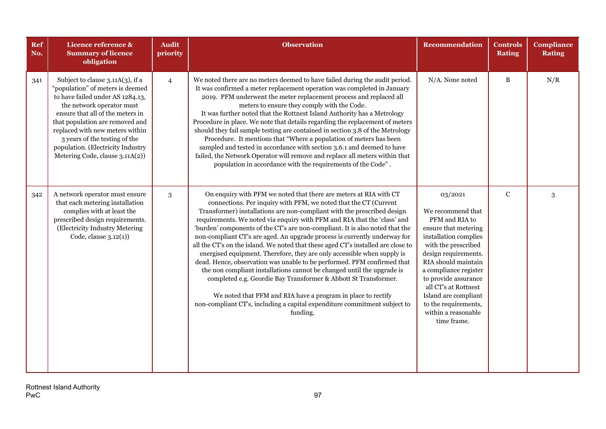| Ref<br>No. | Licence reference &<br><b>Summary of licence</b><br>obligation                                                                                                                                                                                                                                                                                           | <b>Audit</b><br>priority | <b>Observation</b>                                                                                                                                                                                                                                                                                                                                                                                                                                                                                                                                                                                                                                                                                                                                                                                                                                                                                                                                                                                        | Recommendation                                                                                                                                                                                                                                                                                                                       | <b>Controls</b><br><b>Rating</b> | <b>Compliance</b><br><b>Rating</b> |
|------------|----------------------------------------------------------------------------------------------------------------------------------------------------------------------------------------------------------------------------------------------------------------------------------------------------------------------------------------------------------|--------------------------|-----------------------------------------------------------------------------------------------------------------------------------------------------------------------------------------------------------------------------------------------------------------------------------------------------------------------------------------------------------------------------------------------------------------------------------------------------------------------------------------------------------------------------------------------------------------------------------------------------------------------------------------------------------------------------------------------------------------------------------------------------------------------------------------------------------------------------------------------------------------------------------------------------------------------------------------------------------------------------------------------------------|--------------------------------------------------------------------------------------------------------------------------------------------------------------------------------------------------------------------------------------------------------------------------------------------------------------------------------------|----------------------------------|------------------------------------|
| 341        | Subject to clause 3.11A(3), if a<br>"population" of meters is deemed<br>to have failed under AS 1284.13,<br>the network operator must<br>ensure that all of the meters in<br>that population are removed and<br>replaced with new meters within<br>3 years of the testing of the<br>population. (Electricity Industry<br>Metering Code, clause 3.11A(2)) | $\overline{4}$           | We noted there are no meters deemed to have failed during the audit period.<br>It was confirmed a meter replacement operation was completed in January<br>2019. PFM underwent the meter replacement process and replaced all<br>meters to ensure they comply with the Code.<br>It was further noted that the Rottnest Island Authority has a Metrology<br>Procedure in place. We note that details regarding the replacement of meters<br>should they fail sample testing are contained in section 3.8 of the Metrology<br>Procedure. It mentions that "Where a population of meters has been<br>sampled and tested in accordance with section 3.6.1 and deemed to have<br>failed, the Network Operator will remove and replace all meters within that<br>population in accordance with the requirements of the Code".                                                                                                                                                                                    | N/A. None noted                                                                                                                                                                                                                                                                                                                      | $\, {\bf B}$                     | N/R                                |
| 342        | A network operator must ensure<br>that each metering installation<br>complies with at least the<br>prescribed design requirements.<br>(Electricity Industry Metering<br>Code, clause $3.12(1)$ )                                                                                                                                                         | 3                        | On enquiry with PFM we noted that there are meters at RIA with CT<br>connections. Per inquiry with PFM, we noted that the CT (Current<br>Transformer) installations are non-compliant with the prescribed design<br>requirements. We noted via enquiry with PFM and RIA that the 'class' and<br>'burden' components of the CT's are non-compliant. It is also noted that the<br>non-compliant CT's are aged. An upgrade process is currently underway for<br>all the CT's on the island. We noted that these aged CT's installed are close to<br>energised equipment. Therefore, they are only accessible when supply is<br>dead. Hence, observation was unable to be performed. PFM confirmed that<br>the non compliant installations cannot be changed until the upgrade is<br>completed e.g. Geordie Bay Transformer & Abbott St Transformer.<br>We noted that PFM and RIA have a program in place to rectify<br>non-compliant CT's, including a capital expenditure commitment subject to<br>funding. | 03/2021<br>We recommend that<br>PFM and RIA to<br>ensure that metering<br>installation complies<br>with the prescribed<br>design requirements.<br>RIA should maintain<br>a compliance register<br>to provide assurance<br>all CT's at Rottnest<br>Island are compliant<br>to the requirements,<br>within a reasonable<br>time frame. | $\mathbf C$                      | $\mathbf{3}$                       |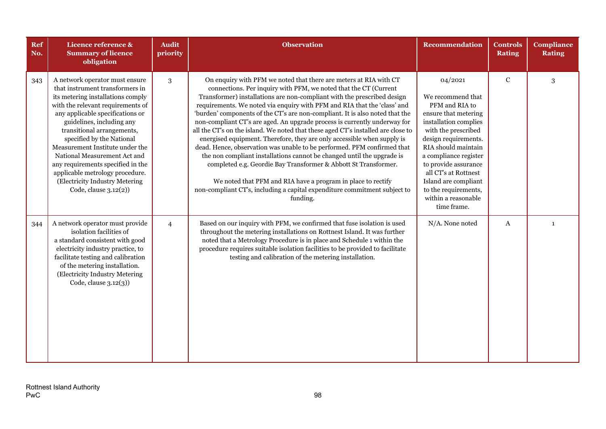| Ref<br>No. | Licence reference &<br><b>Summary of licence</b><br>obligation                                                                                                                                                                                                                                                                                                                                                                                                                | <b>Audit</b><br>priority | <b>Observation</b>                                                                                                                                                                                                                                                                                                                                                                                                                                                                                                                                                                                                                                                                                                                                                                                                                                                                                                                                                                                        | <b>Recommendation</b>                                                                                                                                                                                                                                                                                                                | <b>Controls</b><br><b>Rating</b> | Compliance<br><b>Rating</b> |
|------------|-------------------------------------------------------------------------------------------------------------------------------------------------------------------------------------------------------------------------------------------------------------------------------------------------------------------------------------------------------------------------------------------------------------------------------------------------------------------------------|--------------------------|-----------------------------------------------------------------------------------------------------------------------------------------------------------------------------------------------------------------------------------------------------------------------------------------------------------------------------------------------------------------------------------------------------------------------------------------------------------------------------------------------------------------------------------------------------------------------------------------------------------------------------------------------------------------------------------------------------------------------------------------------------------------------------------------------------------------------------------------------------------------------------------------------------------------------------------------------------------------------------------------------------------|--------------------------------------------------------------------------------------------------------------------------------------------------------------------------------------------------------------------------------------------------------------------------------------------------------------------------------------|----------------------------------|-----------------------------|
| 343        | A network operator must ensure<br>that instrument transformers in<br>its metering installations comply<br>with the relevant requirements of<br>any applicable specifications or<br>guidelines, including any<br>transitional arrangements,<br>specified by the National<br>Measurement Institute under the<br>National Measurement Act and<br>any requirements specified in the<br>applicable metrology procedure.<br>(Electricity Industry Metering<br>Code, clause 3.12(2)) | 3                        | On enquiry with PFM we noted that there are meters at RIA with CT<br>connections. Per inquiry with PFM, we noted that the CT (Current<br>Transformer) installations are non-compliant with the prescribed design<br>requirements. We noted via enquiry with PFM and RIA that the 'class' and<br>'burden' components of the CT's are non-compliant. It is also noted that the<br>non-compliant CT's are aged. An upgrade process is currently underway for<br>all the CT's on the island. We noted that these aged CT's installed are close to<br>energised equipment. Therefore, they are only accessible when supply is<br>dead. Hence, observation was unable to be performed. PFM confirmed that<br>the non compliant installations cannot be changed until the upgrade is<br>completed e.g. Geordie Bay Transformer & Abbott St Transformer.<br>We noted that PFM and RIA have a program in place to rectify<br>non-compliant CT's, including a capital expenditure commitment subject to<br>funding. | 04/2021<br>We recommend that<br>PFM and RIA to<br>ensure that metering<br>installation complies<br>with the prescribed<br>design requirements.<br>RIA should maintain<br>a compliance register<br>to provide assurance<br>all CT's at Rottnest<br>Island are compliant<br>to the requirements,<br>within a reasonable<br>time frame. | ${\bf C}$                        | 3                           |
| 344        | A network operator must provide<br>isolation facilities of<br>a standard consistent with good<br>electricity industry practice, to<br>facilitate testing and calibration<br>of the metering installation.<br>(Electricity Industry Metering<br>Code, clause $3.12(3)$ )                                                                                                                                                                                                       | $\overline{4}$           | Based on our inquiry with PFM, we confirmed that fuse isolation is used<br>throughout the metering installations on Rottnest Island. It was further<br>noted that a Metrology Procedure is in place and Schedule 1 within the<br>procedure requires suitable isolation facilities to be provided to facilitate<br>testing and calibration of the metering installation.                                                                                                                                                                                                                                                                                                                                                                                                                                                                                                                                                                                                                                   | N/A. None noted                                                                                                                                                                                                                                                                                                                      | $\boldsymbol{A}$                 | $\mathbf{1}$                |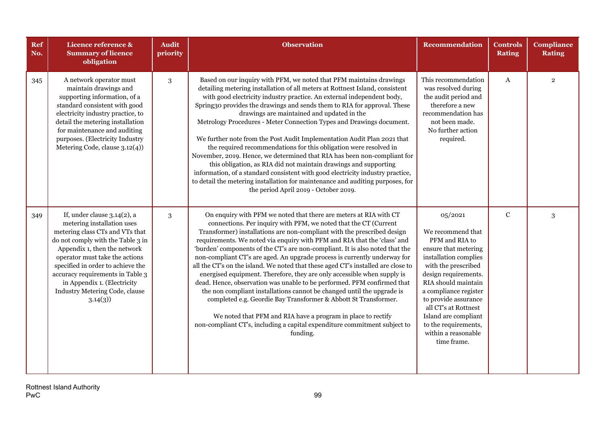| Ref<br>No. | Licence reference &<br><b>Summary of licence</b><br>obligation                                                                                                                                                                                                                                                                                              | <b>Audit</b><br>priority | <b>Observation</b>                                                                                                                                                                                                                                                                                                                                                                                                                                                                                                                                                                                                                                                                                                                                                                                                                                                                                                                                                                                        | <b>Recommendation</b>                                                                                                                                                                                                                                                                                                                | <b>Controls</b><br><b>Rating</b> | <b>Compliance</b><br><b>Rating</b> |
|------------|-------------------------------------------------------------------------------------------------------------------------------------------------------------------------------------------------------------------------------------------------------------------------------------------------------------------------------------------------------------|--------------------------|-----------------------------------------------------------------------------------------------------------------------------------------------------------------------------------------------------------------------------------------------------------------------------------------------------------------------------------------------------------------------------------------------------------------------------------------------------------------------------------------------------------------------------------------------------------------------------------------------------------------------------------------------------------------------------------------------------------------------------------------------------------------------------------------------------------------------------------------------------------------------------------------------------------------------------------------------------------------------------------------------------------|--------------------------------------------------------------------------------------------------------------------------------------------------------------------------------------------------------------------------------------------------------------------------------------------------------------------------------------|----------------------------------|------------------------------------|
| 345        | A network operator must<br>maintain drawings and<br>supporting information, of a<br>standard consistent with good<br>electricity industry practice, to<br>detail the metering installation<br>for maintenance and auditing<br>purposes. (Electricity Industry<br>Metering Code, clause 3.12(4))                                                             | 3                        | Based on our inquiry with PFM, we noted that PFM maintains drawings<br>detailing metering installation of all meters at Rottnest Island, consistent<br>with good electricity industry practice. An external independent body,<br>Spring30 provides the drawings and sends them to RIA for approval. These<br>drawings are maintained and updated in the<br>Metrology Procedures - Meter Connection Types and Drawings document.<br>We further note from the Post Audit Implementation Audit Plan 2021 that<br>the required recommendations for this obligation were resolved in<br>November, 2019. Hence, we determined that RIA has been non-compliant for<br>this obligation, as RIA did not maintain drawings and supporting<br>information, of a standard consistent with good electricity industry practice,<br>to detail the metering installation for maintenance and auditing purposes, for<br>the period April 2019 - October 2019.                                                              | This recommendation<br>was resolved during<br>the audit period and<br>therefore a new<br>recommendation has<br>not been made.<br>No further action<br>required.                                                                                                                                                                      | A                                | $\overline{2}$                     |
| 349        | If, under clause $3.14(2)$ , a<br>metering installation uses<br>metering class CTs and VTs that<br>do not comply with the Table 3 in<br>Appendix 1, then the network<br>operator must take the actions<br>specified in order to achieve the<br>accuracy requirements in Table 3<br>in Appendix 1. (Electricity<br>Industry Metering Code, clause<br>3.14(3) | 3                        | On enquiry with PFM we noted that there are meters at RIA with CT<br>connections. Per inquiry with PFM, we noted that the CT (Current<br>Transformer) installations are non-compliant with the prescribed design<br>requirements. We noted via enquiry with PFM and RIA that the 'class' and<br>'burden' components of the CT's are non-compliant. It is also noted that the<br>non-compliant CT's are aged. An upgrade process is currently underway for<br>all the CT's on the island. We noted that these aged CT's installed are close to<br>energised equipment. Therefore, they are only accessible when supply is<br>dead. Hence, observation was unable to be performed. PFM confirmed that<br>the non compliant installations cannot be changed until the upgrade is<br>completed e.g. Geordie Bay Transformer & Abbott St Transformer.<br>We noted that PFM and RIA have a program in place to rectify<br>non-compliant CT's, including a capital expenditure commitment subject to<br>funding. | 05/2021<br>We recommend that<br>PFM and RIA to<br>ensure that metering<br>installation complies<br>with the prescribed<br>design requirements.<br>RIA should maintain<br>a compliance register<br>to provide assurance<br>all CT's at Rottnest<br>Island are compliant<br>to the requirements,<br>within a reasonable<br>time frame. | $\mathbf C$                      | $\mathbf{3}$                       |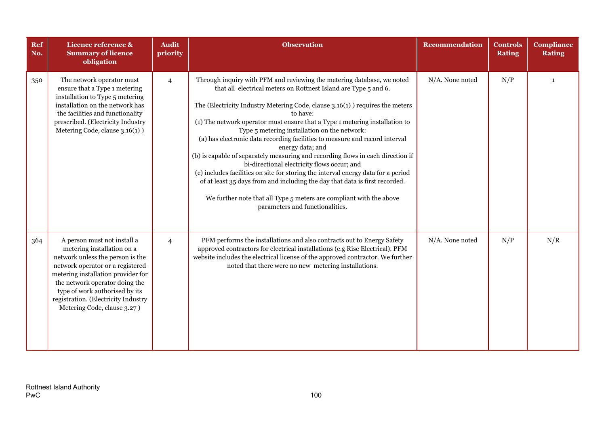| Ref<br>No. | Licence reference &<br><b>Summary of licence</b><br>obligation                                                                                                                                                                                                                                                    | <b>Audit</b><br>priority | <b>Observation</b>                                                                                                                                                                                                                                                                                                                                                                                                                                                                                                                                                                                                                                                                                                                                                                                                                                                                       | <b>Recommendation</b> | <b>Controls</b><br><b>Rating</b> | <b>Compliance</b><br><b>Rating</b> |
|------------|-------------------------------------------------------------------------------------------------------------------------------------------------------------------------------------------------------------------------------------------------------------------------------------------------------------------|--------------------------|------------------------------------------------------------------------------------------------------------------------------------------------------------------------------------------------------------------------------------------------------------------------------------------------------------------------------------------------------------------------------------------------------------------------------------------------------------------------------------------------------------------------------------------------------------------------------------------------------------------------------------------------------------------------------------------------------------------------------------------------------------------------------------------------------------------------------------------------------------------------------------------|-----------------------|----------------------------------|------------------------------------|
| 350        | The network operator must<br>ensure that a Type 1 metering<br>installation to Type 5 metering<br>installation on the network has<br>the facilities and functionality<br>prescribed. (Electricity Industry<br>Metering Code, clause 3.16(1) )                                                                      | $\overline{4}$           | Through inquiry with PFM and reviewing the metering database, we noted<br>that all electrical meters on Rottnest Island are Type 5 and 6.<br>The (Electricity Industry Metering Code, clause 3.16(1) ) requires the meters<br>to have:<br>(1) The network operator must ensure that a Type 1 metering installation to<br>Type 5 metering installation on the network:<br>(a) has electronic data recording facilities to measure and record interval<br>energy data; and<br>(b) is capable of separately measuring and recording flows in each direction if<br>bi-directional electricity flows occur; and<br>(c) includes facilities on site for storing the interval energy data for a period<br>of at least 35 days from and including the day that data is first recorded.<br>We further note that all Type 5 meters are compliant with the above<br>parameters and functionalities. | N/A. None noted       | N/P                              | $\mathbf{1}$                       |
| 364        | A person must not install a<br>metering installation on a<br>network unless the person is the<br>network operator or a registered<br>metering installation provider for<br>the network operator doing the<br>type of work authorised by its<br>registration. (Electricity Industry<br>Metering Code, clause 3.27) | $\overline{4}$           | PFM performs the installations and also contracts out to Energy Safety<br>approved contractors for electrical installations (e.g Rise Electrical). PFM<br>website includes the electrical license of the approved contractor. We further<br>noted that there were no new metering installations.                                                                                                                                                                                                                                                                                                                                                                                                                                                                                                                                                                                         | N/A. None noted       | N/P                              | N/R                                |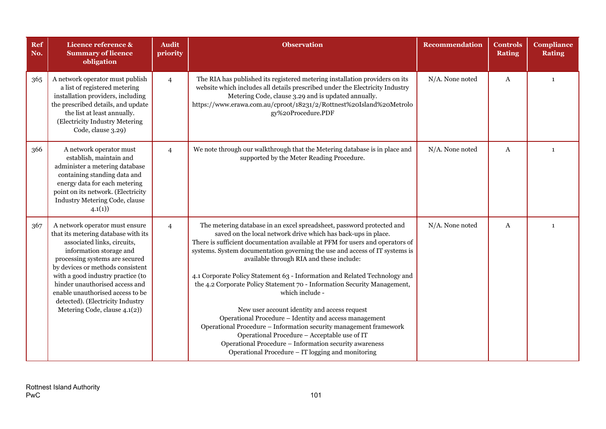| Ref<br>No. | Licence reference &<br><b>Summary of licence</b><br>obligation                                                                                                                                                                                                                                                                                                                        | <b>Audit</b><br>priority | <b>Observation</b>                                                                                                                                                                                                                                                                                                                                                                                                                                                                                                                                                                                                                                                                                                                                                                                                                                                            | Recommendation  | <b>Controls</b><br><b>Rating</b> | <b>Compliance</b><br><b>Rating</b> |
|------------|---------------------------------------------------------------------------------------------------------------------------------------------------------------------------------------------------------------------------------------------------------------------------------------------------------------------------------------------------------------------------------------|--------------------------|-------------------------------------------------------------------------------------------------------------------------------------------------------------------------------------------------------------------------------------------------------------------------------------------------------------------------------------------------------------------------------------------------------------------------------------------------------------------------------------------------------------------------------------------------------------------------------------------------------------------------------------------------------------------------------------------------------------------------------------------------------------------------------------------------------------------------------------------------------------------------------|-----------------|----------------------------------|------------------------------------|
| 365        | A network operator must publish<br>a list of registered metering<br>installation providers, including<br>the prescribed details, and update<br>the list at least annually.<br>(Electricity Industry Metering<br>Code, clause 3.29)                                                                                                                                                    | $\overline{4}$           | The RIA has published its registered metering installation providers on its<br>website which includes all details prescribed under the Electricity Industry<br>Metering Code, clause 3.29 and is updated annually.<br>https://www.erawa.com.au/cproot/18231/2/Rottnest%20Island%20Metrolo<br>gy%20Procedure.PDF                                                                                                                                                                                                                                                                                                                                                                                                                                                                                                                                                               | N/A. None noted | A                                | 1                                  |
| 366        | A network operator must<br>establish, maintain and<br>administer a metering database<br>containing standing data and<br>energy data for each metering<br>point on its network. (Electricity<br>Industry Metering Code, clause<br>4.1(1)                                                                                                                                               | $\overline{4}$           | We note through our walkthrough that the Metering database is in place and<br>supported by the Meter Reading Procedure.                                                                                                                                                                                                                                                                                                                                                                                                                                                                                                                                                                                                                                                                                                                                                       | N/A. None noted | A                                | $\mathbf{1}$                       |
| 367        | A network operator must ensure<br>that its metering database with its<br>associated links, circuits,<br>information storage and<br>processing systems are secured<br>by devices or methods consistent<br>with a good industry practice (to<br>hinder unauthorised access and<br>enable unauthorised access to be<br>detected). (Electricity Industry<br>Metering Code, clause 4.1(2)) | $\overline{4}$           | The metering database in an excel spreadsheet, password protected and<br>saved on the local network drive which has back-ups in place.<br>There is sufficient documentation available at PFM for users and operators of<br>systems. System documentation governing the use and access of IT systems is<br>available through RIA and these include:<br>4.1 Corporate Policy Statement 63 - Information and Related Technology and<br>the 4.2 Corporate Policy Statement 70 - Information Security Management,<br>which include -<br>New user account identity and access request<br>Operational Procedure - Identity and access management<br>Operational Procedure - Information security management framework<br>Operational Procedure - Acceptable use of IT<br>Operational Procedure - Information security awareness<br>Operational Procedure – IT logging and monitoring | N/A. None noted | A                                | $\mathbf{1}$                       |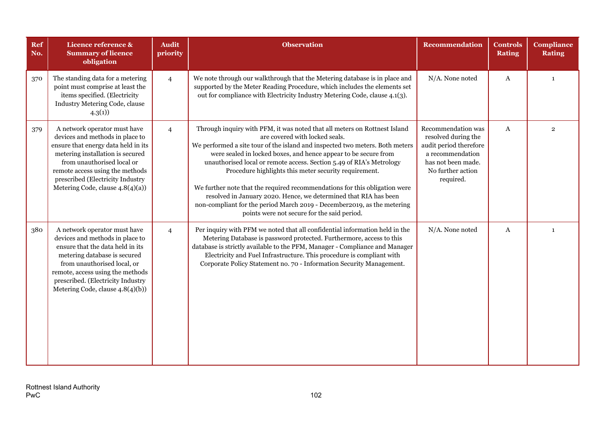| Ref<br>No. | Licence reference &<br><b>Summary of licence</b><br>obligation                                                                                                                                                                                                                      | <b>Audit</b><br>priority | <b>Observation</b>                                                                                                                                                                                                                                                                                                                                                                                                                                                                                                                                                                                                                                                           | <b>Recommendation</b>                                                                                                                           | <b>Controls</b><br><b>Rating</b> | <b>Compliance</b><br><b>Rating</b> |
|------------|-------------------------------------------------------------------------------------------------------------------------------------------------------------------------------------------------------------------------------------------------------------------------------------|--------------------------|------------------------------------------------------------------------------------------------------------------------------------------------------------------------------------------------------------------------------------------------------------------------------------------------------------------------------------------------------------------------------------------------------------------------------------------------------------------------------------------------------------------------------------------------------------------------------------------------------------------------------------------------------------------------------|-------------------------------------------------------------------------------------------------------------------------------------------------|----------------------------------|------------------------------------|
| 370        | The standing data for a metering<br>point must comprise at least the<br>items specified. (Electricity<br>Industry Metering Code, clause<br>4.3(1)                                                                                                                                   | $\overline{4}$           | We note through our walkthrough that the Metering database is in place and<br>supported by the Meter Reading Procedure, which includes the elements set<br>out for compliance with Electricity Industry Metering Code, clause 4.1(3).                                                                                                                                                                                                                                                                                                                                                                                                                                        | N/A. None noted                                                                                                                                 | $\mathbf{A}$                     | $\mathbf{1}$                       |
| 379        | A network operator must have<br>devices and methods in place to<br>ensure that energy data held in its<br>metering installation is secured<br>from unauthorised local or<br>remote access using the methods<br>prescribed (Electricity Industry<br>Metering Code, clause 4.8(4)(a)) | $\overline{4}$           | Through inquiry with PFM, it was noted that all meters on Rottnest Island<br>are covered with locked seals.<br>We performed a site tour of the island and inspected two meters. Both meters<br>were sealed in locked boxes, and hence appear to be secure from<br>unauthorised local or remote access. Section 5.49 of RIA's Metrology<br>Procedure highlights this meter security requirement.<br>We further note that the required recommendations for this obligation were<br>resolved in January 2020. Hence, we determined that RIA has been<br>non-compliant for the period March 2019 - December 2019, as the metering<br>points were not secure for the said period. | Recommendation was<br>resolved during the<br>audit period therefore<br>a recommendation<br>has not been made.<br>No further action<br>required. | $\mathbf{A}$                     | $\overline{2}$                     |
| 380        | A network operator must have<br>devices and methods in place to<br>ensure that the data held in its<br>metering database is secured<br>from unauthorised local, or<br>remote, access using the methods<br>prescribed. (Electricity Industry<br>Metering Code, clause 4.8(4)(b))     | $\overline{4}$           | Per inquiry with PFM we noted that all confidential information held in the<br>Metering Database is password protected. Furthermore, access to this<br>database is strictly available to the PFM, Manager - Compliance and Manager<br>Electricity and Fuel Infrastructure. This procedure is compliant with<br>Corporate Policy Statement no. 70 - Information Security Management.                                                                                                                                                                                                                                                                                          | N/A. None noted                                                                                                                                 | $\boldsymbol{A}$                 | $\mathbf{1}$                       |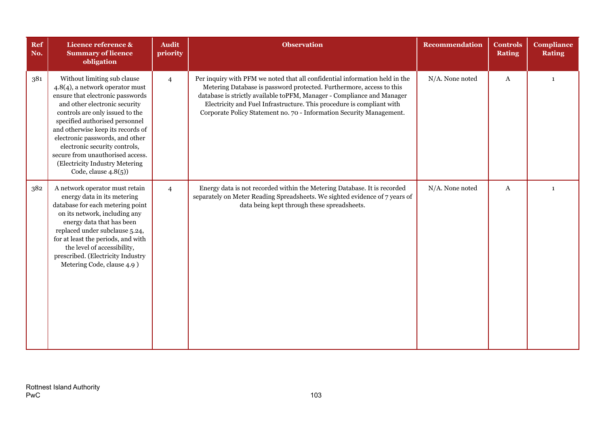| <b>Ref</b><br>No. | Licence reference &<br><b>Summary of licence</b><br>obligation                                                                                                                                                                                                                                                                                                                                                     | <b>Audit</b><br>priority | <b>Observation</b>                                                                                                                                                                                                                                                                                                                                                             | <b>Recommendation</b> | <b>Controls</b><br><b>Rating</b> | <b>Compliance</b><br><b>Rating</b> |
|-------------------|--------------------------------------------------------------------------------------------------------------------------------------------------------------------------------------------------------------------------------------------------------------------------------------------------------------------------------------------------------------------------------------------------------------------|--------------------------|--------------------------------------------------------------------------------------------------------------------------------------------------------------------------------------------------------------------------------------------------------------------------------------------------------------------------------------------------------------------------------|-----------------------|----------------------------------|------------------------------------|
| 381               | Without limiting sub clause<br>4.8(4), a network operator must<br>ensure that electronic passwords<br>and other electronic security<br>controls are only issued to the<br>specified authorised personnel<br>and otherwise keep its records of<br>electronic passwords, and other<br>electronic security controls,<br>secure from unauthorised access.<br>(Electricity Industry Metering<br>Code, clause $4.8(5)$ ) | $\overline{4}$           | Per inquiry with PFM we noted that all confidential information held in the<br>Metering Database is password protected. Furthermore, access to this<br>database is strictly available toPFM, Manager - Compliance and Manager<br>Electricity and Fuel Infrastructure. This procedure is compliant with<br>Corporate Policy Statement no. 70 - Information Security Management. | N/A. None noted       | A                                | $\mathbf{1}$                       |
| 382               | A network operator must retain<br>energy data in its metering<br>database for each metering point<br>on its network, including any<br>energy data that has been<br>replaced under subclause 5.24,<br>for at least the periods, and with<br>the level of accessibility,<br>prescribed. (Electricity Industry<br>Metering Code, clause 4.9)                                                                          | $\overline{4}$           | Energy data is not recorded within the Metering Database. It is recorded<br>separately on Meter Reading Spreadsheets. We sighted evidence of 7 years of<br>data being kept through these spreadsheets.                                                                                                                                                                         | N/A. None noted       | A                                | $\mathbf{1}$                       |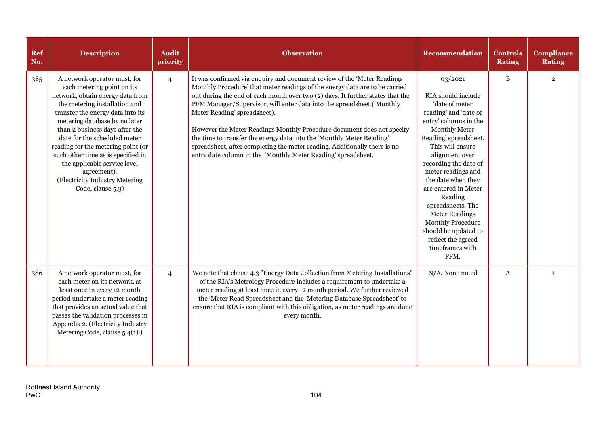| <b>Ref</b><br>No. | <b>Description</b>                                                                                                                                                                                                                                                                                                                                                                                                                                        | <b>Audit</b><br>priority | <b>Observation</b>                                                                                                                                                                                                                                                                                                                                                                                                                                                                                                                                                                                                                                  | <b>Recommendation</b>                                                                                                                                                                                                                                                                                                                                                                                                                        | <b>Controls</b><br><b>Rating</b> | <b>Compliance</b><br><b>Rating</b> |
|-------------------|-----------------------------------------------------------------------------------------------------------------------------------------------------------------------------------------------------------------------------------------------------------------------------------------------------------------------------------------------------------------------------------------------------------------------------------------------------------|--------------------------|-----------------------------------------------------------------------------------------------------------------------------------------------------------------------------------------------------------------------------------------------------------------------------------------------------------------------------------------------------------------------------------------------------------------------------------------------------------------------------------------------------------------------------------------------------------------------------------------------------------------------------------------------------|----------------------------------------------------------------------------------------------------------------------------------------------------------------------------------------------------------------------------------------------------------------------------------------------------------------------------------------------------------------------------------------------------------------------------------------------|----------------------------------|------------------------------------|
| 385               | A network operator must, for<br>each metering point on its<br>network, obtain energy data from<br>the metering installation and<br>transfer the energy data into its<br>metering database by no later<br>than 2 business days after the<br>date for the scheduled meter<br>reading for the metering point (or<br>such other time as is specified in<br>the applicable service level<br>agreement).<br>(Electricity Industry Metering<br>Code, clause 5.3) | $\overline{4}$           | It was confirmed via enquiry and document review of the 'Meter Readings<br>Monthly Procedure' that meter readings of the energy data are to be carried<br>out during the end of each month over two (2) days. It further states that the<br>PFM Manager/Supervisor, will enter data into the spreadsheet ('Monthly<br>Meter Reading' spreadsheet).<br>However the Meter Readings Monthly Procedure document does not specify<br>the time to transfer the energy data into the 'Monthly Meter Reading'<br>spreadsheet, after completing the meter reading. Additionally there is no<br>entry date column in the 'Monthly Meter Reading' spreadsheet. | 03/2021<br>RIA should include<br>'date of meter<br>reading' and 'date of<br>entry' columns in the<br>Monthly Meter<br>Reading' spreadsheet.<br>This will ensure<br>alignment over<br>recording the date of<br>meter readings and<br>the date when they<br>are entered in Meter<br>Reading<br>spreadsheets. The<br><b>Meter Readings</b><br><b>Monthly Procedure</b><br>should be updated to<br>reflect the agreed<br>timeframes with<br>PFM. | $\, {\bf B}$                     | $\overline{2}$                     |
| 386               | A network operator must, for<br>each meter on its network, at<br>least once in every 12 month<br>period undertake a meter reading<br>that provides an actual value that<br>passes the validation processes in<br>Appendix 2. (Electricity Industry<br>Metering Code, clause 5.4(1))                                                                                                                                                                       | $\overline{4}$           | We note that clause 4.3 "Energy Data Collection from Metering Installations"<br>of the RIA's Metrology Procedure includes a requirement to undertake a<br>meter reading at least once in every 12 month period. We further reviewed<br>the 'Meter Read Spreadsheet and the 'Metering Database Spreadsheet' to<br>ensure that RIA is compliant with this obligation, as meter readings are done<br>every month.                                                                                                                                                                                                                                      | N/A. None noted                                                                                                                                                                                                                                                                                                                                                                                                                              | A                                | $\mathbf{1}$                       |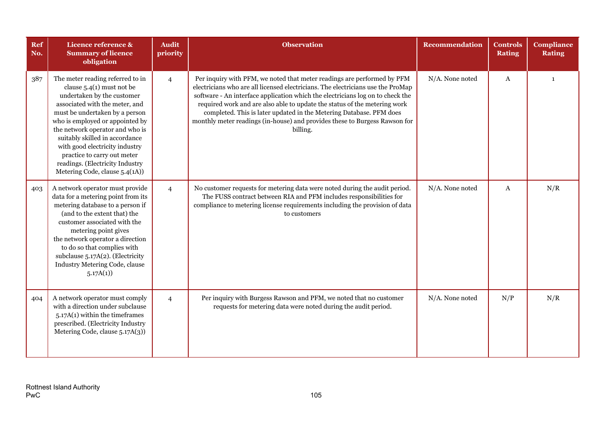| Ref<br>No. | Licence reference &<br><b>Summary of licence</b><br>obligation                                                                                                                                                                                                                                                                                                                                                  | <b>Audit</b><br>priority | <b>Observation</b>                                                                                                                                                                                                                                                                                                                                                                                                                                                                         | <b>Recommendation</b> | <b>Controls</b><br><b>Rating</b> | <b>Compliance</b><br><b>Rating</b> |
|------------|-----------------------------------------------------------------------------------------------------------------------------------------------------------------------------------------------------------------------------------------------------------------------------------------------------------------------------------------------------------------------------------------------------------------|--------------------------|--------------------------------------------------------------------------------------------------------------------------------------------------------------------------------------------------------------------------------------------------------------------------------------------------------------------------------------------------------------------------------------------------------------------------------------------------------------------------------------------|-----------------------|----------------------------------|------------------------------------|
| 387        | The meter reading referred to in<br>clause $5.4(1)$ must not be<br>undertaken by the customer<br>associated with the meter, and<br>must be undertaken by a person<br>who is employed or appointed by<br>the network operator and who is<br>suitably skilled in accordance<br>with good electricity industry<br>practice to carry out meter<br>readings. (Electricity Industry<br>Metering Code, clause 5.4(1A)) | $\overline{4}$           | Per inquiry with PFM, we noted that meter readings are performed by PFM<br>electricians who are all licensed electricians. The electricians use the ProMap<br>software - An interface application which the electricians log on to check the<br>required work and are also able to update the status of the metering work<br>completed. This is later updated in the Metering Database. PFM does<br>monthly meter readings (in-house) and provides these to Burgess Rawson for<br>billing. | N/A. None noted       | A                                | $\mathbf{1}$                       |
| 403        | A network operator must provide<br>data for a metering point from its<br>metering database to a person if<br>(and to the extent that) the<br>customer associated with the<br>metering point gives<br>the network operator a direction<br>to do so that complies with<br>subclause $5.17A(2)$ . (Electricity<br>Industry Metering Code, clause<br>5.17A(1)                                                       | $\overline{4}$           | No customer requests for metering data were noted during the audit period.<br>The FUSS contract between RIA and PFM includes responsibilities for<br>compliance to metering license requirements including the provision of data<br>to customers                                                                                                                                                                                                                                           | N/A. None noted       | A                                | N/R                                |
| 404        | A network operator must comply<br>with a direction under subclause<br>$5.17A(1)$ within the time frames<br>prescribed. (Electricity Industry<br>Metering Code, clause 5.17A(3))                                                                                                                                                                                                                                 | $\overline{4}$           | Per inquiry with Burgess Rawson and PFM, we noted that no customer<br>requests for metering data were noted during the audit period.                                                                                                                                                                                                                                                                                                                                                       | N/A. None noted       | N/P                              | N/R                                |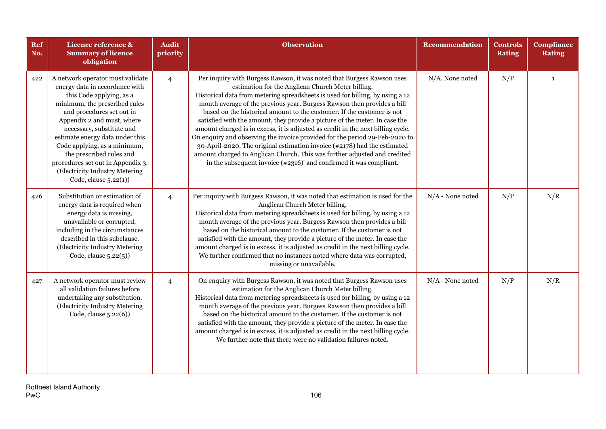| Ref<br>No. | Licence reference &<br><b>Summary of licence</b><br>obligation                                                                                                                                                                                                                                                                                                                                                            | <b>Audit</b><br>priority | <b>Observation</b>                                                                                                                                                                                                                                                                                                                                                                                                                                                                                                                                                                                                                                                                                                                                                                                                                                   | <b>Recommendation</b> | <b>Controls</b><br><b>Rating</b> | <b>Compliance</b><br><b>Rating</b> |
|------------|---------------------------------------------------------------------------------------------------------------------------------------------------------------------------------------------------------------------------------------------------------------------------------------------------------------------------------------------------------------------------------------------------------------------------|--------------------------|------------------------------------------------------------------------------------------------------------------------------------------------------------------------------------------------------------------------------------------------------------------------------------------------------------------------------------------------------------------------------------------------------------------------------------------------------------------------------------------------------------------------------------------------------------------------------------------------------------------------------------------------------------------------------------------------------------------------------------------------------------------------------------------------------------------------------------------------------|-----------------------|----------------------------------|------------------------------------|
| 422        | A network operator must validate<br>energy data in accordance with<br>this Code applying, as a<br>minimum, the prescribed rules<br>and procedures set out in<br>Appendix 2 and must, where<br>necessary, substitute and<br>estimate energy data under this<br>Code applying, as a minimum,<br>the prescribed rules and<br>procedures set out in Appendix 3.<br>(Electricity Industry Metering<br>Code, clause $5.22(1)$ ) | $\overline{4}$           | Per inquiry with Burgess Rawson, it was noted that Burgess Rawson uses<br>estimation for the Anglican Church Meter billing.<br>Historical data from metering spreadsheets is used for billing, by using a 12<br>month average of the previous year. Burgess Rawson then provides a bill<br>based on the historical amount to the customer. If the customer is not<br>satisfied with the amount, they provide a picture of the meter. In case the<br>amount charged is in excess, it is adjusted as credit in the next billing cycle.<br>On enquiry and observing the invoice provided for the period 29-Feb-2020 to<br>30-April-2020. The original estimation invoice (#2178) had the estimated<br>amount charged to Anglican Church. This was further adjusted and credited<br>in the subsequent invoice $(*2316)'$ and confirmed it was compliant. | N/A. None noted       | N/P                              | $\mathbf{1}$                       |
| 426        | Substitution or estimation of<br>energy data is required when<br>energy data is missing,<br>unavailable or corrupted,<br>including in the circumstances<br>described in this subclause.<br>(Electricity Industry Metering<br>Code, clause 5.22(5))                                                                                                                                                                        | $\overline{4}$           | Per inquiry with Burgess Rawson, it was noted that estimation is used for the<br>Anglican Church Meter billing.<br>Historical data from metering spreadsheets is used for billing, by using a 12<br>month average of the previous year. Burgess Rawson then provides a bill<br>based on the historical amount to the customer. If the customer is not<br>satisfied with the amount, they provide a picture of the meter. In case the<br>amount charged is in excess, it is adjusted as credit in the next billing cycle.<br>We further confirmed that no instances noted where data was corrupted,<br>missing or unavailable.                                                                                                                                                                                                                        | $N/A$ - None noted    | N/P                              | N/R                                |
| 427        | A network operator must review<br>all validation failures before<br>undertaking any substitution.<br>(Electricity Industry Metering<br>Code, clause 5.22(6))                                                                                                                                                                                                                                                              | $\overline{4}$           | On enquiry with Burgess Rawson, it was noted that Burgess Rawson uses<br>estimation for the Anglican Church Meter billing.<br>Historical data from metering spreadsheets is used for billing, by using a 12<br>month average of the previous year. Burgess Rawson then provides a bill<br>based on the historical amount to the customer. If the customer is not<br>satisfied with the amount, they provide a picture of the meter. In case the<br>amount charged is in excess, it is adjusted as credit in the next billing cycle.<br>We further note that there were no validation failures noted.                                                                                                                                                                                                                                                 | $N/A$ - None noted    | N/P                              | N/R                                |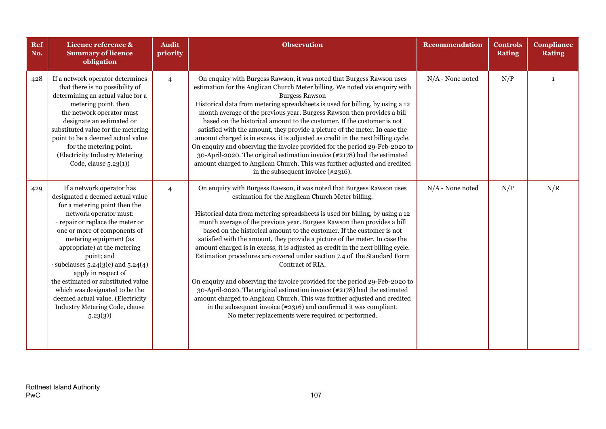| <b>Ref</b><br>No. | Licence reference &<br><b>Summary of licence</b><br>obligation                                                                                                                                                                                                                                                                                                                                                                                                                                    | <b>Audit</b><br>priority | <b>Observation</b>                                                                                                                                                                                                                                                                                                                                                                                                                                                                                                                                                                                                                                                                                                                                                                                                                                                                                                                                                                                      | <b>Recommendation</b> | <b>Controls</b><br><b>Rating</b> | <b>Compliance</b><br><b>Rating</b> |
|-------------------|---------------------------------------------------------------------------------------------------------------------------------------------------------------------------------------------------------------------------------------------------------------------------------------------------------------------------------------------------------------------------------------------------------------------------------------------------------------------------------------------------|--------------------------|---------------------------------------------------------------------------------------------------------------------------------------------------------------------------------------------------------------------------------------------------------------------------------------------------------------------------------------------------------------------------------------------------------------------------------------------------------------------------------------------------------------------------------------------------------------------------------------------------------------------------------------------------------------------------------------------------------------------------------------------------------------------------------------------------------------------------------------------------------------------------------------------------------------------------------------------------------------------------------------------------------|-----------------------|----------------------------------|------------------------------------|
| 428               | If a network operator determines<br>that there is no possibility of<br>determining an actual value for a<br>metering point, then<br>the network operator must<br>designate an estimated or<br>substituted value for the metering<br>point to be a deemed actual value<br>for the metering point.<br>(Electricity Industry Metering<br>Code, clause $5.23(1)$ )                                                                                                                                    | $\overline{4}$           | On enquiry with Burgess Rawson, it was noted that Burgess Rawson uses<br>estimation for the Anglican Church Meter billing. We noted via enquiry with<br><b>Burgess Rawson</b><br>Historical data from metering spreadsheets is used for billing, by using a 12<br>month average of the previous year. Burgess Rawson then provides a bill<br>based on the historical amount to the customer. If the customer is not<br>satisfied with the amount, they provide a picture of the meter. In case the<br>amount charged is in excess, it is adjusted as credit in the next billing cycle.<br>On enquiry and observing the invoice provided for the period 29-Feb-2020 to<br>30-April-2020. The original estimation invoice $(*2178)$ had the estimated<br>amount charged to Anglican Church. This was further adjusted and credited<br>in the subsequent invoice $(*2316)$ .                                                                                                                               | $N/A$ - None noted    | N/P                              | $\mathbf{1}$                       |
| 429               | If a network operator has<br>designated a deemed actual value<br>for a metering point then the<br>network operator must:<br>· repair or replace the meter or<br>one or more of components of<br>metering equipment (as<br>appropriate) at the metering<br>point; and<br>$\cdot$ subclauses 5.24(3(c) and 5.24(4)<br>apply in respect of<br>the estimated or substituted value<br>which was designated to be the<br>deemed actual value. (Electricity<br>Industry Metering Code, clause<br>5.23(3) | $\overline{4}$           | On enquiry with Burgess Rawson, it was noted that Burgess Rawson uses<br>estimation for the Anglican Church Meter billing.<br>Historical data from metering spreadsheets is used for billing, by using a 12<br>month average of the previous year. Burgess Rawson then provides a bill<br>based on the historical amount to the customer. If the customer is not<br>satisfied with the amount, they provide a picture of the meter. In case the<br>amount charged is in excess, it is adjusted as credit in the next billing cycle.<br>Estimation procedures are covered under section 7.4 of the Standard Form<br>Contract of RIA.<br>On enquiry and observing the invoice provided for the period 29-Feb-2020 to<br>30-April-2020. The original estimation invoice (#2178) had the estimated<br>amount charged to Anglican Church. This was further adjusted and credited<br>in the subsequent invoice $(*2316)$ and confirmed it was compliant.<br>No meter replacements were required or performed. | $N/A$ - None noted    | N/P                              | N/R                                |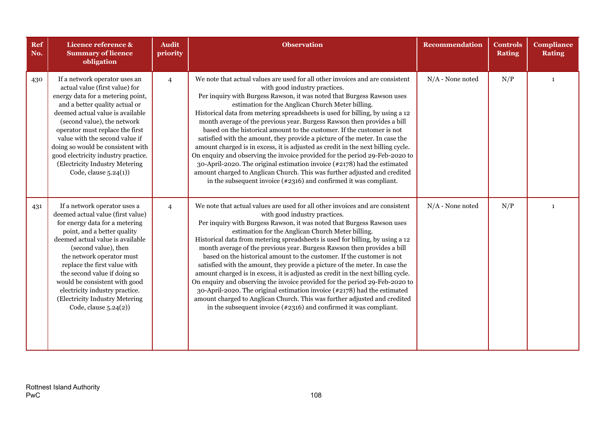| Ref<br>No. | Licence reference &<br><b>Summary of licence</b><br>obligation                                                                                                                                                                                                                                                                                                                                                               | <b>Audit</b><br>priority | <b>Observation</b>                                                                                                                                                                                                                                                                                                                                                                                                                                                                                                                                                                                                                                                                                                                                                                                                                                                                                                                                                      | <b>Recommendation</b> | <b>Controls</b><br><b>Rating</b> | <b>Compliance</b><br><b>Rating</b> |
|------------|------------------------------------------------------------------------------------------------------------------------------------------------------------------------------------------------------------------------------------------------------------------------------------------------------------------------------------------------------------------------------------------------------------------------------|--------------------------|-------------------------------------------------------------------------------------------------------------------------------------------------------------------------------------------------------------------------------------------------------------------------------------------------------------------------------------------------------------------------------------------------------------------------------------------------------------------------------------------------------------------------------------------------------------------------------------------------------------------------------------------------------------------------------------------------------------------------------------------------------------------------------------------------------------------------------------------------------------------------------------------------------------------------------------------------------------------------|-----------------------|----------------------------------|------------------------------------|
| 430        | If a network operator uses an<br>actual value (first value) for<br>energy data for a metering point,<br>and a better quality actual or<br>deemed actual value is available<br>(second value), the network<br>operator must replace the first<br>value with the second value if<br>doing so would be consistent with<br>good electricity industry practice.<br>(Electricity Industry Metering<br>Code, clause $5.24(1)$ )     | $\overline{4}$           | We note that actual values are used for all other invoices and are consistent<br>with good industry practices.<br>Per inquiry with Burgess Rawson, it was noted that Burgess Rawson uses<br>estimation for the Anglican Church Meter billing.<br>Historical data from metering spreadsheets is used for billing, by using a 12<br>month average of the previous year. Burgess Rawson then provides a bill<br>based on the historical amount to the customer. If the customer is not<br>satisfied with the amount, they provide a picture of the meter. In case the<br>amount charged is in excess, it is adjusted as credit in the next billing cycle.<br>On enquiry and observing the invoice provided for the period 29-Feb-2020 to<br>30-April-2020. The original estimation invoice $(*2178)$ had the estimated<br>amount charged to Anglican Church. This was further adjusted and credited<br>in the subsequent invoice $(*2316)$ and confirmed it was compliant. | $N/A$ - None noted    | N/P                              | $\mathbf{1}$                       |
| 431        | If a network operator uses a<br>deemed actual value (first value)<br>for energy data for a metering<br>point, and a better quality<br>deemed actual value is available<br>(second value), then<br>the network operator must<br>replace the first value with<br>the second value if doing so<br>would be consistent with good<br>electricity industry practice.<br>(Electricity Industry Metering<br>Code, clause $5.24(2)$ ) | $\overline{4}$           | We note that actual values are used for all other invoices and are consistent<br>with good industry practices.<br>Per inquiry with Burgess Rawson, it was noted that Burgess Rawson uses<br>estimation for the Anglican Church Meter billing.<br>Historical data from metering spreadsheets is used for billing, by using a 12<br>month average of the previous year. Burgess Rawson then provides a bill<br>based on the historical amount to the customer. If the customer is not<br>satisfied with the amount, they provide a picture of the meter. In case the<br>amount charged is in excess, it is adjusted as credit in the next billing cycle.<br>On enquiry and observing the invoice provided for the period 29-Feb-2020 to<br>30-April-2020. The original estimation invoice (#2178) had the estimated<br>amount charged to Anglican Church. This was further adjusted and credited<br>in the subsequent invoice $(*2316)$ and confirmed it was compliant.   | $N/A$ - None noted    | N/P                              | $\mathbf{1}$                       |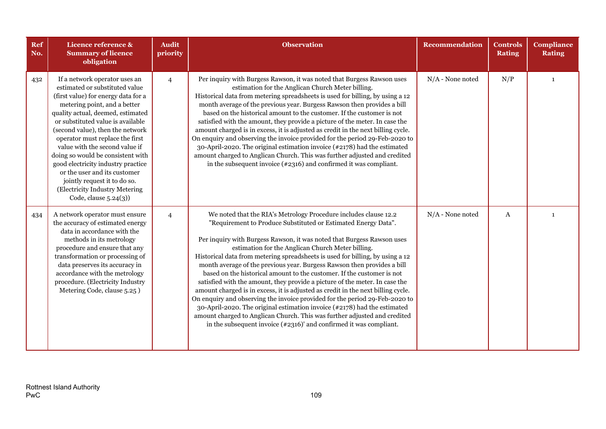| Ref<br>No. | Licence reference &<br><b>Summary of licence</b><br>obligation                                                                                                                                                                                                                                                                                                                                                                                                                                                                     | <b>Audit</b><br>priority | <b>Observation</b>                                                                                                                                                                                                                                                                                                                                                                                                                                                                                                                                                                                                                                                                                                                                                                                                                                                                                                                                                                         | <b>Recommendation</b> | <b>Controls</b><br><b>Rating</b> | <b>Compliance</b><br><b>Rating</b> |
|------------|------------------------------------------------------------------------------------------------------------------------------------------------------------------------------------------------------------------------------------------------------------------------------------------------------------------------------------------------------------------------------------------------------------------------------------------------------------------------------------------------------------------------------------|--------------------------|--------------------------------------------------------------------------------------------------------------------------------------------------------------------------------------------------------------------------------------------------------------------------------------------------------------------------------------------------------------------------------------------------------------------------------------------------------------------------------------------------------------------------------------------------------------------------------------------------------------------------------------------------------------------------------------------------------------------------------------------------------------------------------------------------------------------------------------------------------------------------------------------------------------------------------------------------------------------------------------------|-----------------------|----------------------------------|------------------------------------|
| 432        | If a network operator uses an<br>estimated or substituted value<br>(first value) for energy data for a<br>metering point, and a better<br>quality actual, deemed, estimated<br>or substituted value is available<br>(second value), then the network<br>operator must replace the first<br>value with the second value if<br>doing so would be consistent with<br>good electricity industry practice<br>or the user and its customer<br>jointly request it to do so.<br>(Electricity Industry Metering<br>Code, clause $5.24(3)$ ) | $\overline{4}$           | Per inquiry with Burgess Rawson, it was noted that Burgess Rawson uses<br>estimation for the Anglican Church Meter billing.<br>Historical data from metering spreadsheets is used for billing, by using a 12<br>month average of the previous year. Burgess Rawson then provides a bill<br>based on the historical amount to the customer. If the customer is not<br>satisfied with the amount, they provide a picture of the meter. In case the<br>amount charged is in excess, it is adjusted as credit in the next billing cycle.<br>On enquiry and observing the invoice provided for the period 29-Feb-2020 to<br>30-April-2020. The original estimation invoice (#2178) had the estimated<br>amount charged to Anglican Church. This was further adjusted and credited<br>in the subsequent invoice $(*2316)$ and confirmed it was compliant.                                                                                                                                        | $N/A$ - None noted    | N/P                              | $\mathbf{1}$                       |
| 434        | A network operator must ensure<br>the accuracy of estimated energy<br>data in accordance with the<br>methods in its metrology<br>procedure and ensure that any<br>transformation or processing of<br>data preserves its accuracy in<br>accordance with the metrology<br>procedure. (Electricity Industry<br>Metering Code, clause 5.25)                                                                                                                                                                                            | $\overline{4}$           | We noted that the RIA's Metrology Procedure includes clause 12.2<br>"Requirement to Produce Substituted or Estimated Energy Data".<br>Per inquiry with Burgess Rawson, it was noted that Burgess Rawson uses<br>estimation for the Anglican Church Meter billing.<br>Historical data from metering spreadsheets is used for billing, by using a 12<br>month average of the previous year. Burgess Rawson then provides a bill<br>based on the historical amount to the customer. If the customer is not<br>satisfied with the amount, they provide a picture of the meter. In case the<br>amount charged is in excess, it is adjusted as credit in the next billing cycle.<br>On enquiry and observing the invoice provided for the period 29-Feb-2020 to<br>30-April-2020. The original estimation invoice (#2178) had the estimated<br>amount charged to Anglican Church. This was further adjusted and credited<br>in the subsequent invoice $(*2316)'$ and confirmed it was compliant. | $N/A$ - None noted    | $\mathbf{A}$                     | $\mathbf{1}$                       |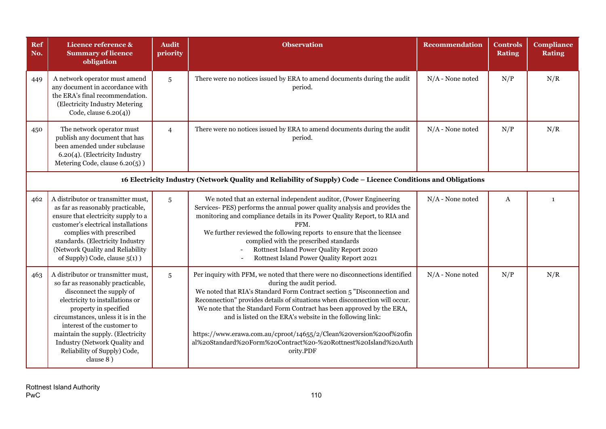| Ref<br>No. | Licence reference &<br><b>Summary of licence</b><br>obligation                                                                                                                                                                                                                                                                                                 | <b>Audit</b><br>priority | <b>Observation</b>                                                                                                                                                                                                                                                                                                                                                                                                                                                                                                                                           | <b>Recommendation</b> | <b>Controls</b><br><b>Rating</b> | <b>Compliance</b><br><b>Rating</b> |  |  |  |  |
|------------|----------------------------------------------------------------------------------------------------------------------------------------------------------------------------------------------------------------------------------------------------------------------------------------------------------------------------------------------------------------|--------------------------|--------------------------------------------------------------------------------------------------------------------------------------------------------------------------------------------------------------------------------------------------------------------------------------------------------------------------------------------------------------------------------------------------------------------------------------------------------------------------------------------------------------------------------------------------------------|-----------------------|----------------------------------|------------------------------------|--|--|--|--|
| 449        | A network operator must amend<br>any document in accordance with<br>the ERA's final recommendation.<br>(Electricity Industry Metering<br>Code, clause $6.20(4)$ )                                                                                                                                                                                              | 5                        | There were no notices issued by ERA to amend documents during the audit<br>period.                                                                                                                                                                                                                                                                                                                                                                                                                                                                           | $N/A$ - None noted    | N/P                              | N/R                                |  |  |  |  |
| 450        | The network operator must<br>publish any document that has<br>been amended under subclause<br>6.20(4). (Electricity Industry<br>Metering Code, clause 6.20(5))                                                                                                                                                                                                 | $\overline{4}$           | There were no notices issued by ERA to amend documents during the audit<br>period.                                                                                                                                                                                                                                                                                                                                                                                                                                                                           | $N/A$ - None noted    | N/P                              | N/R                                |  |  |  |  |
|            | 16 Electricity Industry (Network Quality and Reliability of Supply) Code - Licence Conditions and Obligations                                                                                                                                                                                                                                                  |                          |                                                                                                                                                                                                                                                                                                                                                                                                                                                                                                                                                              |                       |                                  |                                    |  |  |  |  |
| 462        | A distributor or transmitter must,<br>as far as reasonably practicable,<br>ensure that electricity supply to a<br>customer's electrical installations<br>complies with prescribed<br>standards. (Electricity Industry<br>(Network Quality and Reliability<br>of Supply) Code, clause 5(1) )                                                                    | $\overline{5}$           | We noted that an external independent auditor, (Power Engineering<br>Services-PES) performs the annual power quality analysis and provides the<br>monitoring and compliance details in its Power Quality Report, to RIA and<br>PFM.<br>We further reviewed the following reports to ensure that the licensee<br>complied with the prescribed standards<br>Rottnest Island Power Quality Report 2020<br>Rottnest Island Power Quality Report 2021                                                                                                             | $N/A$ - None noted    | A                                | $\mathbf{1}$                       |  |  |  |  |
| 463        | A distributor or transmitter must,<br>so far as reasonably practicable,<br>disconnect the supply of<br>electricity to installations or<br>property in specified<br>circumstances, unless it is in the<br>interest of the customer to<br>maintain the supply. (Electricity<br><b>Industry (Network Quality and</b><br>Reliability of Supply) Code,<br>clause 8) | 5                        | Per inquiry with PFM, we noted that there were no disconnections identified<br>during the audit period.<br>We noted that RIA's Standard Form Contract section 5 "Disconnection and<br>Reconnection" provides details of situations when disconnection will occur.<br>We note that the Standard Form Contract has been approved by the ERA,<br>and is listed on the ERA's website in the following link:<br>https://www.erawa.com.au/cproot/14655/2/Clean%20version%20of%20fin<br>al%20Standard%20Form%20Contract%20-%20Rottnest%20Island%20Auth<br>ority.PDF | $N/A$ - None noted    | N/P                              | N/R                                |  |  |  |  |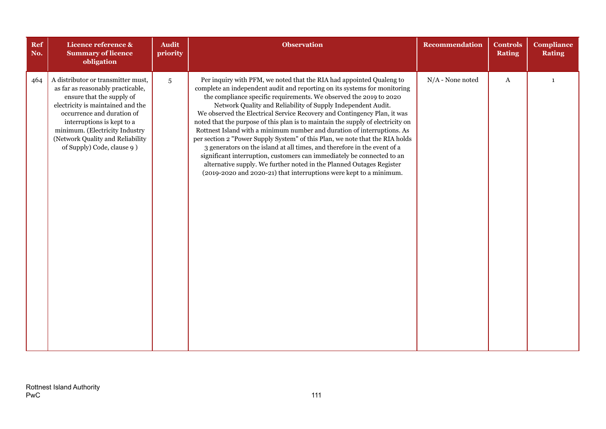| Ref<br>No. | Licence reference &<br><b>Summary of licence</b><br>obligation                                                                                                                                                                                                                                            | <b>Audit</b><br>priority | <b>Observation</b>                                                                                                                                                                                                                                                                                                                                                                                                                                                                                                                                                                                                                                                                                                                                                                                                                                                                                                    | <b>Recommendation</b> | <b>Controls</b><br><b>Rating</b> | <b>Compliance</b><br><b>Rating</b> |
|------------|-----------------------------------------------------------------------------------------------------------------------------------------------------------------------------------------------------------------------------------------------------------------------------------------------------------|--------------------------|-----------------------------------------------------------------------------------------------------------------------------------------------------------------------------------------------------------------------------------------------------------------------------------------------------------------------------------------------------------------------------------------------------------------------------------------------------------------------------------------------------------------------------------------------------------------------------------------------------------------------------------------------------------------------------------------------------------------------------------------------------------------------------------------------------------------------------------------------------------------------------------------------------------------------|-----------------------|----------------------------------|------------------------------------|
| 464        | A distributor or transmitter must,<br>as far as reasonably practicable,<br>ensure that the supply of<br>electricity is maintained and the<br>occurrence and duration of<br>interruptions is kept to a<br>minimum. (Electricity Industry<br>(Network Quality and Reliability<br>of Supply) Code, clause 9) | $\overline{5}$           | Per inquiry with PFM, we noted that the RIA had appointed Qualeng to<br>complete an independent audit and reporting on its systems for monitoring<br>the compliance specific requirements. We observed the 2019 to 2020<br>Network Quality and Reliability of Supply Independent Audit.<br>We observed the Electrical Service Recovery and Contingency Plan, it was<br>noted that the purpose of this plan is to maintain the supply of electricity on<br>Rottnest Island with a minimum number and duration of interruptions. As<br>per section 2 "Power Supply System" of this Plan, we note that the RIA holds<br>3 generators on the island at all times, and therefore in the event of a<br>significant interruption, customers can immediately be connected to an<br>alternative supply. We further noted in the Planned Outages Register<br>(2019-2020 and 2020-21) that interruptions were kept to a minimum. | $N/A$ - None noted    | $\bf{A}$                         | $\mathbf{1}$                       |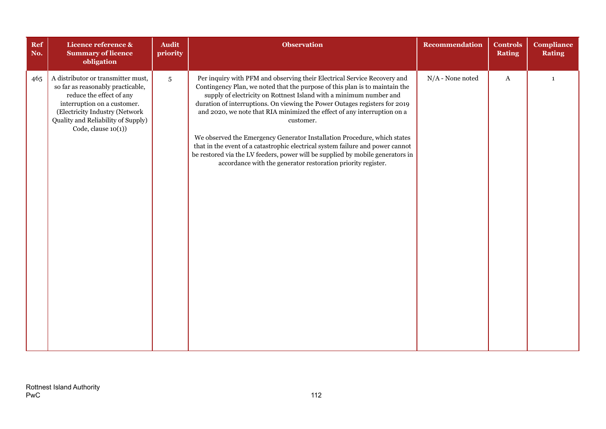| Ref<br>No. | Licence reference &<br><b>Summary of licence</b><br>obligation                                                                                                                                                                       | <b>Audit</b><br>priority | <b>Observation</b>                                                                                                                                                                                                                                                                                                                                                                                                                                                                                                                                                                                                                                                                                                   | <b>Recommendation</b> | <b>Controls</b><br><b>Rating</b> | <b>Compliance</b><br><b>Rating</b> |
|------------|--------------------------------------------------------------------------------------------------------------------------------------------------------------------------------------------------------------------------------------|--------------------------|----------------------------------------------------------------------------------------------------------------------------------------------------------------------------------------------------------------------------------------------------------------------------------------------------------------------------------------------------------------------------------------------------------------------------------------------------------------------------------------------------------------------------------------------------------------------------------------------------------------------------------------------------------------------------------------------------------------------|-----------------------|----------------------------------|------------------------------------|
| 465        | A distributor or transmitter must,<br>so far as reasonably practicable,<br>reduce the effect of any<br>interruption on a customer.<br>(Electricity Industry (Network<br>Quality and Reliability of Supply)<br>Code, clause $10(1)$ ) | $\overline{5}$           | Per inquiry with PFM and observing their Electrical Service Recovery and<br>Contingency Plan, we noted that the purpose of this plan is to maintain the<br>supply of electricity on Rottnest Island with a minimum number and<br>duration of interruptions. On viewing the Power Outages registers for 2019<br>and 2020, we note that RIA minimized the effect of any interruption on a<br>customer.<br>We observed the Emergency Generator Installation Procedure, which states<br>that in the event of a catastrophic electrical system failure and power cannot<br>be restored via the LV feeders, power will be supplied by mobile generators in<br>accordance with the generator restoration priority register. | $N/A$ - None noted    | $\mathbf A$                      | $\mathbf{1}$                       |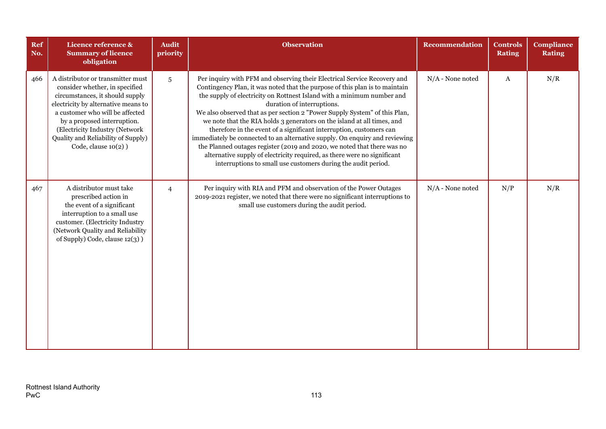| <b>Ref</b><br>No. | Licence reference &<br><b>Summary of licence</b><br>obligation                                                                                                                                                                                                                                                    | <b>Audit</b><br>priority | <b>Observation</b>                                                                                                                                                                                                                                                                                                                                                                                                                                                                                                                                                                                                                                                                                                                                                                                     | <b>Recommendation</b> | <b>Controls</b><br><b>Rating</b> | <b>Compliance</b><br><b>Rating</b> |
|-------------------|-------------------------------------------------------------------------------------------------------------------------------------------------------------------------------------------------------------------------------------------------------------------------------------------------------------------|--------------------------|--------------------------------------------------------------------------------------------------------------------------------------------------------------------------------------------------------------------------------------------------------------------------------------------------------------------------------------------------------------------------------------------------------------------------------------------------------------------------------------------------------------------------------------------------------------------------------------------------------------------------------------------------------------------------------------------------------------------------------------------------------------------------------------------------------|-----------------------|----------------------------------|------------------------------------|
| 466               | A distributor or transmitter must<br>consider whether, in specified<br>circumstances, it should supply<br>electricity by alternative means to<br>a customer who will be affected<br>by a proposed interruption.<br>(Electricity Industry (Network<br>Quality and Reliability of Supply)<br>$Code, clause 10(2)$ ) | $\overline{5}$           | Per inquiry with PFM and observing their Electrical Service Recovery and<br>Contingency Plan, it was noted that the purpose of this plan is to maintain<br>the supply of electricity on Rottnest Island with a minimum number and<br>duration of interruptions.<br>We also observed that as per section 2 "Power Supply System" of this Plan,<br>we note that the RIA holds 3 generators on the island at all times, and<br>therefore in the event of a significant interruption, customers can<br>immediately be connected to an alternative supply. On enquiry and reviewing<br>the Planned outages register (2019 and 2020, we noted that there was no<br>alternative supply of electricity required, as there were no significant<br>interruptions to small use customers during the audit period. | $N/A$ - None noted    | A                                | N/R                                |
| 467               | A distributor must take<br>prescribed action in<br>the event of a significant<br>interruption to a small use<br>customer. (Electricity Industry<br>(Network Quality and Reliability<br>of Supply) Code, clause 12(3) )                                                                                            | $\overline{4}$           | Per inquiry with RIA and PFM and observation of the Power Outages<br>2019-2021 register, we noted that there were no significant interruptions to<br>small use customers during the audit period.                                                                                                                                                                                                                                                                                                                                                                                                                                                                                                                                                                                                      | $N/A$ - None noted    | N/P                              | N/R                                |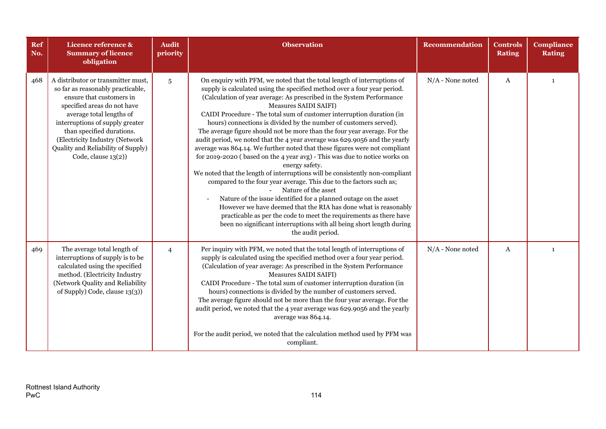| Ref<br>No. | Licence reference &<br><b>Summary of licence</b><br>obligation                                                                                                                                                                                                                                                                   | <b>Audit</b><br>priority | <b>Observation</b>                                                                                                                                                                                                                                                                                                                                                                                                                                                                                                                                                                                                                                                                                                                                                                                                                                                                                                                                                                                                                                                                                                                                                                                                                  | <b>Recommendation</b> | <b>Controls</b><br><b>Rating</b> | <b>Compliance</b><br><b>Rating</b> |
|------------|----------------------------------------------------------------------------------------------------------------------------------------------------------------------------------------------------------------------------------------------------------------------------------------------------------------------------------|--------------------------|-------------------------------------------------------------------------------------------------------------------------------------------------------------------------------------------------------------------------------------------------------------------------------------------------------------------------------------------------------------------------------------------------------------------------------------------------------------------------------------------------------------------------------------------------------------------------------------------------------------------------------------------------------------------------------------------------------------------------------------------------------------------------------------------------------------------------------------------------------------------------------------------------------------------------------------------------------------------------------------------------------------------------------------------------------------------------------------------------------------------------------------------------------------------------------------------------------------------------------------|-----------------------|----------------------------------|------------------------------------|
| 468        | A distributor or transmitter must,<br>so far as reasonably practicable,<br>ensure that customers in<br>specified areas do not have<br>average total lengths of<br>interruptions of supply greater<br>than specified durations.<br>(Electricity Industry (Network<br>Quality and Reliability of Supply)<br>Code, clause $13(2)$ ) | 5                        | On enquiry with PFM, we noted that the total length of interruptions of<br>supply is calculated using the specified method over a four year period.<br>(Calculation of year average: As prescribed in the System Performance<br>Measures SAIDI SAIFI)<br>CAIDI Procedure - The total sum of customer interruption duration (in<br>hours) connections is divided by the number of customers served).<br>The average figure should not be more than the four year average. For the<br>audit period, we noted that the 4 year average was 629.9056 and the yearly<br>average was 864.14. We further noted that these figures were not compliant<br>for 2019-2020 (based on the 4 year avg) - This was due to notice works on<br>energy safety.<br>We noted that the length of interruptions will be consistently non-compliant<br>compared to the four year average. This due to the factors such as;<br>Nature of the asset<br>Nature of the issue identified for a planned outage on the asset<br>However we have deemed that the RIA has done what is reasonably<br>practicable as per the code to meet the requirements as there have<br>been no significant interruptions with all being short length during<br>the audit period. | $N/A$ - None noted    | A                                | $\mathbf{1}$                       |
| 469        | The average total length of<br>interruptions of supply is to be<br>calculated using the specified<br>method. (Electricity Industry<br>(Network Quality and Reliability<br>of Supply) Code, clause 13(3))                                                                                                                         | $\overline{4}$           | Per inquiry with PFM, we noted that the total length of interruptions of<br>supply is calculated using the specified method over a four year period.<br>(Calculation of year average: As prescribed in the System Performance<br><b>Measures SAIDI SAIFI)</b><br>CAIDI Procedure - The total sum of customer interruption duration (in<br>hours) connections is divided by the number of customers served.<br>The average figure should not be more than the four year average. For the<br>audit period, we noted that the 4 year average was 629.9056 and the yearly<br>average was 864.14.<br>For the audit period, we noted that the calculation method used by PFM was<br>compliant.                                                                                                                                                                                                                                                                                                                                                                                                                                                                                                                                            | $N/A$ - None noted    | A                                | $\mathbf{1}$                       |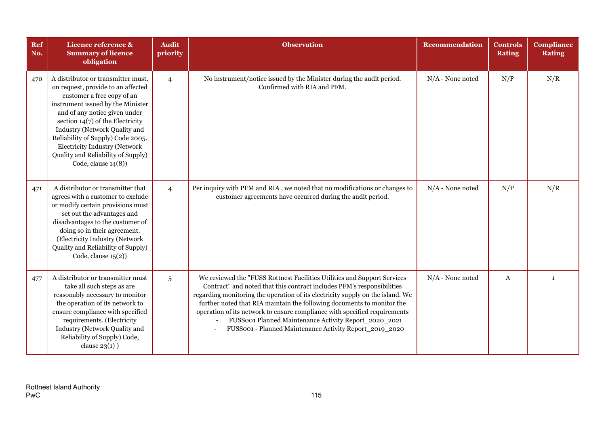| Ref<br>No. | Licence reference &<br><b>Summary of licence</b><br>obligation                                                                                                                                                                                                                                                                                                                                   | <b>Audit</b><br>priority | <b>Observation</b>                                                                                                                                                                                                                                                                                                                                                                                                                                                                                              | <b>Recommendation</b> | <b>Controls</b><br><b>Rating</b> | Compliance<br><b>Rating</b> |
|------------|--------------------------------------------------------------------------------------------------------------------------------------------------------------------------------------------------------------------------------------------------------------------------------------------------------------------------------------------------------------------------------------------------|--------------------------|-----------------------------------------------------------------------------------------------------------------------------------------------------------------------------------------------------------------------------------------------------------------------------------------------------------------------------------------------------------------------------------------------------------------------------------------------------------------------------------------------------------------|-----------------------|----------------------------------|-----------------------------|
| 470        | A distributor or transmitter must,<br>on request, provide to an affected<br>customer a free copy of an<br>instrument issued by the Minister<br>and of any notice given under<br>section $14(7)$ of the Electricity<br>Industry (Network Quality and<br>Reliability of Supply) Code 2005.<br><b>Electricity Industry (Network</b><br>Quality and Reliability of Supply)<br>Code, clause $14(8)$ ) | $\overline{4}$           | No instrument/notice issued by the Minister during the audit period.<br>Confirmed with RIA and PFM.                                                                                                                                                                                                                                                                                                                                                                                                             | $N/A$ - None noted    | N/P                              | N/R                         |
| 471        | A distributor or transmitter that<br>agrees with a customer to exclude<br>or modify certain provisions must<br>set out the advantages and<br>disadvantages to the customer of<br>doing so in their agreement.<br>(Electricity Industry (Network<br>Quality and Reliability of Supply)<br>Code, clause $15(2)$ )                                                                                  | $\overline{4}$           | Per inquiry with PFM and RIA, we noted that no modifications or changes to<br>customer agreements have occurred during the audit period.                                                                                                                                                                                                                                                                                                                                                                        | $N/A$ - None noted    | N/P                              | N/R                         |
| 477        | A distributor or transmitter must<br>take all such steps as are<br>reasonably necessary to monitor<br>the operation of its network to<br>ensure compliance with specified<br>requirements. (Electricity<br>Industry (Network Quality and<br>Reliability of Supply) Code,<br>clause $23(1)$ )                                                                                                     | 5                        | We reviewed the "FUSS Rottnest Facilities Utilities and Support Services<br>Contract" and noted that this contract includes PFM's responsibilities<br>regarding monitoring the operation of its electricity supply on the island. We<br>further noted that RIA maintain the following documents to monitor the<br>operation of its network to ensure compliance with specified requirements<br>FUSS001 Planned Maintenance Activity Report_2020_2021<br>FUSS001 - Planned Maintenance Activity Report_2019_2020 | $N/A$ - None noted    | $\mathbf{A}$                     | $\mathbf{1}$                |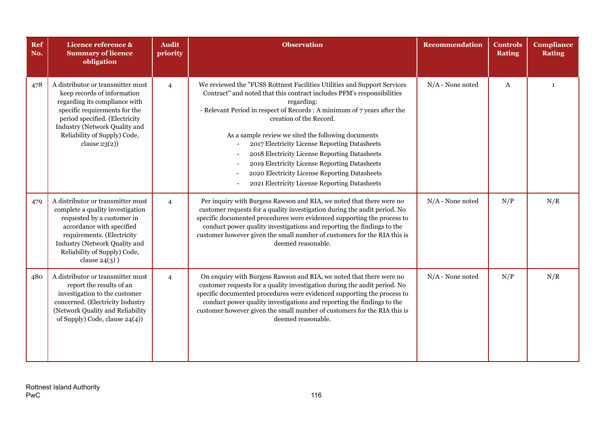| Ref<br>No. | Licence reference &<br><b>Summary of licence</b><br>obligation                                                                                                                                                                                            | <b>Audit</b><br>priority | <b>Observation</b>                                                                                                                                                                                                                                                                                                                                                                                                                                                                                                                                                                  | <b>Recommendation</b> | <b>Controls</b><br><b>Rating</b> | <b>Compliance</b><br><b>Rating</b> |
|------------|-----------------------------------------------------------------------------------------------------------------------------------------------------------------------------------------------------------------------------------------------------------|--------------------------|-------------------------------------------------------------------------------------------------------------------------------------------------------------------------------------------------------------------------------------------------------------------------------------------------------------------------------------------------------------------------------------------------------------------------------------------------------------------------------------------------------------------------------------------------------------------------------------|-----------------------|----------------------------------|------------------------------------|
| 478        | A distributor or transmitter must<br>keep records of information<br>regarding its compliance with<br>specific requirements for the<br>period specified. (Electricity<br>Industry (Network Quality and<br>Reliability of Supply) Code,<br>clause $23(2)$ ) | $\overline{4}$           | We reviewed the "FUSS Rottnest Facilities Utilities and Support Services<br>Contract" and noted that this contract includes PFM's responsibilities<br>regarding:<br>- Relevant Period in respect of Records : A minimum of 7 years after the<br>creation of the Record.<br>As a sample review we sited the following documents<br>2017 Electricity License Reporting Datasheets<br>2018 Electricity License Reporting Datasheets<br>2019 Electricity License Reporting Datasheets<br>2020 Electricity License Reporting Datasheets<br>2021 Electricity License Reporting Datasheets | $N/A$ - None noted    | $\mathbf{A}$                     | $\mathbf{1}$                       |
| 479        | A distributor or transmitter must<br>complete a quality investigation<br>requested by a customer in<br>accordance with specified<br>requirements. (Electricity<br>Industry (Network Quality and<br>Reliability of Supply) Code,<br>clause $24(3)$ )       | $\overline{4}$           | Per inquiry with Burgess Rawson and RIA, we noted that there were no<br>customer requests for a quality investigation during the audit period. No<br>specific documented procedures were evidenced supporting the process to<br>conduct power quality investigations and reporting the findings to the<br>customer however given the small number of customers for the RIA this is<br>deemed reasonable.                                                                                                                                                                            | $N/A$ - None noted    | N/P                              | N/R                                |
| 480        | A distributor or transmitter must<br>report the results of an<br>investigation to the customer<br>concerned. (Electricity Industry<br>(Network Quality and Reliability<br>of Supply) Code, clause 24(4))                                                  | $\overline{4}$           | On enquiry with Burgess Rawson and RIA, we noted that there were no<br>customer requests for a quality investigation during the audit period. No<br>specific documented procedures were evidenced supporting the process to<br>conduct power quality investigations and reporting the findings to the<br>customer however given the small number of customers for the RIA this is<br>deemed reasonable.                                                                                                                                                                             | $N/A$ - None noted    | N/P                              | N/R                                |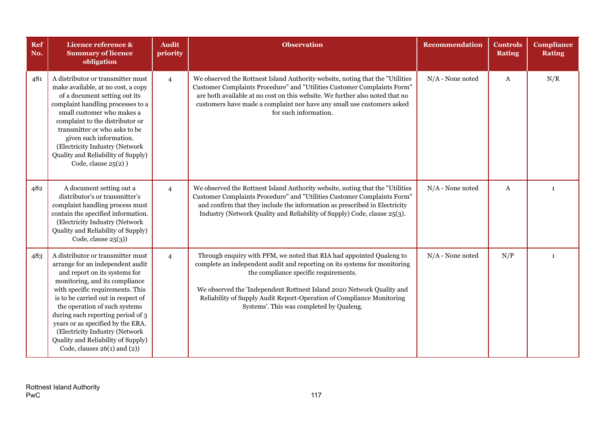| <b>Ref</b><br>No. | Licence reference &<br><b>Summary of licence</b><br>obligation                                                                                                                                                                                                                                                                                                                                                                             | <b>Audit</b><br>priority | <b>Observation</b>                                                                                                                                                                                                                                                                                                                                                                       | Recommendation     | <b>Controls</b><br><b>Rating</b> | <b>Compliance</b><br><b>Rating</b> |
|-------------------|--------------------------------------------------------------------------------------------------------------------------------------------------------------------------------------------------------------------------------------------------------------------------------------------------------------------------------------------------------------------------------------------------------------------------------------------|--------------------------|------------------------------------------------------------------------------------------------------------------------------------------------------------------------------------------------------------------------------------------------------------------------------------------------------------------------------------------------------------------------------------------|--------------------|----------------------------------|------------------------------------|
| 481               | A distributor or transmitter must<br>make available, at no cost, a copy<br>of a document setting out its<br>complaint handling processes to a<br>small customer who makes a<br>complaint to the distributor or<br>transmitter or who asks to be<br>given such information.<br>(Electricity Industry (Network<br>Quality and Reliability of Supply)<br>Code, clause $25(2)$ )                                                               | $\overline{4}$           | We observed the Rottnest Island Authority website, noting that the "Utilities<br>Customer Complaints Procedure" and "Utilities Customer Complaints Form"<br>are both available at no cost on this website. We further also noted that no<br>customers have made a complaint nor have any small use customers asked<br>for such information.                                              | $N/A$ - None noted | A                                | N/R                                |
| 482               | A document setting out a<br>distributor's or transmitter's<br>complaint handling process must<br>contain the specified information.<br>(Electricity Industry (Network<br>Quality and Reliability of Supply)<br>Code, clause $25(3)$ )                                                                                                                                                                                                      | $\overline{4}$           | We observed the Rottnest Island Authority website, noting that the "Utilities<br>Customer Complaints Procedure" and "Utilities Customer Complaints Form"<br>and confirm that they include the information as prescribed in Electricity<br>Industry (Network Quality and Reliability of Supply) Code, clause 25(3).                                                                       | $N/A$ - None noted | A                                | $\mathbf{1}$                       |
| 483               | A distributor or transmitter must<br>arrange for an independent audit<br>and report on its systems for<br>monitoring, and its compliance<br>with specific requirements. This<br>is to be carried out in respect of<br>the operation of such systems<br>during each reporting period of 3<br>years or as specified by the ERA.<br>(Electricity Industry (Network<br>Quality and Reliability of Supply)<br>Code, clauses $26(1)$ and $(2)$ ) | $\overline{4}$           | Through enquiry with PFM, we noted that RIA had appointed Qualeng to<br>complete an independent audit and reporting on its systems for monitoring<br>the compliance specific requirements.<br>We observed the 'Independent Rottnest Island 2020 Network Quality and<br>Reliability of Supply Audit Report-Operation of Compliance Monitoring<br>Systems'. This was completed by Qualeng. | $N/A$ - None noted | N/P                              | $\mathbf{1}$                       |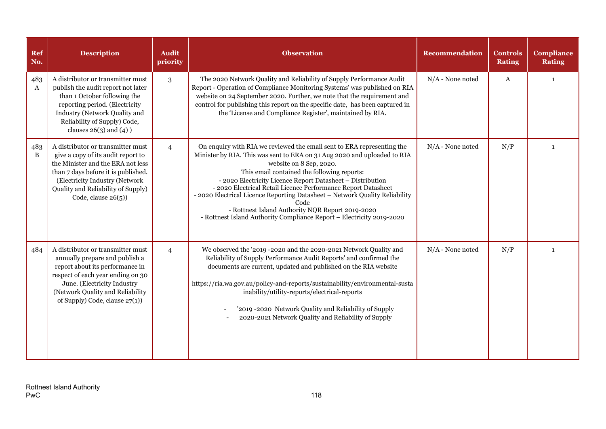| <b>Ref</b><br>No. | <b>Description</b>                                                                                                                                                                                                                                    | <b>Audit</b><br>priority | <b>Observation</b>                                                                                                                                                                                                                                                                                                                                                                                                                                                                                                                                                              | <b>Recommendation</b> | <b>Controls</b><br><b>Rating</b> | <b>Compliance</b><br><b>Rating</b> |
|-------------------|-------------------------------------------------------------------------------------------------------------------------------------------------------------------------------------------------------------------------------------------------------|--------------------------|---------------------------------------------------------------------------------------------------------------------------------------------------------------------------------------------------------------------------------------------------------------------------------------------------------------------------------------------------------------------------------------------------------------------------------------------------------------------------------------------------------------------------------------------------------------------------------|-----------------------|----------------------------------|------------------------------------|
| 483<br>A          | A distributor or transmitter must<br>publish the audit report not later<br>than 1 October following the<br>reporting period. (Electricity<br><b>Industry (Network Quality and</b><br>Reliability of Supply) Code,<br>clauses $26(3)$ and $(4)$ )      | 3                        | The 2020 Network Quality and Reliability of Supply Performance Audit<br>Report - Operation of Compliance Monitoring Systems' was published on RIA<br>website on 24 September 2020. Further, we note that the requirement and<br>control for publishing this report on the specific date, has been captured in<br>the 'License and Compliance Register', maintained by RIA.                                                                                                                                                                                                      | $N/A$ - None noted    | $\mathbf{A}$                     | $\mathbf{1}$                       |
| 483<br>B          | A distributor or transmitter must<br>give a copy of its audit report to<br>the Minister and the ERA not less<br>than 7 days before it is published.<br>(Electricity Industry (Network<br>Quality and Reliability of Supply)<br>Code, clause $26(5)$ ) | $\overline{4}$           | On enquiry with RIA we reviewed the email sent to ERA representing the<br>Minister by RIA. This was sent to ERA on 31 Aug 2020 and uploaded to RIA<br>website on 8 Sep, 2020.<br>This email contained the following reports:<br>- 2020 Electricity Licence Report Datasheet - Distribution<br>- 2020 Electrical Retail Licence Performance Report Datasheet<br>- 2020 Electrical Licence Reporting Datasheet - Network Quality Reliability<br>Code<br>- Rottnest Island Authority NQR Report 2019-2020<br>- Rottnest Island Authority Compliance Report - Electricity 2019-2020 | $N/A$ - None noted    | N/P                              | $\mathbf{1}$                       |
| 484               | A distributor or transmitter must<br>annually prepare and publish a<br>report about its performance in<br>respect of each year ending on 30<br>June. (Electricity Industry<br>(Network Quality and Reliability<br>of Supply) Code, clause 27(1))      | $\overline{4}$           | We observed the '2019 -2020 and the 2020-2021 Network Quality and<br>Reliability of Supply Performance Audit Reports' and confirmed the<br>documents are current, updated and published on the RIA website<br>https://ria.wa.gov.au/policy-and-reports/sustainability/environmental-susta<br>inability/utility-reports/electrical-reports<br>'2019 -2020 Network Quality and Reliability of Supply<br>2020-2021 Network Quality and Reliability of Supply                                                                                                                       | $N/A$ - None noted    | N/P                              | $\mathbf{1}$                       |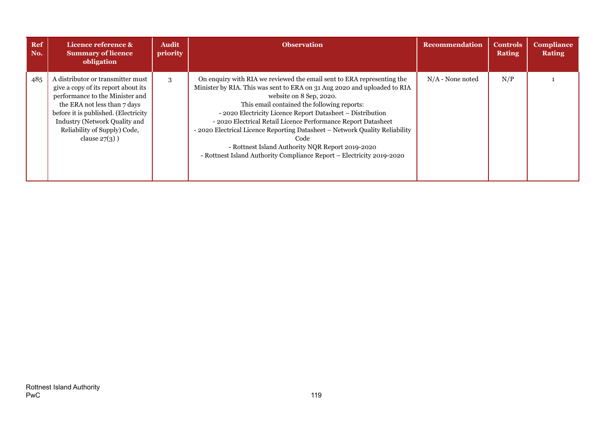| <b>Ref</b><br>No. | Licence reference &<br><b>Summary of licence</b><br>obligation                                                                                                                                                                                                                  | <b>Audit</b><br>priority | <b>Observation</b>                                                                                                                                                                                                                                                                                                                                                                                                                                                                                                                                                              | Recommendation     | <b>Controls</b><br><b>Rating</b> | <b>Compliance</b><br><b>Rating</b> |
|-------------------|---------------------------------------------------------------------------------------------------------------------------------------------------------------------------------------------------------------------------------------------------------------------------------|--------------------------|---------------------------------------------------------------------------------------------------------------------------------------------------------------------------------------------------------------------------------------------------------------------------------------------------------------------------------------------------------------------------------------------------------------------------------------------------------------------------------------------------------------------------------------------------------------------------------|--------------------|----------------------------------|------------------------------------|
| 485               | A distributor or transmitter must<br>give a copy of its report about its<br>performance to the Minister and<br>the ERA not less than 7 days<br>before it is published. (Electricity<br><b>Industry (Network Quality and</b><br>Reliability of Supply) Code,<br>clause $27(3)$ ) | 3                        | On enquiry with RIA we reviewed the email sent to ERA representing the<br>Minister by RIA. This was sent to ERA on 31 Aug 2020 and uploaded to RIA<br>website on 8 Sep, 2020.<br>This email contained the following reports:<br>- 2020 Electricity Licence Report Datasheet - Distribution<br>- 2020 Electrical Retail Licence Performance Report Datasheet<br>- 2020 Electrical Licence Reporting Datasheet - Network Quality Reliability<br>Code<br>- Rottnest Island Authority NQR Report 2019-2020<br>- Rottnest Island Authority Compliance Report - Electricity 2019-2020 | $N/A$ - None noted | N/P                              |                                    |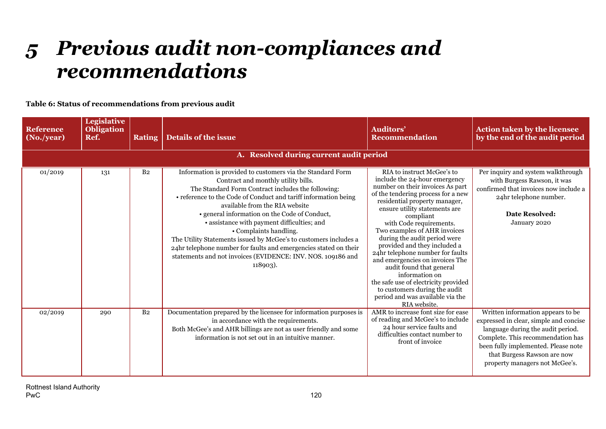## *5 Previous audit non-compliances and recommendations*

**Table 6: Status of recommendations from previous audit**

| <b>Reference</b><br>(No./year) | <b>Legislative</b><br><b>Obligation</b><br>Ref. | <b>Rating</b>  | <b>Details of the issue</b>                                                                                                                                                                                                                                                                                                                                                                                                                                                                                                                                                                               | <b>Auditors'</b><br><b>Recommendation</b>                                                                                                                                                                                                                                                                                                                                                                                                                                                                                                                                                         | <b>Action taken by the licensee</b><br>by the end of the audit period                                                                                                                                                                                         |
|--------------------------------|-------------------------------------------------|----------------|-----------------------------------------------------------------------------------------------------------------------------------------------------------------------------------------------------------------------------------------------------------------------------------------------------------------------------------------------------------------------------------------------------------------------------------------------------------------------------------------------------------------------------------------------------------------------------------------------------------|---------------------------------------------------------------------------------------------------------------------------------------------------------------------------------------------------------------------------------------------------------------------------------------------------------------------------------------------------------------------------------------------------------------------------------------------------------------------------------------------------------------------------------------------------------------------------------------------------|---------------------------------------------------------------------------------------------------------------------------------------------------------------------------------------------------------------------------------------------------------------|
|                                |                                                 |                | A. Resolved during current audit period                                                                                                                                                                                                                                                                                                                                                                                                                                                                                                                                                                   |                                                                                                                                                                                                                                                                                                                                                                                                                                                                                                                                                                                                   |                                                                                                                                                                                                                                                               |
| 01/2019                        | 131                                             | B <sub>2</sub> | Information is provided to customers via the Standard Form<br>Contract and monthly utility bills.<br>The Standard Form Contract includes the following:<br>• reference to the Code of Conduct and tariff information being<br>available from the RIA website<br>• general information on the Code of Conduct,<br>• assistance with payment difficulties; and<br>• Complaints handling.<br>The Utility Statements issued by McGee's to customers includes a<br>24hr telephone number for faults and emergencies stated on their<br>statements and not invoices (EVIDENCE: INV. NOS. 109186 and<br>118903). | RIA to instruct McGee's to<br>include the 24-hour emergency<br>number on their invoices As part<br>of the tendering process for a new<br>residential property manager,<br>ensure utility statements are<br>compliant<br>with Code requirements.<br>Two examples of AHR invoices<br>during the audit period were<br>provided and they included a<br>24hr telephone number for faults<br>and emergencies on invoices The<br>audit found that general<br>information on<br>the safe use of electricity provided<br>to customers during the audit<br>period and was available via the<br>RIA website. | Per inquiry and system walkthrough<br>with Burgess Rawson, it was<br>confirmed that invoices now include a<br>24hr telephone number.<br>Date Resolved:<br>January 2020                                                                                        |
| 02/2019                        | 290                                             | B <sub>2</sub> | Documentation prepared by the licensee for information purposes is<br>in accordance with the requirements.<br>Both McGee's and AHR billings are not as user friendly and some<br>information is not set out in an intuitive manner.                                                                                                                                                                                                                                                                                                                                                                       | AMR to increase font size for ease<br>of reading and McGee's to include<br>24 hour service faults and<br>difficulties contact number to<br>front of invoice                                                                                                                                                                                                                                                                                                                                                                                                                                       | Written information appears to be<br>expressed in clear, simple and concise<br>language during the audit period.<br>Complete. This recommendation has<br>been fully implemented. Please note<br>that Burgess Rawson are now<br>property managers not McGee's. |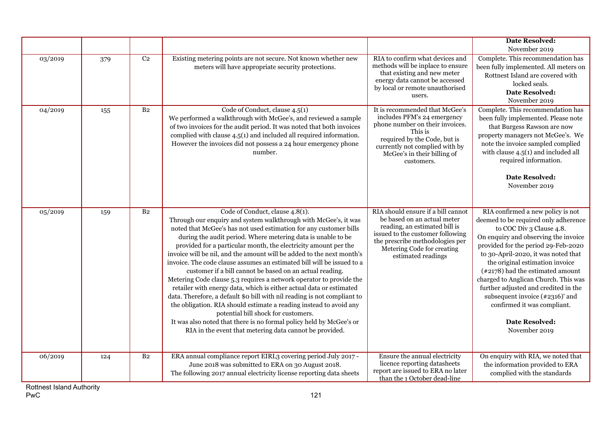|         |     |                |                                                                                                                                                                                                                                                                                                                                                                                                                                                                                                                                                                                                                                                                                                                                                                                                                                                                                                                                                                                                    |                                                                                                                                                                                                                               | <b>Date Resolved:</b>                                                                                                                                                                                                                                                                                                                                                                                                                                                                            |
|---------|-----|----------------|----------------------------------------------------------------------------------------------------------------------------------------------------------------------------------------------------------------------------------------------------------------------------------------------------------------------------------------------------------------------------------------------------------------------------------------------------------------------------------------------------------------------------------------------------------------------------------------------------------------------------------------------------------------------------------------------------------------------------------------------------------------------------------------------------------------------------------------------------------------------------------------------------------------------------------------------------------------------------------------------------|-------------------------------------------------------------------------------------------------------------------------------------------------------------------------------------------------------------------------------|--------------------------------------------------------------------------------------------------------------------------------------------------------------------------------------------------------------------------------------------------------------------------------------------------------------------------------------------------------------------------------------------------------------------------------------------------------------------------------------------------|
| 03/2019 | 379 | C <sub>2</sub> | Existing metering points are not secure. Not known whether new<br>meters will have appropriate security protections.                                                                                                                                                                                                                                                                                                                                                                                                                                                                                                                                                                                                                                                                                                                                                                                                                                                                               | RIA to confirm what devices and<br>methods will be inplace to ensure<br>that existing and new meter<br>energy data cannot be accessed<br>by local or remote unauthorised<br>users.                                            | November 2019<br>Complete. This recommendation has<br>been fully implemented. All meters on<br>Rottnest Island are covered with<br>locked seals.<br><b>Date Resolved:</b><br>November 2019                                                                                                                                                                                                                                                                                                       |
| 04/2019 | 155 | B <sub>2</sub> | Code of Conduct, clause 4.5(1)<br>We performed a walkthrough with McGee's, and reviewed a sample<br>of two invoices for the audit period. It was noted that both invoices<br>complied with clause 4.5(1) and included all required information.<br>However the invoices did not possess a 24 hour emergency phone<br>number.                                                                                                                                                                                                                                                                                                                                                                                                                                                                                                                                                                                                                                                                       | It is recommended that McGee's<br>includes PFM's 24 emergency<br>phone number on their invoices.<br>This is<br>required by the Code, but is<br>currently not complied with by<br>McGee's in their billing of<br>customers.    | Complete. This recommendation has<br>been fully implemented. Please note<br>that Burgess Rawson are now<br>property managers not McGee's. We<br>note the invoice sampled complied<br>with clause 4.5(1) and included all<br>required information.                                                                                                                                                                                                                                                |
|         |     |                |                                                                                                                                                                                                                                                                                                                                                                                                                                                                                                                                                                                                                                                                                                                                                                                                                                                                                                                                                                                                    |                                                                                                                                                                                                                               | <b>Date Resolved:</b><br>November 2019                                                                                                                                                                                                                                                                                                                                                                                                                                                           |
| 05/2019 | 159 | B <sub>2</sub> | Code of Conduct, clause 4.8(1).<br>Through our enquiry and system walkthrough with McGee's, it was<br>noted that McGee's has not used estimation for any customer bills<br>during the audit period. Where metering data is unable to be<br>provided for a particular month, the electricity amount per the<br>invoice will be nil, and the amount will be added to the next month's<br>invoice. The code clause assumes an estimated bill will be issued to a<br>customer if a bill cannot be based on an actual reading.<br>Metering Code clause 5.3 requires a network operator to provide the<br>retailer with energy data, which is either actual data or estimated<br>data. Therefore, a default \$0 bill with nil reading is not compliant to<br>the obligation. RIA should estimate a reading instead to avoid any<br>potential bill shock for customers.<br>It was also noted that there is no formal policy held by McGee's or<br>RIA in the event that metering data cannot be provided. | RIA should ensure if a bill cannot<br>be based on an actual meter<br>reading, an estimated bill is<br>issued to the customer following<br>the prescribe methodologies per<br>Metering Code for creating<br>estimated readings | RIA confirmed a new policy is not<br>deemed to be required only adherence<br>to COC Div 3 Clause 4.8.<br>On enquiry and observing the invoice<br>provided for the period 29-Feb-2020<br>to 30-April-2020, it was noted that<br>the original estimation invoice<br>$(*2178)$ had the estimated amount<br>charged to Anglican Church. This was<br>further adjusted and credited in the<br>subsequent invoice (#2316)' and<br>confirmed it was compliant.<br><b>Date Resolved:</b><br>November 2019 |
| 06/2019 | 124 | B <sub>2</sub> | ERA annual compliance report EIRL3 covering period July 2017 -<br>June 2018 was submitted to ERA on 30 August 2018.<br>The following 2017 annual electricity license reporting data sheets                                                                                                                                                                                                                                                                                                                                                                                                                                                                                                                                                                                                                                                                                                                                                                                                         | Ensure the annual electricity<br>licence reporting datasheets<br>report are issued to ERA no later<br>than the 1 October dead-line                                                                                            | On enquiry with RIA, we noted that<br>the information provided to ERA<br>complied with the standards                                                                                                                                                                                                                                                                                                                                                                                             |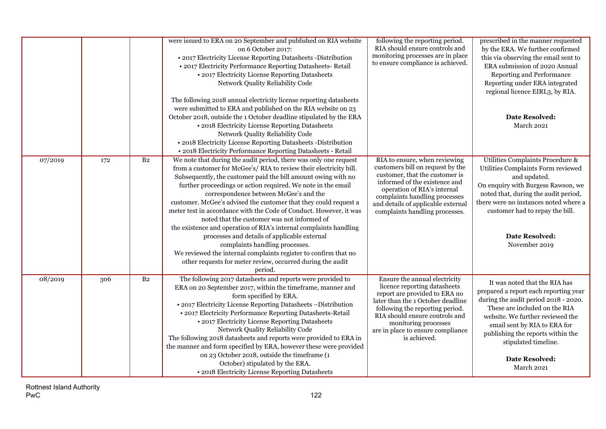|         |     |                | were issued to ERA on 20 September and published on RIA website<br>on 6 October 2017:<br>• 2017 Electricity License Reporting Datasheets - Distribution<br>• 2017 Electricity Performance Reporting Datasheets- Retail<br>• 2017 Electricity License Reporting Datasheets<br>Network Quality Reliability Code<br>The following 2018 annual electricity license reporting datasheets<br>were submitted to ERA and published on the RIA website on 23<br>October 2018, outside the 1 October deadline stipulated by the ERA<br>• 2018 Electricity License Reporting Datasheets<br>Network Quality Reliability Code<br>• 2018 Electricity License Reporting Datasheets -Distribution<br>• 2018 Electricity Performance Reporting Datasheets - Retail                                                            | following the reporting period.<br>RIA should ensure controls and<br>monitoring processes are in place<br>to ensure compliance is achieved.                                                                                                                                           | prescribed in the manner requested<br>by the ERA. We further confirmed<br>this via observing the email sent to<br>ERA submission of 2020 Annual<br>Reporting and Performance<br>Reporting under ERA integrated<br>regional licence EIRL3, by RIA.<br><b>Date Resolved:</b><br>March 2021                                       |
|---------|-----|----------------|--------------------------------------------------------------------------------------------------------------------------------------------------------------------------------------------------------------------------------------------------------------------------------------------------------------------------------------------------------------------------------------------------------------------------------------------------------------------------------------------------------------------------------------------------------------------------------------------------------------------------------------------------------------------------------------------------------------------------------------------------------------------------------------------------------------|---------------------------------------------------------------------------------------------------------------------------------------------------------------------------------------------------------------------------------------------------------------------------------------|--------------------------------------------------------------------------------------------------------------------------------------------------------------------------------------------------------------------------------------------------------------------------------------------------------------------------------|
| 07/2019 | 172 | B <sub>2</sub> | We note that during the audit period, there was only one request<br>from a customer for McGee's/RIA to review their electricity bill.<br>Subsequently, the customer paid the bill amount owing with no<br>further proceedings or action required. We note in the email<br>correspondence between McGee's and the<br>customer. McGee's advised the customer that they could request a<br>meter test in accordance with the Code of Conduct. However, it was<br>noted that the customer was not informed of<br>the existence and operation of RIA's internal complaints handling<br>processes and details of applicable external<br>complaints handling processes.<br>We reviewed the internal complaints register to confirm that no<br>other requests for meter review, occurred during the audit<br>period. | RIA to ensure, when reviewing<br>customers bill on request by the<br>customer, that the customer is<br>informed of the existence and<br>operation of RIA's internal<br>complaints handling processes<br>and details of applicable external<br>complaints handling processes.          | Utilities Complaints Procedure &<br>Utilities Complaints Form reviewed<br>and updated.<br>On enquiry with Burgess Rawson, we<br>noted that, during the audit period,<br>there were no instances noted where a<br>customer had to repay the bill.<br><b>Date Resolved:</b><br>November 2019                                     |
| 08/2019 | 306 | B <sub>2</sub> | The following 2017 datasheets and reports were provided to<br>ERA on 20 September 2017, within the timeframe, manner and<br>form specified by ERA.<br>• 2017 Electricity License Reporting Datasheets -Distribution<br>• 2017 Electricity Performance Reporting Datasheets-Retail<br>• 2017 Electricity License Reporting Datasheets<br>Network Quality Reliability Code<br>The following 2018 datasheets and reports were provided to ERA in<br>the manner and form specified by ERA, however these were provided<br>on 23 October 2018, outside the timeframe (1<br>October) stipulated by the ERA.<br>• 2018 Electricity License Reporting Datasheets                                                                                                                                                     | Ensure the annual electricity<br>licence reporting datasheets<br>report are provided to ERA no<br>later than the 1 October deadline<br>following the reporting period.<br>RIA should ensure controls and<br>monitoring processes<br>are in place to ensure compliance<br>is achieved. | It was noted that the RIA has<br>prepared a report each reporting year<br>during the audit period 2018 - 2020.<br>These are included on the RIA<br>website. We further reviewed the<br>email sent by RIA to ERA for<br>publishing the reports within the<br>stipulated timeline.<br><b>Date Resolved:</b><br><b>March 2021</b> |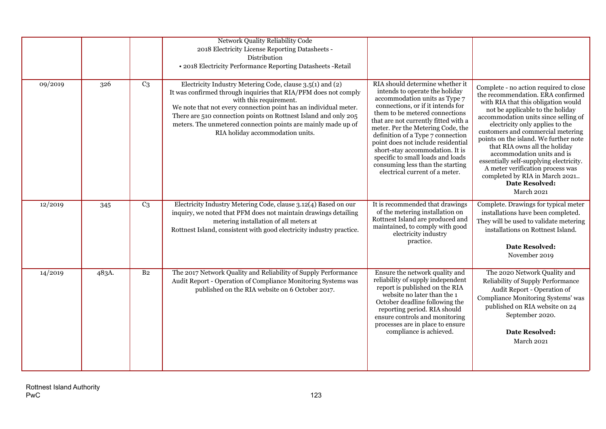|         |       |                | Network Quality Reliability Code<br>2018 Electricity License Reporting Datasheets -<br>Distribution<br>• 2018 Electricity Performance Reporting Datasheets - Retail                                                                                                                                                                                                                                |                                                                                                                                                                                                                                                                                                                                                                                                                                                                                 |                                                                                                                                                                                                                                                                                                                                                                                                                                                                                                                                        |
|---------|-------|----------------|----------------------------------------------------------------------------------------------------------------------------------------------------------------------------------------------------------------------------------------------------------------------------------------------------------------------------------------------------------------------------------------------------|---------------------------------------------------------------------------------------------------------------------------------------------------------------------------------------------------------------------------------------------------------------------------------------------------------------------------------------------------------------------------------------------------------------------------------------------------------------------------------|----------------------------------------------------------------------------------------------------------------------------------------------------------------------------------------------------------------------------------------------------------------------------------------------------------------------------------------------------------------------------------------------------------------------------------------------------------------------------------------------------------------------------------------|
| 09/2019 | 326   | C <sub>3</sub> | Electricity Industry Metering Code, clause 3.5(1) and (2)<br>It was confirmed through inquiries that RIA/PFM does not comply<br>with this requirement.<br>We note that not every connection point has an individual meter.<br>There are 510 connection points on Rottnest Island and only 205<br>meters. The unmetered connection points are mainly made up of<br>RIA holiday accommodation units. | RIA should determine whether it<br>intends to operate the holiday<br>accommodation units as Type 7<br>connections, or if it intends for<br>them to be metered connections<br>that are not currently fitted with a<br>meter. Per the Metering Code, the<br>definition of a Type 7 connection<br>point does not include residential<br>short-stay accommodation. It is<br>specific to small loads and loads<br>consuming less than the starting<br>electrical current of a meter. | Complete - no action required to close<br>the recommendation. ERA confirmed<br>with RIA that this obligation would<br>not be applicable to the holiday<br>accommodation units since selling of<br>electricity only applies to the<br>customers and commercial metering<br>points on the island. We further note<br>that RIA owns all the holiday<br>accommodation units and is<br>essentially self-supplying electricity.<br>A meter verification process was<br>completed by RIA in March 2021<br><b>Date Resolved:</b><br>March 2021 |
| 12/2019 | 345   | C <sub>3</sub> | Electricity Industry Metering Code, clause 3.12(4) Based on our<br>inquiry, we noted that PFM does not maintain drawings detailing<br>metering installation of all meters at<br>Rottnest Island, consistent with good electricity industry practice.                                                                                                                                               | It is recommended that drawings<br>of the metering installation on<br>Rottnest Island are produced and<br>maintained, to comply with good<br>electricity industry<br>practice.                                                                                                                                                                                                                                                                                                  | Complete. Drawings for typical meter<br>installations have been completed.<br>They will be used to validate metering<br>installations on Rottnest Island.<br><b>Date Resolved:</b><br>November 2019                                                                                                                                                                                                                                                                                                                                    |
| 14/2019 | 483A. | B <sub>2</sub> | The 2017 Network Quality and Reliability of Supply Performance<br>Audit Report - Operation of Compliance Monitoring Systems was<br>published on the RIA website on 6 October 2017.                                                                                                                                                                                                                 | Ensure the network quality and<br>reliability of supply independent<br>report is published on the RIA<br>website no later than the 1<br>October deadline following the<br>reporting period. RIA should<br>ensure controls and monitoring<br>processes are in place to ensure<br>compliance is achieved.                                                                                                                                                                         | The 2020 Network Quality and<br>Reliability of Supply Performance<br>Audit Report - Operation of<br>Compliance Monitoring Systems' was<br>published on RIA website on 24<br>September 2020.<br><b>Date Resolved:</b><br>March 2021                                                                                                                                                                                                                                                                                                     |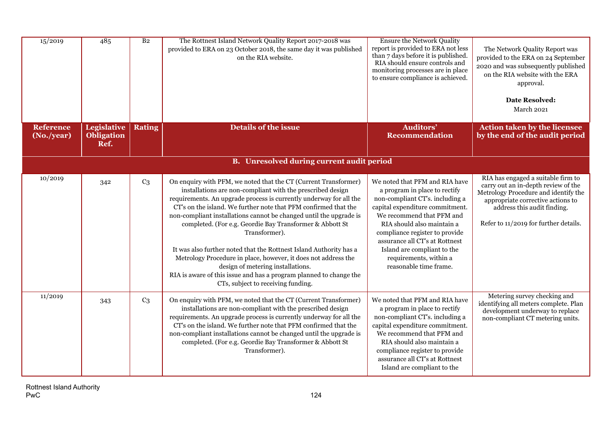| 15/2019                        | 485                                      | B <sub>2</sub> | The Rottnest Island Network Quality Report 2017-2018 was<br>provided to ERA on 23 October 2018, the same day it was published<br>on the RIA website.                                                                                                                                                                                                                                                                                                                                                                                                                                                                                                                                                               | <b>Ensure the Network Quality</b><br>report is provided to ERA not less<br>than 7 days before it is published.<br>RIA should ensure controls and<br>monitoring processes are in place<br>to ensure compliance is achieved.                                                                                                                              | The Network Quality Report was<br>provided to the ERA on 24 September<br>2020 and was subsequently published<br>on the RIA website with the ERA<br>approval.<br><b>Date Resolved:</b><br>March 2021                            |
|--------------------------------|------------------------------------------|----------------|--------------------------------------------------------------------------------------------------------------------------------------------------------------------------------------------------------------------------------------------------------------------------------------------------------------------------------------------------------------------------------------------------------------------------------------------------------------------------------------------------------------------------------------------------------------------------------------------------------------------------------------------------------------------------------------------------------------------|---------------------------------------------------------------------------------------------------------------------------------------------------------------------------------------------------------------------------------------------------------------------------------------------------------------------------------------------------------|--------------------------------------------------------------------------------------------------------------------------------------------------------------------------------------------------------------------------------|
| <b>Reference</b><br>(No./year) | Legislative<br><b>Obligation</b><br>Ref. | <b>Rating</b>  | <b>Details of the issue</b>                                                                                                                                                                                                                                                                                                                                                                                                                                                                                                                                                                                                                                                                                        | <b>Auditors'</b><br><b>Recommendation</b>                                                                                                                                                                                                                                                                                                               | <b>Action taken by the licensee</b><br>by the end of the audit period                                                                                                                                                          |
|                                |                                          |                | <b>B.</b> Unresolved during current audit period                                                                                                                                                                                                                                                                                                                                                                                                                                                                                                                                                                                                                                                                   |                                                                                                                                                                                                                                                                                                                                                         |                                                                                                                                                                                                                                |
| 10/2019                        | 342                                      | C <sub>3</sub> | On enquiry with PFM, we noted that the CT (Current Transformer)<br>installations are non-compliant with the prescribed design<br>requirements. An upgrade process is currently underway for all the<br>CT's on the island. We further note that PFM confirmed that the<br>non-compliant installations cannot be changed until the upgrade is<br>completed. (For e.g. Geordie Bay Transformer & Abbott St<br>Transformer).<br>It was also further noted that the Rottnest Island Authority has a<br>Metrology Procedure in place, however, it does not address the<br>design of metering installations.<br>RIA is aware of this issue and has a program planned to change the<br>CTs, subject to receiving funding. | We noted that PFM and RIA have<br>a program in place to rectify<br>non-compliant CT's. including a<br>capital expenditure commitment.<br>We recommend that PFM and<br>RIA should also maintain a<br>compliance register to provide<br>assurance all CT's at Rottnest<br>Island are compliant to the<br>requirements, within a<br>reasonable time frame. | RIA has engaged a suitable firm to<br>carry out an in-depth review of the<br>Metrology Procedure and identify the<br>appropriate corrective actions to<br>address this audit finding.<br>Refer to 11/2019 for further details. |
| 11/2019                        | 343                                      | C <sub>3</sub> | On enquiry with PFM, we noted that the CT (Current Transformer)<br>installations are non-compliant with the prescribed design<br>requirements. An upgrade process is currently underway for all the<br>CT's on the island. We further note that PFM confirmed that the<br>non-compliant installations cannot be changed until the upgrade is<br>completed. (For e.g. Geordie Bay Transformer & Abbott St<br>Transformer).                                                                                                                                                                                                                                                                                          | We noted that PFM and RIA have<br>a program in place to rectify<br>non-compliant CT's. including a<br>capital expenditure commitment.<br>We recommend that PFM and<br>RIA should also maintain a<br>compliance register to provide<br>assurance all CT's at Rottnest<br>Island are compliant to the                                                     | Metering survey checking and<br>identifying all meters complete. Plan<br>development underway to replace<br>non-compliant CT metering units.                                                                                   |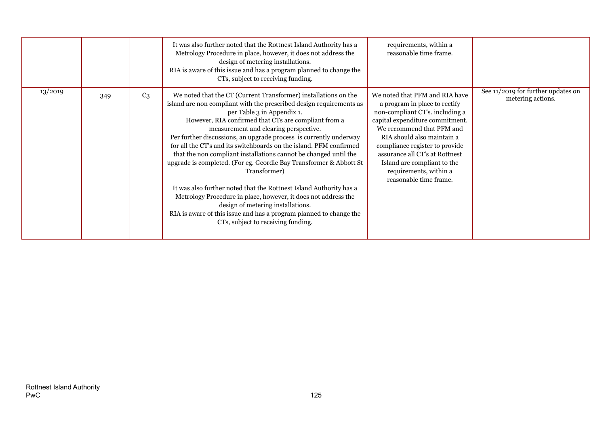|         |     |                | It was also further noted that the Rottnest Island Authority has a<br>Metrology Procedure in place, however, it does not address the<br>design of metering installations.<br>RIA is aware of this issue and has a program planned to change the<br>CTs, subject to receiving funding.                                                                                                                                                                                                                                                                                                                                                                                                                                                                                                                                                                               | requirements, within a<br>reasonable time frame.                                                                                                                                                                                                                                                                                                        |                                                         |
|---------|-----|----------------|---------------------------------------------------------------------------------------------------------------------------------------------------------------------------------------------------------------------------------------------------------------------------------------------------------------------------------------------------------------------------------------------------------------------------------------------------------------------------------------------------------------------------------------------------------------------------------------------------------------------------------------------------------------------------------------------------------------------------------------------------------------------------------------------------------------------------------------------------------------------|---------------------------------------------------------------------------------------------------------------------------------------------------------------------------------------------------------------------------------------------------------------------------------------------------------------------------------------------------------|---------------------------------------------------------|
| 13/2019 | 349 | C <sub>3</sub> | We noted that the CT (Current Transformer) installations on the<br>island are non compliant with the prescribed design requirements as<br>per Table 3 in Appendix 1.<br>However, RIA confirmed that CTs are compliant from a<br>measurement and clearing perspective.<br>Per further discussions, an upgrade process is currently underway<br>for all the CT's and its switchboards on the island. PFM confirmed<br>that the non compliant installations cannot be changed until the<br>upgrade is completed. (For eg. Geordie Bay Transformer & Abbott St<br>Transformer)<br>It was also further noted that the Rottnest Island Authority has a<br>Metrology Procedure in place, however, it does not address the<br>design of metering installations.<br>RIA is aware of this issue and has a program planned to change the<br>CTs, subject to receiving funding. | We noted that PFM and RIA have<br>a program in place to rectify<br>non-compliant CT's. including a<br>capital expenditure commitment.<br>We recommend that PFM and<br>RIA should also maintain a<br>compliance register to provide<br>assurance all CT's at Rottnest<br>Island are compliant to the<br>requirements, within a<br>reasonable time frame. | See 11/2019 for further updates on<br>metering actions. |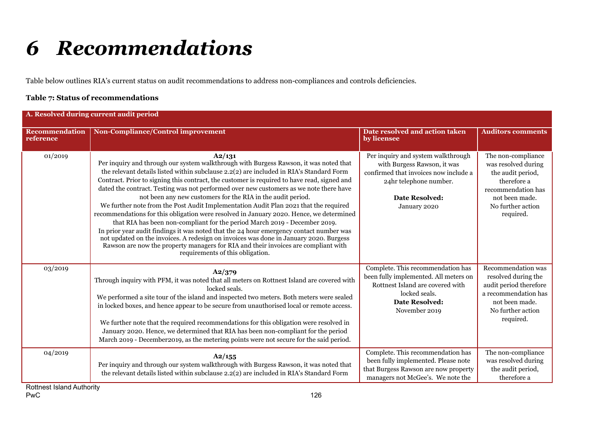# *6 Recommendations*

Table below outlines RIA's current status on audit recommendations to address non-compliances and controls deficiencies.

#### **Table 7: Status of recommendations**

| A. Resolved during current audit period |                                                                                                                                                                                                                                                                                                                                                                                                                                                                                                                                                                                                                                                                                                                                                                                                                                                                                                                                                                                                                                   |                                                                                                                                                                               |                                                                                                                                                         |  |  |  |
|-----------------------------------------|-----------------------------------------------------------------------------------------------------------------------------------------------------------------------------------------------------------------------------------------------------------------------------------------------------------------------------------------------------------------------------------------------------------------------------------------------------------------------------------------------------------------------------------------------------------------------------------------------------------------------------------------------------------------------------------------------------------------------------------------------------------------------------------------------------------------------------------------------------------------------------------------------------------------------------------------------------------------------------------------------------------------------------------|-------------------------------------------------------------------------------------------------------------------------------------------------------------------------------|---------------------------------------------------------------------------------------------------------------------------------------------------------|--|--|--|
| <b>Recommendation</b><br>reference      | Non-Compliance/Control improvement                                                                                                                                                                                                                                                                                                                                                                                                                                                                                                                                                                                                                                                                                                                                                                                                                                                                                                                                                                                                | Date resolved and action taken<br>by licensee                                                                                                                                 | <b>Auditors comments</b>                                                                                                                                |  |  |  |
| 01/2019                                 | A2/131<br>Per inquiry and through our system walkthrough with Burgess Rawson, it was noted that<br>the relevant details listed within subclause 2.2(2) are included in RIA's Standard Form<br>Contract. Prior to signing this contract, the customer is required to have read, signed and<br>dated the contract. Testing was not performed over new customers as we note there have<br>not been any new customers for the RIA in the audit period.<br>We further note from the Post Audit Implementation Audit Plan 2021 that the required<br>recommendations for this obligation were resolved in January 2020. Hence, we determined<br>that RIA has been non-compliant for the period March 2019 - December 2019.<br>In prior year audit findings it was noted that the 24 hour emergency contact number was<br>not updated on the invoices. A redesign on invoices was done in January 2020. Burgess<br>Rawson are now the property managers for RIA and their invoices are compliant with<br>requirements of this obligation. | Per inquiry and system walkthrough<br>with Burgess Rawson, it was<br>confirmed that invoices now include a<br>24hr telephone number.<br><b>Date Resolved:</b><br>January 2020 | The non-compliance<br>was resolved during<br>the audit period,<br>therefore a<br>recommendation has<br>not been made.<br>No further action<br>required. |  |  |  |
| 03/2019                                 | A2/379<br>Through inquiry with PFM, it was noted that all meters on Rottnest Island are covered with<br>locked seals.<br>We performed a site tour of the island and inspected two meters. Both meters were sealed<br>in locked boxes, and hence appear to be secure from unauthorised local or remote access.<br>We further note that the required recommendations for this obligation were resolved in<br>January 2020. Hence, we determined that RIA has been non-compliant for the period<br>March 2019 - December 2019, as the metering points were not secure for the said period.                                                                                                                                                                                                                                                                                                                                                                                                                                           | Complete. This recommendation has<br>been fully implemented. All meters on<br>Rottnest Island are covered with<br>locked seals.<br><b>Date Resolved:</b><br>November 2019     | Recommendation was<br>resolved during the<br>audit period therefore<br>a recommendation has<br>not been made.<br>No further action<br>required.         |  |  |  |
| 04/2019                                 | A2/155<br>Per inquiry and through our system walkthrough with Burgess Rawson, it was noted that<br>the relevant details listed within subclause 2.2(2) are included in RIA's Standard Form                                                                                                                                                                                                                                                                                                                                                                                                                                                                                                                                                                                                                                                                                                                                                                                                                                        | Complete. This recommendation has<br>been fully implemented. Please note<br>that Burgess Rawson are now property<br>managers not McGee's. We note the                         | The non-compliance<br>was resolved during<br>the audit period,<br>therefore a                                                                           |  |  |  |

Rottnest Island Authority<br>PwC PwC the contract of the contract of the contract of the contract of the contract of the contract of the contract of the contract of the contract of the contract of the contract of the contract of the contract of the contra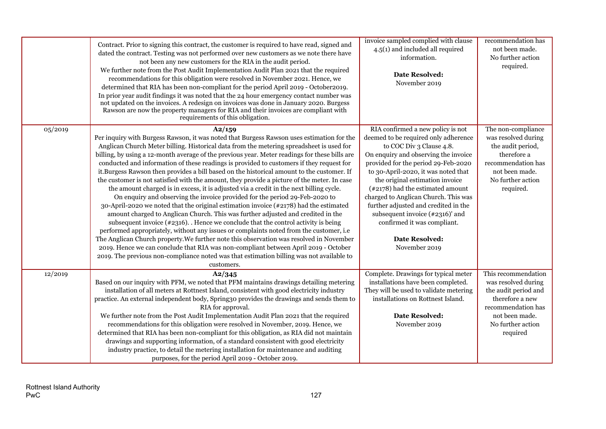|         | Contract. Prior to signing this contract, the customer is required to have read, signed and<br>dated the contract. Testing was not performed over new customers as we note there have<br>not been any new customers for the RIA in the audit period.<br>We further note from the Post Audit Implementation Audit Plan 2021 that the required<br>recommendations for this obligation were resolved in November 2021. Hence, we<br>determined that RIA has been non-compliant for the period April 2019 - October2019.<br>In prior year audit findings it was noted that the 24 hour emergency contact number was<br>not updated on the invoices. A redesign on invoices was done in January 2020. Burgess<br>Rawson are now the property managers for RIA and their invoices are compliant with<br>requirements of this obligation.                                                                                                                                                                                                                                                                                                                                                                                                                                                                                                                                                                                           | invoice sampled complied with clause<br>$4.5(1)$ and included all required<br>information.<br><b>Date Resolved:</b><br>November 2019                                                                                                                                                                                                                                                                                                                                                               | recommendation has<br>not been made.<br>No further action<br>required.                                                                                         |
|---------|------------------------------------------------------------------------------------------------------------------------------------------------------------------------------------------------------------------------------------------------------------------------------------------------------------------------------------------------------------------------------------------------------------------------------------------------------------------------------------------------------------------------------------------------------------------------------------------------------------------------------------------------------------------------------------------------------------------------------------------------------------------------------------------------------------------------------------------------------------------------------------------------------------------------------------------------------------------------------------------------------------------------------------------------------------------------------------------------------------------------------------------------------------------------------------------------------------------------------------------------------------------------------------------------------------------------------------------------------------------------------------------------------------------------------|----------------------------------------------------------------------------------------------------------------------------------------------------------------------------------------------------------------------------------------------------------------------------------------------------------------------------------------------------------------------------------------------------------------------------------------------------------------------------------------------------|----------------------------------------------------------------------------------------------------------------------------------------------------------------|
| 05/2019 | A2/159<br>Per inquiry with Burgess Rawson, it was noted that Burgess Rawson uses estimation for the<br>Anglican Church Meter billing. Historical data from the metering spreadsheet is used for<br>billing, by using a 12-month average of the previous year. Meter readings for these bills are<br>conducted and information of these readings is provided to customers if they request for<br>it.Burgess Rawson then provides a bill based on the historical amount to the customer. If<br>the customer is not satisfied with the amount, they provide a picture of the meter. In case<br>the amount charged is in excess, it is adjusted via a credit in the next billing cycle.<br>On enquiry and observing the invoice provided for the period 29-Feb-2020 to<br>30-April-2020 we noted that the original estimation invoice (#2178) had the estimated<br>amount charged to Anglican Church. This was further adjusted and credited in the<br>subsequent invoice $(*2316)$ . Hence we conclude that the control activity is being<br>performed appropriately, without any issues or complaints noted from the customer, i.e<br>The Anglican Church property. We further note this observation was resolved in November<br>2019. Hence we can conclude that RIA was non-compliant between April 2019 - October<br>2019. The previous non-compliance noted was that estimation billing was not available to<br>customers. | RIA confirmed a new policy is not<br>deemed to be required only adherence<br>to COC Div 3 Clause 4.8.<br>On enquiry and observing the invoice<br>provided for the period 29-Feb-2020<br>to 30-April-2020, it was noted that<br>the original estimation invoice<br>$(*2178)$ had the estimated amount<br>charged to Anglican Church. This was<br>further adjusted and credited in the<br>subsequent invoice $(*2316)'$ and<br>confirmed it was compliant.<br><b>Date Resolved:</b><br>November 2019 | The non-compliance<br>was resolved during<br>the audit period,<br>therefore a<br>recommendation has<br>not been made.<br>No further action<br>required.        |
| 12/2019 | A2/345<br>Based on our inquiry with PFM, we noted that PFM maintains drawings detailing metering<br>installation of all meters at Rottnest Island, consistent with good electricity industry<br>practice. An external independent body, Spring30 provides the drawings and sends them to<br>RIA for approval.<br>We further note from the Post Audit Implementation Audit Plan 2021 that the required<br>recommendations for this obligation were resolved in November, 2019. Hence, we<br>determined that RIA has been non-compliant for this obligation, as RIA did not maintain<br>drawings and supporting information, of a standard consistent with good electricity<br>industry practice, to detail the metering installation for maintenance and auditing<br>purposes, for the period April 2019 - October 2019.                                                                                                                                                                                                                                                                                                                                                                                                                                                                                                                                                                                                      | Complete. Drawings for typical meter<br>installations have been completed.<br>They will be used to validate metering<br>installations on Rottnest Island.<br><b>Date Resolved:</b><br>November 2019                                                                                                                                                                                                                                                                                                | This recommendation<br>was resolved during<br>the audit period and<br>therefore a new<br>recommendation has<br>not been made.<br>No further action<br>required |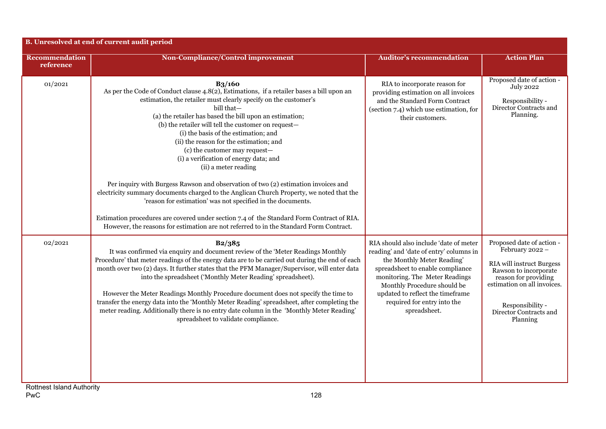|                                    | B. Unresolved at end of current audit period                                                                                                                                                                                                                                                                                                                                                                                                                                                                                                                                                                                                                                                                                                                                                                                                                                                                                                |                                                                                                                                                                                                                                                                                                         |                                                                                                                                                                                                                            |
|------------------------------------|---------------------------------------------------------------------------------------------------------------------------------------------------------------------------------------------------------------------------------------------------------------------------------------------------------------------------------------------------------------------------------------------------------------------------------------------------------------------------------------------------------------------------------------------------------------------------------------------------------------------------------------------------------------------------------------------------------------------------------------------------------------------------------------------------------------------------------------------------------------------------------------------------------------------------------------------|---------------------------------------------------------------------------------------------------------------------------------------------------------------------------------------------------------------------------------------------------------------------------------------------------------|----------------------------------------------------------------------------------------------------------------------------------------------------------------------------------------------------------------------------|
| <b>Recommendation</b><br>reference | <b>Non-Compliance/Control improvement</b>                                                                                                                                                                                                                                                                                                                                                                                                                                                                                                                                                                                                                                                                                                                                                                                                                                                                                                   | <b>Auditor's recommendation</b>                                                                                                                                                                                                                                                                         | <b>Action Plan</b>                                                                                                                                                                                                         |
| 01/2021                            | <b>B3/160</b><br>As per the Code of Conduct clause 4.8(2), Estimations, if a retailer bases a bill upon an<br>estimation, the retailer must clearly specify on the customer's<br>bill that-<br>(a) the retailer has based the bill upon an estimation;<br>(b) the retailer will tell the customer on request-<br>(i) the basis of the estimation; and<br>(ii) the reason for the estimation; and<br>(c) the customer may request-<br>(i) a verification of energy data; and<br>(ii) a meter reading<br>Per inquiry with Burgess Rawson and observation of two (2) estimation invoices and<br>electricity summary documents charged to the Anglican Church Property, we noted that the<br>'reason for estimation' was not specified in the documents.<br>Estimation procedures are covered under section 7.4 of the Standard Form Contract of RIA.<br>However, the reasons for estimation are not referred to in the Standard Form Contract. | RIA to incorporate reason for<br>providing estimation on all invoices<br>and the Standard Form Contract<br>(section 7.4) which use estimation, for<br>their customers.                                                                                                                                  | Proposed date of action -<br><b>July 2022</b><br>Responsibility -<br>Director Contracts and<br>Planning.                                                                                                                   |
| 02/2021                            | B2/385<br>It was confirmed via enquiry and document review of the 'Meter Readings Monthly<br>Procedure' that meter readings of the energy data are to be carried out during the end of each<br>month over two (2) days. It further states that the PFM Manager/Supervisor, will enter data<br>into the spreadsheet ('Monthly Meter Reading' spreadsheet).<br>However the Meter Readings Monthly Procedure document does not specify the time to<br>transfer the energy data into the 'Monthly Meter Reading' spreadsheet, after completing the<br>meter reading. Additionally there is no entry date column in the 'Monthly Meter Reading'<br>spreadsheet to validate compliance.                                                                                                                                                                                                                                                           | RIA should also include 'date of meter<br>reading' and 'date of entry' columns in<br>the Monthly Meter Reading'<br>spreadsheet to enable compliance<br>monitoring. The Meter Readings<br>Monthly Procedure should be<br>updated to reflect the timeframe<br>required for entry into the<br>spreadsheet. | Proposed date of action -<br>February 2022 -<br><b>RIA</b> will instruct Burgess<br>Rawson to incorporate<br>reason for providing<br>estimation on all invoices.<br>Responsibility -<br>Director Contracts and<br>Planning |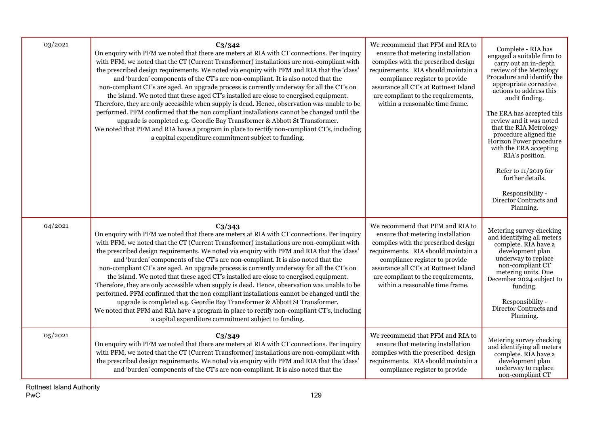| 03/2021 | $C_3/342$<br>On enquiry with PFM we noted that there are meters at RIA with CT connections. Per inquiry<br>with PFM, we noted that the CT (Current Transformer) installations are non-compliant with<br>the prescribed design requirements. We noted via enquiry with PFM and RIA that the 'class'<br>and 'burden' components of the CT's are non-compliant. It is also noted that the<br>non-compliant CT's are aged. An upgrade process is currently underway for all the CT's on<br>the island. We noted that these aged CT's installed are close to energised equipment.<br>Therefore, they are only accessible when supply is dead. Hence, observation was unable to be<br>performed. PFM confirmed that the non compliant installations cannot be changed until the<br>upgrade is completed e.g. Geordie Bay Transformer & Abbott St Transformer.<br>We noted that PFM and RIA have a program in place to rectify non-compliant CT's, including<br>a capital expenditure commitment subject to funding. | We recommend that PFM and RIA to<br>ensure that metering installation<br>complies with the prescribed design<br>requirements. RIA should maintain a<br>compliance register to provide<br>assurance all CT's at Rottnest Island<br>are compliant to the requirements,<br>within a reasonable time frame. | Complete - RIA has<br>engaged a suitable firm to<br>carry out an in-depth<br>review of the Metrology<br>Procedure and identify the<br>appropriate corrective<br>actions to address this<br>audit finding.<br>The ERA has accepted this<br>review and it was noted<br>that the RIA Metrology<br>procedure aligned the<br>Horizon Power procedure<br>with the ERA accepting<br>RIA's position.<br>Refer to 11/2019 for<br>further details.<br>Responsibility -<br>Director Contracts and<br>Planning. |
|---------|---------------------------------------------------------------------------------------------------------------------------------------------------------------------------------------------------------------------------------------------------------------------------------------------------------------------------------------------------------------------------------------------------------------------------------------------------------------------------------------------------------------------------------------------------------------------------------------------------------------------------------------------------------------------------------------------------------------------------------------------------------------------------------------------------------------------------------------------------------------------------------------------------------------------------------------------------------------------------------------------------------------|---------------------------------------------------------------------------------------------------------------------------------------------------------------------------------------------------------------------------------------------------------------------------------------------------------|-----------------------------------------------------------------------------------------------------------------------------------------------------------------------------------------------------------------------------------------------------------------------------------------------------------------------------------------------------------------------------------------------------------------------------------------------------------------------------------------------------|
| 04/2021 | $C_3/343$<br>On enquiry with PFM we noted that there are meters at RIA with CT connections. Per inquiry<br>with PFM, we noted that the CT (Current Transformer) installations are non-compliant with<br>the prescribed design requirements. We noted via enquiry with PFM and RIA that the 'class'<br>and 'burden' components of the CT's are non-compliant. It is also noted that the<br>non-compliant CT's are aged. An upgrade process is currently underway for all the CT's on<br>the island. We noted that these aged CT's installed are close to energised equipment.<br>Therefore, they are only accessible when supply is dead. Hence, observation was unable to be<br>performed. PFM confirmed that the non compliant installations cannot be changed until the<br>upgrade is completed e.g. Geordie Bay Transformer & Abbott St Transformer.<br>We noted that PFM and RIA have a program in place to rectify non-compliant CT's, including<br>a capital expenditure commitment subject to funding. | We recommend that PFM and RIA to<br>ensure that metering installation<br>complies with the prescribed design<br>requirements. RIA should maintain a<br>compliance register to provide<br>assurance all CT's at Rottnest Island<br>are compliant to the requirements,<br>within a reasonable time frame. | Metering survey checking<br>and identifying all meters<br>complete. RIA have a<br>development plan<br>underway to replace<br>non-compliant CT<br>metering units. Due<br>December 2024 subject to<br>funding.<br>Responsibility -<br>Director Contracts and<br>Planning.                                                                                                                                                                                                                             |
| 05/2021 | $C_3/349$<br>On enquiry with PFM we noted that there are meters at RIA with CT connections. Per inquiry<br>with PFM, we noted that the CT (Current Transformer) installations are non-compliant with<br>the prescribed design requirements. We noted via enquiry with PFM and RIA that the 'class'<br>and 'burden' components of the CT's are non-compliant. It is also noted that the                                                                                                                                                                                                                                                                                                                                                                                                                                                                                                                                                                                                                        | We recommend that PFM and RIA to<br>ensure that metering installation<br>complies with the prescribed design<br>requirements. RIA should maintain a<br>compliance register to provide                                                                                                                   | Metering survey checking<br>and identifying all meters<br>complete. RIA have a<br>development plan<br>underway to replace<br>non-compliant CT                                                                                                                                                                                                                                                                                                                                                       |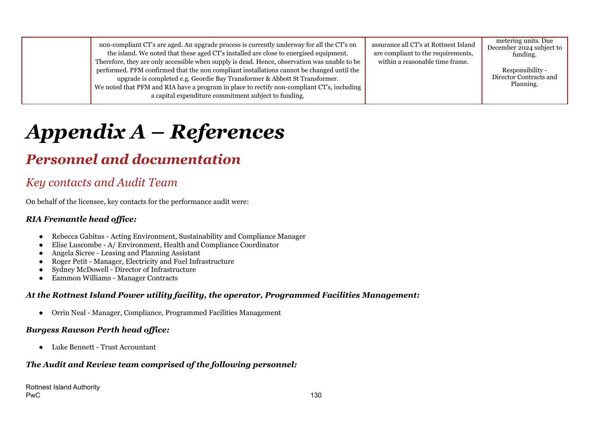|  | non-compliant CT's are aged. An upgrade process is currently underway for all the CT's on<br>the island. We noted that these aged CT's installed are close to energised equipment.<br>Therefore, they are only accessible when supply is dead. Hence, observation was unable to be<br>performed. PFM confirmed that the non compliant installations cannot be changed until the<br>upgrade is completed e.g. Geordie Bay Transformer & Abbott St Transformer.<br>We noted that PFM and RIA have a program in place to rectify non-compliant CT's, including<br>a capital expenditure commitment subject to funding. | assurance all CT's at Rottnest Island<br>are compliant to the requirements,<br>within a reasonable time frame. | metering units. Due<br>December 2024 subject to<br>funding.<br>Responsibility -<br>Director Contracts and<br>Planning. |
|--|---------------------------------------------------------------------------------------------------------------------------------------------------------------------------------------------------------------------------------------------------------------------------------------------------------------------------------------------------------------------------------------------------------------------------------------------------------------------------------------------------------------------------------------------------------------------------------------------------------------------|----------------------------------------------------------------------------------------------------------------|------------------------------------------------------------------------------------------------------------------------|
|--|---------------------------------------------------------------------------------------------------------------------------------------------------------------------------------------------------------------------------------------------------------------------------------------------------------------------------------------------------------------------------------------------------------------------------------------------------------------------------------------------------------------------------------------------------------------------------------------------------------------------|----------------------------------------------------------------------------------------------------------------|------------------------------------------------------------------------------------------------------------------------|

# *Appendix A – References*

## *Personnel and documentation*

### *Key contacts and Audit Team*

On behalf of the licensee, key contacts for the performance audit were:

#### *RIA Fremantle head of ice:*

- Rebecca Gabitus Acting Environment, Sustainability and Compliance Manager
- Elise Luscombe A/ Environment, Health and Compliance Coordinator
- Angela Sicree Leasing and Planning Assistant
- Roger Petit Manager, Electricity and Fuel Infrastructure
- Sydney McDowell Director of Infrastructure
- Eammon Williams Manager Contracts

#### *At the Rottnest Island Power utility facility, the operator, Programmed Facilities Management:*

● Orrin Neal - Manager, Compliance, Programmed Facilities Management

#### *Burgess Rawson Perth head of ice:*

● Luke Bennett - Trust Accountant

#### *The Audit and Review team comprised of the following personnel:*

Rottnest Island Authority PwC the contract of the contract of the contract of the contract of the contract of the contract of the contract of the contract of the contract of the contract of the contract of the contract of the contract of the contra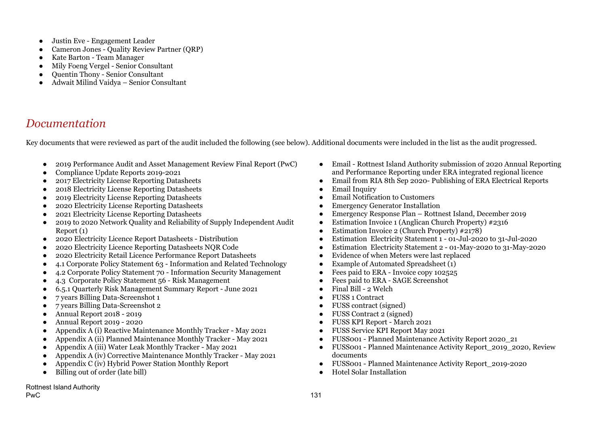- Justin Eve Engagement Leader
- Cameron Jones Quality Review Partner (ORP)
- Kate Barton Team Manager
- Mily Foeng Vergel Senior Consultant
- Ouentin Thony Senior Consultant
- Adwait Milind Vaidya Senior Consultant

### *Documentation*

Key documents that were reviewed as part of the audit included the following (see below). Additional documents were included in the list as the audit progressed.

- 2019 Performance Audit and Asset Management Review Final Report (PwC)
- Compliance Update Reports 2019-2021
- 2017 Electricity License Reporting Datasheets
- 2018 Electricity License Reporting Datasheets
- 2019 Electricity License Reporting Datasheets
- 2020 Electricity License Reporting Datasheets
- 2021 Electricity License Reporting Datasheets
- 2019 to 2020 Network Quality and Reliability of Supply Independent Audit Report (1)
- 2020 Electricity Licence Report Datasheets Distribution
- 2020 Electricity Licence Reporting Datasheets NOR Code
- 2020 Electricity Retail Licence Performance Report Datasheets
- 4.1 Corporate Policy Statement 63 Information and Related Technology
- 4.2 Corporate Policy Statement 70 Information Security Management
- 4.3 Corporate Policy Statement 56 Risk Management
- 6.5.1 Quarterly Risk Management Summary Report June 2021
- 7 years Billing Data-Screenshot 1
- 7 years Billing Data-Screenshot 2
- Annual Report 2018 2019
- Annual Report 2019 2020
- Appendix A (i) Reactive Maintenance Monthly Tracker May 2021
- Appendix A (ii) Planned Maintenance Monthly Tracker May 2021
- Appendix A (iii) Water Leak Monthly Tracker May 2021
- Appendix A (iv) Corrective Maintenance Monthly Tracker May 2021
- Appendix C (iv) Hybrid Power Station Monthly Report
- Billing out of order (late bill)

Rottnest Island Authority

- Email Rottnest Island Authority submission of 2020 Annual Reporting and Performance Reporting under ERA integrated regional licence
- Email from RIA 8th Sep 2020- Publishing of ERA Electrical Reports
- Email Inquiry
- Email Notification to Customers
- Emergency Generator Installation
- Emergency Response Plan Rottnest Island, December 2019
- Estimation Invoice 1 (Anglican Church Property) #2316
- Estimation Invoice 2 (Church Property) #2178)
- Estimation Electricity Statement 1 01-Jul-2020 to 31-Jul-2020
- Estimation Electricity Statement 2 01-May-2020 to 31-May-2020
- Evidence of when Meters were last replaced
- Example of Automated Spreadsheet  $(1)$
- Fees paid to ERA Invoice copy 102525
- Fees paid to ERA SAGE Screenshot
- Final Bill 2 Welch
- FUSS 1 Contract
- FUSS contract (signed)
- FUSS Contract 2 (signed)
- FUSS KPI Report March 2021
- FUSS Service KPI Report May 2021
- FUSS001 Planned Maintenance Activity Report 2020\_21
- FUSS001 Planned Maintenance Activity Report\_2019\_2020, Review documents
- FUSS001 Planned Maintenance Activity Report\_2019-2020
- Hotel Solar Installation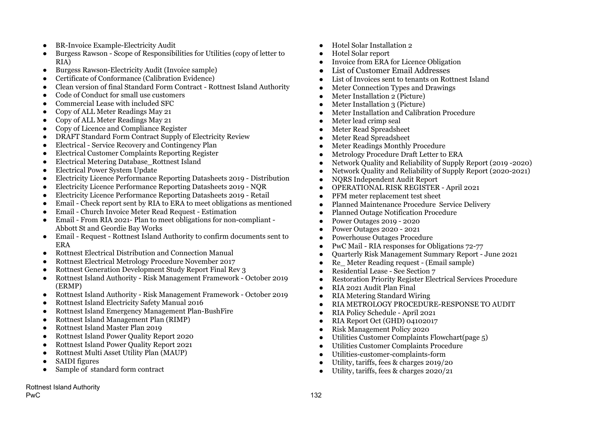- BR-Invoice Example-Electricity Audit
- Burgess Rawson Scope of Responsibilities for Utilities (copy of letter to RIA)
- Burgess Rawson-Electricity Audit (Invoice sample)
- Certificate of Conformance (Calibration Evidence)
- Clean version of final Standard Form Contract Rottnest Island Authority
- Code of Conduct for small use customers
- Commercial Lease with included SFC
- Copy of ALL Meter Readings May 21
- Copy of ALL Meter Readings May 21
- Copy of Licence and Compliance Register
- DRAFT Standard Form Contract Supply of Electricity Review
- Electrical Service Recovery and Contingency Plan
- Electrical Customer Complaints Reporting Register
- Electrical Metering Database\_Rottnest Island
- Electrical Power System Update
- Electricity Licence Performance Reporting Datasheets 2019 Distribution
- Electricity Licence Performance Reporting Datasheets 2019 NQR
- Electricity Licence Performance Reporting Datasheets 2019 Retail
- Email Check report sent by RIA to ERA to meet obligations as mentioned
- Email Church Invoice Meter Read Request Estimation
- Email From RIA 2021- Plan to meet obligations for non-compliant Abbott St and Geordie Bay Works
- Email Request Rottnest Island Authority to confirm documents sent to ERA
- Rottnest Electrical Distribution and Connection Manual
- Rottnest Electrical Metrology Procedure November 2017
- Rottnest Generation Development Study Report Final Rev 3
- Rottnest Island Authority Risk Management Framework October 2019 (ERMP)
- Rottnest Island Authority Risk Management Framework October 2019
- Rottnest Island Electricity Safety Manual 2016
- Rottnest Island Emergency Management Plan-BushFire
- Rottnest Island Management Plan (RIMP)
- Rottnest Island Master Plan 2019
- Rottnest Island Power Ouality Report 2020
- Rottnest Island Power Quality Report 2021
- Rottnest Multi Asset Utility Plan (MAUP)
- SAIDI figures
- Sample of standard form contract
- Hotel Solar Installation 2
- Hotel Solar report
- Invoice from ERA for Licence Obligation
- List of Customer Email Addresses
- List of Invoices sent to tenants on Rottnest Island
- Meter Connection Types and Drawings
- Meter Installation 2 (Picture)
- Meter Installation 3 (Picture)
- Meter Installation and Calibration Procedure
- Meter lead crimp seal
- Meter Read Spreadsheet
- Meter Read Spreadsheet
- Meter Readings Monthly Procedure
- Metrology Procedure Draft Letter to ERA
- Network Quality and Reliability of Supply Report (2019 -2020)
- Network Quality and Reliability of Supply Report (2020-2021)
- NQRS Independent Audit Report
- OPERATIONAL RISK REGISTER April 2021
- PFM meter replacement test sheet
- Planned Maintenance Procedure Service Delivery
- Planned Outage Notification Procedure
- Power Outages 2019 2020
- Power Outages 2020 2021
- Powerhouse Outages Procedure
- PwC Mail RIA responses for Obligations 72-77
- Quarterly Risk Management Summary Report June 2021
- Re Meter Reading request (Email sample)
- Residential Lease See Section 7
- Restoration Priority Register Electrical Services Procedure
- RIA 2021 Audit Plan Final
- RIA Metering Standard Wiring
- RIA METROLOGY PROCEDURE-RESPONSE TO AUDIT
- RIA Policy Schedule April 2021
- RIA Report Oct (GHD) 04102017
- Risk Management Policy 2020
- Utilities Customer Complaints Flowchart(page 5)
- Utilities Customer Complaints Procedure
- Utilities-customer-complaints-form
- Utility, tariffs, fees & charges 2019/20
- Utility, tariffs, fees & charges 2020/21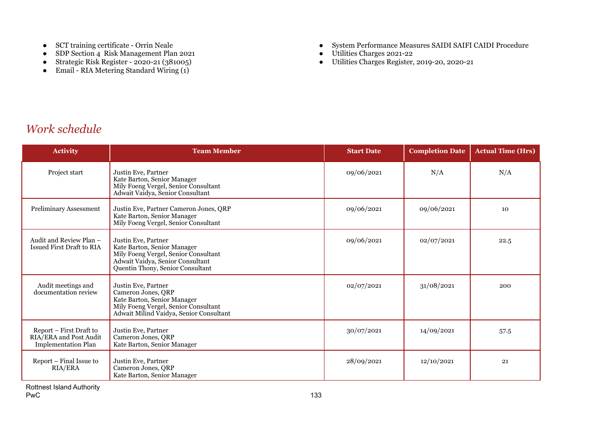- SCT training certificate Orrin Neale
- SDP Section 4 Risk Management Plan 2021
- Strategic Risk Register 2020-21 (381005)
- Email RIA Metering Standard Wiring (1)
- System Performance Measures SAIDI SAIFI CAIDI Procedure
- Utilities Charges 2021-22
- Utilities Charges Register, 2019-20, 2020-21

### *Work schedule*

| <b>Activity</b>                                                                 | <b>Team Member</b>                                                                                                                                                 | <b>Start Date</b> | <b>Completion Date</b> | <b>Actual Time (Hrs)</b> |
|---------------------------------------------------------------------------------|--------------------------------------------------------------------------------------------------------------------------------------------------------------------|-------------------|------------------------|--------------------------|
| Project start                                                                   | Justin Eve, Partner<br>Kate Barton, Senior Manager<br>Mily Foeng Vergel, Senior Consultant<br>Adwait Vaidya, Senior Consultant                                     | 09/06/2021        | N/A                    | N/A                      |
| Preliminary Assessment                                                          | Justin Eve, Partner Cameron Jones, QRP<br>Kate Barton, Senior Manager<br>Mily Foeng Vergel, Senior Consultant                                                      | 09/06/2021        | 09/06/2021             | 10                       |
| Audit and Review Plan -<br><b>Issued First Draft to RIA</b>                     | Justin Eve, Partner<br>Kate Barton, Senior Manager<br>Mily Foeng Vergel, Senior Consultant<br>Adwait Vaidya, Senior Consultant<br>Quentin Thony, Senior Consultant | 09/06/2021        | 02/07/2021             | 22.5                     |
| Audit meetings and<br>documentation review                                      | Justin Eve, Partner<br>Cameron Jones, QRP<br>Kate Barton, Senior Manager<br>Mily Foeng Vergel, Senior Consultant<br>Adwait Milind Vaidya, Senior Consultant        | 02/07/2021        | 31/08/2021             | 200                      |
| Report – First Draft to<br>RIA/ERA and Post Audit<br><b>Implementation Plan</b> | Justin Eve, Partner<br>Cameron Jones, QRP<br>Kate Barton, Senior Manager                                                                                           | 30/07/2021        | 14/09/2021             | 57.5                     |
| Report – Final Issue to<br><b>RIA/ERA</b>                                       | Justin Eve, Partner<br>Cameron Jones, QRP<br>Kate Barton, Senior Manager                                                                                           | 28/09/2021        | 12/10/2021             | 21                       |

Rottnest Island Authority<br>PwC PwC the contract of the contract of the contract of the contract of the contract of the contract of the contract of the contract of the contract of the contract of the contract of the contract of the contract of the contra